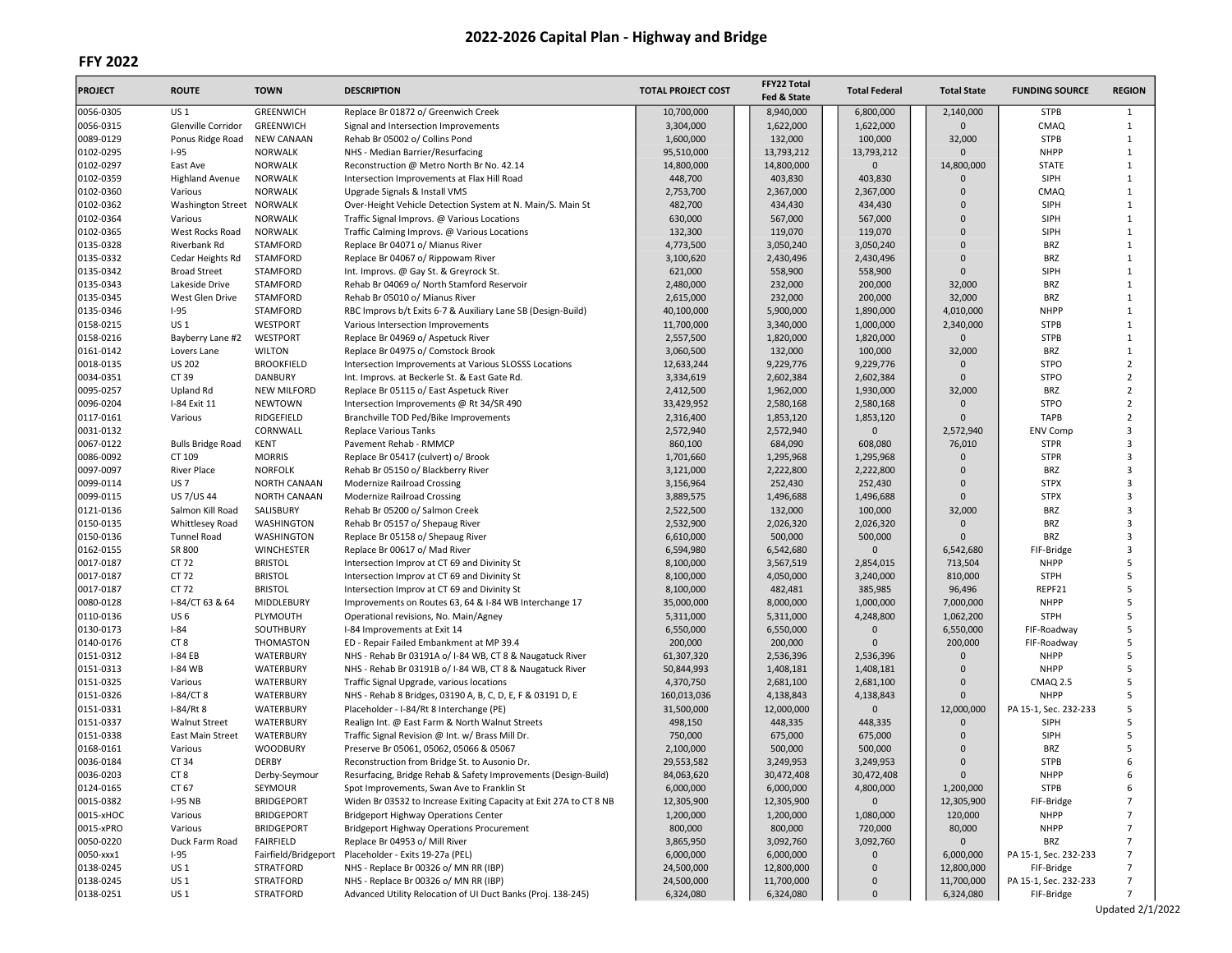# FFY 2022

| <b>PROJECT</b>         | <b>ROUTE</b>                      | <b>TOWN</b>            | <b>DESCRIPTION</b>                                                                                   | <b>TOTAL PROJECT COST</b> | FFY22 Total<br>Fed & State | <b>Total Federal</b> | <b>Total State</b>     | <b>FUNDING SOURCE</b>      | <b>REGION</b>     |
|------------------------|-----------------------------------|------------------------|------------------------------------------------------------------------------------------------------|---------------------------|----------------------------|----------------------|------------------------|----------------------------|-------------------|
| 0056-0305              | US 1                              | GREENWICH              | Replace Br 01872 o/ Greenwich Creek                                                                  | 10,700,000                | 8,940,000                  | 6,800,000            | 2,140,000              | <b>STPB</b>                | 1                 |
| 0056-0315              | Glenville Corridor                | <b>GREENWICH</b>       | Signal and Intersection Improvements                                                                 | 3,304,000                 | 1,622,000                  | 1,622,000            | $\Omega$               | CMAQ                       | $\mathbf{1}$      |
| 0089-0129              | Ponus Ridge Road                  | <b>NEW CANAAN</b>      | Rehab Br 05002 o/ Collins Pond                                                                       | 1,600,000                 | 132,000                    | 100,000              | 32,000                 | <b>STPB</b>                | $\mathbf{1}$      |
| 0102-0295              | $1 - 95$                          | <b>NORWALK</b>         | NHS - Median Barrier/Resurfacing                                                                     | 95,510,000                | 13,793,212                 | 13,793,212           | $\Omega$               | <b>NHPP</b>                | $\mathbf{1}$      |
| 0102-0297              | East Ave                          | <b>NORWALK</b>         | Reconstruction @ Metro North Br No. 42.14                                                            | 14,800,000                | 14,800,000                 | $\mathbf 0$          | 14,800,000             | <b>STATE</b>               | 1                 |
| 0102-0359              | <b>Highland Avenue</b>            | NORWALK                | Intersection Improvements at Flax Hill Road                                                          | 448,700                   | 403,830                    | 403,830              | $\Omega$               | SIPH                       | $\mathbf{1}$      |
| 0102-0360              | Various                           | <b>NORWALK</b>         | Upgrade Signals & Install VMS                                                                        | 2,753,700                 | 2,367,000                  | 2,367,000            | $\Omega$               | CMAQ                       | $\mathbf{1}$      |
| 0102-0362              | Washington Street NORWALK         |                        | Over-Height Vehicle Detection System at N. Main/S. Main St                                           | 482,700                   | 434,430                    | 434,430              | $\Omega$               | SIPH                       | 1                 |
| 0102-0364              | Various                           | <b>NORWALK</b>         | Traffic Signal Improvs. @ Various Locations                                                          | 630,000                   | 567,000                    | 567,000              | $\Omega$               | SIPH                       | $\mathbf{1}$      |
| 0102-0365              | West Rocks Road                   | NORWALK                | Traffic Calming Improvs. @ Various Locations                                                         | 132,300                   | 119,070                    | 119,070              | $\mathbf{0}$           | SIPH                       | $\mathbf{1}$      |
| 0135-0328              | Riverbank Rd                      | <b>STAMFORD</b>        | Replace Br 04071 o/ Mianus River                                                                     | 4,773,500                 | 3,050,240                  | 3,050,240            | $\mathbf{0}$           | <b>BRZ</b>                 | 1                 |
| 0135-0332              | Cedar Heights Rd                  | <b>STAMFORD</b>        | Replace Br 04067 o/ Rippowam River                                                                   | 3,100,620                 | 2,430,496                  | 2,430,496            | $\Omega$               | <b>BRZ</b>                 | $\mathbf{1}$      |
| 0135-0342              | <b>Broad Street</b>               | STAMFORD               | Int. Improvs. @ Gay St. & Greyrock St.                                                               | 621,000                   | 558,900                    | 558,900              | $\mathbf{0}$           | SIPH                       | $\mathbf{1}$      |
| 0135-0343<br>0135-0345 | Lakeside Drive<br>West Glen Drive | STAMFORD<br>STAMFORD   | Rehab Br 04069 o/ North Stamford Reservoir                                                           | 2,480,000                 | 232,000<br>232,000         | 200,000<br>200,000   | 32,000<br>32,000       | <b>BRZ</b><br><b>BRZ</b>   | 1<br>$\mathbf{1}$ |
| 0135-0346              | $1 - 95$                          | STAMFORD               | Rehab Br 05010 o/ Mianus River                                                                       | 2,615,000<br>40,100,000   | 5,900,000                  | 1,890,000            |                        | <b>NHPP</b>                | $\mathbf{1}$      |
| 0158-0215              | US 1                              | WESTPORT               | RBC Improvs b/t Exits 6-7 & Auxiliary Lane SB (Design-Build)<br>Various Intersection Improvements    | 11,700,000                | 3,340,000                  | 1,000,000            | 4,010,000<br>2,340,000 | <b>STPB</b>                | 1                 |
| 0158-0216              | Bayberry Lane #2                  | WESTPORT               | Replace Br 04969 o/ Aspetuck River                                                                   | 2,557,500                 | 1,820,000                  | 1,820,000            | $\Omega$               | <b>STPB</b>                | $\mathbf{1}$      |
| 0161-0142              | Lovers Lane                       | <b>WILTON</b>          | Replace Br 04975 o/ Comstock Brook                                                                   | 3,060,500                 | 132,000                    | 100,000              | 32,000                 | <b>BRZ</b>                 | $\mathbf{1}$      |
| 0018-0135              | <b>US 202</b>                     | <b>BROOKFIELD</b>      | Intersection Improvements at Various SLOSSS Locations                                                | 12,633,244                | 9,229,776                  | 9,229,776            | $\Omega$               | <b>STPO</b>                | $\overline{2}$    |
| 0034-0351              | CT 39                             | <b>DANBURY</b>         | Int. Improvs. at Beckerle St. & East Gate Rd.                                                        | 3,334,619                 | 2,602,384                  | 2,602,384            | $\Omega$               | <b>STPO</b>                | $\overline{2}$    |
| 0095-0257              | Upland Rd                         | <b>NEW MILFORD</b>     | Replace Br 05115 o/ East Aspetuck River                                                              | 2,412,500                 | 1,962,000                  | 1,930,000            | 32,000                 | <b>BRZ</b>                 | $\overline{2}$    |
| 0096-0204              | I-84 Exit 11                      | <b>NEWTOWN</b>         | Intersection Improvements @ Rt 34/SR 490                                                             | 33,429,952                | 2,580,168                  | 2,580,168            | $\mathbf{0}$           | <b>STPO</b>                | $\overline{2}$    |
| 0117-0161              | Various                           | RIDGEFIELD             | Branchville TOD Ped/Bike Improvements                                                                | 2,316,400                 | 1,853,120                  | 1,853,120            | $\Omega$               | <b>TAPB</b>                | $\overline{2}$    |
| 0031-0132              |                                   | CORNWALL               | <b>Replace Various Tanks</b>                                                                         | 2,572,940                 | 2,572,940                  | $\mathbf 0$          | 2,572,940              | <b>ENV Comp</b>            | 3                 |
| 0067-0122              | <b>Bulls Bridge Road</b>          | KENT                   | Pavement Rehab - RMMCP                                                                               | 860,100                   | 684,090                    | 608,080              | 76,010                 | <b>STPR</b>                | 3                 |
| 0086-0092              | CT 109                            | <b>MORRIS</b>          | Replace Br 05417 (culvert) o/ Brook                                                                  | 1,701,660                 | 1,295,968                  | 1,295,968            | $\mathbf{0}$           | <b>STPR</b>                | 3                 |
| 0097-0097              | <b>River Place</b>                | <b>NORFOLK</b>         | Rehab Br 05150 o/ Blackberry River                                                                   | 3,121,000                 | 2,222,800                  | 2,222,800            | $\Omega$               | <b>BRZ</b>                 | 3                 |
| 0099-0114              | <b>US7</b>                        | <b>NORTH CANAAN</b>    | <b>Modernize Railroad Crossing</b>                                                                   | 3,156,964                 | 252,430                    | 252,430              | 0                      | <b>STPX</b>                | $\overline{3}$    |
| 0099-0115              | US 7/US 44                        | <b>NORTH CANAAN</b>    | Modernize Railroad Crossing                                                                          | 3,889,575                 | 1,496,688                  | 1,496,688            | $\Omega$               | <b>STPX</b>                | 3                 |
| 0121-0136              | Salmon Kill Road                  | SALISBURY              | Rehab Br 05200 o/ Salmon Creek                                                                       | 2,522,500                 | 132,000                    | 100,000              | 32,000                 | <b>BRZ</b>                 | 3                 |
| 0150-0135              | Whittlesey Road                   | WASHINGTON             | Rehab Br 05157 o/ Shepaug River                                                                      | 2,532,900                 | 2,026,320                  | 2,026,320            | $\mathbf 0$            | <b>BRZ</b>                 | 3                 |
| 0150-0136              | <b>Tunnel Road</b>                | WASHINGTON             | Replace Br 05158 o/ Shepaug River                                                                    | 6,610,000                 | 500,000                    | 500,000              | $\Omega$               | <b>BRZ</b>                 | 3                 |
| 0162-0155              | SR 800                            | <b>WINCHESTER</b>      | Replace Br 00617 o/ Mad River                                                                        | 6,594,980                 | 6,542,680                  | 0                    | 6,542,680              | FIF-Bridge                 | 3                 |
| 0017-0187              | CT 72                             | <b>BRISTOL</b>         | Intersection Improv at CT 69 and Divinity St                                                         | 8,100,000                 | 3,567,519                  | 2,854,015            | 713,504                | <b>NHPP</b>                | 5                 |
| 0017-0187              | CT 72                             | <b>BRISTOL</b>         | Intersection Improv at CT 69 and Divinity St                                                         | 8,100,000                 | 4,050,000                  | 3,240,000            | 810,000                | <b>STPH</b>                | 5                 |
| 0017-0187              | CT 72                             | <b>BRISTOL</b>         | Intersection Improv at CT 69 and Divinity St                                                         | 8,100,000                 | 482,481                    | 385,985              | 96,496                 | REPF21                     | 5                 |
| 0080-0128              | I-84/CT 63 & 64                   | MIDDLEBURY             | Improvements on Routes 63, 64 & I-84 WB Interchange 17                                               | 35,000,000                | 8,000,000                  | 1,000,000            | 7,000,000              | <b>NHPP</b>                | 5                 |
| 0110-0136              | US <sub>6</sub>                   | PLYMOUTH               | Operational revisions, No. Main/Agney                                                                | 5,311,000                 | 5,311,000                  | 4,248,800            | 1,062,200              | <b>STPH</b>                | 5<br>5            |
| 0130-0173<br>0140-0176 | $I-84$<br>CT <sub>8</sub>         | SOUTHBURY<br>THOMASTON | I-84 Improvements at Exit 14                                                                         | 6,550,000<br>200,000      | 6,550,000<br>200,000       | 0<br>$\mathbf{0}$    | 6,550,000<br>200,000   | FIF-Roadway                | 5                 |
| 0151-0312              | <b>I-84 EB</b>                    | WATERBURY              | ED - Repair Failed Embankment at MP 39.4<br>NHS - Rehab Br 03191A o/ I-84 WB, CT 8 & Naugatuck River | 61,307,320                |                            | 2,536,396            | $\mathbf 0$            | FIF-Roadway<br><b>NHPP</b> | 5                 |
| 0151-0313              | <b>I-84 WB</b>                    | WATERBURY              | NHS - Rehab Br 03191B o/ I-84 WB, CT 8 & Naugatuck River                                             | 50,844,993                | 2,536,396<br>1,408,181     | 1,408,181            | $\Omega$               | <b>NHPP</b>                | 5                 |
| 0151-0325              | Various                           | WATERBURY              | Traffic Signal Upgrade, various locations                                                            | 4,370,750                 | 2,681,100                  | 2,681,100            | $\mathbf 0$            | <b>CMAQ 2.5</b>            | 5                 |
| 0151-0326              | I-84/CT8                          | WATERBURY              | NHS - Rehab 8 Bridges, 03190 A, B, C, D, E, F & 03191 D, E                                           | 160,013,036               | 4,138,843                  | 4,138,843            | $\Omega$               | <b>NHPP</b>                | 5                 |
| 0151-0331              | I-84/Rt 8                         | WATERBURY              | Placeholder - I-84/Rt 8 Interchange (PE)                                                             | 31,500,000                | 12,000,000                 | $\mathbf{0}$         | 12,000,000             | PA 15-1, Sec. 232-233      | 5                 |
| 0151-0337              | <b>Walnut Street</b>              | WATERBURY              | Realign Int. @ East Farm & North Walnut Streets                                                      | 498,150                   | 448,335                    | 448,335              | 0                      | SIPH                       | 5                 |
| 0151-0338              | East Main Street                  | WATERBURY              | Traffic Signal Revision @ Int. w/ Brass Mill Dr.                                                     | 750,000                   | 675,000                    | 675,000              | $\mathbf{0}$           | SIPH                       | 5                 |
| 0168-0161              | Various                           | <b>WOODBURY</b>        | Preserve Br 05061, 05062, 05066 & 05067                                                              | 2,100,000                 | 500,000                    | 500,000              | $\Omega$               | <b>BRZ</b>                 | 5                 |
| 0036-0184              | CT 34                             | <b>DERBY</b>           | Reconstruction from Bridge St. to Ausonio Dr.                                                        | 29,553,582                | 3,249,953                  | 3,249,953            | $\Omega$               | <b>STPB</b>                | 6                 |
| 0036-0203              | CT 8                              | Derby-Seymour          | Resurfacing, Bridge Rehab & Safety Improvements (Design-Build)                                       | 84,063,620                | 30,472,408                 | 30,472,408           | $\cup$                 | <b>NHPP</b>                |                   |
| 0124-0165              | CT 67                             | SEYMOUR                | Spot Improvements, Swan Ave to Franklin St                                                           | 6,000,000                 | 6,000,000                  | 4,800,000            | 1,200,000              | <b>STPB</b>                | 6                 |
| 0015-0382              | <b>I-95 NB</b>                    | <b>BRIDGEPORT</b>      | Widen Br 03532 to Increase Exiting Capacity at Exit 27A to CT 8 NB                                   | 12,305,900                | 12,305,900                 | $\mathbf 0$          | 12,305,900             | FIF-Bridge                 | 7                 |
| 0015-xHOC              | Various                           | <b>BRIDGEPORT</b>      | <b>Bridgeport Highway Operations Center</b>                                                          | 1,200,000                 | 1,200,000                  | 1,080,000            | 120,000                | <b>NHPP</b>                | 7                 |
| 0015-xPRO              | Various                           | <b>BRIDGEPORT</b>      | <b>Bridgeport Highway Operations Procurement</b>                                                     | 800,000                   | 800,000                    | 720,000              | 80,000                 | <b>NHPP</b>                | 7                 |
| 0050-0220              | Duck Farm Road                    | <b>FAIRFIELD</b>       | Replace Br 04953 o/ Mill River                                                                       | 3,865,950                 | 3,092,760                  | 3,092,760            | $\mathbf{0}$           | <b>BRZ</b>                 | 7                 |
| 0050-xxx1              | $I-95$                            | Fairfield/Bridgeport   | Placeholder - Exits 19-27a (PEL)                                                                     | 6,000,000                 | 6,000,000                  | 0                    | 6,000,000              | PA 15-1, Sec. 232-233      | $\overline{7}$    |
| 0138-0245              | <b>US1</b>                        | STRATFORD              | NHS - Replace Br 00326 o/ MN RR (IBP)                                                                | 24,500,000                | 12,800,000                 | $\mathbf 0$          | 12,800,000             | FIF-Bridge                 |                   |
| 0138-0245              | US 1                              | STRATFORD              | NHS - Replace Br 00326 o/ MN RR (IBP)                                                                | 24,500,000                | 11,700,000                 | 0                    | 11,700,000             | PA 15-1, Sec. 232-233      | 7                 |
| 0138-0251              | <b>US1</b>                        | <b>STRATFORD</b>       | Advanced Utility Relocation of UI Duct Banks (Proj. 138-245)                                         | 6,324,080                 | 6,324,080                  | $\mathbf 0$          | 6,324,080              | FIF-Bridge                 | $\overline{7}$    |

Updated 2/1/2022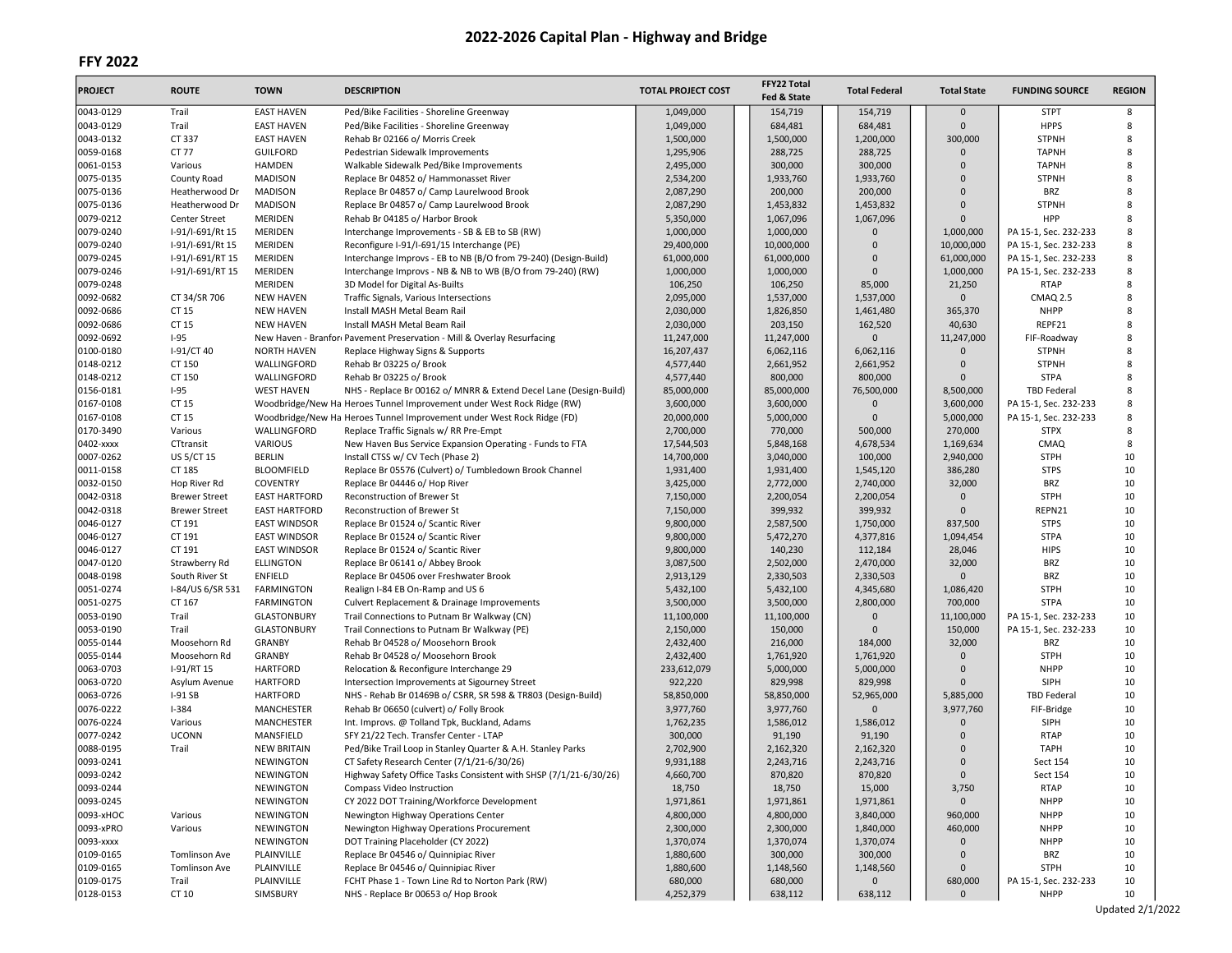| <b>PROJECT</b>         | <b>ROUTE</b>            | <b>TOWN</b>                    | <b>DESCRIPTION</b>                                                                     | <b>TOTAL PROJECT COST</b> | FFY22 Total<br>Fed & State | <b>Total Federal</b> | <b>Total State</b>    | <b>FUNDING SOURCE</b>                | <b>REGION</b> |
|------------------------|-------------------------|--------------------------------|----------------------------------------------------------------------------------------|---------------------------|----------------------------|----------------------|-----------------------|--------------------------------------|---------------|
| 0043-0129              | Trail                   | <b>EAST HAVEN</b>              | Ped/Bike Facilities - Shoreline Greenway                                               | 1,049,000                 | 154,719                    | 154,719              | $\mathbf{0}$          | <b>STPT</b>                          | 8             |
| 0043-0129              | Trail                   | <b>EAST HAVEN</b>              | Ped/Bike Facilities - Shoreline Greenway                                               | 1,049,000                 | 684,481                    | 684,481              | $\mathbf 0$           | <b>HPPS</b>                          | 8             |
| 0043-0132              | CT 337                  | <b>EAST HAVEN</b>              | Rehab Br 02166 o/ Morris Creek                                                         | 1,500,000                 | 1,500,000                  | 1,200,000            | 300,000               | <b>STPNH</b>                         | 8             |
| 0059-0168              | CT 77                   | <b>GUILFORD</b>                | Pedestrian Sidewalk Improvements                                                       | 1,295,906                 | 288,725                    | 288,725              | $\Omega$              | <b>TAPNH</b>                         | 8             |
| 0061-0153              | Various                 | <b>HAMDEN</b>                  | Walkable Sidewalk Ped/Bike Improvements                                                | 2,495,000                 | 300,000                    | 300,000              | $\mathbf 0$           | <b>TAPNH</b>                         | 8             |
| 0075-0135              | County Road             | <b>MADISON</b>                 | Replace Br 04852 o/ Hammonasset River                                                  | 2,534,200                 | 1,933,760                  | 1,933,760            | $\Omega$              | <b>STPNH</b>                         | 8             |
| 0075-0136              | Heatherwood Dr          | <b>MADISON</b>                 | Replace Br 04857 o/ Camp Laurelwood Brook                                              | 2,087,290                 | 200,000                    | 200,000              | $\Omega$              | <b>BRZ</b>                           | 8             |
| 0075-0136              | Heatherwood Dr          | <b>MADISON</b>                 | Replace Br 04857 o/ Camp Laurelwood Brook                                              | 2,087,290                 | 1,453,832                  | 1,453,832            | $\mathbf 0$           | <b>STPNH</b>                         | 8             |
| 0079-0212              | Center Street           | <b>MERIDEN</b>                 | Rehab Br 04185 o/ Harbor Brook                                                         | 5,350,000                 | 1,067,096                  | 1,067,096            | $\Omega$              | HPP                                  | 8             |
| 0079-0240              | I-91/I-691/Rt 15        | <b>MERIDEN</b>                 | Interchange Improvements - SB & EB to SB (RW)                                          | 1,000,000                 | 1,000,000                  | 0                    | 1,000,000             | PA 15-1, Sec. 232-233                | 8             |
| 0079-0240              | I-91/I-691/Rt 15        | <b>MERIDEN</b>                 | Reconfigure I-91/I-691/15 Interchange (PE)                                             | 29,400,000                | 10,000,000                 | $\overline{0}$       | 10,000,000            | PA 15-1, Sec. 232-233                | 8             |
| 0079-0245              | I-91/I-691/RT 15        | <b>MERIDEN</b>                 | Interchange Improvs - EB to NB (B/O from 79-240) (Design-Build)                        | 61,000,000                | 61,000,000                 | 0<br>$\Omega$        | 61,000,000            | PA 15-1, Sec. 232-233                | 8<br>8        |
| 0079-0246              | I-91/I-691/RT 15        | MERIDEN<br><b>MERIDEN</b>      | Interchange Improvs - NB & NB to WB (B/O from 79-240) (RW)                             | 1,000,000                 | 1,000,000                  | 85,000               | 1,000,000             | PA 15-1, Sec. 232-233<br><b>RTAP</b> | 8             |
| 0079-0248<br>0092-0682 | CT 34/SR 706            | <b>NEW HAVEN</b>               | 3D Model for Digital As-Builts<br>Traffic Signals, Various Intersections               | 106,250<br>2,095,000      | 106,250<br>1,537,000       | 1,537,000            | 21,250<br>$\mathbf 0$ | CMAQ 2.5                             | 8             |
| 0092-0686              | CT 15                   | <b>NEW HAVEN</b>               | Install MASH Metal Beam Rail                                                           | 2,030,000                 | 1,826,850                  | 1,461,480            | 365,370               | <b>NHPP</b>                          | 8             |
| 0092-0686              | CT 15                   | <b>NEW HAVEN</b>               | Install MASH Metal Beam Rail                                                           | 2,030,000                 | 203,150                    | 162,520              | 40,630                | REPF21                               | 8             |
| 0092-0692              | $I-95$                  |                                | New Haven - Branfor: Pavement Preservation - Mill & Overlay Resurfacing                | 11,247,000                | 11,247,000                 | $\overline{0}$       | 11,247,000            | FIF-Roadway                          | 8             |
| 0100-0180              | I-91/CT 40              | <b>NORTH HAVEN</b>             | Replace Highway Signs & Supports                                                       | 16,207,437                | 6,062,116                  | 6,062,116            | 0                     | <b>STPNH</b>                         | 8             |
| 0148-0212              | CT 150                  | WALLINGFORD                    | Rehab Br 03225 o/ Brook                                                                | 4,577,440                 | 2,661,952                  | 2,661,952            | $\Omega$              | <b>STPNH</b>                         | 8             |
| 0148-0212              | CT 150                  | WALLINGFORD                    | Rehab Br 03225 o/ Brook                                                                | 4,577,440                 | 800,000                    | 800,000              | $\Omega$              | <b>STPA</b>                          | 8             |
| 0156-0181              | $I-95$                  | <b>WEST HAVEN</b>              | NHS - Replace Br 00162 o/ MNRR & Extend Decel Lane (Design-Build)                      | 85,000,000                | 85,000,000                 | 76,500,000           | 8,500,000             | <b>TBD Federal</b>                   | 8             |
| 0167-0108              | CT 15                   |                                | Woodbridge/New Ha Heroes Tunnel Improvement under West Rock Ridge (RW)                 | 3,600,000                 | 3,600,000                  | 0                    | 3,600,000             | PA 15-1, Sec. 232-233                | 8             |
| 0167-0108              | CT 15                   |                                | Woodbridge/New Ha Heroes Tunnel Improvement under West Rock Ridge (FD)                 | 20,000,000                | 5,000,000                  | $\overline{0}$       | 5,000,000             | PA 15-1, Sec. 232-233                | 8             |
| 0170-3490              | Various                 | WALLINGFORD                    | Replace Traffic Signals w/ RR Pre-Empt                                                 | 2,700,000                 | 770,000                    | 500,000              | 270,000               | <b>STPX</b>                          | 8             |
| 0402-xxxx              | CTtransit               | <b>VARIOUS</b>                 | New Haven Bus Service Expansion Operating - Funds to FTA                               | 17,544,503                | 5,848,168                  | 4,678,534            | 1,169,634             | CMAQ                                 | 8             |
| 0007-0262              | US 5/CT 15              | <b>BERLIN</b>                  | Install CTSS w/ CV Tech (Phase 2)                                                      | 14,700,000                | 3,040,000                  | 100,000              | 2,940,000             | <b>STPH</b>                          | 10            |
| 0011-0158              | CT 185                  | <b>BLOOMFIELD</b>              | Replace Br 05576 (Culvert) o/ Tumbledown Brook Channel                                 | 1,931,400                 | 1,931,400                  | 1,545,120            | 386,280               | <b>STPS</b>                          | 10            |
| 0032-0150              | Hop River Rd            | <b>COVENTRY</b>                | Replace Br 04446 o/ Hop River                                                          | 3,425,000                 | 2,772,000                  | 2,740,000            | 32,000                | <b>BRZ</b>                           | 10            |
| 0042-0318              | <b>Brewer Street</b>    | <b>EAST HARTFORD</b>           | Reconstruction of Brewer St                                                            | 7,150,000                 | 2,200,054                  | 2,200,054            | 0                     | <b>STPH</b>                          | 10            |
| 0042-0318              | <b>Brewer Street</b>    | <b>EAST HARTFORD</b>           | Reconstruction of Brewer St                                                            | 7,150,000                 | 399,932                    | 399,932              | $\Omega$              | REPN21                               | 10            |
| 0046-0127              | CT 191                  | <b>EAST WINDSOR</b>            | Replace Br 01524 o/ Scantic River                                                      | 9,800,000                 | 2,587,500                  | 1,750,000            | 837,500               | <b>STPS</b>                          | 10            |
| 0046-0127              | CT 191                  | <b>EAST WINDSOR</b>            | Replace Br 01524 o/ Scantic River                                                      | 9,800,000                 | 5,472,270                  | 4,377,816            | 1,094,454             | <b>STPA</b>                          | 10            |
| 0046-0127              | CT 191                  | <b>EAST WINDSOR</b>            | Replace Br 01524 o/ Scantic River                                                      | 9,800,000                 | 140,230                    | 112,184              | 28,046                | <b>HIPS</b>                          | 10            |
| 0047-0120              | Strawberry Rd           | <b>ELLINGTON</b>               | Replace Br 06141 o/ Abbey Brook                                                        | 3,087,500                 | 2,502,000                  | 2,470,000            | 32,000                | <b>BRZ</b>                           | 10            |
| 0048-0198              | South River St          | <b>ENFIELD</b>                 | Replace Br 04506 over Freshwater Brook                                                 | 2,913,129                 | 2,330,503                  | 2,330,503            | $\mathbf{0}$          | <b>BRZ</b>                           | 10            |
| 0051-0274              | I-84/US 6/SR 531        | FARMINGTON                     | Realign I-84 EB On-Ramp and US 6                                                       | 5,432,100                 | 5,432,100                  | 4,345,680            | 1,086,420             | <b>STPH</b>                          | 10            |
| 0051-0275              | CT 167                  | <b>FARMINGTON</b>              | Culvert Replacement & Drainage Improvements                                            | 3,500,000                 | 3,500,000                  | 2,800,000            | 700,000               | <b>STPA</b>                          | 10            |
| 0053-0190              | Trail                   | <b>GLASTONBURY</b>             | Trail Connections to Putnam Br Walkway (CN)                                            | 11,100,000                | 11,100,000                 | $\mathbf 0$          | 11,100,000            | PA 15-1, Sec. 232-233                | 10            |
| 0053-0190              | Trail                   | GLASTONBURY                    | Trail Connections to Putnam Br Walkway (PE)                                            | 2,150,000                 | 150,000                    | $\Omega$             | 150,000               | PA 15-1, Sec. 232-233                | 10            |
| 0055-0144              | Moosehorn Rd            | <b>GRANBY</b>                  | Rehab Br 04528 o/ Moosehorn Brook                                                      | 2,432,400                 | 216,000                    | 184,000              | 32,000                | <b>BRZ</b>                           | 10            |
| 0055-0144              | Moosehorn Rd            | <b>GRANBY</b>                  | Rehab Br 04528 o/ Moosehorn Brook                                                      | 2,432,400                 | 1,761,920                  | 1,761,920            | $\mathbf 0$           | <b>STPH</b>                          | 10            |
| 0063-0703              | I-91/RT 15              | <b>HARTFORD</b>                | Relocation & Reconfigure Interchange 29                                                | 233,612,079               | 5,000,000                  | 5,000,000            | $\mathbf{0}$          | <b>NHPP</b>                          | 10            |
| 0063-0720              | Asylum Avenue           | <b>HARTFORD</b>                | Intersection Improvements at Sigourney Street                                          | 922,220                   | 829,998                    | 829,998              | $\Omega$              | SIPH                                 | 10            |
| 0063-0726              | $I-91$ SB               | <b>HARTFORD</b>                | NHS - Rehab Br 01469B o/ CSRR, SR 598 & TR803 (Design-Build)                           | 58,850,000                | 58,850,000                 | 52,965,000           | 5,885,000             | <b>TBD Federal</b>                   | 10            |
| 0076-0222              | $I-384$                 | MANCHESTER                     | Rehab Br 06650 (culvert) o/ Folly Brook                                                | 3,977,760                 | 3,977,760                  | $\mathbf 0$          | 3,977,760             | FIF-Bridge                           | 10            |
| 0076-0224<br>0077-0242 | Various<br><b>UCONN</b> | <b>MANCHESTER</b><br>MANSFIELD | Int. Improvs. @ Tolland Tpk, Buckland, Adams<br>SFY 21/22 Tech. Transfer Center - LTAP | 1,762,235<br>300,000      | 1,586,012<br>91,190        | 1,586,012<br>91,190  | $\Omega$<br>$\Omega$  | SIPH<br><b>RTAP</b>                  | 10<br>10      |
| 0088-0195              | Trail                   | <b>NEW BRITAIN</b>             | Ped/Bike Trail Loop in Stanley Quarter & A.H. Stanley Parks                            | 2,702,900                 | 2,162,320                  | 2,162,320            | 0                     | <b>TAPH</b>                          | 10            |
| 0093-0241              |                         | <b>NEWINGTON</b>               | CT Safety Research Center (7/1/21-6/30/26)                                             | 9,931,188                 | 2,243,716                  | 2,243,716            | $\Omega$              | Sect 154                             | 10            |
| 0093-0242              |                         | NEWINGTON                      | Highway Safety Office Tasks Consistent with SHSP (7/1/21-6/30/26)                      | 4,660,700                 | 870,820                    | 870,820              | $\mathbf{0}$          | Sect 154                             | 10            |
| 0093-0244              |                         | NEWINGTON                      | Compass Video Instruction                                                              | 18,750                    | 18,750                     | 15,000               | 3,750                 | <b>RTAP</b>                          | 10            |
| 0093-0245              |                         | NEWINGTON                      | CY 2022 DOT Training/Workforce Development                                             | 1,971,861                 | 1,971,861                  | 1,971,861            | $\mathbf 0$           | <b>NHPP</b>                          | 10            |
| 0093-xHOC              | Various                 | NEWINGTON                      | Newington Highway Operations Center                                                    | 4,800,000                 | 4,800,000                  | 3,840,000            | 960,000               | <b>NHPP</b>                          | 10            |
| 0093-xPRO              | Various                 | NEWINGTON                      | Newington Highway Operations Procurement                                               | 2,300,000                 | 2,300,000                  | 1,840,000            | 460,000               | <b>NHPP</b>                          | 10            |
| 0093-xxxx              |                         | NEWINGTON                      | DOT Training Placeholder (CY 2022)                                                     | 1,370,074                 | 1,370,074                  | 1,370,074            | 0                     | <b>NHPP</b>                          | 10            |
| 0109-0165              | Tomlinson Ave           | PLAINVILLE                     | Replace Br 04546 o/ Quinnipiac River                                                   | 1,880,600                 | 300,000                    | 300,000              | 0                     | BRZ                                  | 10            |
| 0109-0165              | Tomlinson Ave           | PLAINVILLE                     | Replace Br 04546 o/ Quinnipiac River                                                   | 1,880,600                 | 1,148,560                  | 1,148,560            | $\mathbf 0$           | <b>STPH</b>                          | 10            |
| 0109-0175              | Trail                   | PLAINVILLE                     | FCHT Phase 1 - Town Line Rd to Norton Park (RW)                                        | 680,000                   | 680,000                    | $\mathbf 0$          | 680,000               | PA 15-1, Sec. 232-233                | 10            |
| 0128-0153              | CT 10                   | SIMSBURY                       | NHS - Replace Br 00653 o/ Hop Brook                                                    | 4,252,379                 | 638,112                    | 638,112              | $\mathbf 0$           | <b>NHPP</b>                          | 10            |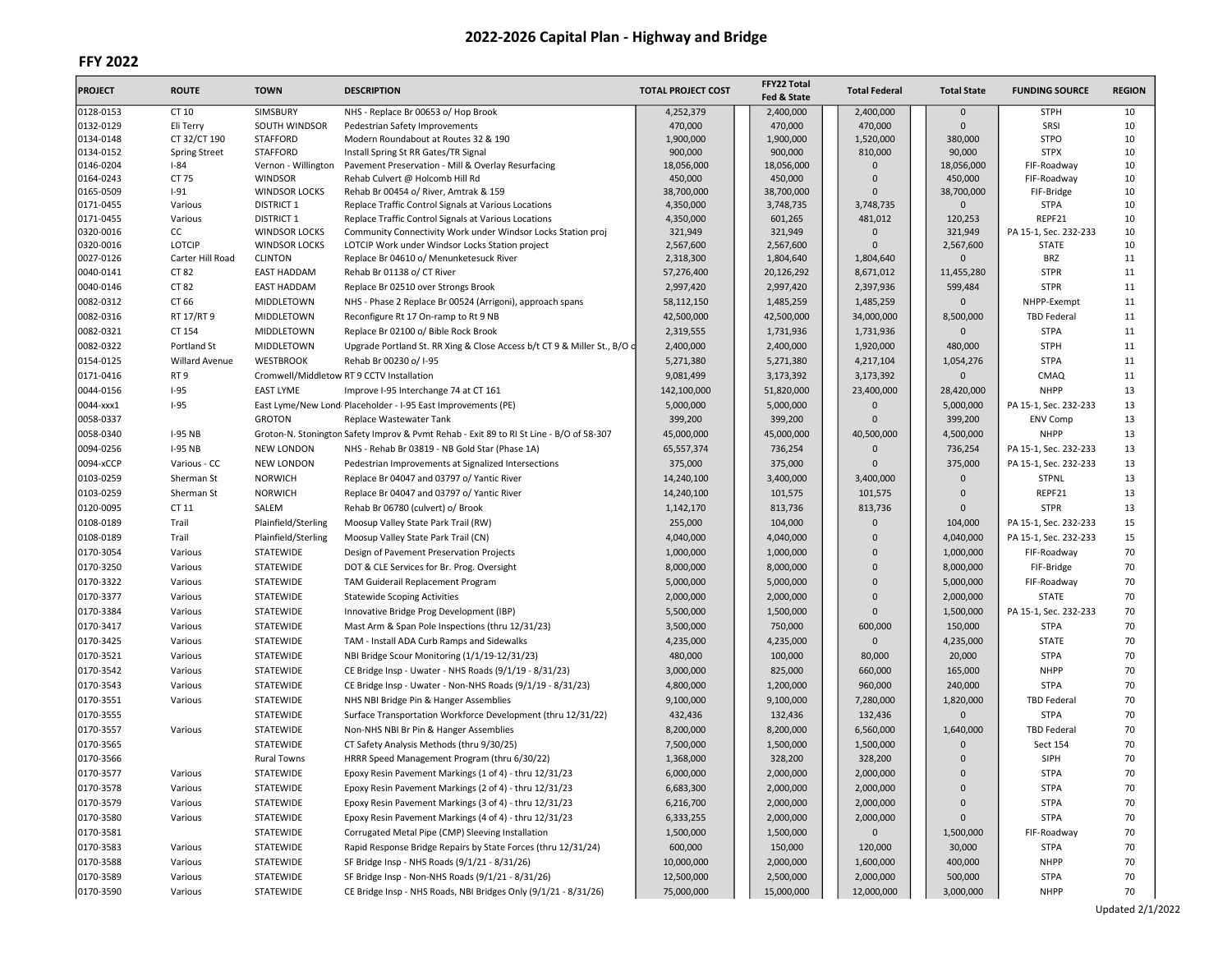| <b>PROJECT</b>         | <b>ROUTE</b>         | <b>TOWN</b>                            | <b>DESCRIPTION</b>                                                                                           | <b>TOTAL PROJECT COST</b> | FFY22 Total<br>Fed & State | <b>Total Federal</b>    | <b>Total State</b> | <b>FUNDING SOURCE</b> | <b>REGION</b> |
|------------------------|----------------------|----------------------------------------|--------------------------------------------------------------------------------------------------------------|---------------------------|----------------------------|-------------------------|--------------------|-----------------------|---------------|
| 0128-0153              | CT 10                | SIMSBURY                               | NHS - Replace Br 00653 o/ Hop Brook                                                                          | 4,252,379                 | 2,400,000                  | 2,400,000               | $\mathbf 0$        | <b>STPH</b>           | 10            |
| 0132-0129              | Eli Terry            | SOUTH WINDSOR                          | Pedestrian Safety Improvements                                                                               | 470,000                   | 470,000                    | 470,000                 | $\Omega$           | SRSI                  | 10            |
| 0134-0148              | CT 32/CT 190         | <b>STAFFORD</b>                        | Modern Roundabout at Routes 32 & 190                                                                         | 1,900,000                 | 1,900,000                  | 1,520,000               | 380,000            | <b>STPO</b>           | 10            |
| 0134-0152              | <b>Spring Street</b> | <b>STAFFORD</b>                        | Install Spring St RR Gates/TR Signal                                                                         | 900,000                   | 900,000                    | 810,000                 | 90,000             | <b>STPX</b>           | 10            |
| 0146-0204              | $I - 84$             | Vernon - Willington                    | Pavement Preservation - Mill & Overlay Resurfacing                                                           | 18,056,000                | 18,056,000                 | $\mathbf{0}$            | 18,056,000         | FIF-Roadway           | 10            |
| 0164-0243              | CT 75                | <b>WINDSOR</b>                         | Rehab Culvert @ Holcomb Hill Rd                                                                              | 450,000                   | 450,000                    | $\Omega$                | 450,000            | FIF-Roadway           | 10            |
| 0165-0509              | $I-91$               | <b>WINDSOR LOCKS</b>                   | Rehab Br 00454 o/ River, Amtrak & 159                                                                        | 38,700,000                | 38,700,000                 | $\Omega$                | 38,700,000         | FIF-Bridge            | 10            |
| 0171-0455<br>0171-0455 | Various<br>Various   | <b>DISTRICT 1</b><br><b>DISTRICT 1</b> | Replace Traffic Control Signals at Various Locations<br>Replace Traffic Control Signals at Various Locations | 4,350,000<br>4,350,000    | 3,748,735<br>601,265       | 3,748,735               | 0<br>120,253       | <b>STPA</b><br>REPF21 | 10<br>10      |
| 0320-0016              | cc                   | <b>WINDSOR LOCKS</b>                   | Community Connectivity Work under Windsor Locks Station proj                                                 | 321,949                   | 321,949                    | 481,012<br>$\mathbf{0}$ | 321,949            | PA 15-1, Sec. 232-233 | 10            |
| 0320-0016              | <b>LOTCIP</b>        | <b>WINDSOR LOCKS</b>                   | LOTCIP Work under Windsor Locks Station project                                                              | 2,567,600                 | 2,567,600                  | 0                       | 2,567,600          | <b>STATE</b>          | 10            |
| 0027-0126              | Carter Hill Road     | <b>CLINTON</b>                         | Replace Br 04610 o/ Menunketesuck River                                                                      | 2,318,300                 | 1,804,640                  | 1,804,640               | $\mathbf{0}$       | <b>BRZ</b>            | 11            |
| 0040-0141              | CT 82                | <b>EAST HADDAM</b>                     | Rehab Br 01138 o/ CT River                                                                                   | 57,276,400                | 20,126,292                 | 8,671,012               | 11,455,280         | <b>STPR</b>           | 11            |
| 0040-0146              | CT 82                | <b>EAST HADDAM</b>                     | Replace Br 02510 over Strongs Brook                                                                          | 2,997,420                 | 2,997,420                  | 2,397,936               | 599,484            | <b>STPR</b>           | 11            |
| 0082-0312              | CT 66                | MIDDLETOWN                             | NHS - Phase 2 Replace Br 00524 (Arrigoni), approach spans                                                    | 58,112,150                | 1,485,259                  | 1,485,259               | 0                  | NHPP-Exempt           | 11            |
| 0082-0316              | RT 17/RT 9           | MIDDLETOWN                             | Reconfigure Rt 17 On-ramp to Rt 9 NB                                                                         | 42,500,000                | 42,500,000                 | 34,000,000              | 8,500,000          | <b>TBD Federal</b>    | 11            |
| 0082-0321              | CT 154               |                                        |                                                                                                              | 2,319,555                 | 1,731,936                  |                         | 0                  | <b>STPA</b>           | 11            |
|                        |                      | MIDDLETOWN                             | Replace Br 02100 o/ Bible Rock Brook                                                                         |                           |                            | 1,731,936               |                    |                       |               |
| 0082-0322              | Portland St          | MIDDLETOWN                             | Upgrade Portland St. RR Xing & Close Access b/t CT 9 & Miller St., B/O o                                     | 2,400,000                 | 2,400,000                  | 1,920,000               | 480,000            | <b>STPH</b>           | 11            |
| 0154-0125              | Willard Avenue       | <b>WESTBROOK</b>                       | Rehab Br 00230 o/ I-95                                                                                       | 5,271,380                 | 5,271,380                  | 4,217,104               | 1,054,276          | <b>STPA</b>           | 11            |
| 0171-0416              | RT <sub>9</sub>      |                                        | Cromwell/Middletow RT 9 CCTV Installation                                                                    | 9,081,499                 | 3,173,392                  | 3,173,392               | 0                  | <b>CMAQ</b>           | 11            |
| 0044-0156              | $I-95$               | <b>EAST LYME</b>                       | Improve I-95 Interchange 74 at CT 161                                                                        | 142,100,000               | 51,820,000                 | 23,400,000              | 28,420,000         | <b>NHPP</b>           | 13            |
| 0044-xxx1              | $I-95$               |                                        | East Lyme/New Lond Placeholder - I-95 East Improvements (PE)                                                 | 5,000,000                 | 5,000,000                  | $\Omega$                | 5,000,000          | PA 15-1, Sec. 232-233 | 13            |
| 0058-0337              |                      | <b>GROTON</b>                          | Replace Wastewater Tank                                                                                      | 399,200                   | 399,200                    | $\mathbf 0$             | 399,200            | <b>ENV Comp</b>       | 13            |
| 0058-0340              | <b>I-95 NB</b>       |                                        | Groton-N. Stonington Safety Improv & Pvmt Rehab - Exit 89 to RI St Line - B/O of 58-307                      | 45,000,000                | 45,000,000                 | 40,500,000              | 4,500,000          | <b>NHPP</b>           | 13            |
| 0094-0256              | <b>I-95 NB</b>       | <b>NEW LONDON</b>                      | NHS - Rehab Br 03819 - NB Gold Star (Phase 1A)                                                               | 65,557,374                | 736,254                    | 0                       | 736,254            | PA 15-1, Sec. 232-233 | 13            |
| 0094-xCCP              | Various - CC         | <b>NEW LONDON</b>                      | Pedestrian Improvements at Signalized Intersections                                                          | 375,000                   | 375,000                    | $\Omega$                | 375,000            | PA 15-1, Sec. 232-233 | 13            |
| 0103-0259              | Sherman St           | <b>NORWICH</b>                         | Replace Br 04047 and 03797 o/ Yantic River                                                                   | 14,240,100                | 3,400,000                  | 3,400,000               | $\mathbf 0$        | <b>STPNL</b>          | 13            |
| 0103-0259              | Sherman St           | <b>NORWICH</b>                         | Replace Br 04047 and 03797 o/ Yantic River                                                                   | 14,240,100                | 101,575                    | 101,575                 | $\Omega$           | REPF21                | 13            |
| 0120-0095              | CT 11                | SALEM                                  | Rehab Br 06780 (culvert) o/ Brook                                                                            | 1,142,170                 | 813,736                    | 813,736                 | $\Omega$           | <b>STPR</b>           | 13            |
| 0108-0189              | Trail                | Plainfield/Sterling                    | Moosup Valley State Park Trail (RW)                                                                          | 255,000                   | 104,000                    | $\mathsf 0$             | 104,000            | PA 15-1, Sec. 232-233 | 15            |
| 0108-0189              | Trail                | Plainfield/Sterling                    | Moosup Valley State Park Trail (CN)                                                                          | 4,040,000                 | 4,040,000                  | $\mathbf 0$             | 4,040,000          | PA 15-1, Sec. 232-233 | 15            |
| 0170-3054              | Various              | STATEWIDE                              | Design of Pavement Preservation Projects                                                                     | 1,000,000                 | 1,000,000                  | 0                       | 1,000,000          | FIF-Roadway           | 70            |
| 0170-3250              | Various              | STATEWIDE                              | DOT & CLE Services for Br. Prog. Oversight                                                                   | 8,000,000                 | 8,000,000                  | $\overline{0}$          | 8,000,000          | FIF-Bridge            | 70            |
| 0170-3322              | Various              | STATEWIDE                              | TAM Guiderail Replacement Program                                                                            | 5,000,000                 | 5,000,000                  | $\overline{0}$          | 5,000,000          | FIF-Roadway           | 70            |
| 0170-3377              | Various              | STATEWIDE                              | <b>Statewide Scoping Activities</b>                                                                          | 2,000,000                 | 2,000,000                  | 0                       | 2,000,000          | <b>STATE</b>          | 70            |
| 0170-3384              | Various              | STATEWIDE                              | Innovative Bridge Prog Development (IBP)                                                                     | 5,500,000                 | 1,500,000                  | $\mathbf 0$             | 1,500,000          | PA 15-1, Sec. 232-233 | 70            |
| 0170-3417              | Various              | STATEWIDE                              | Mast Arm & Span Pole Inspections (thru 12/31/23)                                                             | 3,500,000                 | 750,000                    | 600,000                 | 150,000            | <b>STPA</b>           | 70            |
| 0170-3425              | Various              | STATEWIDE                              | TAM - Install ADA Curb Ramps and Sidewalks                                                                   | 4,235,000                 | 4,235,000                  | $\mathsf{O}\xspace$     | 4,235,000          | <b>STATE</b>          | 70            |
| 0170-3521              |                      |                                        |                                                                                                              | 480,000                   | 100,000                    | 80,000                  | 20,000             | <b>STPA</b>           | 70            |
|                        | Various              | STATEWIDE                              | NBI Bridge Scour Monitoring (1/1/19-12/31/23)                                                                |                           |                            |                         |                    |                       |               |
| 0170-3542              | Various              | STATEWIDE                              | CE Bridge Insp - Uwater - NHS Roads (9/1/19 - 8/31/23)                                                       | 3,000,000                 | 825,000                    | 660,000                 | 165,000            | <b>NHPP</b>           | 70            |
| 0170-3543              | Various              | STATEWIDE                              | CE Bridge Insp - Uwater - Non-NHS Roads (9/1/19 - 8/31/23)                                                   | 4,800,000                 | 1,200,000                  | 960,000                 | 240,000            | <b>STPA</b>           | 70            |
| 0170-3551              | Various              | STATEWIDE                              | NHS NBI Bridge Pin & Hanger Assemblies                                                                       | 9,100,000                 | 9,100,000                  | 7,280,000               | 1,820,000          | <b>TBD Federal</b>    | 70            |
| 0170-3555              |                      | STATEWIDE                              | Surface Transportation Workforce Development (thru 12/31/22)                                                 | 432,436                   | 132,436                    | 132,436                 | $\mathbf{0}$       | <b>STPA</b>           | 70            |
| 0170-3557              | Various              | <b>STATEWIDE</b>                       | Non-NHS NBI Br Pin & Hanger Assemblies                                                                       | 8,200,000                 | 8,200,000                  | 6,560,000               | 1,640,000          | <b>TBD Federal</b>    | 70            |
| 0170-3565              |                      | STATEWIDE                              | CT Safety Analysis Methods (thru 9/30/25)                                                                    | 7,500,000                 | 1,500,000                  | 1,500,000               | $\mathbf{0}$       | Sect 154              | 70            |
| 0170-3566              |                      | <b>Rural Towns</b>                     | HRRR Speed Management Program (thru 6/30/22)                                                                 | 1,368,000                 | 328,200                    | 328,200                 | $\Omega$           | SIPH                  | 70            |
| 0170-3577              | Various              | STATEWIDE                              | Epoxy Resin Pavement Markings (1 of 4) - thru 12/31/23                                                       | 6,000,000                 | 2,000,000                  | 2,000,000               | U                  | STPA                  | 70            |
| 0170-3578              | Various              | STATEWIDE                              | Epoxy Resin Pavement Markings (2 of 4) - thru 12/31/23                                                       | 6,683,300                 | 2,000,000                  | 2,000,000               | 0                  | <b>STPA</b>           | 70            |
| 0170-3579              | Various              | STATEWIDE                              | Epoxy Resin Pavement Markings (3 of 4) - thru 12/31/23                                                       | 6,216,700                 | 2,000,000                  | 2,000,000               | 0                  | <b>STPA</b>           | 70            |
| 0170-3580              | Various              | STATEWIDE                              | Epoxy Resin Pavement Markings (4 of 4) - thru 12/31/23                                                       | 6,333,255                 | 2,000,000                  | 2,000,000               | 0                  | <b>STPA</b>           | 70            |
| 0170-3581              |                      | STATEWIDE                              | Corrugated Metal Pipe (CMP) Sleeving Installation                                                            | 1,500,000                 | 1,500,000                  | $\mathbf 0$             | 1,500,000          | FIF-Roadway           | 70            |
| 0170-3583              | Various              | STATEWIDE                              | Rapid Response Bridge Repairs by State Forces (thru 12/31/24)                                                | 600,000                   | 150,000                    | 120,000                 | 30,000             | <b>STPA</b>           | 70            |
| 0170-3588              | Various              | STATEWIDE                              | SF Bridge Insp - NHS Roads (9/1/21 - 8/31/26)                                                                | 10,000,000                | 2,000,000                  | 1,600,000               | 400,000            | <b>NHPP</b>           | 70            |
| 0170-3589              | Various              | STATEWIDE                              | SF Bridge Insp - Non-NHS Roads (9/1/21 - 8/31/26)                                                            | 12,500,000                | 2,500,000                  | 2,000,000               | 500,000            | <b>STPA</b>           | 70            |
| 0170-3590              | Various              | STATEWIDE                              | CE Bridge Insp - NHS Roads, NBI Bridges Only (9/1/21 - 8/31/26)                                              | 75,000,000                | 15,000,000                 | 12,000,000              | 3,000,000          | <b>NHPP</b>           | 70            |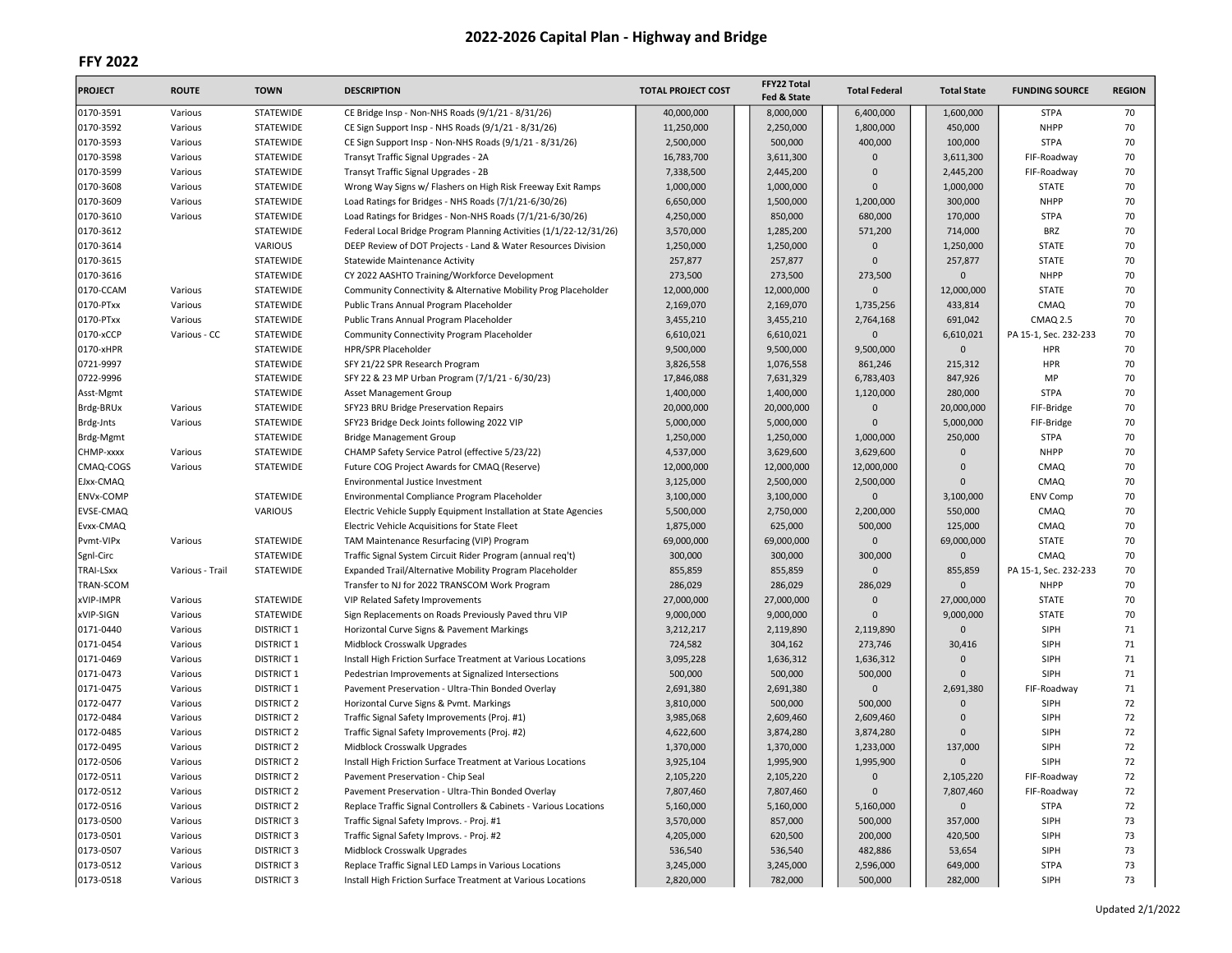| <b>PROJECT</b> | <b>ROUTE</b>       | <b>TOWN</b>                            | <b>DESCRIPTION</b>                                                                                 | <b>TOTAL PROJECT COST</b> | FFY22 Total<br>Fed & State | <b>Total Federal</b> | <b>Total State</b>     | <b>FUNDING SOURCE</b> | <b>REGION</b> |
|----------------|--------------------|----------------------------------------|----------------------------------------------------------------------------------------------------|---------------------------|----------------------------|----------------------|------------------------|-----------------------|---------------|
| 0170-3591      | Various            | STATEWIDE                              | CE Bridge Insp - Non-NHS Roads (9/1/21 - 8/31/26)                                                  | 40,000,000                | 8,000,000                  | 6,400,000            | 1,600,000              | <b>STPA</b>           | 70            |
| 0170-3592      | Various            | <b>STATEWIDE</b>                       | CE Sign Support Insp - NHS Roads (9/1/21 - 8/31/26)                                                | 11,250,000                | 2,250,000                  | 1,800,000            | 450,000                | <b>NHPP</b>           | 70            |
| 0170-3593      | Various            | <b>STATEWIDE</b>                       | CE Sign Support Insp - Non-NHS Roads (9/1/21 - 8/31/26)                                            | 2,500,000                 | 500,000                    | 400,000              | 100,000                | <b>STPA</b>           | 70            |
| 0170-3598      | Various            | <b>STATEWIDE</b>                       | Transyt Traffic Signal Upgrades - 2A                                                               | 16,783,700                | 3,611,300                  | $\Omega$             | 3,611,300              | FIF-Roadway           | 70            |
| 0170-3599      | Various            | STATEWIDE                              | Transyt Traffic Signal Upgrades - 2B                                                               | 7,338,500                 | 2,445,200                  | $\Omega$             | 2,445,200              | FIF-Roadway           | 70            |
| 0170-3608      | Various            | STATEWIDE                              | Wrong Way Signs w/ Flashers on High Risk Freeway Exit Ramps                                        | 1,000,000                 | 1,000,000                  | O                    | 1,000,000              | <b>STATE</b>          | 70            |
| 0170-3609      | Various            | <b>STATEWIDE</b>                       | Load Ratings for Bridges - NHS Roads (7/1/21-6/30/26)                                              | 6,650,000                 | 1,500,000                  | 1,200,000            | 300,000                | <b>NHPP</b>           | 70            |
| 0170-3610      | Various            | <b>STATEWIDE</b>                       | Load Ratings for Bridges - Non-NHS Roads (7/1/21-6/30/26)                                          | 4,250,000                 | 850,000                    | 680,000              | 170,000                | <b>STPA</b>           | 70            |
| 0170-3612      |                    | <b>STATEWIDE</b>                       | Federal Local Bridge Program Planning Activities (1/1/22-12/31/26)                                 | 3,570,000                 | 1,285,200                  | 571,200              | 714,000                | <b>BRZ</b>            | 70            |
| 0170-3614      |                    | VARIOUS                                | DEEP Review of DOT Projects - Land & Water Resources Division                                      | 1,250,000                 | 1,250,000                  | $\mathbf 0$          | 1,250,000              | <b>STATE</b>          | 70            |
| 0170-3615      |                    | <b>STATEWIDE</b>                       | Statewide Maintenance Activity                                                                     | 257,877                   | 257,877                    | $\mathbf{0}$         | 257,877                | <b>STATE</b>          | 70            |
| 0170-3616      |                    | STATEWIDE                              | CY 2022 AASHTO Training/Workforce Development                                                      | 273,500                   | 273,500                    | 273,500              | $\Omega$               | <b>NHPP</b>           | 70            |
| 0170-CCAM      | Various            | STATEWIDE                              | Community Connectivity & Alternative Mobility Prog Placeholder                                     | 12,000,000                | 12,000,000                 | $\mathbf{0}$         | 12,000,000             | <b>STATE</b>          | 70            |
| 0170-PTxx      | Various            | STATEWIDE                              | Public Trans Annual Program Placeholder                                                            | 2,169,070                 | 2,169,070                  | 1,735,256            | 433,814                | CMAQ                  | 70            |
| 0170-PTxx      | Various            | STATEWIDE                              | Public Trans Annual Program Placeholder                                                            | 3,455,210                 | 3,455,210                  | 2,764,168            | 691,042                | <b>CMAQ 2.5</b>       | 70            |
| 0170-xCCP      | Various - CC       | STATEWIDE                              | Community Connectivity Program Placeholder                                                         | 6,610,021                 | 6,610,021                  | $\mathbf{0}$         | 6,610,021              | PA 15-1, Sec. 232-233 | 70            |
| 0170-xHPR      |                    | <b>STATEWIDE</b>                       | HPR/SPR Placeholder                                                                                | 9,500,000                 | 9,500,000                  | 9,500,000            | $\mathbf 0$            | HPR                   | 70            |
| 0721-9997      |                    | <b>STATEWIDE</b>                       | SFY 21/22 SPR Research Program                                                                     | 3,826,558                 | 1,076,558                  | 861,246              | 215,312                | HPR                   | 70            |
| 0722-9996      |                    | <b>STATEWIDE</b>                       | SFY 22 & 23 MP Urban Program (7/1/21 - 6/30/23)                                                    | 17,846,088                | 7,631,329                  | 6,783,403            | 847,926                | MP                    | 70            |
| Asst-Mgmt      |                    | STATEWIDE                              | Asset Management Group                                                                             | 1,400,000                 | 1,400,000                  | 1,120,000            | 280,000                | <b>STPA</b>           | 70            |
| Brdg-BRUx      | Various            | STATEWIDE                              | SFY23 BRU Bridge Preservation Repairs                                                              | 20,000,000                | 20,000,000                 | $\overline{0}$       | 20,000,000             | FIF-Bridge            | 70            |
| Brdg-Jnts      | Various            | <b>STATEWIDE</b>                       | SFY23 Bridge Deck Joints following 2022 VIP                                                        | 5,000,000                 | 5,000,000                  | $\Omega$             | 5,000,000              | FIF-Bridge            | 70            |
| Brdg-Mgmt      |                    | STATEWIDE                              | <b>Bridge Management Group</b>                                                                     | 1,250,000                 | 1,250,000                  | 1,000,000            | 250,000                | <b>STPA</b>           | 70            |
| CHMP-xxxx      | Various            | STATEWIDE                              | CHAMP Safety Service Patrol (effective 5/23/22)                                                    | 4,537,000                 | 3,629,600                  | 3,629,600            | 0                      | <b>NHPP</b>           | 70            |
| CMAQ-COGS      | Various            | <b>STATEWIDE</b>                       | Future COG Project Awards for CMAQ (Reserve)                                                       | 12,000,000                | 12,000,000                 | 12,000,000           | $\Omega$               | CMAQ                  | 70            |
| EJxx-CMAQ      |                    |                                        | Environmental Justice Investment                                                                   | 3,125,000                 | 2,500,000                  | 2,500,000            | $\Omega$               | CMAQ                  | 70            |
| ENVx-COMP      |                    | <b>STATEWIDE</b>                       | Environmental Compliance Program Placeholder                                                       | 3,100,000                 | 3,100,000                  | $\Omega$             | 3,100,000              | <b>ENV Comp</b>       | 70            |
| EVSE-CMAQ      |                    | VARIOUS                                | Electric Vehicle Supply Equipment Installation at State Agencies                                   | 5,500,000                 | 2,750,000                  | 2,200,000            | 550,000                | CMAQ                  | 70            |
| Evxx-CMAQ      |                    |                                        | Electric Vehicle Acquisitions for State Fleet                                                      | 1,875,000                 | 625,000                    | 500.000              | 125,000                | CMAQ                  | 70            |
| Pvmt-VIPx      | Various            | <b>STATEWIDE</b>                       | TAM Maintenance Resurfacing (VIP) Program                                                          | 69,000,000                | 69,000,000                 | $\mathsf 0$          | 69,000,000             | <b>STATE</b>          | 70            |
| Sgnl-Circ      |                    | STATEWIDE                              | Traffic Signal System Circuit Rider Program (annual req't)                                         | 300,000                   | 300,000                    | 300,000              | $\overline{0}$         | CMAQ                  | 70            |
| TRAI-LSxx      | Various - Trail    | <b>STATEWIDE</b>                       | Expanded Trail/Alternative Mobility Program Placeholder                                            | 855,859                   | 855,859                    | $\Omega$             | 855,859                | PA 15-1, Sec. 232-233 | 70            |
| TRAN-SCOM      |                    |                                        | Transfer to NJ for 2022 TRANSCOM Work Program                                                      | 286,029                   | 286,029                    | 286,029              | $\mathbf 0$            | <b>NHPP</b>           | 70            |
| xVIP-IMPR      | Various            | STATEWIDE                              | VIP Related Safety Improvements                                                                    | 27,000,000                | 27,000,000                 | $\Omega$             | 27,000,000             | <b>STATE</b>          | 70            |
| xVIP-SIGN      | Various            | STATEWIDE                              |                                                                                                    | 9,000,000                 | 9,000,000                  | $\Omega$             | 9,000,000              | <b>STATE</b>          | 70            |
| 0171-0440      | Various            | <b>DISTRICT 1</b>                      | Sign Replacements on Roads Previously Paved thru VIP<br>Horizontal Curve Signs & Pavement Markings | 3,212,217                 | 2,119,890                  | 2,119,890            | $\mathbf 0$            | SIPH                  | 71            |
| 0171-0454      |                    |                                        |                                                                                                    |                           |                            |                      |                        | SIPH                  | 71            |
| 0171-0469      | Various<br>Various | <b>DISTRICT 1</b><br><b>DISTRICT 1</b> | Midblock Crosswalk Upgrades                                                                        | 724,582<br>3,095,228      | 304,162<br>1,636,312       | 273,746<br>1,636,312 | 30,416<br>$\mathbf{0}$ | SIPH                  | 71            |
|                |                    |                                        | Install High Friction Surface Treatment at Various Locations                                       |                           |                            |                      | $\Omega$               |                       |               |
| 0171-0473      | Various            | <b>DISTRICT 1</b>                      | Pedestrian Improvements at Signalized Intersections                                                | 500,000                   | 500,000                    | 500,000              |                        | SIPH                  | 71            |
| 0171-0475      | Various            | <b>DISTRICT 1</b>                      | Pavement Preservation - Ultra-Thin Bonded Overlay                                                  | 2,691,380                 | 2,691,380                  | $\mathbf{0}$         | 2,691,380<br>$\Omega$  | FIF-Roadway           | 71            |
| 0172-0477      | Various            | <b>DISTRICT 2</b>                      | Horizontal Curve Signs & Pvmt. Markings                                                            | 3,810,000                 | 500,000                    | 500,000              |                        | SIPH                  | 72            |
| 0172-0484      | Various            | <b>DISTRICT 2</b>                      | Traffic Signal Safety Improvements (Proj. #1)                                                      | 3,985,068                 | 2,609,460                  | 2,609,460            | $\overline{0}$         | SIPH                  | 72            |
| 0172-0485      | Various            | <b>DISTRICT 2</b>                      | Traffic Signal Safety Improvements (Proj. #2)                                                      | 4,622,600                 | 3,874,280                  | 3,874,280            | $\Omega$               | SIPH                  | 72            |
| 0172-0495      | Various            | <b>DISTRICT 2</b>                      | Midblock Crosswalk Upgrades                                                                        | 1,370,000                 | 1,370,000                  | 1,233,000            | 137,000                | SIPH                  | 72            |
| 0172-0506      | Various            | <b>DISTRICT 2</b>                      | Install High Friction Surface Treatment at Various Locations                                       | 3,925,104                 | 1,995,900                  | 1,995,900            | $\mathbf{0}$           | SIPH                  | 72            |
| 0172-0511      | Various            | <b>DISTRICT 2</b>                      | Pavement Preservation - Chip Seal                                                                  | 2,105,220                 | 2,105,220                  | $\overline{0}$       | 2,105,220              | FIF-Roadway           | 72            |
| 0172-0512      | Various            | <b>DISTRICT 2</b>                      | Pavement Preservation - Ultra-Thin Bonded Overlay                                                  | 7,807,460                 | 7,807,460                  | $\overline{0}$       | 7,807,460              | FIF-Roadway           | 72            |
| 0172-0516      | Various            | <b>DISTRICT 2</b>                      | Replace Traffic Signal Controllers & Cabinets - Various Locations                                  | 5,160,000                 | 5,160,000                  | 5,160,000            | $\mathbf 0$            | <b>STPA</b>           | 72            |
| 0173-0500      | Various            | <b>DISTRICT 3</b>                      | Traffic Signal Safety Improvs. - Proj. #1                                                          | 3,570,000                 | 857,000                    | 500,000              | 357,000                | SIPH                  | 73            |
| 0173-0501      | Various            | <b>DISTRICT 3</b>                      | Traffic Signal Safety Improvs. - Proj. #2                                                          | 4,205,000                 | 620,500                    | 200,000              | 420,500                | SIPH                  | 73            |
| 0173-0507      | Various            | <b>DISTRICT 3</b>                      | Midblock Crosswalk Upgrades                                                                        | 536,540                   | 536,540                    | 482,886              | 53,654                 | SIPH                  | 73            |
| 0173-0512      | Various            | <b>DISTRICT 3</b>                      | Replace Traffic Signal LED Lamps in Various Locations                                              | 3,245,000                 | 3,245,000                  | 2,596,000            | 649,000                | <b>STPA</b>           | 73            |
| 0173-0518      | Various            | <b>DISTRICT 3</b>                      | Install High Friction Surface Treatment at Various Locations                                       | 2,820,000                 | 782,000                    | 500,000              | 282,000                | SIPH                  | 73            |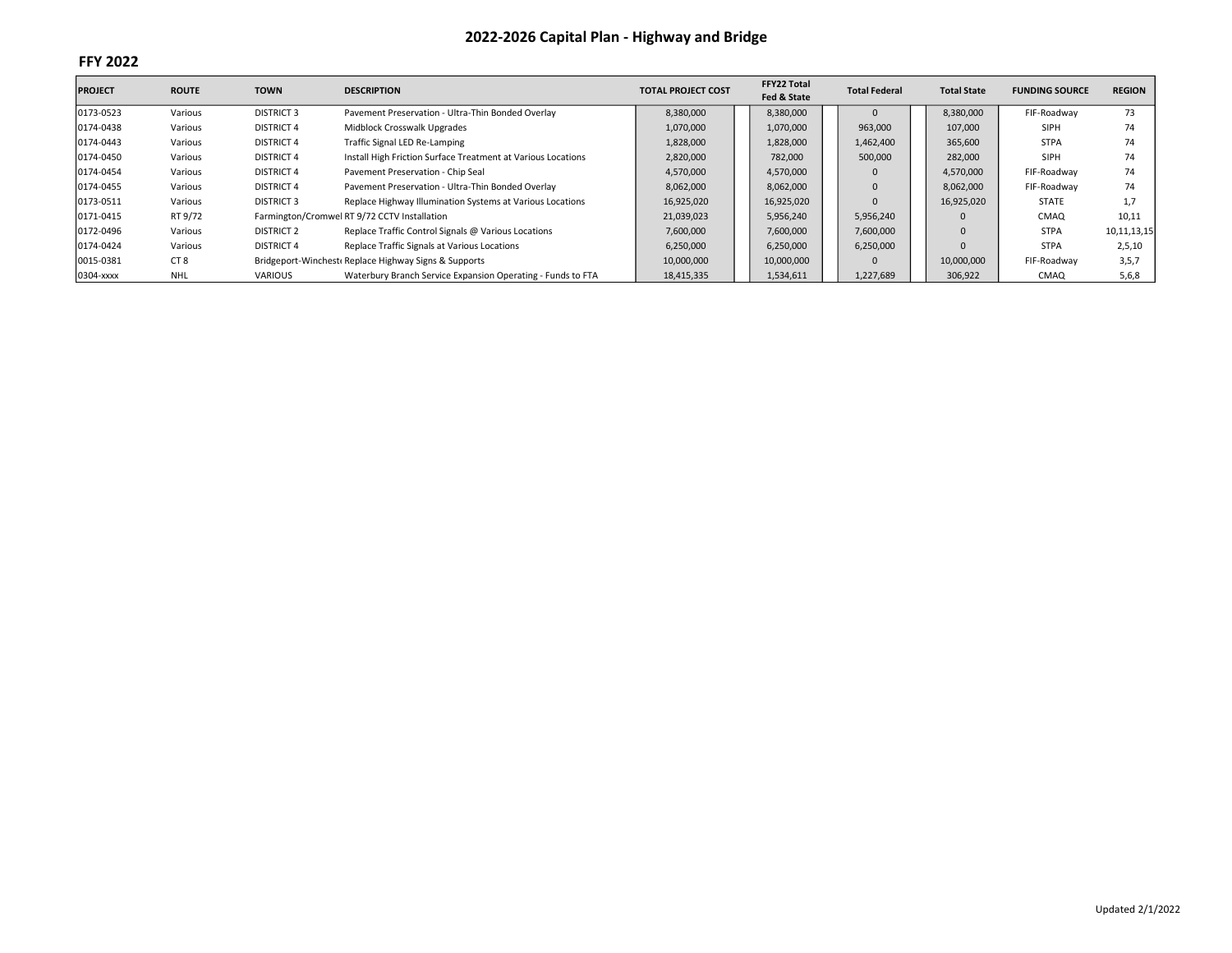| <b>PROJECT</b> | <b>ROUTE</b>    | <b>TOWN</b>       | <b>DESCRIPTION</b>                                           | <b>TOTAL PROJECT COST</b> | <b>FFY22 Total</b><br>Fed & State | <b>Total Federal</b> | <b>Total State</b> | <b>FUNDING SOURCE</b> | <b>REGION</b>  |
|----------------|-----------------|-------------------|--------------------------------------------------------------|---------------------------|-----------------------------------|----------------------|--------------------|-----------------------|----------------|
| 0173-0523      | Various         | <b>DISTRICT 3</b> | Pavement Preservation - Ultra-Thin Bonded Overlay            | 8,380,000                 | 8,380,000                         |                      | 8,380,000          | FIF-Roadway           | 73             |
| 0174-0438      | Various         | <b>DISTRICT 4</b> | Midblock Crosswalk Upgrades                                  | 1,070,000                 | 1,070,000                         | 963,000              | 107,000            | SIPH                  | 74             |
| 0174-0443      | Various         | <b>DISTRICT 4</b> | Traffic Signal LED Re-Lamping                                | 1,828,000                 | 1,828,000                         | 1,462,400            | 365,600            | <b>STPA</b>           | 74             |
| 0174-0450      | Various         | <b>DISTRICT 4</b> | Install High Friction Surface Treatment at Various Locations | 2,820,000                 | 782,000                           | 500,000              | 282,000            | <b>SIPH</b>           | 74             |
| 0174-0454      | Various         | <b>DISTRICT 4</b> | Pavement Preservation - Chip Seal                            | 4,570,000                 | 4,570,000                         |                      | 4,570,000          | FIF-Roadway           | 74             |
| 0174-0455      | Various         | <b>DISTRICT 4</b> | Pavement Preservation - Ultra-Thin Bonded Overlay            | 8,062,000                 | 8,062,000                         |                      | 8,062,000          | FIF-Roadway           | 74             |
| 0173-0511      | Various         | <b>DISTRICT 3</b> | Replace Highway Illumination Systems at Various Locations    | 16,925,020                | 16,925,020                        |                      | 16,925,020         | <b>STATE</b>          | 1,7            |
| 0171-0415      | RT 9/72         |                   | Farmington/Cromwel RT 9/72 CCTV Installation                 | 21,039,023                | 5,956,240                         | 5,956,240            |                    | CMAQ                  | 10,11          |
| 0172-0496      | Various         | <b>DISTRICT 2</b> | Replace Traffic Control Signals @ Various Locations          | 7,600,000                 | 7,600,000                         | 7,600,000            |                    | <b>STPA</b>           | 10, 11, 13, 15 |
| 0174-0424      | Various         | <b>DISTRICT 4</b> | Replace Traffic Signals at Various Locations                 | 6,250,000                 | 6,250,000                         | 6,250,000            |                    | <b>STPA</b>           | 2,5,10         |
| 0015-0381      | CT <sub>8</sub> |                   | Bridgeport-Winchest Replace Highway Signs & Supports         | 10,000,000                | 10,000,000                        |                      | 10,000,000         | FIF-Roadway           | 3,5,7          |
| 0304-xxxx      | <b>NHL</b>      | VARIOUS           | Waterbury Branch Service Expansion Operating - Funds to FTA  | 18,415,335                | 1,534,611                         | 1,227,689            | 306,922            | CMAQ                  | 5,6,8          |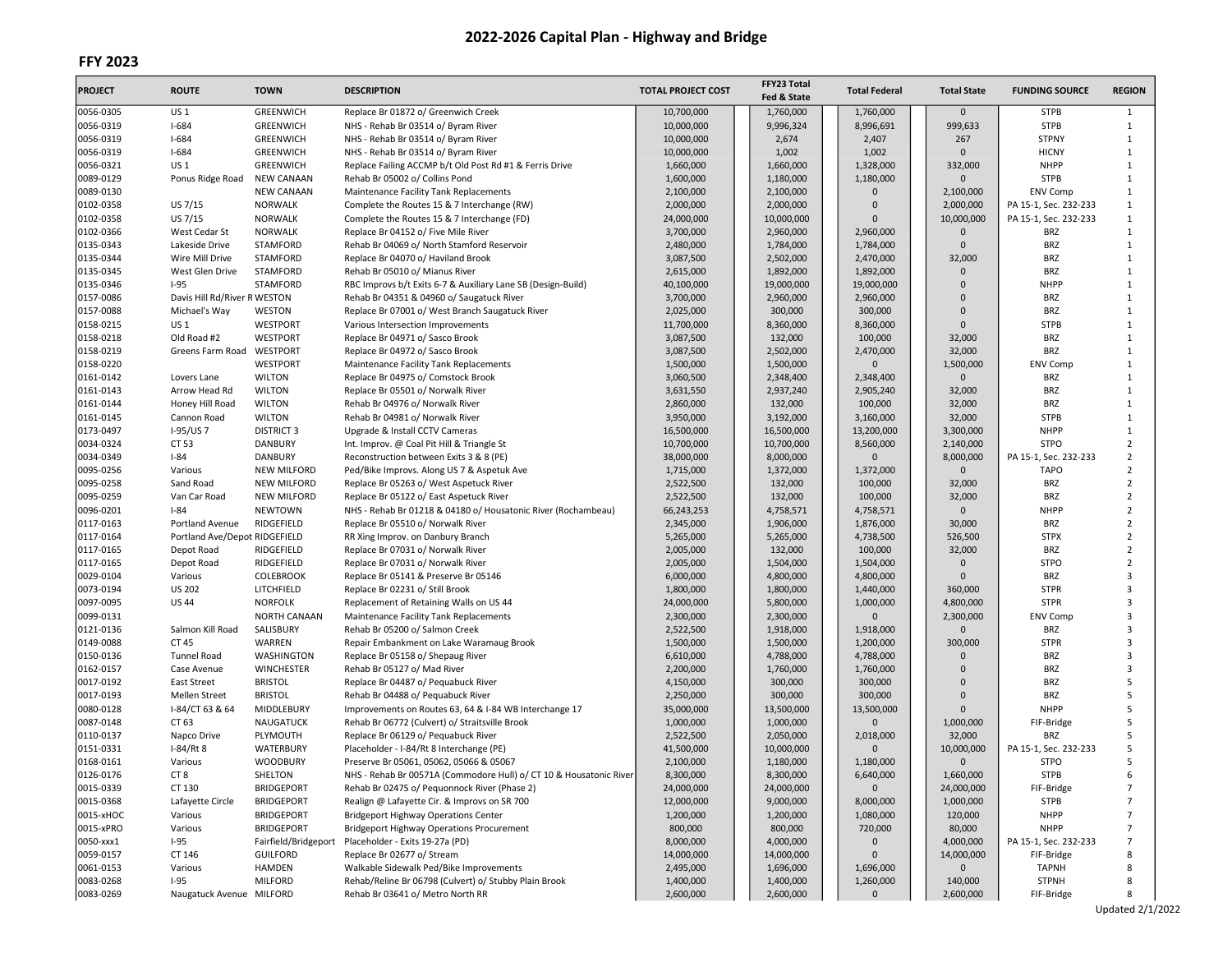# FFY 2023

| <b>PROJECT</b>         | <b>ROUTE</b>                  | <b>TOWN</b>                          | <b>DESCRIPTION</b>                                                                 | <b>TOTAL PROJECT COST</b> | FFY23 Total<br>Fed & State | <b>Total Federal</b>   | <b>Total State</b>    | <b>FUNDING SOURCE</b>    | <b>REGION</b>                    |
|------------------------|-------------------------------|--------------------------------------|------------------------------------------------------------------------------------|---------------------------|----------------------------|------------------------|-----------------------|--------------------------|----------------------------------|
| 0056-0305              | <b>US1</b>                    | GREENWICH                            | Replace Br 01872 o/ Greenwich Creek                                                | 10,700,000                | 1,760,000                  | 1,760,000              | $\Omega$              | <b>STPB</b>              | $\mathbf{1}$                     |
| 0056-0319              | $I - 684$                     | GREENWICH                            | NHS - Rehab Br 03514 o/ Byram River                                                | 10,000,000                | 9,996,324                  | 8,996,691              | 999,633               | <b>STPB</b>              | $\mathbf{1}$                     |
| 0056-0319              | $I - 684$                     | GREENWICH                            | NHS - Rehab Br 03514 o/ Byram River                                                | 10,000,000                | 2,674                      | 2,407                  | 267                   | <b>STPNY</b>             | $\mathbf{1}$                     |
| 0056-0319              | $I - 684$                     | GREENWICH                            | NHS - Rehab Br 03514 o/ Byram River                                                | 10,000,000                | 1,002                      | 1,002                  | $\mathbf 0$           | <b>HICNY</b>             | $\mathbf{1}$                     |
| 0056-0321              | US 1                          | GREENWICH                            | Replace Failing ACCMP b/t Old Post Rd #1 & Ferris Drive                            | 1,660,000                 | 1,660,000                  | 1,328,000              | 332,000               | <b>NHPP</b>              | $\mathbf{1}$                     |
| 0089-0129              | Ponus Ridge Road              | <b>NEW CANAAN</b>                    | Rehab Br 05002 o/ Collins Pond                                                     | 1,600,000                 | 1,180,000                  | 1,180,000              | $\mathbf{0}$          | <b>STPB</b>              | $\mathbf{1}$                     |
| 0089-0130              |                               | <b>NEW CANAAN</b>                    | Maintenance Facility Tank Replacements                                             | 2,100,000                 | 2,100,000                  | $\mathbf{0}$           | 2,100,000             | ENV Comp                 | $\mathbf{1}$                     |
| 0102-0358              | US 7/15                       | <b>NORWALK</b>                       | Complete the Routes 15 & 7 Interchange (RW)                                        | 2,000,000                 | 2,000,000                  | $\Omega$               | 2,000,000             | PA 15-1, Sec. 232-233    | $\mathbf{1}$                     |
| 0102-0358              | US 7/15                       | <b>NORWALK</b>                       | Complete the Routes 15 & 7 Interchange (FD)                                        | 24,000,000                | 10,000,000                 | $\Omega$               | 10,000,000            | PA 15-1, Sec. 232-233    | $\mathbf{1}$                     |
| 0102-0366              | West Cedar St                 | NORWALK                              | Replace Br 04152 o/ Five Mile River                                                | 3,700,000                 | 2,960,000                  | 2,960,000              | $\mathbf 0$           | <b>BRZ</b>               | $\mathbf{1}$                     |
| 0135-0343              | Lakeside Drive                | <b>STAMFORD</b>                      | Rehab Br 04069 o/ North Stamford Reservoir                                         | 2,480,000                 | 1,784,000                  | 1,784,000              | $\Omega$              | <b>BRZ</b>               | $\mathbf{1}$                     |
| 0135-0344              | Wire Mill Drive               | <b>STAMFORD</b>                      | Replace Br 04070 o/ Haviland Brook                                                 | 3,087,500                 | 2,502,000                  | 2,470,000              | 32,000                | <b>BRZ</b>               | $\mathbf{1}$                     |
| 0135-0345              | West Glen Drive               | STAMFORD                             | Rehab Br 05010 o/ Mianus River                                                     | 2,615,000                 | 1,892,000                  | 1,892,000              | $\mathbf 0$           | <b>BRZ</b>               | $\mathbf{1}$                     |
| 0135-0346              | $I-95$                        | STAMFORD                             | RBC Improvs b/t Exits 6-7 & Auxiliary Lane SB (Design-Build)                       | 40,100,000                | 19,000,000                 | 19,000,000             | $\Omega$              | <b>NHPP</b>              | $\mathbf{1}$                     |
| 0157-0086              | Davis Hill Rd/River R WESTON  |                                      | Rehab Br 04351 & 04960 o/ Saugatuck River                                          | 3,700,000                 | 2,960,000                  | 2,960,000              | $\Omega$              | <b>BRZ</b>               | $\mathbf{1}$                     |
| 0157-0088              | Michael's Way                 | WESTON                               | Replace Br 07001 o/ West Branch Saugatuck River                                    | 2,025,000                 | 300,000                    | 300,000                | $\Omega$              | <b>BRZ</b>               | 1                                |
| 0158-0215              | US 1                          | WESTPORT                             | Various Intersection Improvements                                                  | 11,700,000                | 8,360,000                  | 8,360,000              | $\Omega$              | <b>STPB</b>              | $\mathbf{1}$                     |
| 0158-0218              | Old Road #2                   | WESTPORT                             | Replace Br 04971 o/ Sasco Brook                                                    | 3,087,500                 | 132,000                    | 100,000                | 32,000                | <b>BRZ</b>               | $\mathbf{1}$                     |
| 0158-0219              | Greens Farm Road              | WESTPORT                             | Replace Br 04972 o/ Sasco Brook                                                    | 3,087,500                 | 2,502,000                  | 2,470,000              | 32,000                | <b>BRZ</b>               | $\mathbf{1}$                     |
| 0158-0220              |                               | WESTPORT                             | Maintenance Facility Tank Replacements                                             | 1,500,000                 | 1,500,000                  | $\mathbf 0$            | 1,500,000             | <b>ENV Comp</b>          | $\mathbf{1}$                     |
| 0161-0142              | Lovers Lane                   | <b>WILTON</b>                        | Replace Br 04975 o/ Comstock Brook                                                 | 3,060,500                 | 2,348,400                  | 2,348,400              | $\Omega$              | BRZ                      | $\mathbf{1}$                     |
| 0161-0143              | Arrow Head Rd                 | <b>WILTON</b>                        | Replace Br 05501 o/ Norwalk River                                                  | 3,631,550                 | 2,937,240                  | 2,905,240              | 32,000                | <b>BRZ</b>               | $\mathbf{1}$                     |
| 0161-0144              | Honey Hill Road               | <b>WILTON</b>                        | Rehab Br 04976 o/ Norwalk River                                                    | 2,860,000                 | 132,000                    | 100,000                | 32,000                | <b>BRZ</b>               | $\mathbf{1}$                     |
| 0161-0145              | Cannon Road                   | <b>WILTON</b>                        | Rehab Br 04981 o/ Norwalk River                                                    | 3,950,000                 | 3,192,000                  | 3,160,000              | 32,000                | <b>STPB</b>              | $\mathbf{1}$                     |
| 0173-0497              | I-95/US7                      | <b>DISTRICT 3</b>                    | Upgrade & Install CCTV Cameras                                                     | 16,500,000                | 16,500,000                 | 13,200,000             | 3,300,000             | <b>NHPP</b>              | $\mathbf{1}$                     |
| 0034-0324              | CT 53                         | <b>DANBURY</b>                       | Int. Improv. @ Coal Pit Hill & Triangle St                                         | 10,700,000                | 10,700,000                 | 8,560,000              | 2,140,000             | <b>STPO</b>              | $\overline{2}$                   |
| 0034-0349              | $I - 84$                      | <b>DANBURY</b>                       | Reconstruction between Exits 3 & 8 (PE)                                            | 38,000,000                | 8,000,000                  | $\mathbf{0}$           | 8,000,000             | PA 15-1, Sec. 232-233    | $\overline{2}$                   |
| 0095-0256              | Various                       | <b>NEW MILFORD</b>                   | Ped/Bike Improvs. Along US 7 & Aspetuk Ave                                         | 1,715,000                 | 1,372,000                  | 1,372,000              | $\mathbf 0$           | <b>TAPO</b>              | $\overline{2}$                   |
| 0095-0258              | Sand Road<br>Van Car Road     | <b>NEW MILFORD</b>                   | Replace Br 05263 o/ West Aspetuck River<br>Replace Br 05122 o/ East Aspetuck River | 2,522,500                 | 132,000                    | 100,000                | 32,000                | <b>BRZ</b><br><b>BRZ</b> | $\overline{2}$<br>$\overline{2}$ |
| 0095-0259              |                               | <b>NEW MILFORD</b><br><b>NEWTOWN</b> | NHS - Rehab Br 01218 & 04180 o/ Housatonic River (Rochambeau)                      | 2,522,500                 | 132,000                    | 100,000                | 32,000<br>$\mathbf 0$ | <b>NHPP</b>              | $\overline{2}$                   |
| 0096-0201<br>0117-0163 | $I-84$<br>Portland Avenue     | RIDGEFIELD                           |                                                                                    | 66,243,253<br>2,345,000   | 4,758,571<br>1,906,000     | 4,758,571<br>1,876,000 | 30,000                | <b>BRZ</b>               | $\overline{2}$                   |
| 0117-0164              | Portland Ave/Depot RIDGEFIELD |                                      | Replace Br 05510 o/ Norwalk River<br>RR Xing Improv. on Danbury Branch             | 5,265,000                 | 5,265,000                  | 4,738,500              | 526,500               | <b>STPX</b>              | $\overline{2}$                   |
| 0117-0165              | Depot Road                    | RIDGEFIELD                           | Replace Br 07031 o/ Norwalk River                                                  | 2,005,000                 | 132,000                    | 100,000                | 32,000                | <b>BRZ</b>               | $\overline{2}$                   |
| 0117-0165              | Depot Road                    | RIDGEFIELD                           | Replace Br 07031 o/ Norwalk River                                                  | 2,005,000                 | 1,504,000                  | 1,504,000              | $\mathbf 0$           | <b>STPO</b>              | $\overline{2}$                   |
| 0029-0104              | Various                       | <b>COLEBROOK</b>                     | Replace Br 05141 & Preserve Br 05146                                               | 6,000,000                 | 4,800,000                  | 4,800,000              | $\Omega$              | <b>BRZ</b>               | 3                                |
| 0073-0194              | <b>US 202</b>                 | LITCHFIELD                           | Replace Br 02231 o/ Still Brook                                                    | 1,800,000                 | 1,800,000                  | 1,440,000              | 360,000               | <b>STPR</b>              | 3                                |
| 0097-0095              | <b>US44</b>                   | <b>NORFOLK</b>                       | Replacement of Retaining Walls on US 44                                            | 24,000,000                | 5,800,000                  | 1,000,000              | 4,800,000             | <b>STPR</b>              | 3                                |
| 0099-0131              |                               | <b>NORTH CANAAN</b>                  | Maintenance Facility Tank Replacements                                             | 2,300,000                 | 2,300,000                  | $\mathbf{0}$           | 2,300,000             | <b>ENV Comp</b>          | 3                                |
| 0121-0136              | Salmon Kill Road              | SALISBURY                            | Rehab Br 05200 o/ Salmon Creek                                                     | 2,522,500                 | 1,918,000                  | 1,918,000              | $\Omega$              | <b>BRZ</b>               | $\overline{3}$                   |
| 0149-0088              | CT 45                         | WARREN                               | Repair Embankment on Lake Waramaug Brook                                           | 1,500,000                 | 1,500,000                  | 1,200,000              | 300,000               | <b>STPR</b>              | 3                                |
| 0150-0136              | <b>Tunnel Road</b>            | WASHINGTON                           | Replace Br 05158 o/ Shepaug River                                                  | 6,610,000                 | 4,788,000                  | 4,788,000              | $\Omega$              | <b>BRZ</b>               | 3                                |
| 0162-0157              | Case Avenue                   | <b>WINCHESTER</b>                    | Rehab Br 05127 o/ Mad River                                                        | 2,200,000                 | 1,760,000                  | 1,760,000              | $\Omega$              | <b>BRZ</b>               | 3                                |
| 0017-0192              | East Street                   | <b>BRISTOL</b>                       | Replace Br 04487 o/ Pequabuck River                                                | 4,150,000                 | 300,000                    | 300,000                | $\mathbf{0}$          | <b>BRZ</b>               | 5                                |
| 0017-0193              | Mellen Street                 | <b>BRISTOL</b>                       | Rehab Br 04488 o/ Pequabuck River                                                  | 2,250,000                 | 300,000                    | 300,000                | $\Omega$              | <b>BRZ</b>               | 5                                |
| 0080-0128              | I-84/CT 63 & 64               | MIDDLEBURY                           | Improvements on Routes 63, 64 & I-84 WB Interchange 17                             | 35,000,000                | 13,500,000                 | 13,500,000             | $\Omega$              | <b>NHPP</b>              | 5                                |
| 0087-0148              | CT 63                         | <b>NAUGATUCK</b>                     | Rehab Br 06772 (Culvert) o/ Straitsville Brook                                     | 1,000,000                 | 1,000,000                  | $\mathbf{0}$           | 1,000,000             | FIF-Bridge               | 5                                |
| 0110-0137              | Napco Drive                   | PLYMOUTH                             | Replace Br 06129 o/ Pequabuck River                                                | 2,522,500                 | 2,050,000                  | 2,018,000              | 32,000                | BRZ                      | 5                                |
| 0151-0331              | I-84/Rt 8                     | WATERBURY                            | Placeholder - I-84/Rt 8 Interchange (PE)                                           | 41,500,000                | 10,000,000                 | $\mathbf{0}$           | 10,000,000            | PA 15-1, Sec. 232-233    | 5                                |
| 0168-0161              | Various                       | <b>WOODBURY</b>                      | Preserve Br 05061, 05062, 05066 & 05067                                            | 2,100,000                 | 1,180,000                  | 1,180,000              | $\mathbf{0}$          | <b>STPO</b>              | 5                                |
| 0126-0176              | CI 8                          | SHELTON                              | NHS - Rehab Br 00571A (Commodore Hull) o/ CT 10 & Housatonic River                 | 8,300,000                 | 8,300,000                  | 6,640,000              | 1,660,000             | <b>STPB</b>              | 6                                |
| 0015-0339              | CT 130                        | <b>BRIDGEPORT</b>                    | Rehab Br 02475 o/ Pequonnock River (Phase 2)                                       | 24,000,000                | 24,000,000                 | $\mathbf{0}$           | 24,000,000            | FIF-Bridge               | 7                                |
| 0015-0368              | Lafayette Circle              | <b>BRIDGEPORT</b>                    | Realign @ Lafayette Cir. & Improvs on SR 700                                       | 12,000,000                | 9,000,000                  | 8,000,000              | 1,000,000             | <b>STPB</b>              | $\overline{7}$                   |
| 0015-xHOC              | Various                       | <b>BRIDGEPORT</b>                    | <b>Bridgeport Highway Operations Center</b>                                        | 1,200,000                 | 1,200,000                  | 1,080,000              | 120,000               | <b>NHPP</b>              | 7                                |
| 0015-xPRO              | Various                       | <b>BRIDGEPORT</b>                    | <b>Bridgeport Highway Operations Procurement</b>                                   | 800,000                   | 800,000                    | 720,000                | 80,000                | <b>NHPP</b>              | $\overline{7}$                   |
| 0050-xxx1              | $1 - 95$                      | Fairfield/Bridgeport                 | Placeholder - Exits 19-27a (PD)                                                    | 8,000,000                 | 4,000,000                  | $\mathbf 0$            | 4,000,000             | PA 15-1, Sec. 232-233    | 7                                |
| 0059-0157              | CT 146                        | <b>GUILFORD</b>                      | Replace Br 02677 o/ Stream                                                         | 14,000,000                | 14,000,000                 | $\mathbf{0}$           | 14,000,000            | FIF-Bridge               | 8                                |
| 0061-0153              | Various                       | <b>HAMDEN</b>                        | Walkable Sidewalk Ped/Bike Improvements                                            | 2,495,000                 | 1,696,000                  | 1,696,000              | $\mathbf 0$           | <b>TAPNH</b>             | 8                                |
| 0083-0268              | $I-95$                        | <b>MILFORD</b>                       | Rehab/Reline Br 06798 (Culvert) o/ Stubby Plain Brook                              | 1,400,000                 | 1,400,000                  | 1,260,000              | 140,000               | <b>STPNH</b>             | 8                                |
| 0083-0269              | Naugatuck Avenue MILFORD      |                                      | Rehab Br 03641 o/ Metro North RR                                                   | 2,600,000                 | 2,600,000                  | 0                      | 2,600,000             | FIF-Bridge               | 8                                |

Updated 2/1/2022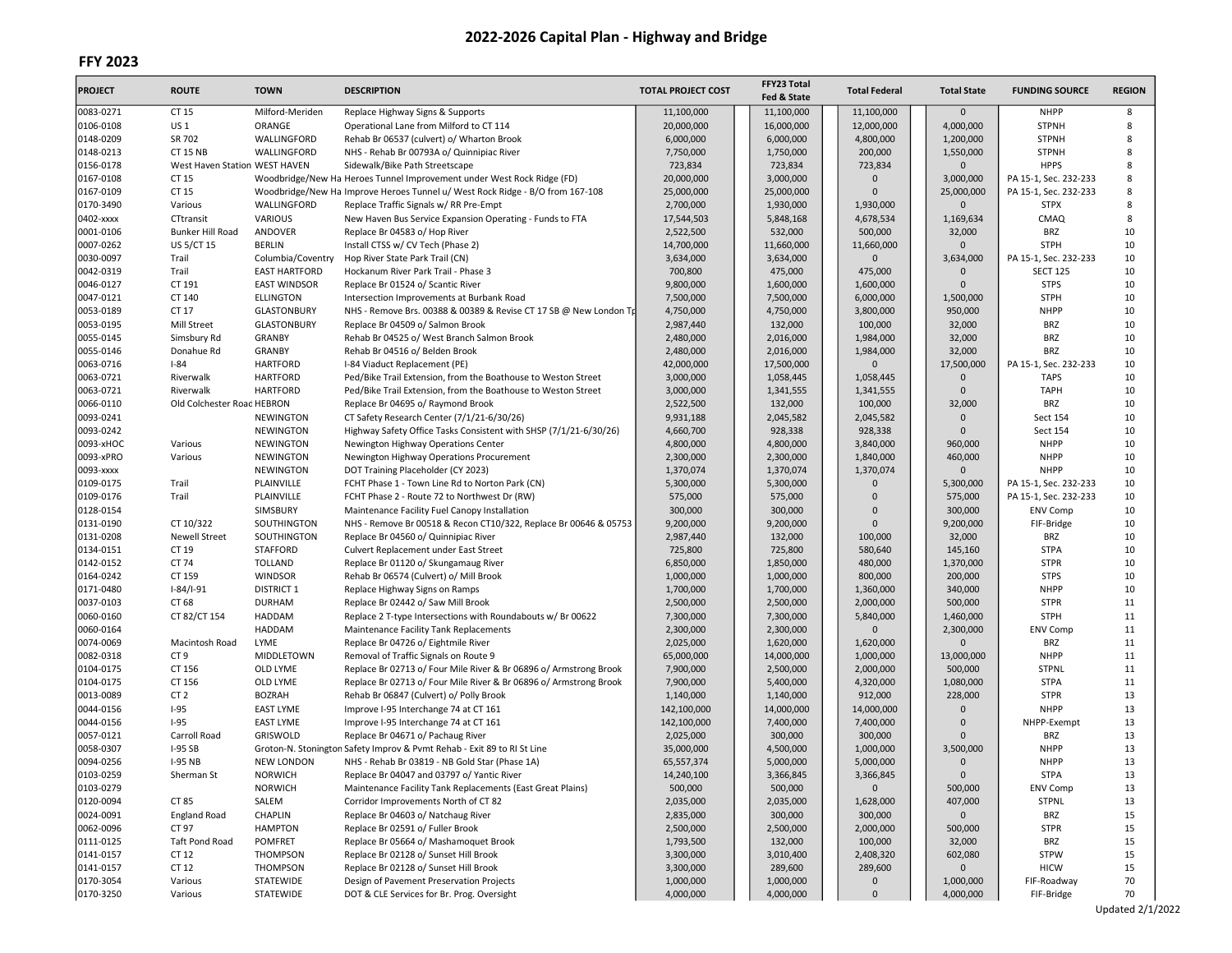| 0083-0271<br>CT 15<br>Milford-Meriden<br>Replace Highway Signs & Supports<br>11,100,000<br>11,100,000<br>11,100,000<br>$\mathbf{0}$<br><b>NHPP</b><br>8<br>0106-0108<br>US 1<br>ORANGE<br>16,000,000<br>4,000,000<br><b>STPNH</b><br>8<br>Operational Lane from Milford to CT 114<br>20,000,000<br>12,000,000<br>0148-0209<br>SR 702<br>WALLINGFORD<br>6,000,000<br>6,000,000<br>4,800,000<br>1,200,000<br><b>STPNH</b><br>8<br>Rehab Br 06537 (culvert) o/ Wharton Brook<br>0148-0213<br><b>CT 15 NB</b><br>WALLINGFORD<br>7,750,000<br>1,750,000<br>200,000<br><b>STPNH</b><br>8<br>NHS - Rehab Br 00793A o/ Quinnipiac River<br>1,550,000<br>0156-0178<br>West Haven Station WEST HAVEN<br>723,834<br>723,834<br>723,834<br>$\mathbf 0$<br><b>HPPS</b><br>8<br>Sidewalk/Bike Path Streetscape<br>0167-0108<br>CT 15<br>20,000,000<br>3,000,000<br>3,000,000<br>8<br>Woodbridge/New Ha Heroes Tunnel Improvement under West Rock Ridge (FD)<br>$\mathbf{0}$<br>PA 15-1, Sec. 232-233<br>0167-0109<br>CT 15<br>Woodbridge/New Ha Improve Heroes Tunnel u/ West Rock Ridge - B/O from 167-108<br>25,000,000<br>25,000,000<br>25,000,000<br>8<br>$\Omega$<br>PA 15-1, Sec. 232-233<br>8<br>WALLINGFORD<br>0170-3490<br>Various<br>Replace Traffic Signals w/ RR Pre-Empt<br>2,700,000<br>1,930,000<br>1,930,000<br>0<br><b>STPX</b><br>0402-xxxx<br>VARIOUS<br>17,544,503<br>5,848,168<br>4,678,534<br>1,169,634<br>CMAQ<br>8<br>CTtransit<br>New Haven Bus Service Expansion Operating - Funds to FTA<br>0001-0106<br>Bunker Hill Road<br>ANDOVER<br>2,522,500<br>532,000<br>500,000<br>32,000<br><b>BRZ</b><br>10<br>Replace Br 04583 o/ Hop River<br>10<br>0007-0262<br><b>US 5/CT 15</b><br><b>BERLIN</b><br>$\Omega$<br><b>STPH</b><br>Install CTSS w/ CV Tech (Phase 2)<br>14,700,000<br>11,660,000<br>11,660,000<br>0030-0097<br>3,634,000<br>3,634,000<br>$\mathbf 0$<br>3,634,000<br>PA 15-1, Sec. 232-233<br>10<br>Trail<br>Columbia/Coventry<br>Hop River State Park Trail (CN)<br>0042-0319<br>Trail<br><b>EAST HARTFORD</b><br>475,000<br>10<br>Hockanum River Park Trail - Phase 3<br>700,800<br>475,000<br>$\mathbf{0}$<br><b>SECT 125</b><br>0046-0127<br>9,800,000<br><b>STPS</b><br>10<br>CT 191<br><b>EAST WINDSOR</b><br>Replace Br 01524 o/ Scantic River<br>1,600,000<br>1,600,000<br>$\Omega$<br>0047-0121<br>CT 140<br>7,500,000<br>6,000,000<br><b>STPH</b><br>10<br><b>ELLINGTON</b><br>Intersection Improvements at Burbank Road<br>7,500,000<br>1,500,000<br>10<br>0053-0189<br>CT 17<br><b>GLASTONBURY</b><br>4,750,000<br>3,800,000<br><b>NHPP</b><br>NHS - Remove Brs. 00388 & 00389 & Revise CT 17 SB @ New London Tp<br>4,750,000<br>950,000<br>0053-0195<br>10<br><b>GLASTONBURY</b><br>2,987,440<br>132,000<br>100,000<br>32,000<br><b>BRZ</b><br>Mill Street<br>Replace Br 04509 o/ Salmon Brook<br>10<br>0055-0145<br><b>BRZ</b><br>Simsbury Rd<br><b>GRANBY</b><br>Rehab Br 04525 o/ West Branch Salmon Brook<br>2,480,000<br>2,016,000<br>1,984,000<br>32,000<br>0055-0146<br>2,480,000<br>2,016,000<br>1,984,000<br>10<br>Donahue Rd<br><b>GRANBY</b><br>Rehab Br 04516 o/ Belden Brook<br>32,000<br><b>BRZ</b><br>0063-0716<br>17,500,000<br>10<br>$I - 84$<br><b>HARTFORD</b><br>I-84 Viaduct Replacement (PE)<br>42,000,000<br>17,500,000<br>$\Omega$<br>PA 15-1, Sec. 232-233<br>10<br>0063-0721<br><b>HARTFORD</b><br>Riverwalk<br>Ped/Bike Trail Extension, from the Boathouse to Weston Street<br>3,000,000<br>1,058,445<br>1,058,445<br>$\mathbf{0}$<br><b>TAPS</b><br>0063-0721<br><b>HARTFORD</b><br>3,000,000<br>1,341,555<br>1,341,555<br>$\mathbf 0$<br><b>TAPH</b><br>10<br>Riverwalk<br>Ped/Bike Trail Extension, from the Boathouse to Weston Street<br>10<br>0066-0110<br>2,522,500<br>32,000<br><b>BRZ</b><br>Old Colchester Road HEBRON<br>Replace Br 04695 o/ Raymond Brook<br>132,000<br>100,000<br>0093-0241<br>10<br>9,931,188<br>2,045,582<br>2,045,582<br>$\mathbf{0}$<br><b>NEWINGTON</b><br>CT Safety Research Center (7/1/21-6/30/26)<br>Sect 154<br>0093-0242<br><b>NEWINGTON</b><br>Highway Safety Office Tasks Consistent with SHSP (7/1/21-6/30/26)<br>928,338<br>928,338<br>$\mathbf{0}$<br>Sect 154<br>10<br>4,660,700<br>10<br>0093-xHOC<br>4,800,000<br>3,840,000<br><b>NHPP</b><br>Various<br><b>NEWINGTON</b><br>Newington Highway Operations Center<br>4,800,000<br>960,000<br>0093-xPRO<br>1,840,000<br>460,000<br><b>NHPP</b><br>10<br>Various<br><b>NEWINGTON</b><br>Newington Highway Operations Procurement<br>2,300,000<br>2,300,000<br>0093-xxxx<br>1,370,074<br>1,370,074<br>1,370,074<br>$\mathbf 0$<br><b>NHPP</b><br>10<br><b>NEWINGTON</b><br>DOT Training Placeholder (CY 2023)<br>0109-0175<br>PLAINVILLE<br>5,300,000<br>5,300,000<br>5,300,000<br>10<br>Trail<br>FCHT Phase 1 - Town Line Rd to Norton Park (CN)<br>$\Omega$<br>PA 15-1, Sec. 232-233<br>10<br>0109-0176<br>Trail<br>PLAINVILLE<br>FCHT Phase 2 - Route 72 to Northwest Dr (RW)<br>575,000<br>575,000<br>575,000<br>PA 15-1, Sec. 232-233<br>0<br>0128-0154<br>SIMSBURY<br>300,000<br>300,000<br>300,000<br>10<br>Maintenance Facility Fuel Canopy Installation<br>$\Omega$<br><b>ENV Comp</b><br>0131-0190<br>9,200,000<br>10<br>CT 10/322<br>SOUTHINGTON<br>NHS - Remove Br 00518 & Recon CT10/322, Replace Br 00646 & 05753<br>9,200,000<br>9,200,000<br>$\Omega$<br>FIF-Bridge<br>0131-0208<br><b>BRZ</b><br>10<br><b>Newell Street</b><br>SOUTHINGTON<br>Replace Br 04560 o/ Quinnipiac River<br>2,987,440<br>132,000<br>100,000<br>32,000<br>0134-0151<br>CT 19<br>STAFFORD<br>725,800<br>725,800<br>580,640<br><b>STPA</b><br>10<br>Culvert Replacement under East Street<br>145,160<br>10<br>0142-0152<br>CT 74<br><b>TOLLAND</b><br>Replace Br 01120 o/ Skungamaug River<br>6,850,000<br>1,850,000<br>480,000<br>1,370,000<br><b>STPR</b><br>0164-0242<br>CT 159<br><b>WINDSOR</b><br>1,000,000<br>1,000,000<br>800,000<br>200,000<br><b>STPS</b><br>10<br>Rehab Br 06574 (Culvert) o/ Mill Brook<br>0171-0480<br>$1-84/1-91$<br><b>DISTRICT 1</b><br>1,700,000<br>340,000<br><b>NHPP</b><br>10<br>Replace Highway Signs on Ramps<br>1,700,000<br>1,360,000<br>0037-0103<br>CT 68<br><b>DURHAM</b><br>2,500,000<br>2,500,000<br>2,000,000<br>500,000<br><b>STPR</b><br>11<br>Replace Br 02442 o/ Saw Mill Brook<br>0060-0160<br>5,840,000<br><b>STPH</b><br>11<br>CT 82/CT 154<br><b>HADDAM</b><br>Replace 2 T-type Intersections with Roundabouts w/ Br 00622<br>7,300,000<br>7,300,000<br>1,460,000<br>0060-0164<br>HADDAM<br>2,300,000<br>2,300,000<br>2,300,000<br>11<br>Maintenance Facility Tank Replacements<br>$\mathbf 0$<br><b>ENV Comp</b><br>0074-0069<br>LYME<br>2,025,000<br>1,620,000<br>1,620,000<br><b>BRZ</b><br>11<br>Macintosh Road<br>Replace Br 04726 o/ Eightmile River<br>$\Omega$<br>0082-0318<br>CT <sub>9</sub><br><b>NHPP</b><br>11<br>MIDDLETOWN<br>Removal of Traffic Signals on Route 9<br>65,000,000<br>14,000,000<br>1,000,000<br>13,000,000<br>0104-0175<br>CT 156<br><b>OLD LYME</b><br>7,900,000<br>2,500,000<br>2,000,000<br>500,000<br><b>STPNL</b><br>11<br>Replace Br 02713 o/ Four Mile River & Br 06896 o/ Armstrong Brook<br>0104-0175<br>CT 156<br><b>STPA</b><br>11<br><b>OLD LYME</b><br>Replace Br 02713 o/ Four Mile River & Br 06896 o/ Armstrong Brook<br>7,900,000<br>5,400,000<br>4,320,000<br>1,080,000<br>13<br>0013-0089<br>CT <sub>2</sub><br>912,000<br>228,000<br><b>STPR</b><br><b>BOZRAH</b><br>Rehab Br 06847 (Culvert) o/ Polly Brook<br>1,140,000<br>1,140,000<br>13<br>0044-0156<br>$I-95$<br>$\mathbf{0}$<br><b>NHPP</b><br><b>EAST LYME</b><br>Improve I-95 Interchange 74 at CT 161<br>142,100,000<br>14,000,000<br>14,000,000<br>0044-0156<br>$I-95$<br><b>EAST LYME</b><br>142,100,000<br>7,400,000<br>7,400,000<br>$\Omega$<br>NHPP-Exempt<br>13<br>Improve I-95 Interchange 74 at CT 161<br>0057-0121<br>2,025,000<br>300,000<br>300,000<br>13<br>Carroll Road<br>GRISWOLD<br>Replace Br 04671 o/ Pachaug River<br>$\Omega$<br>BRZ<br>0058-0307<br>3,500,000<br><b>NHPP</b><br>13<br><b>I-95 SB</b><br>Groton-N. Stonington Safety Improv & Pvmt Rehab - Exit 89 to RI St Line<br>35,000,000<br>4,500,000<br>1,000,000<br>0094-0256<br><b>I-95 NB</b><br><b>NEW LONDON</b><br>NHS - Rehab Br 03819 - NB Gold Star (Phase 1A)<br>65,557,374<br>5,000,000<br>5,000,000<br>$\mathbf{0}$<br><b>NHPP</b><br>13<br>0103-0259<br>Sherman St<br><b>NORWICH</b><br>Replace Br 04047 and 03797 o/ Yantic River<br>14,240,100<br>3,366,845<br>3,366,845<br>$\mathbf 0$<br>STPA<br>13<br>0103-0279<br>500,000<br>13<br><b>NORWICH</b><br>Maintenance Facility Tank Replacements (East Great Plains)<br>500,000<br>500,000<br>$\mathbf 0$<br><b>ENV Comp</b><br>0120-0094<br>CT 85<br>SALEM<br>Corridor Improvements North of CT 82<br>2,035,000<br>2,035,000<br>1,628,000<br>407,000<br><b>STPNL</b><br>13<br>0024-0091<br>CHAPLIN<br>Replace Br 04603 o/ Natchaug River<br>2,835,000<br>300,000<br>300,000<br>15<br><b>England Road</b><br>$\mathbf 0$<br>BRZ<br>0062-0096<br><b>HAMPTON</b><br>2,500,000<br>2,500,000<br>2,000,000<br><b>STPR</b><br>15<br>CT 97<br>Replace Br 02591 o/ Fuller Brook<br>500,000<br>0111-0125<br>Taft Pond Road<br>POMFRET<br>132,000<br>100,000<br>15<br>Replace Br 05664 o/ Mashamoquet Brook<br>1,793,500<br>32,000<br>BRZ<br>0141-0157<br>Replace Br 02128 o/ Sunset Hill Brook<br>3,300,000<br>3,010,400<br>2,408,320<br><b>STPW</b><br>15<br>CT 12<br>THOMPSON<br>602,080<br>0141-0157<br>THOMPSON<br><b>HICW</b><br>15<br>CT 12<br>Replace Br 02128 o/ Sunset Hill Brook<br>3,300,000<br>289,600<br>289,600<br>0<br>0170-3054<br>STATEWIDE<br>1,000,000<br>1,000,000<br>1,000,000<br>70<br>Various<br>Design of Pavement Preservation Projects<br>FIF-Roadway<br>0 | <b>PROJECT</b> | <b>ROUTE</b> | <b>TOWN</b> | <b>DESCRIPTION</b>                         | <b>TOTAL PROJECT COST</b> | FFY23 Total<br>Fed & State | <b>Total Federal</b> | <b>Total State</b> | <b>FUNDING SOURCE</b> | <b>REGION</b> |
|----------------------------------------------------------------------------------------------------------------------------------------------------------------------------------------------------------------------------------------------------------------------------------------------------------------------------------------------------------------------------------------------------------------------------------------------------------------------------------------------------------------------------------------------------------------------------------------------------------------------------------------------------------------------------------------------------------------------------------------------------------------------------------------------------------------------------------------------------------------------------------------------------------------------------------------------------------------------------------------------------------------------------------------------------------------------------------------------------------------------------------------------------------------------------------------------------------------------------------------------------------------------------------------------------------------------------------------------------------------------------------------------------------------------------------------------------------------------------------------------------------------------------------------------------------------------------------------------------------------------------------------------------------------------------------------------------------------------------------------------------------------------------------------------------------------------------------------------------------------------------------------------------------------------------------------------------------------------------------------------------------------------------------------------------------------------------------------------------------------------------------------------------------------------------------------------------------------------------------------------------------------------------------------------------------------------------------------------------------------------------------------------------------------------------------------------------------------------------------------------------------------------------------------------------------------------------------------------------------------------------------------------------------------------------------------------------------------------------------------------------------------------------------------------------------------------------------------------------------------------------------------------------------------------------------------------------------------------------------------------------------------------------------------------------------------------------------------------------------------------------------------------------------------------------------------------------------------------------------------------------------------------------------------------------------------------------------------------------------------------------------------------------------------------------------------------------------------------------------------------------------------------------------------------------------------------------------------------------------------------------------------------------------------------------------------------------------------------------------------------------------------------------------------------------------------------------------------------------------------------------------------------------------------------------------------------------------------------------------------------------------------------------------------------------------------------------------------------------------------------------------------------------------------------------------------------------------------------------------------------------------------------------------------------------------------------------------------------------------------------------------------------------------------------------------------------------------------------------------------------------------------------------------------------------------------------------------------------------------------------------------------------------------------------------------------------------------------------------------------------------------------------------------------------------------------------------------------------------------------------------------------------------------------------------------------------------------------------------------------------------------------------------------------------------------------------------------------------------------------------------------------------------------------------------------------------------------------------------------------------------------------------------------------------------------------------------------------------------------------------------------------------------------------------------------------------------------------------------------------------------------------------------------------------------------------------------------------------------------------------------------------------------------------------------------------------------------------------------------------------------------------------------------------------------------------------------------------------------------------------------------------------------------------------------------------------------------------------------------------------------------------------------------------------------------------------------------------------------------------------------------------------------------------------------------------------------------------------------------------------------------------------------------------------------------------------------------------------------------------------------------------------------------------------------------------------------------------------------------------------------------------------------------------------------------------------------------------------------------------------------------------------------------------------------------------------------------------------------------------------------------------------------------------------------------------------------------------------------------------------------------------------------------------------------------------------------------------------------------------------------------------------------------------------------------------------------------------------------------------------------------------------------------------------------------------------------------------------------------------------------------------------------------------------------------------------------------------------------------------------------------------------------------------------------------------------------------------------------------------------------------------------------------------------------------------------------------------------------------------------------------------------------------------------------------------------------------------------------------------------------------------------------------------------------------------------------------------------------------------------------------------------------------------------------------------------------------------------------------------------------------------------------------------------------------------------------------------------------------------------------------------------------------------------------------------------------------------------------------------------------------------------------------------------------------------------------------------------------------------------------------------------------------------------------------------------------------------------------------------------------------------------------------------------------------------------------------------------------------------------------------------------------------------------------------------------------------------------------------------------------------------------------------------------------------------------------------------------------------------------------------------------------------------------------------------------------------------------------------------------------------------------------------------------------------------------------------------------------------------------------------------------------------------------------------------------------------------------------------------------------------------------------------------------------------------------------------------------------------------------------------------------------------------------------------------------------------------------------------------------------------------------------------------------------------------------------------------------------------------------------------------------------------------------------------------------------------------------------------------------|----------------|--------------|-------------|--------------------------------------------|---------------------------|----------------------------|----------------------|--------------------|-----------------------|---------------|
|                                                                                                                                                                                                                                                                                                                                                                                                                                                                                                                                                                                                                                                                                                                                                                                                                                                                                                                                                                                                                                                                                                                                                                                                                                                                                                                                                                                                                                                                                                                                                                                                                                                                                                                                                                                                                                                                                                                                                                                                                                                                                                                                                                                                                                                                                                                                                                                                                                                                                                                                                                                                                                                                                                                                                                                                                                                                                                                                                                                                                                                                                                                                                                                                                                                                                                                                                                                                                                                                                                                                                                                                                                                                                                                                                                                                                                                                                                                                                                                                                                                                                                                                                                                                                                                                                                                                                                                                                                                                                                                                                                                                                                                                                                                                                                                                                                                                                                                                                                                                                                                                                                                                                                                                                                                                                                                                                                                                                                                                                                                                                                                                                                                                                                                                                                                                                                                                                                                                                                                                                                                                                                                                                                                                                                                                                                                                                                                                                                                                                                                                                                                                                                                                                                                                                                                                                                                                                                                                                                                                                                                                                                                                                                                                                                                                                                                                                                                                                                                                                                                                                                                                                                                                                                                                                                                                                                                                                                                                                                                                                                                                                                                                                                                                                                                                                                                                                                                                                                                                                                                                                                                                                                                                                                                                                                                                                                                                                                                                                                                                                                                                                                                                                                                                                                                                                                                                                                                                                                                                                                                                                                                                                                                                                                                                              |                |              |             |                                            |                           |                            |                      |                    |                       |               |
|                                                                                                                                                                                                                                                                                                                                                                                                                                                                                                                                                                                                                                                                                                                                                                                                                                                                                                                                                                                                                                                                                                                                                                                                                                                                                                                                                                                                                                                                                                                                                                                                                                                                                                                                                                                                                                                                                                                                                                                                                                                                                                                                                                                                                                                                                                                                                                                                                                                                                                                                                                                                                                                                                                                                                                                                                                                                                                                                                                                                                                                                                                                                                                                                                                                                                                                                                                                                                                                                                                                                                                                                                                                                                                                                                                                                                                                                                                                                                                                                                                                                                                                                                                                                                                                                                                                                                                                                                                                                                                                                                                                                                                                                                                                                                                                                                                                                                                                                                                                                                                                                                                                                                                                                                                                                                                                                                                                                                                                                                                                                                                                                                                                                                                                                                                                                                                                                                                                                                                                                                                                                                                                                                                                                                                                                                                                                                                                                                                                                                                                                                                                                                                                                                                                                                                                                                                                                                                                                                                                                                                                                                                                                                                                                                                                                                                                                                                                                                                                                                                                                                                                                                                                                                                                                                                                                                                                                                                                                                                                                                                                                                                                                                                                                                                                                                                                                                                                                                                                                                                                                                                                                                                                                                                                                                                                                                                                                                                                                                                                                                                                                                                                                                                                                                                                                                                                                                                                                                                                                                                                                                                                                                                                                                                                                              |                |              |             |                                            |                           |                            |                      |                    |                       |               |
|                                                                                                                                                                                                                                                                                                                                                                                                                                                                                                                                                                                                                                                                                                                                                                                                                                                                                                                                                                                                                                                                                                                                                                                                                                                                                                                                                                                                                                                                                                                                                                                                                                                                                                                                                                                                                                                                                                                                                                                                                                                                                                                                                                                                                                                                                                                                                                                                                                                                                                                                                                                                                                                                                                                                                                                                                                                                                                                                                                                                                                                                                                                                                                                                                                                                                                                                                                                                                                                                                                                                                                                                                                                                                                                                                                                                                                                                                                                                                                                                                                                                                                                                                                                                                                                                                                                                                                                                                                                                                                                                                                                                                                                                                                                                                                                                                                                                                                                                                                                                                                                                                                                                                                                                                                                                                                                                                                                                                                                                                                                                                                                                                                                                                                                                                                                                                                                                                                                                                                                                                                                                                                                                                                                                                                                                                                                                                                                                                                                                                                                                                                                                                                                                                                                                                                                                                                                                                                                                                                                                                                                                                                                                                                                                                                                                                                                                                                                                                                                                                                                                                                                                                                                                                                                                                                                                                                                                                                                                                                                                                                                                                                                                                                                                                                                                                                                                                                                                                                                                                                                                                                                                                                                                                                                                                                                                                                                                                                                                                                                                                                                                                                                                                                                                                                                                                                                                                                                                                                                                                                                                                                                                                                                                                                                                              |                |              |             |                                            |                           |                            |                      |                    |                       |               |
|                                                                                                                                                                                                                                                                                                                                                                                                                                                                                                                                                                                                                                                                                                                                                                                                                                                                                                                                                                                                                                                                                                                                                                                                                                                                                                                                                                                                                                                                                                                                                                                                                                                                                                                                                                                                                                                                                                                                                                                                                                                                                                                                                                                                                                                                                                                                                                                                                                                                                                                                                                                                                                                                                                                                                                                                                                                                                                                                                                                                                                                                                                                                                                                                                                                                                                                                                                                                                                                                                                                                                                                                                                                                                                                                                                                                                                                                                                                                                                                                                                                                                                                                                                                                                                                                                                                                                                                                                                                                                                                                                                                                                                                                                                                                                                                                                                                                                                                                                                                                                                                                                                                                                                                                                                                                                                                                                                                                                                                                                                                                                                                                                                                                                                                                                                                                                                                                                                                                                                                                                                                                                                                                                                                                                                                                                                                                                                                                                                                                                                                                                                                                                                                                                                                                                                                                                                                                                                                                                                                                                                                                                                                                                                                                                                                                                                                                                                                                                                                                                                                                                                                                                                                                                                                                                                                                                                                                                                                                                                                                                                                                                                                                                                                                                                                                                                                                                                                                                                                                                                                                                                                                                                                                                                                                                                                                                                                                                                                                                                                                                                                                                                                                                                                                                                                                                                                                                                                                                                                                                                                                                                                                                                                                                                                                              |                |              |             |                                            |                           |                            |                      |                    |                       |               |
|                                                                                                                                                                                                                                                                                                                                                                                                                                                                                                                                                                                                                                                                                                                                                                                                                                                                                                                                                                                                                                                                                                                                                                                                                                                                                                                                                                                                                                                                                                                                                                                                                                                                                                                                                                                                                                                                                                                                                                                                                                                                                                                                                                                                                                                                                                                                                                                                                                                                                                                                                                                                                                                                                                                                                                                                                                                                                                                                                                                                                                                                                                                                                                                                                                                                                                                                                                                                                                                                                                                                                                                                                                                                                                                                                                                                                                                                                                                                                                                                                                                                                                                                                                                                                                                                                                                                                                                                                                                                                                                                                                                                                                                                                                                                                                                                                                                                                                                                                                                                                                                                                                                                                                                                                                                                                                                                                                                                                                                                                                                                                                                                                                                                                                                                                                                                                                                                                                                                                                                                                                                                                                                                                                                                                                                                                                                                                                                                                                                                                                                                                                                                                                                                                                                                                                                                                                                                                                                                                                                                                                                                                                                                                                                                                                                                                                                                                                                                                                                                                                                                                                                                                                                                                                                                                                                                                                                                                                                                                                                                                                                                                                                                                                                                                                                                                                                                                                                                                                                                                                                                                                                                                                                                                                                                                                                                                                                                                                                                                                                                                                                                                                                                                                                                                                                                                                                                                                                                                                                                                                                                                                                                                                                                                                                                              |                |              |             |                                            |                           |                            |                      |                    |                       |               |
|                                                                                                                                                                                                                                                                                                                                                                                                                                                                                                                                                                                                                                                                                                                                                                                                                                                                                                                                                                                                                                                                                                                                                                                                                                                                                                                                                                                                                                                                                                                                                                                                                                                                                                                                                                                                                                                                                                                                                                                                                                                                                                                                                                                                                                                                                                                                                                                                                                                                                                                                                                                                                                                                                                                                                                                                                                                                                                                                                                                                                                                                                                                                                                                                                                                                                                                                                                                                                                                                                                                                                                                                                                                                                                                                                                                                                                                                                                                                                                                                                                                                                                                                                                                                                                                                                                                                                                                                                                                                                                                                                                                                                                                                                                                                                                                                                                                                                                                                                                                                                                                                                                                                                                                                                                                                                                                                                                                                                                                                                                                                                                                                                                                                                                                                                                                                                                                                                                                                                                                                                                                                                                                                                                                                                                                                                                                                                                                                                                                                                                                                                                                                                                                                                                                                                                                                                                                                                                                                                                                                                                                                                                                                                                                                                                                                                                                                                                                                                                                                                                                                                                                                                                                                                                                                                                                                                                                                                                                                                                                                                                                                                                                                                                                                                                                                                                                                                                                                                                                                                                                                                                                                                                                                                                                                                                                                                                                                                                                                                                                                                                                                                                                                                                                                                                                                                                                                                                                                                                                                                                                                                                                                                                                                                                                                              |                |              |             |                                            |                           |                            |                      |                    |                       |               |
|                                                                                                                                                                                                                                                                                                                                                                                                                                                                                                                                                                                                                                                                                                                                                                                                                                                                                                                                                                                                                                                                                                                                                                                                                                                                                                                                                                                                                                                                                                                                                                                                                                                                                                                                                                                                                                                                                                                                                                                                                                                                                                                                                                                                                                                                                                                                                                                                                                                                                                                                                                                                                                                                                                                                                                                                                                                                                                                                                                                                                                                                                                                                                                                                                                                                                                                                                                                                                                                                                                                                                                                                                                                                                                                                                                                                                                                                                                                                                                                                                                                                                                                                                                                                                                                                                                                                                                                                                                                                                                                                                                                                                                                                                                                                                                                                                                                                                                                                                                                                                                                                                                                                                                                                                                                                                                                                                                                                                                                                                                                                                                                                                                                                                                                                                                                                                                                                                                                                                                                                                                                                                                                                                                                                                                                                                                                                                                                                                                                                                                                                                                                                                                                                                                                                                                                                                                                                                                                                                                                                                                                                                                                                                                                                                                                                                                                                                                                                                                                                                                                                                                                                                                                                                                                                                                                                                                                                                                                                                                                                                                                                                                                                                                                                                                                                                                                                                                                                                                                                                                                                                                                                                                                                                                                                                                                                                                                                                                                                                                                                                                                                                                                                                                                                                                                                                                                                                                                                                                                                                                                                                                                                                                                                                                                                              |                |              |             |                                            |                           |                            |                      |                    |                       |               |
|                                                                                                                                                                                                                                                                                                                                                                                                                                                                                                                                                                                                                                                                                                                                                                                                                                                                                                                                                                                                                                                                                                                                                                                                                                                                                                                                                                                                                                                                                                                                                                                                                                                                                                                                                                                                                                                                                                                                                                                                                                                                                                                                                                                                                                                                                                                                                                                                                                                                                                                                                                                                                                                                                                                                                                                                                                                                                                                                                                                                                                                                                                                                                                                                                                                                                                                                                                                                                                                                                                                                                                                                                                                                                                                                                                                                                                                                                                                                                                                                                                                                                                                                                                                                                                                                                                                                                                                                                                                                                                                                                                                                                                                                                                                                                                                                                                                                                                                                                                                                                                                                                                                                                                                                                                                                                                                                                                                                                                                                                                                                                                                                                                                                                                                                                                                                                                                                                                                                                                                                                                                                                                                                                                                                                                                                                                                                                                                                                                                                                                                                                                                                                                                                                                                                                                                                                                                                                                                                                                                                                                                                                                                                                                                                                                                                                                                                                                                                                                                                                                                                                                                                                                                                                                                                                                                                                                                                                                                                                                                                                                                                                                                                                                                                                                                                                                                                                                                                                                                                                                                                                                                                                                                                                                                                                                                                                                                                                                                                                                                                                                                                                                                                                                                                                                                                                                                                                                                                                                                                                                                                                                                                                                                                                                                                              |                |              |             |                                            |                           |                            |                      |                    |                       |               |
|                                                                                                                                                                                                                                                                                                                                                                                                                                                                                                                                                                                                                                                                                                                                                                                                                                                                                                                                                                                                                                                                                                                                                                                                                                                                                                                                                                                                                                                                                                                                                                                                                                                                                                                                                                                                                                                                                                                                                                                                                                                                                                                                                                                                                                                                                                                                                                                                                                                                                                                                                                                                                                                                                                                                                                                                                                                                                                                                                                                                                                                                                                                                                                                                                                                                                                                                                                                                                                                                                                                                                                                                                                                                                                                                                                                                                                                                                                                                                                                                                                                                                                                                                                                                                                                                                                                                                                                                                                                                                                                                                                                                                                                                                                                                                                                                                                                                                                                                                                                                                                                                                                                                                                                                                                                                                                                                                                                                                                                                                                                                                                                                                                                                                                                                                                                                                                                                                                                                                                                                                                                                                                                                                                                                                                                                                                                                                                                                                                                                                                                                                                                                                                                                                                                                                                                                                                                                                                                                                                                                                                                                                                                                                                                                                                                                                                                                                                                                                                                                                                                                                                                                                                                                                                                                                                                                                                                                                                                                                                                                                                                                                                                                                                                                                                                                                                                                                                                                                                                                                                                                                                                                                                                                                                                                                                                                                                                                                                                                                                                                                                                                                                                                                                                                                                                                                                                                                                                                                                                                                                                                                                                                                                                                                                                                              |                |              |             |                                            |                           |                            |                      |                    |                       |               |
|                                                                                                                                                                                                                                                                                                                                                                                                                                                                                                                                                                                                                                                                                                                                                                                                                                                                                                                                                                                                                                                                                                                                                                                                                                                                                                                                                                                                                                                                                                                                                                                                                                                                                                                                                                                                                                                                                                                                                                                                                                                                                                                                                                                                                                                                                                                                                                                                                                                                                                                                                                                                                                                                                                                                                                                                                                                                                                                                                                                                                                                                                                                                                                                                                                                                                                                                                                                                                                                                                                                                                                                                                                                                                                                                                                                                                                                                                                                                                                                                                                                                                                                                                                                                                                                                                                                                                                                                                                                                                                                                                                                                                                                                                                                                                                                                                                                                                                                                                                                                                                                                                                                                                                                                                                                                                                                                                                                                                                                                                                                                                                                                                                                                                                                                                                                                                                                                                                                                                                                                                                                                                                                                                                                                                                                                                                                                                                                                                                                                                                                                                                                                                                                                                                                                                                                                                                                                                                                                                                                                                                                                                                                                                                                                                                                                                                                                                                                                                                                                                                                                                                                                                                                                                                                                                                                                                                                                                                                                                                                                                                                                                                                                                                                                                                                                                                                                                                                                                                                                                                                                                                                                                                                                                                                                                                                                                                                                                                                                                                                                                                                                                                                                                                                                                                                                                                                                                                                                                                                                                                                                                                                                                                                                                                                                              |                |              |             |                                            |                           |                            |                      |                    |                       |               |
|                                                                                                                                                                                                                                                                                                                                                                                                                                                                                                                                                                                                                                                                                                                                                                                                                                                                                                                                                                                                                                                                                                                                                                                                                                                                                                                                                                                                                                                                                                                                                                                                                                                                                                                                                                                                                                                                                                                                                                                                                                                                                                                                                                                                                                                                                                                                                                                                                                                                                                                                                                                                                                                                                                                                                                                                                                                                                                                                                                                                                                                                                                                                                                                                                                                                                                                                                                                                                                                                                                                                                                                                                                                                                                                                                                                                                                                                                                                                                                                                                                                                                                                                                                                                                                                                                                                                                                                                                                                                                                                                                                                                                                                                                                                                                                                                                                                                                                                                                                                                                                                                                                                                                                                                                                                                                                                                                                                                                                                                                                                                                                                                                                                                                                                                                                                                                                                                                                                                                                                                                                                                                                                                                                                                                                                                                                                                                                                                                                                                                                                                                                                                                                                                                                                                                                                                                                                                                                                                                                                                                                                                                                                                                                                                                                                                                                                                                                                                                                                                                                                                                                                                                                                                                                                                                                                                                                                                                                                                                                                                                                                                                                                                                                                                                                                                                                                                                                                                                                                                                                                                                                                                                                                                                                                                                                                                                                                                                                                                                                                                                                                                                                                                                                                                                                                                                                                                                                                                                                                                                                                                                                                                                                                                                                                                              |                |              |             |                                            |                           |                            |                      |                    |                       |               |
|                                                                                                                                                                                                                                                                                                                                                                                                                                                                                                                                                                                                                                                                                                                                                                                                                                                                                                                                                                                                                                                                                                                                                                                                                                                                                                                                                                                                                                                                                                                                                                                                                                                                                                                                                                                                                                                                                                                                                                                                                                                                                                                                                                                                                                                                                                                                                                                                                                                                                                                                                                                                                                                                                                                                                                                                                                                                                                                                                                                                                                                                                                                                                                                                                                                                                                                                                                                                                                                                                                                                                                                                                                                                                                                                                                                                                                                                                                                                                                                                                                                                                                                                                                                                                                                                                                                                                                                                                                                                                                                                                                                                                                                                                                                                                                                                                                                                                                                                                                                                                                                                                                                                                                                                                                                                                                                                                                                                                                                                                                                                                                                                                                                                                                                                                                                                                                                                                                                                                                                                                                                                                                                                                                                                                                                                                                                                                                                                                                                                                                                                                                                                                                                                                                                                                                                                                                                                                                                                                                                                                                                                                                                                                                                                                                                                                                                                                                                                                                                                                                                                                                                                                                                                                                                                                                                                                                                                                                                                                                                                                                                                                                                                                                                                                                                                                                                                                                                                                                                                                                                                                                                                                                                                                                                                                                                                                                                                                                                                                                                                                                                                                                                                                                                                                                                                                                                                                                                                                                                                                                                                                                                                                                                                                                                                              |                |              |             |                                            |                           |                            |                      |                    |                       |               |
|                                                                                                                                                                                                                                                                                                                                                                                                                                                                                                                                                                                                                                                                                                                                                                                                                                                                                                                                                                                                                                                                                                                                                                                                                                                                                                                                                                                                                                                                                                                                                                                                                                                                                                                                                                                                                                                                                                                                                                                                                                                                                                                                                                                                                                                                                                                                                                                                                                                                                                                                                                                                                                                                                                                                                                                                                                                                                                                                                                                                                                                                                                                                                                                                                                                                                                                                                                                                                                                                                                                                                                                                                                                                                                                                                                                                                                                                                                                                                                                                                                                                                                                                                                                                                                                                                                                                                                                                                                                                                                                                                                                                                                                                                                                                                                                                                                                                                                                                                                                                                                                                                                                                                                                                                                                                                                                                                                                                                                                                                                                                                                                                                                                                                                                                                                                                                                                                                                                                                                                                                                                                                                                                                                                                                                                                                                                                                                                                                                                                                                                                                                                                                                                                                                                                                                                                                                                                                                                                                                                                                                                                                                                                                                                                                                                                                                                                                                                                                                                                                                                                                                                                                                                                                                                                                                                                                                                                                                                                                                                                                                                                                                                                                                                                                                                                                                                                                                                                                                                                                                                                                                                                                                                                                                                                                                                                                                                                                                                                                                                                                                                                                                                                                                                                                                                                                                                                                                                                                                                                                                                                                                                                                                                                                                                                              |                |              |             |                                            |                           |                            |                      |                    |                       |               |
|                                                                                                                                                                                                                                                                                                                                                                                                                                                                                                                                                                                                                                                                                                                                                                                                                                                                                                                                                                                                                                                                                                                                                                                                                                                                                                                                                                                                                                                                                                                                                                                                                                                                                                                                                                                                                                                                                                                                                                                                                                                                                                                                                                                                                                                                                                                                                                                                                                                                                                                                                                                                                                                                                                                                                                                                                                                                                                                                                                                                                                                                                                                                                                                                                                                                                                                                                                                                                                                                                                                                                                                                                                                                                                                                                                                                                                                                                                                                                                                                                                                                                                                                                                                                                                                                                                                                                                                                                                                                                                                                                                                                                                                                                                                                                                                                                                                                                                                                                                                                                                                                                                                                                                                                                                                                                                                                                                                                                                                                                                                                                                                                                                                                                                                                                                                                                                                                                                                                                                                                                                                                                                                                                                                                                                                                                                                                                                                                                                                                                                                                                                                                                                                                                                                                                                                                                                                                                                                                                                                                                                                                                                                                                                                                                                                                                                                                                                                                                                                                                                                                                                                                                                                                                                                                                                                                                                                                                                                                                                                                                                                                                                                                                                                                                                                                                                                                                                                                                                                                                                                                                                                                                                                                                                                                                                                                                                                                                                                                                                                                                                                                                                                                                                                                                                                                                                                                                                                                                                                                                                                                                                                                                                                                                                                                              |                |              |             |                                            |                           |                            |                      |                    |                       |               |
|                                                                                                                                                                                                                                                                                                                                                                                                                                                                                                                                                                                                                                                                                                                                                                                                                                                                                                                                                                                                                                                                                                                                                                                                                                                                                                                                                                                                                                                                                                                                                                                                                                                                                                                                                                                                                                                                                                                                                                                                                                                                                                                                                                                                                                                                                                                                                                                                                                                                                                                                                                                                                                                                                                                                                                                                                                                                                                                                                                                                                                                                                                                                                                                                                                                                                                                                                                                                                                                                                                                                                                                                                                                                                                                                                                                                                                                                                                                                                                                                                                                                                                                                                                                                                                                                                                                                                                                                                                                                                                                                                                                                                                                                                                                                                                                                                                                                                                                                                                                                                                                                                                                                                                                                                                                                                                                                                                                                                                                                                                                                                                                                                                                                                                                                                                                                                                                                                                                                                                                                                                                                                                                                                                                                                                                                                                                                                                                                                                                                                                                                                                                                                                                                                                                                                                                                                                                                                                                                                                                                                                                                                                                                                                                                                                                                                                                                                                                                                                                                                                                                                                                                                                                                                                                                                                                                                                                                                                                                                                                                                                                                                                                                                                                                                                                                                                                                                                                                                                                                                                                                                                                                                                                                                                                                                                                                                                                                                                                                                                                                                                                                                                                                                                                                                                                                                                                                                                                                                                                                                                                                                                                                                                                                                                                                              |                |              |             |                                            |                           |                            |                      |                    |                       |               |
|                                                                                                                                                                                                                                                                                                                                                                                                                                                                                                                                                                                                                                                                                                                                                                                                                                                                                                                                                                                                                                                                                                                                                                                                                                                                                                                                                                                                                                                                                                                                                                                                                                                                                                                                                                                                                                                                                                                                                                                                                                                                                                                                                                                                                                                                                                                                                                                                                                                                                                                                                                                                                                                                                                                                                                                                                                                                                                                                                                                                                                                                                                                                                                                                                                                                                                                                                                                                                                                                                                                                                                                                                                                                                                                                                                                                                                                                                                                                                                                                                                                                                                                                                                                                                                                                                                                                                                                                                                                                                                                                                                                                                                                                                                                                                                                                                                                                                                                                                                                                                                                                                                                                                                                                                                                                                                                                                                                                                                                                                                                                                                                                                                                                                                                                                                                                                                                                                                                                                                                                                                                                                                                                                                                                                                                                                                                                                                                                                                                                                                                                                                                                                                                                                                                                                                                                                                                                                                                                                                                                                                                                                                                                                                                                                                                                                                                                                                                                                                                                                                                                                                                                                                                                                                                                                                                                                                                                                                                                                                                                                                                                                                                                                                                                                                                                                                                                                                                                                                                                                                                                                                                                                                                                                                                                                                                                                                                                                                                                                                                                                                                                                                                                                                                                                                                                                                                                                                                                                                                                                                                                                                                                                                                                                                                                              |                |              |             |                                            |                           |                            |                      |                    |                       |               |
|                                                                                                                                                                                                                                                                                                                                                                                                                                                                                                                                                                                                                                                                                                                                                                                                                                                                                                                                                                                                                                                                                                                                                                                                                                                                                                                                                                                                                                                                                                                                                                                                                                                                                                                                                                                                                                                                                                                                                                                                                                                                                                                                                                                                                                                                                                                                                                                                                                                                                                                                                                                                                                                                                                                                                                                                                                                                                                                                                                                                                                                                                                                                                                                                                                                                                                                                                                                                                                                                                                                                                                                                                                                                                                                                                                                                                                                                                                                                                                                                                                                                                                                                                                                                                                                                                                                                                                                                                                                                                                                                                                                                                                                                                                                                                                                                                                                                                                                                                                                                                                                                                                                                                                                                                                                                                                                                                                                                                                                                                                                                                                                                                                                                                                                                                                                                                                                                                                                                                                                                                                                                                                                                                                                                                                                                                                                                                                                                                                                                                                                                                                                                                                                                                                                                                                                                                                                                                                                                                                                                                                                                                                                                                                                                                                                                                                                                                                                                                                                                                                                                                                                                                                                                                                                                                                                                                                                                                                                                                                                                                                                                                                                                                                                                                                                                                                                                                                                                                                                                                                                                                                                                                                                                                                                                                                                                                                                                                                                                                                                                                                                                                                                                                                                                                                                                                                                                                                                                                                                                                                                                                                                                                                                                                                                                              |                |              |             |                                            |                           |                            |                      |                    |                       |               |
|                                                                                                                                                                                                                                                                                                                                                                                                                                                                                                                                                                                                                                                                                                                                                                                                                                                                                                                                                                                                                                                                                                                                                                                                                                                                                                                                                                                                                                                                                                                                                                                                                                                                                                                                                                                                                                                                                                                                                                                                                                                                                                                                                                                                                                                                                                                                                                                                                                                                                                                                                                                                                                                                                                                                                                                                                                                                                                                                                                                                                                                                                                                                                                                                                                                                                                                                                                                                                                                                                                                                                                                                                                                                                                                                                                                                                                                                                                                                                                                                                                                                                                                                                                                                                                                                                                                                                                                                                                                                                                                                                                                                                                                                                                                                                                                                                                                                                                                                                                                                                                                                                                                                                                                                                                                                                                                                                                                                                                                                                                                                                                                                                                                                                                                                                                                                                                                                                                                                                                                                                                                                                                                                                                                                                                                                                                                                                                                                                                                                                                                                                                                                                                                                                                                                                                                                                                                                                                                                                                                                                                                                                                                                                                                                                                                                                                                                                                                                                                                                                                                                                                                                                                                                                                                                                                                                                                                                                                                                                                                                                                                                                                                                                                                                                                                                                                                                                                                                                                                                                                                                                                                                                                                                                                                                                                                                                                                                                                                                                                                                                                                                                                                                                                                                                                                                                                                                                                                                                                                                                                                                                                                                                                                                                                                                              |                |              |             |                                            |                           |                            |                      |                    |                       |               |
|                                                                                                                                                                                                                                                                                                                                                                                                                                                                                                                                                                                                                                                                                                                                                                                                                                                                                                                                                                                                                                                                                                                                                                                                                                                                                                                                                                                                                                                                                                                                                                                                                                                                                                                                                                                                                                                                                                                                                                                                                                                                                                                                                                                                                                                                                                                                                                                                                                                                                                                                                                                                                                                                                                                                                                                                                                                                                                                                                                                                                                                                                                                                                                                                                                                                                                                                                                                                                                                                                                                                                                                                                                                                                                                                                                                                                                                                                                                                                                                                                                                                                                                                                                                                                                                                                                                                                                                                                                                                                                                                                                                                                                                                                                                                                                                                                                                                                                                                                                                                                                                                                                                                                                                                                                                                                                                                                                                                                                                                                                                                                                                                                                                                                                                                                                                                                                                                                                                                                                                                                                                                                                                                                                                                                                                                                                                                                                                                                                                                                                                                                                                                                                                                                                                                                                                                                                                                                                                                                                                                                                                                                                                                                                                                                                                                                                                                                                                                                                                                                                                                                                                                                                                                                                                                                                                                                                                                                                                                                                                                                                                                                                                                                                                                                                                                                                                                                                                                                                                                                                                                                                                                                                                                                                                                                                                                                                                                                                                                                                                                                                                                                                                                                                                                                                                                                                                                                                                                                                                                                                                                                                                                                                                                                                                                              |                |              |             |                                            |                           |                            |                      |                    |                       |               |
|                                                                                                                                                                                                                                                                                                                                                                                                                                                                                                                                                                                                                                                                                                                                                                                                                                                                                                                                                                                                                                                                                                                                                                                                                                                                                                                                                                                                                                                                                                                                                                                                                                                                                                                                                                                                                                                                                                                                                                                                                                                                                                                                                                                                                                                                                                                                                                                                                                                                                                                                                                                                                                                                                                                                                                                                                                                                                                                                                                                                                                                                                                                                                                                                                                                                                                                                                                                                                                                                                                                                                                                                                                                                                                                                                                                                                                                                                                                                                                                                                                                                                                                                                                                                                                                                                                                                                                                                                                                                                                                                                                                                                                                                                                                                                                                                                                                                                                                                                                                                                                                                                                                                                                                                                                                                                                                                                                                                                                                                                                                                                                                                                                                                                                                                                                                                                                                                                                                                                                                                                                                                                                                                                                                                                                                                                                                                                                                                                                                                                                                                                                                                                                                                                                                                                                                                                                                                                                                                                                                                                                                                                                                                                                                                                                                                                                                                                                                                                                                                                                                                                                                                                                                                                                                                                                                                                                                                                                                                                                                                                                                                                                                                                                                                                                                                                                                                                                                                                                                                                                                                                                                                                                                                                                                                                                                                                                                                                                                                                                                                                                                                                                                                                                                                                                                                                                                                                                                                                                                                                                                                                                                                                                                                                                                                              |                |              |             |                                            |                           |                            |                      |                    |                       |               |
|                                                                                                                                                                                                                                                                                                                                                                                                                                                                                                                                                                                                                                                                                                                                                                                                                                                                                                                                                                                                                                                                                                                                                                                                                                                                                                                                                                                                                                                                                                                                                                                                                                                                                                                                                                                                                                                                                                                                                                                                                                                                                                                                                                                                                                                                                                                                                                                                                                                                                                                                                                                                                                                                                                                                                                                                                                                                                                                                                                                                                                                                                                                                                                                                                                                                                                                                                                                                                                                                                                                                                                                                                                                                                                                                                                                                                                                                                                                                                                                                                                                                                                                                                                                                                                                                                                                                                                                                                                                                                                                                                                                                                                                                                                                                                                                                                                                                                                                                                                                                                                                                                                                                                                                                                                                                                                                                                                                                                                                                                                                                                                                                                                                                                                                                                                                                                                                                                                                                                                                                                                                                                                                                                                                                                                                                                                                                                                                                                                                                                                                                                                                                                                                                                                                                                                                                                                                                                                                                                                                                                                                                                                                                                                                                                                                                                                                                                                                                                                                                                                                                                                                                                                                                                                                                                                                                                                                                                                                                                                                                                                                                                                                                                                                                                                                                                                                                                                                                                                                                                                                                                                                                                                                                                                                                                                                                                                                                                                                                                                                                                                                                                                                                                                                                                                                                                                                                                                                                                                                                                                                                                                                                                                                                                                                                              |                |              |             |                                            |                           |                            |                      |                    |                       |               |
|                                                                                                                                                                                                                                                                                                                                                                                                                                                                                                                                                                                                                                                                                                                                                                                                                                                                                                                                                                                                                                                                                                                                                                                                                                                                                                                                                                                                                                                                                                                                                                                                                                                                                                                                                                                                                                                                                                                                                                                                                                                                                                                                                                                                                                                                                                                                                                                                                                                                                                                                                                                                                                                                                                                                                                                                                                                                                                                                                                                                                                                                                                                                                                                                                                                                                                                                                                                                                                                                                                                                                                                                                                                                                                                                                                                                                                                                                                                                                                                                                                                                                                                                                                                                                                                                                                                                                                                                                                                                                                                                                                                                                                                                                                                                                                                                                                                                                                                                                                                                                                                                                                                                                                                                                                                                                                                                                                                                                                                                                                                                                                                                                                                                                                                                                                                                                                                                                                                                                                                                                                                                                                                                                                                                                                                                                                                                                                                                                                                                                                                                                                                                                                                                                                                                                                                                                                                                                                                                                                                                                                                                                                                                                                                                                                                                                                                                                                                                                                                                                                                                                                                                                                                                                                                                                                                                                                                                                                                                                                                                                                                                                                                                                                                                                                                                                                                                                                                                                                                                                                                                                                                                                                                                                                                                                                                                                                                                                                                                                                                                                                                                                                                                                                                                                                                                                                                                                                                                                                                                                                                                                                                                                                                                                                                                              |                |              |             |                                            |                           |                            |                      |                    |                       |               |
|                                                                                                                                                                                                                                                                                                                                                                                                                                                                                                                                                                                                                                                                                                                                                                                                                                                                                                                                                                                                                                                                                                                                                                                                                                                                                                                                                                                                                                                                                                                                                                                                                                                                                                                                                                                                                                                                                                                                                                                                                                                                                                                                                                                                                                                                                                                                                                                                                                                                                                                                                                                                                                                                                                                                                                                                                                                                                                                                                                                                                                                                                                                                                                                                                                                                                                                                                                                                                                                                                                                                                                                                                                                                                                                                                                                                                                                                                                                                                                                                                                                                                                                                                                                                                                                                                                                                                                                                                                                                                                                                                                                                                                                                                                                                                                                                                                                                                                                                                                                                                                                                                                                                                                                                                                                                                                                                                                                                                                                                                                                                                                                                                                                                                                                                                                                                                                                                                                                                                                                                                                                                                                                                                                                                                                                                                                                                                                                                                                                                                                                                                                                                                                                                                                                                                                                                                                                                                                                                                                                                                                                                                                                                                                                                                                                                                                                                                                                                                                                                                                                                                                                                                                                                                                                                                                                                                                                                                                                                                                                                                                                                                                                                                                                                                                                                                                                                                                                                                                                                                                                                                                                                                                                                                                                                                                                                                                                                                                                                                                                                                                                                                                                                                                                                                                                                                                                                                                                                                                                                                                                                                                                                                                                                                                                                              |                |              |             |                                            |                           |                            |                      |                    |                       |               |
|                                                                                                                                                                                                                                                                                                                                                                                                                                                                                                                                                                                                                                                                                                                                                                                                                                                                                                                                                                                                                                                                                                                                                                                                                                                                                                                                                                                                                                                                                                                                                                                                                                                                                                                                                                                                                                                                                                                                                                                                                                                                                                                                                                                                                                                                                                                                                                                                                                                                                                                                                                                                                                                                                                                                                                                                                                                                                                                                                                                                                                                                                                                                                                                                                                                                                                                                                                                                                                                                                                                                                                                                                                                                                                                                                                                                                                                                                                                                                                                                                                                                                                                                                                                                                                                                                                                                                                                                                                                                                                                                                                                                                                                                                                                                                                                                                                                                                                                                                                                                                                                                                                                                                                                                                                                                                                                                                                                                                                                                                                                                                                                                                                                                                                                                                                                                                                                                                                                                                                                                                                                                                                                                                                                                                                                                                                                                                                                                                                                                                                                                                                                                                                                                                                                                                                                                                                                                                                                                                                                                                                                                                                                                                                                                                                                                                                                                                                                                                                                                                                                                                                                                                                                                                                                                                                                                                                                                                                                                                                                                                                                                                                                                                                                                                                                                                                                                                                                                                                                                                                                                                                                                                                                                                                                                                                                                                                                                                                                                                                                                                                                                                                                                                                                                                                                                                                                                                                                                                                                                                                                                                                                                                                                                                                                                              |                |              |             |                                            |                           |                            |                      |                    |                       |               |
|                                                                                                                                                                                                                                                                                                                                                                                                                                                                                                                                                                                                                                                                                                                                                                                                                                                                                                                                                                                                                                                                                                                                                                                                                                                                                                                                                                                                                                                                                                                                                                                                                                                                                                                                                                                                                                                                                                                                                                                                                                                                                                                                                                                                                                                                                                                                                                                                                                                                                                                                                                                                                                                                                                                                                                                                                                                                                                                                                                                                                                                                                                                                                                                                                                                                                                                                                                                                                                                                                                                                                                                                                                                                                                                                                                                                                                                                                                                                                                                                                                                                                                                                                                                                                                                                                                                                                                                                                                                                                                                                                                                                                                                                                                                                                                                                                                                                                                                                                                                                                                                                                                                                                                                                                                                                                                                                                                                                                                                                                                                                                                                                                                                                                                                                                                                                                                                                                                                                                                                                                                                                                                                                                                                                                                                                                                                                                                                                                                                                                                                                                                                                                                                                                                                                                                                                                                                                                                                                                                                                                                                                                                                                                                                                                                                                                                                                                                                                                                                                                                                                                                                                                                                                                                                                                                                                                                                                                                                                                                                                                                                                                                                                                                                                                                                                                                                                                                                                                                                                                                                                                                                                                                                                                                                                                                                                                                                                                                                                                                                                                                                                                                                                                                                                                                                                                                                                                                                                                                                                                                                                                                                                                                                                                                                                              |                |              |             |                                            |                           |                            |                      |                    |                       |               |
|                                                                                                                                                                                                                                                                                                                                                                                                                                                                                                                                                                                                                                                                                                                                                                                                                                                                                                                                                                                                                                                                                                                                                                                                                                                                                                                                                                                                                                                                                                                                                                                                                                                                                                                                                                                                                                                                                                                                                                                                                                                                                                                                                                                                                                                                                                                                                                                                                                                                                                                                                                                                                                                                                                                                                                                                                                                                                                                                                                                                                                                                                                                                                                                                                                                                                                                                                                                                                                                                                                                                                                                                                                                                                                                                                                                                                                                                                                                                                                                                                                                                                                                                                                                                                                                                                                                                                                                                                                                                                                                                                                                                                                                                                                                                                                                                                                                                                                                                                                                                                                                                                                                                                                                                                                                                                                                                                                                                                                                                                                                                                                                                                                                                                                                                                                                                                                                                                                                                                                                                                                                                                                                                                                                                                                                                                                                                                                                                                                                                                                                                                                                                                                                                                                                                                                                                                                                                                                                                                                                                                                                                                                                                                                                                                                                                                                                                                                                                                                                                                                                                                                                                                                                                                                                                                                                                                                                                                                                                                                                                                                                                                                                                                                                                                                                                                                                                                                                                                                                                                                                                                                                                                                                                                                                                                                                                                                                                                                                                                                                                                                                                                                                                                                                                                                                                                                                                                                                                                                                                                                                                                                                                                                                                                                                                              |                |              |             |                                            |                           |                            |                      |                    |                       |               |
|                                                                                                                                                                                                                                                                                                                                                                                                                                                                                                                                                                                                                                                                                                                                                                                                                                                                                                                                                                                                                                                                                                                                                                                                                                                                                                                                                                                                                                                                                                                                                                                                                                                                                                                                                                                                                                                                                                                                                                                                                                                                                                                                                                                                                                                                                                                                                                                                                                                                                                                                                                                                                                                                                                                                                                                                                                                                                                                                                                                                                                                                                                                                                                                                                                                                                                                                                                                                                                                                                                                                                                                                                                                                                                                                                                                                                                                                                                                                                                                                                                                                                                                                                                                                                                                                                                                                                                                                                                                                                                                                                                                                                                                                                                                                                                                                                                                                                                                                                                                                                                                                                                                                                                                                                                                                                                                                                                                                                                                                                                                                                                                                                                                                                                                                                                                                                                                                                                                                                                                                                                                                                                                                                                                                                                                                                                                                                                                                                                                                                                                                                                                                                                                                                                                                                                                                                                                                                                                                                                                                                                                                                                                                                                                                                                                                                                                                                                                                                                                                                                                                                                                                                                                                                                                                                                                                                                                                                                                                                                                                                                                                                                                                                                                                                                                                                                                                                                                                                                                                                                                                                                                                                                                                                                                                                                                                                                                                                                                                                                                                                                                                                                                                                                                                                                                                                                                                                                                                                                                                                                                                                                                                                                                                                                                                              |                |              |             |                                            |                           |                            |                      |                    |                       |               |
|                                                                                                                                                                                                                                                                                                                                                                                                                                                                                                                                                                                                                                                                                                                                                                                                                                                                                                                                                                                                                                                                                                                                                                                                                                                                                                                                                                                                                                                                                                                                                                                                                                                                                                                                                                                                                                                                                                                                                                                                                                                                                                                                                                                                                                                                                                                                                                                                                                                                                                                                                                                                                                                                                                                                                                                                                                                                                                                                                                                                                                                                                                                                                                                                                                                                                                                                                                                                                                                                                                                                                                                                                                                                                                                                                                                                                                                                                                                                                                                                                                                                                                                                                                                                                                                                                                                                                                                                                                                                                                                                                                                                                                                                                                                                                                                                                                                                                                                                                                                                                                                                                                                                                                                                                                                                                                                                                                                                                                                                                                                                                                                                                                                                                                                                                                                                                                                                                                                                                                                                                                                                                                                                                                                                                                                                                                                                                                                                                                                                                                                                                                                                                                                                                                                                                                                                                                                                                                                                                                                                                                                                                                                                                                                                                                                                                                                                                                                                                                                                                                                                                                                                                                                                                                                                                                                                                                                                                                                                                                                                                                                                                                                                                                                                                                                                                                                                                                                                                                                                                                                                                                                                                                                                                                                                                                                                                                                                                                                                                                                                                                                                                                                                                                                                                                                                                                                                                                                                                                                                                                                                                                                                                                                                                                                                              |                |              |             |                                            |                           |                            |                      |                    |                       |               |
|                                                                                                                                                                                                                                                                                                                                                                                                                                                                                                                                                                                                                                                                                                                                                                                                                                                                                                                                                                                                                                                                                                                                                                                                                                                                                                                                                                                                                                                                                                                                                                                                                                                                                                                                                                                                                                                                                                                                                                                                                                                                                                                                                                                                                                                                                                                                                                                                                                                                                                                                                                                                                                                                                                                                                                                                                                                                                                                                                                                                                                                                                                                                                                                                                                                                                                                                                                                                                                                                                                                                                                                                                                                                                                                                                                                                                                                                                                                                                                                                                                                                                                                                                                                                                                                                                                                                                                                                                                                                                                                                                                                                                                                                                                                                                                                                                                                                                                                                                                                                                                                                                                                                                                                                                                                                                                                                                                                                                                                                                                                                                                                                                                                                                                                                                                                                                                                                                                                                                                                                                                                                                                                                                                                                                                                                                                                                                                                                                                                                                                                                                                                                                                                                                                                                                                                                                                                                                                                                                                                                                                                                                                                                                                                                                                                                                                                                                                                                                                                                                                                                                                                                                                                                                                                                                                                                                                                                                                                                                                                                                                                                                                                                                                                                                                                                                                                                                                                                                                                                                                                                                                                                                                                                                                                                                                                                                                                                                                                                                                                                                                                                                                                                                                                                                                                                                                                                                                                                                                                                                                                                                                                                                                                                                                                                              |                |              |             |                                            |                           |                            |                      |                    |                       |               |
|                                                                                                                                                                                                                                                                                                                                                                                                                                                                                                                                                                                                                                                                                                                                                                                                                                                                                                                                                                                                                                                                                                                                                                                                                                                                                                                                                                                                                                                                                                                                                                                                                                                                                                                                                                                                                                                                                                                                                                                                                                                                                                                                                                                                                                                                                                                                                                                                                                                                                                                                                                                                                                                                                                                                                                                                                                                                                                                                                                                                                                                                                                                                                                                                                                                                                                                                                                                                                                                                                                                                                                                                                                                                                                                                                                                                                                                                                                                                                                                                                                                                                                                                                                                                                                                                                                                                                                                                                                                                                                                                                                                                                                                                                                                                                                                                                                                                                                                                                                                                                                                                                                                                                                                                                                                                                                                                                                                                                                                                                                                                                                                                                                                                                                                                                                                                                                                                                                                                                                                                                                                                                                                                                                                                                                                                                                                                                                                                                                                                                                                                                                                                                                                                                                                                                                                                                                                                                                                                                                                                                                                                                                                                                                                                                                                                                                                                                                                                                                                                                                                                                                                                                                                                                                                                                                                                                                                                                                                                                                                                                                                                                                                                                                                                                                                                                                                                                                                                                                                                                                                                                                                                                                                                                                                                                                                                                                                                                                                                                                                                                                                                                                                                                                                                                                                                                                                                                                                                                                                                                                                                                                                                                                                                                                                                              |                |              |             |                                            |                           |                            |                      |                    |                       |               |
|                                                                                                                                                                                                                                                                                                                                                                                                                                                                                                                                                                                                                                                                                                                                                                                                                                                                                                                                                                                                                                                                                                                                                                                                                                                                                                                                                                                                                                                                                                                                                                                                                                                                                                                                                                                                                                                                                                                                                                                                                                                                                                                                                                                                                                                                                                                                                                                                                                                                                                                                                                                                                                                                                                                                                                                                                                                                                                                                                                                                                                                                                                                                                                                                                                                                                                                                                                                                                                                                                                                                                                                                                                                                                                                                                                                                                                                                                                                                                                                                                                                                                                                                                                                                                                                                                                                                                                                                                                                                                                                                                                                                                                                                                                                                                                                                                                                                                                                                                                                                                                                                                                                                                                                                                                                                                                                                                                                                                                                                                                                                                                                                                                                                                                                                                                                                                                                                                                                                                                                                                                                                                                                                                                                                                                                                                                                                                                                                                                                                                                                                                                                                                                                                                                                                                                                                                                                                                                                                                                                                                                                                                                                                                                                                                                                                                                                                                                                                                                                                                                                                                                                                                                                                                                                                                                                                                                                                                                                                                                                                                                                                                                                                                                                                                                                                                                                                                                                                                                                                                                                                                                                                                                                                                                                                                                                                                                                                                                                                                                                                                                                                                                                                                                                                                                                                                                                                                                                                                                                                                                                                                                                                                                                                                                                                              |                |              |             |                                            |                           |                            |                      |                    |                       |               |
|                                                                                                                                                                                                                                                                                                                                                                                                                                                                                                                                                                                                                                                                                                                                                                                                                                                                                                                                                                                                                                                                                                                                                                                                                                                                                                                                                                                                                                                                                                                                                                                                                                                                                                                                                                                                                                                                                                                                                                                                                                                                                                                                                                                                                                                                                                                                                                                                                                                                                                                                                                                                                                                                                                                                                                                                                                                                                                                                                                                                                                                                                                                                                                                                                                                                                                                                                                                                                                                                                                                                                                                                                                                                                                                                                                                                                                                                                                                                                                                                                                                                                                                                                                                                                                                                                                                                                                                                                                                                                                                                                                                                                                                                                                                                                                                                                                                                                                                                                                                                                                                                                                                                                                                                                                                                                                                                                                                                                                                                                                                                                                                                                                                                                                                                                                                                                                                                                                                                                                                                                                                                                                                                                                                                                                                                                                                                                                                                                                                                                                                                                                                                                                                                                                                                                                                                                                                                                                                                                                                                                                                                                                                                                                                                                                                                                                                                                                                                                                                                                                                                                                                                                                                                                                                                                                                                                                                                                                                                                                                                                                                                                                                                                                                                                                                                                                                                                                                                                                                                                                                                                                                                                                                                                                                                                                                                                                                                                                                                                                                                                                                                                                                                                                                                                                                                                                                                                                                                                                                                                                                                                                                                                                                                                                                                              |                |              |             |                                            |                           |                            |                      |                    |                       |               |
|                                                                                                                                                                                                                                                                                                                                                                                                                                                                                                                                                                                                                                                                                                                                                                                                                                                                                                                                                                                                                                                                                                                                                                                                                                                                                                                                                                                                                                                                                                                                                                                                                                                                                                                                                                                                                                                                                                                                                                                                                                                                                                                                                                                                                                                                                                                                                                                                                                                                                                                                                                                                                                                                                                                                                                                                                                                                                                                                                                                                                                                                                                                                                                                                                                                                                                                                                                                                                                                                                                                                                                                                                                                                                                                                                                                                                                                                                                                                                                                                                                                                                                                                                                                                                                                                                                                                                                                                                                                                                                                                                                                                                                                                                                                                                                                                                                                                                                                                                                                                                                                                                                                                                                                                                                                                                                                                                                                                                                                                                                                                                                                                                                                                                                                                                                                                                                                                                                                                                                                                                                                                                                                                                                                                                                                                                                                                                                                                                                                                                                                                                                                                                                                                                                                                                                                                                                                                                                                                                                                                                                                                                                                                                                                                                                                                                                                                                                                                                                                                                                                                                                                                                                                                                                                                                                                                                                                                                                                                                                                                                                                                                                                                                                                                                                                                                                                                                                                                                                                                                                                                                                                                                                                                                                                                                                                                                                                                                                                                                                                                                                                                                                                                                                                                                                                                                                                                                                                                                                                                                                                                                                                                                                                                                                                                              |                |              |             |                                            |                           |                            |                      |                    |                       |               |
|                                                                                                                                                                                                                                                                                                                                                                                                                                                                                                                                                                                                                                                                                                                                                                                                                                                                                                                                                                                                                                                                                                                                                                                                                                                                                                                                                                                                                                                                                                                                                                                                                                                                                                                                                                                                                                                                                                                                                                                                                                                                                                                                                                                                                                                                                                                                                                                                                                                                                                                                                                                                                                                                                                                                                                                                                                                                                                                                                                                                                                                                                                                                                                                                                                                                                                                                                                                                                                                                                                                                                                                                                                                                                                                                                                                                                                                                                                                                                                                                                                                                                                                                                                                                                                                                                                                                                                                                                                                                                                                                                                                                                                                                                                                                                                                                                                                                                                                                                                                                                                                                                                                                                                                                                                                                                                                                                                                                                                                                                                                                                                                                                                                                                                                                                                                                                                                                                                                                                                                                                                                                                                                                                                                                                                                                                                                                                                                                                                                                                                                                                                                                                                                                                                                                                                                                                                                                                                                                                                                                                                                                                                                                                                                                                                                                                                                                                                                                                                                                                                                                                                                                                                                                                                                                                                                                                                                                                                                                                                                                                                                                                                                                                                                                                                                                                                                                                                                                                                                                                                                                                                                                                                                                                                                                                                                                                                                                                                                                                                                                                                                                                                                                                                                                                                                                                                                                                                                                                                                                                                                                                                                                                                                                                                                                              |                |              |             |                                            |                           |                            |                      |                    |                       |               |
|                                                                                                                                                                                                                                                                                                                                                                                                                                                                                                                                                                                                                                                                                                                                                                                                                                                                                                                                                                                                                                                                                                                                                                                                                                                                                                                                                                                                                                                                                                                                                                                                                                                                                                                                                                                                                                                                                                                                                                                                                                                                                                                                                                                                                                                                                                                                                                                                                                                                                                                                                                                                                                                                                                                                                                                                                                                                                                                                                                                                                                                                                                                                                                                                                                                                                                                                                                                                                                                                                                                                                                                                                                                                                                                                                                                                                                                                                                                                                                                                                                                                                                                                                                                                                                                                                                                                                                                                                                                                                                                                                                                                                                                                                                                                                                                                                                                                                                                                                                                                                                                                                                                                                                                                                                                                                                                                                                                                                                                                                                                                                                                                                                                                                                                                                                                                                                                                                                                                                                                                                                                                                                                                                                                                                                                                                                                                                                                                                                                                                                                                                                                                                                                                                                                                                                                                                                                                                                                                                                                                                                                                                                                                                                                                                                                                                                                                                                                                                                                                                                                                                                                                                                                                                                                                                                                                                                                                                                                                                                                                                                                                                                                                                                                                                                                                                                                                                                                                                                                                                                                                                                                                                                                                                                                                                                                                                                                                                                                                                                                                                                                                                                                                                                                                                                                                                                                                                                                                                                                                                                                                                                                                                                                                                                                                              |                |              |             |                                            |                           |                            |                      |                    |                       |               |
|                                                                                                                                                                                                                                                                                                                                                                                                                                                                                                                                                                                                                                                                                                                                                                                                                                                                                                                                                                                                                                                                                                                                                                                                                                                                                                                                                                                                                                                                                                                                                                                                                                                                                                                                                                                                                                                                                                                                                                                                                                                                                                                                                                                                                                                                                                                                                                                                                                                                                                                                                                                                                                                                                                                                                                                                                                                                                                                                                                                                                                                                                                                                                                                                                                                                                                                                                                                                                                                                                                                                                                                                                                                                                                                                                                                                                                                                                                                                                                                                                                                                                                                                                                                                                                                                                                                                                                                                                                                                                                                                                                                                                                                                                                                                                                                                                                                                                                                                                                                                                                                                                                                                                                                                                                                                                                                                                                                                                                                                                                                                                                                                                                                                                                                                                                                                                                                                                                                                                                                                                                                                                                                                                                                                                                                                                                                                                                                                                                                                                                                                                                                                                                                                                                                                                                                                                                                                                                                                                                                                                                                                                                                                                                                                                                                                                                                                                                                                                                                                                                                                                                                                                                                                                                                                                                                                                                                                                                                                                                                                                                                                                                                                                                                                                                                                                                                                                                                                                                                                                                                                                                                                                                                                                                                                                                                                                                                                                                                                                                                                                                                                                                                                                                                                                                                                                                                                                                                                                                                                                                                                                                                                                                                                                                                                              |                |              |             |                                            |                           |                            |                      |                    |                       |               |
|                                                                                                                                                                                                                                                                                                                                                                                                                                                                                                                                                                                                                                                                                                                                                                                                                                                                                                                                                                                                                                                                                                                                                                                                                                                                                                                                                                                                                                                                                                                                                                                                                                                                                                                                                                                                                                                                                                                                                                                                                                                                                                                                                                                                                                                                                                                                                                                                                                                                                                                                                                                                                                                                                                                                                                                                                                                                                                                                                                                                                                                                                                                                                                                                                                                                                                                                                                                                                                                                                                                                                                                                                                                                                                                                                                                                                                                                                                                                                                                                                                                                                                                                                                                                                                                                                                                                                                                                                                                                                                                                                                                                                                                                                                                                                                                                                                                                                                                                                                                                                                                                                                                                                                                                                                                                                                                                                                                                                                                                                                                                                                                                                                                                                                                                                                                                                                                                                                                                                                                                                                                                                                                                                                                                                                                                                                                                                                                                                                                                                                                                                                                                                                                                                                                                                                                                                                                                                                                                                                                                                                                                                                                                                                                                                                                                                                                                                                                                                                                                                                                                                                                                                                                                                                                                                                                                                                                                                                                                                                                                                                                                                                                                                                                                                                                                                                                                                                                                                                                                                                                                                                                                                                                                                                                                                                                                                                                                                                                                                                                                                                                                                                                                                                                                                                                                                                                                                                                                                                                                                                                                                                                                                                                                                                                                              |                |              |             |                                            |                           |                            |                      |                    |                       |               |
|                                                                                                                                                                                                                                                                                                                                                                                                                                                                                                                                                                                                                                                                                                                                                                                                                                                                                                                                                                                                                                                                                                                                                                                                                                                                                                                                                                                                                                                                                                                                                                                                                                                                                                                                                                                                                                                                                                                                                                                                                                                                                                                                                                                                                                                                                                                                                                                                                                                                                                                                                                                                                                                                                                                                                                                                                                                                                                                                                                                                                                                                                                                                                                                                                                                                                                                                                                                                                                                                                                                                                                                                                                                                                                                                                                                                                                                                                                                                                                                                                                                                                                                                                                                                                                                                                                                                                                                                                                                                                                                                                                                                                                                                                                                                                                                                                                                                                                                                                                                                                                                                                                                                                                                                                                                                                                                                                                                                                                                                                                                                                                                                                                                                                                                                                                                                                                                                                                                                                                                                                                                                                                                                                                                                                                                                                                                                                                                                                                                                                                                                                                                                                                                                                                                                                                                                                                                                                                                                                                                                                                                                                                                                                                                                                                                                                                                                                                                                                                                                                                                                                                                                                                                                                                                                                                                                                                                                                                                                                                                                                                                                                                                                                                                                                                                                                                                                                                                                                                                                                                                                                                                                                                                                                                                                                                                                                                                                                                                                                                                                                                                                                                                                                                                                                                                                                                                                                                                                                                                                                                                                                                                                                                                                                                                                              |                |              |             |                                            |                           |                            |                      |                    |                       |               |
|                                                                                                                                                                                                                                                                                                                                                                                                                                                                                                                                                                                                                                                                                                                                                                                                                                                                                                                                                                                                                                                                                                                                                                                                                                                                                                                                                                                                                                                                                                                                                                                                                                                                                                                                                                                                                                                                                                                                                                                                                                                                                                                                                                                                                                                                                                                                                                                                                                                                                                                                                                                                                                                                                                                                                                                                                                                                                                                                                                                                                                                                                                                                                                                                                                                                                                                                                                                                                                                                                                                                                                                                                                                                                                                                                                                                                                                                                                                                                                                                                                                                                                                                                                                                                                                                                                                                                                                                                                                                                                                                                                                                                                                                                                                                                                                                                                                                                                                                                                                                                                                                                                                                                                                                                                                                                                                                                                                                                                                                                                                                                                                                                                                                                                                                                                                                                                                                                                                                                                                                                                                                                                                                                                                                                                                                                                                                                                                                                                                                                                                                                                                                                                                                                                                                                                                                                                                                                                                                                                                                                                                                                                                                                                                                                                                                                                                                                                                                                                                                                                                                                                                                                                                                                                                                                                                                                                                                                                                                                                                                                                                                                                                                                                                                                                                                                                                                                                                                                                                                                                                                                                                                                                                                                                                                                                                                                                                                                                                                                                                                                                                                                                                                                                                                                                                                                                                                                                                                                                                                                                                                                                                                                                                                                                                                              |                |              |             |                                            |                           |                            |                      |                    |                       |               |
|                                                                                                                                                                                                                                                                                                                                                                                                                                                                                                                                                                                                                                                                                                                                                                                                                                                                                                                                                                                                                                                                                                                                                                                                                                                                                                                                                                                                                                                                                                                                                                                                                                                                                                                                                                                                                                                                                                                                                                                                                                                                                                                                                                                                                                                                                                                                                                                                                                                                                                                                                                                                                                                                                                                                                                                                                                                                                                                                                                                                                                                                                                                                                                                                                                                                                                                                                                                                                                                                                                                                                                                                                                                                                                                                                                                                                                                                                                                                                                                                                                                                                                                                                                                                                                                                                                                                                                                                                                                                                                                                                                                                                                                                                                                                                                                                                                                                                                                                                                                                                                                                                                                                                                                                                                                                                                                                                                                                                                                                                                                                                                                                                                                                                                                                                                                                                                                                                                                                                                                                                                                                                                                                                                                                                                                                                                                                                                                                                                                                                                                                                                                                                                                                                                                                                                                                                                                                                                                                                                                                                                                                                                                                                                                                                                                                                                                                                                                                                                                                                                                                                                                                                                                                                                                                                                                                                                                                                                                                                                                                                                                                                                                                                                                                                                                                                                                                                                                                                                                                                                                                                                                                                                                                                                                                                                                                                                                                                                                                                                                                                                                                                                                                                                                                                                                                                                                                                                                                                                                                                                                                                                                                                                                                                                                                              |                |              |             |                                            |                           |                            |                      |                    |                       |               |
|                                                                                                                                                                                                                                                                                                                                                                                                                                                                                                                                                                                                                                                                                                                                                                                                                                                                                                                                                                                                                                                                                                                                                                                                                                                                                                                                                                                                                                                                                                                                                                                                                                                                                                                                                                                                                                                                                                                                                                                                                                                                                                                                                                                                                                                                                                                                                                                                                                                                                                                                                                                                                                                                                                                                                                                                                                                                                                                                                                                                                                                                                                                                                                                                                                                                                                                                                                                                                                                                                                                                                                                                                                                                                                                                                                                                                                                                                                                                                                                                                                                                                                                                                                                                                                                                                                                                                                                                                                                                                                                                                                                                                                                                                                                                                                                                                                                                                                                                                                                                                                                                                                                                                                                                                                                                                                                                                                                                                                                                                                                                                                                                                                                                                                                                                                                                                                                                                                                                                                                                                                                                                                                                                                                                                                                                                                                                                                                                                                                                                                                                                                                                                                                                                                                                                                                                                                                                                                                                                                                                                                                                                                                                                                                                                                                                                                                                                                                                                                                                                                                                                                                                                                                                                                                                                                                                                                                                                                                                                                                                                                                                                                                                                                                                                                                                                                                                                                                                                                                                                                                                                                                                                                                                                                                                                                                                                                                                                                                                                                                                                                                                                                                                                                                                                                                                                                                                                                                                                                                                                                                                                                                                                                                                                                                                              |                |              |             |                                            |                           |                            |                      |                    |                       |               |
|                                                                                                                                                                                                                                                                                                                                                                                                                                                                                                                                                                                                                                                                                                                                                                                                                                                                                                                                                                                                                                                                                                                                                                                                                                                                                                                                                                                                                                                                                                                                                                                                                                                                                                                                                                                                                                                                                                                                                                                                                                                                                                                                                                                                                                                                                                                                                                                                                                                                                                                                                                                                                                                                                                                                                                                                                                                                                                                                                                                                                                                                                                                                                                                                                                                                                                                                                                                                                                                                                                                                                                                                                                                                                                                                                                                                                                                                                                                                                                                                                                                                                                                                                                                                                                                                                                                                                                                                                                                                                                                                                                                                                                                                                                                                                                                                                                                                                                                                                                                                                                                                                                                                                                                                                                                                                                                                                                                                                                                                                                                                                                                                                                                                                                                                                                                                                                                                                                                                                                                                                                                                                                                                                                                                                                                                                                                                                                                                                                                                                                                                                                                                                                                                                                                                                                                                                                                                                                                                                                                                                                                                                                                                                                                                                                                                                                                                                                                                                                                                                                                                                                                                                                                                                                                                                                                                                                                                                                                                                                                                                                                                                                                                                                                                                                                                                                                                                                                                                                                                                                                                                                                                                                                                                                                                                                                                                                                                                                                                                                                                                                                                                                                                                                                                                                                                                                                                                                                                                                                                                                                                                                                                                                                                                                                                              |                |              |             |                                            |                           |                            |                      |                    |                       |               |
|                                                                                                                                                                                                                                                                                                                                                                                                                                                                                                                                                                                                                                                                                                                                                                                                                                                                                                                                                                                                                                                                                                                                                                                                                                                                                                                                                                                                                                                                                                                                                                                                                                                                                                                                                                                                                                                                                                                                                                                                                                                                                                                                                                                                                                                                                                                                                                                                                                                                                                                                                                                                                                                                                                                                                                                                                                                                                                                                                                                                                                                                                                                                                                                                                                                                                                                                                                                                                                                                                                                                                                                                                                                                                                                                                                                                                                                                                                                                                                                                                                                                                                                                                                                                                                                                                                                                                                                                                                                                                                                                                                                                                                                                                                                                                                                                                                                                                                                                                                                                                                                                                                                                                                                                                                                                                                                                                                                                                                                                                                                                                                                                                                                                                                                                                                                                                                                                                                                                                                                                                                                                                                                                                                                                                                                                                                                                                                                                                                                                                                                                                                                                                                                                                                                                                                                                                                                                                                                                                                                                                                                                                                                                                                                                                                                                                                                                                                                                                                                                                                                                                                                                                                                                                                                                                                                                                                                                                                                                                                                                                                                                                                                                                                                                                                                                                                                                                                                                                                                                                                                                                                                                                                                                                                                                                                                                                                                                                                                                                                                                                                                                                                                                                                                                                                                                                                                                                                                                                                                                                                                                                                                                                                                                                                                                              |                |              |             |                                            |                           |                            |                      |                    |                       |               |
|                                                                                                                                                                                                                                                                                                                                                                                                                                                                                                                                                                                                                                                                                                                                                                                                                                                                                                                                                                                                                                                                                                                                                                                                                                                                                                                                                                                                                                                                                                                                                                                                                                                                                                                                                                                                                                                                                                                                                                                                                                                                                                                                                                                                                                                                                                                                                                                                                                                                                                                                                                                                                                                                                                                                                                                                                                                                                                                                                                                                                                                                                                                                                                                                                                                                                                                                                                                                                                                                                                                                                                                                                                                                                                                                                                                                                                                                                                                                                                                                                                                                                                                                                                                                                                                                                                                                                                                                                                                                                                                                                                                                                                                                                                                                                                                                                                                                                                                                                                                                                                                                                                                                                                                                                                                                                                                                                                                                                                                                                                                                                                                                                                                                                                                                                                                                                                                                                                                                                                                                                                                                                                                                                                                                                                                                                                                                                                                                                                                                                                                                                                                                                                                                                                                                                                                                                                                                                                                                                                                                                                                                                                                                                                                                                                                                                                                                                                                                                                                                                                                                                                                                                                                                                                                                                                                                                                                                                                                                                                                                                                                                                                                                                                                                                                                                                                                                                                                                                                                                                                                                                                                                                                                                                                                                                                                                                                                                                                                                                                                                                                                                                                                                                                                                                                                                                                                                                                                                                                                                                                                                                                                                                                                                                                                                              |                |              |             |                                            |                           |                            |                      |                    |                       |               |
|                                                                                                                                                                                                                                                                                                                                                                                                                                                                                                                                                                                                                                                                                                                                                                                                                                                                                                                                                                                                                                                                                                                                                                                                                                                                                                                                                                                                                                                                                                                                                                                                                                                                                                                                                                                                                                                                                                                                                                                                                                                                                                                                                                                                                                                                                                                                                                                                                                                                                                                                                                                                                                                                                                                                                                                                                                                                                                                                                                                                                                                                                                                                                                                                                                                                                                                                                                                                                                                                                                                                                                                                                                                                                                                                                                                                                                                                                                                                                                                                                                                                                                                                                                                                                                                                                                                                                                                                                                                                                                                                                                                                                                                                                                                                                                                                                                                                                                                                                                                                                                                                                                                                                                                                                                                                                                                                                                                                                                                                                                                                                                                                                                                                                                                                                                                                                                                                                                                                                                                                                                                                                                                                                                                                                                                                                                                                                                                                                                                                                                                                                                                                                                                                                                                                                                                                                                                                                                                                                                                                                                                                                                                                                                                                                                                                                                                                                                                                                                                                                                                                                                                                                                                                                                                                                                                                                                                                                                                                                                                                                                                                                                                                                                                                                                                                                                                                                                                                                                                                                                                                                                                                                                                                                                                                                                                                                                                                                                                                                                                                                                                                                                                                                                                                                                                                                                                                                                                                                                                                                                                                                                                                                                                                                                                                              |                |              |             |                                            |                           |                            |                      |                    |                       |               |
|                                                                                                                                                                                                                                                                                                                                                                                                                                                                                                                                                                                                                                                                                                                                                                                                                                                                                                                                                                                                                                                                                                                                                                                                                                                                                                                                                                                                                                                                                                                                                                                                                                                                                                                                                                                                                                                                                                                                                                                                                                                                                                                                                                                                                                                                                                                                                                                                                                                                                                                                                                                                                                                                                                                                                                                                                                                                                                                                                                                                                                                                                                                                                                                                                                                                                                                                                                                                                                                                                                                                                                                                                                                                                                                                                                                                                                                                                                                                                                                                                                                                                                                                                                                                                                                                                                                                                                                                                                                                                                                                                                                                                                                                                                                                                                                                                                                                                                                                                                                                                                                                                                                                                                                                                                                                                                                                                                                                                                                                                                                                                                                                                                                                                                                                                                                                                                                                                                                                                                                                                                                                                                                                                                                                                                                                                                                                                                                                                                                                                                                                                                                                                                                                                                                                                                                                                                                                                                                                                                                                                                                                                                                                                                                                                                                                                                                                                                                                                                                                                                                                                                                                                                                                                                                                                                                                                                                                                                                                                                                                                                                                                                                                                                                                                                                                                                                                                                                                                                                                                                                                                                                                                                                                                                                                                                                                                                                                                                                                                                                                                                                                                                                                                                                                                                                                                                                                                                                                                                                                                                                                                                                                                                                                                                                                              |                |              |             |                                            |                           |                            |                      |                    |                       |               |
|                                                                                                                                                                                                                                                                                                                                                                                                                                                                                                                                                                                                                                                                                                                                                                                                                                                                                                                                                                                                                                                                                                                                                                                                                                                                                                                                                                                                                                                                                                                                                                                                                                                                                                                                                                                                                                                                                                                                                                                                                                                                                                                                                                                                                                                                                                                                                                                                                                                                                                                                                                                                                                                                                                                                                                                                                                                                                                                                                                                                                                                                                                                                                                                                                                                                                                                                                                                                                                                                                                                                                                                                                                                                                                                                                                                                                                                                                                                                                                                                                                                                                                                                                                                                                                                                                                                                                                                                                                                                                                                                                                                                                                                                                                                                                                                                                                                                                                                                                                                                                                                                                                                                                                                                                                                                                                                                                                                                                                                                                                                                                                                                                                                                                                                                                                                                                                                                                                                                                                                                                                                                                                                                                                                                                                                                                                                                                                                                                                                                                                                                                                                                                                                                                                                                                                                                                                                                                                                                                                                                                                                                                                                                                                                                                                                                                                                                                                                                                                                                                                                                                                                                                                                                                                                                                                                                                                                                                                                                                                                                                                                                                                                                                                                                                                                                                                                                                                                                                                                                                                                                                                                                                                                                                                                                                                                                                                                                                                                                                                                                                                                                                                                                                                                                                                                                                                                                                                                                                                                                                                                                                                                                                                                                                                                                              |                |              |             |                                            |                           |                            |                      |                    |                       |               |
|                                                                                                                                                                                                                                                                                                                                                                                                                                                                                                                                                                                                                                                                                                                                                                                                                                                                                                                                                                                                                                                                                                                                                                                                                                                                                                                                                                                                                                                                                                                                                                                                                                                                                                                                                                                                                                                                                                                                                                                                                                                                                                                                                                                                                                                                                                                                                                                                                                                                                                                                                                                                                                                                                                                                                                                                                                                                                                                                                                                                                                                                                                                                                                                                                                                                                                                                                                                                                                                                                                                                                                                                                                                                                                                                                                                                                                                                                                                                                                                                                                                                                                                                                                                                                                                                                                                                                                                                                                                                                                                                                                                                                                                                                                                                                                                                                                                                                                                                                                                                                                                                                                                                                                                                                                                                                                                                                                                                                                                                                                                                                                                                                                                                                                                                                                                                                                                                                                                                                                                                                                                                                                                                                                                                                                                                                                                                                                                                                                                                                                                                                                                                                                                                                                                                                                                                                                                                                                                                                                                                                                                                                                                                                                                                                                                                                                                                                                                                                                                                                                                                                                                                                                                                                                                                                                                                                                                                                                                                                                                                                                                                                                                                                                                                                                                                                                                                                                                                                                                                                                                                                                                                                                                                                                                                                                                                                                                                                                                                                                                                                                                                                                                                                                                                                                                                                                                                                                                                                                                                                                                                                                                                                                                                                                                                              |                |              |             |                                            |                           |                            |                      |                    |                       |               |
|                                                                                                                                                                                                                                                                                                                                                                                                                                                                                                                                                                                                                                                                                                                                                                                                                                                                                                                                                                                                                                                                                                                                                                                                                                                                                                                                                                                                                                                                                                                                                                                                                                                                                                                                                                                                                                                                                                                                                                                                                                                                                                                                                                                                                                                                                                                                                                                                                                                                                                                                                                                                                                                                                                                                                                                                                                                                                                                                                                                                                                                                                                                                                                                                                                                                                                                                                                                                                                                                                                                                                                                                                                                                                                                                                                                                                                                                                                                                                                                                                                                                                                                                                                                                                                                                                                                                                                                                                                                                                                                                                                                                                                                                                                                                                                                                                                                                                                                                                                                                                                                                                                                                                                                                                                                                                                                                                                                                                                                                                                                                                                                                                                                                                                                                                                                                                                                                                                                                                                                                                                                                                                                                                                                                                                                                                                                                                                                                                                                                                                                                                                                                                                                                                                                                                                                                                                                                                                                                                                                                                                                                                                                                                                                                                                                                                                                                                                                                                                                                                                                                                                                                                                                                                                                                                                                                                                                                                                                                                                                                                                                                                                                                                                                                                                                                                                                                                                                                                                                                                                                                                                                                                                                                                                                                                                                                                                                                                                                                                                                                                                                                                                                                                                                                                                                                                                                                                                                                                                                                                                                                                                                                                                                                                                                                              |                |              |             |                                            |                           |                            |                      |                    |                       |               |
|                                                                                                                                                                                                                                                                                                                                                                                                                                                                                                                                                                                                                                                                                                                                                                                                                                                                                                                                                                                                                                                                                                                                                                                                                                                                                                                                                                                                                                                                                                                                                                                                                                                                                                                                                                                                                                                                                                                                                                                                                                                                                                                                                                                                                                                                                                                                                                                                                                                                                                                                                                                                                                                                                                                                                                                                                                                                                                                                                                                                                                                                                                                                                                                                                                                                                                                                                                                                                                                                                                                                                                                                                                                                                                                                                                                                                                                                                                                                                                                                                                                                                                                                                                                                                                                                                                                                                                                                                                                                                                                                                                                                                                                                                                                                                                                                                                                                                                                                                                                                                                                                                                                                                                                                                                                                                                                                                                                                                                                                                                                                                                                                                                                                                                                                                                                                                                                                                                                                                                                                                                                                                                                                                                                                                                                                                                                                                                                                                                                                                                                                                                                                                                                                                                                                                                                                                                                                                                                                                                                                                                                                                                                                                                                                                                                                                                                                                                                                                                                                                                                                                                                                                                                                                                                                                                                                                                                                                                                                                                                                                                                                                                                                                                                                                                                                                                                                                                                                                                                                                                                                                                                                                                                                                                                                                                                                                                                                                                                                                                                                                                                                                                                                                                                                                                                                                                                                                                                                                                                                                                                                                                                                                                                                                                                                              |                |              |             |                                            |                           |                            |                      |                    |                       |               |
|                                                                                                                                                                                                                                                                                                                                                                                                                                                                                                                                                                                                                                                                                                                                                                                                                                                                                                                                                                                                                                                                                                                                                                                                                                                                                                                                                                                                                                                                                                                                                                                                                                                                                                                                                                                                                                                                                                                                                                                                                                                                                                                                                                                                                                                                                                                                                                                                                                                                                                                                                                                                                                                                                                                                                                                                                                                                                                                                                                                                                                                                                                                                                                                                                                                                                                                                                                                                                                                                                                                                                                                                                                                                                                                                                                                                                                                                                                                                                                                                                                                                                                                                                                                                                                                                                                                                                                                                                                                                                                                                                                                                                                                                                                                                                                                                                                                                                                                                                                                                                                                                                                                                                                                                                                                                                                                                                                                                                                                                                                                                                                                                                                                                                                                                                                                                                                                                                                                                                                                                                                                                                                                                                                                                                                                                                                                                                                                                                                                                                                                                                                                                                                                                                                                                                                                                                                                                                                                                                                                                                                                                                                                                                                                                                                                                                                                                                                                                                                                                                                                                                                                                                                                                                                                                                                                                                                                                                                                                                                                                                                                                                                                                                                                                                                                                                                                                                                                                                                                                                                                                                                                                                                                                                                                                                                                                                                                                                                                                                                                                                                                                                                                                                                                                                                                                                                                                                                                                                                                                                                                                                                                                                                                                                                                                              |                |              |             |                                            |                           |                            |                      |                    |                       |               |
|                                                                                                                                                                                                                                                                                                                                                                                                                                                                                                                                                                                                                                                                                                                                                                                                                                                                                                                                                                                                                                                                                                                                                                                                                                                                                                                                                                                                                                                                                                                                                                                                                                                                                                                                                                                                                                                                                                                                                                                                                                                                                                                                                                                                                                                                                                                                                                                                                                                                                                                                                                                                                                                                                                                                                                                                                                                                                                                                                                                                                                                                                                                                                                                                                                                                                                                                                                                                                                                                                                                                                                                                                                                                                                                                                                                                                                                                                                                                                                                                                                                                                                                                                                                                                                                                                                                                                                                                                                                                                                                                                                                                                                                                                                                                                                                                                                                                                                                                                                                                                                                                                                                                                                                                                                                                                                                                                                                                                                                                                                                                                                                                                                                                                                                                                                                                                                                                                                                                                                                                                                                                                                                                                                                                                                                                                                                                                                                                                                                                                                                                                                                                                                                                                                                                                                                                                                                                                                                                                                                                                                                                                                                                                                                                                                                                                                                                                                                                                                                                                                                                                                                                                                                                                                                                                                                                                                                                                                                                                                                                                                                                                                                                                                                                                                                                                                                                                                                                                                                                                                                                                                                                                                                                                                                                                                                                                                                                                                                                                                                                                                                                                                                                                                                                                                                                                                                                                                                                                                                                                                                                                                                                                                                                                                                                              |                |              |             |                                            |                           |                            |                      |                    |                       |               |
|                                                                                                                                                                                                                                                                                                                                                                                                                                                                                                                                                                                                                                                                                                                                                                                                                                                                                                                                                                                                                                                                                                                                                                                                                                                                                                                                                                                                                                                                                                                                                                                                                                                                                                                                                                                                                                                                                                                                                                                                                                                                                                                                                                                                                                                                                                                                                                                                                                                                                                                                                                                                                                                                                                                                                                                                                                                                                                                                                                                                                                                                                                                                                                                                                                                                                                                                                                                                                                                                                                                                                                                                                                                                                                                                                                                                                                                                                                                                                                                                                                                                                                                                                                                                                                                                                                                                                                                                                                                                                                                                                                                                                                                                                                                                                                                                                                                                                                                                                                                                                                                                                                                                                                                                                                                                                                                                                                                                                                                                                                                                                                                                                                                                                                                                                                                                                                                                                                                                                                                                                                                                                                                                                                                                                                                                                                                                                                                                                                                                                                                                                                                                                                                                                                                                                                                                                                                                                                                                                                                                                                                                                                                                                                                                                                                                                                                                                                                                                                                                                                                                                                                                                                                                                                                                                                                                                                                                                                                                                                                                                                                                                                                                                                                                                                                                                                                                                                                                                                                                                                                                                                                                                                                                                                                                                                                                                                                                                                                                                                                                                                                                                                                                                                                                                                                                                                                                                                                                                                                                                                                                                                                                                                                                                                                                              |                |              |             |                                            |                           |                            |                      |                    |                       |               |
|                                                                                                                                                                                                                                                                                                                                                                                                                                                                                                                                                                                                                                                                                                                                                                                                                                                                                                                                                                                                                                                                                                                                                                                                                                                                                                                                                                                                                                                                                                                                                                                                                                                                                                                                                                                                                                                                                                                                                                                                                                                                                                                                                                                                                                                                                                                                                                                                                                                                                                                                                                                                                                                                                                                                                                                                                                                                                                                                                                                                                                                                                                                                                                                                                                                                                                                                                                                                                                                                                                                                                                                                                                                                                                                                                                                                                                                                                                                                                                                                                                                                                                                                                                                                                                                                                                                                                                                                                                                                                                                                                                                                                                                                                                                                                                                                                                                                                                                                                                                                                                                                                                                                                                                                                                                                                                                                                                                                                                                                                                                                                                                                                                                                                                                                                                                                                                                                                                                                                                                                                                                                                                                                                                                                                                                                                                                                                                                                                                                                                                                                                                                                                                                                                                                                                                                                                                                                                                                                                                                                                                                                                                                                                                                                                                                                                                                                                                                                                                                                                                                                                                                                                                                                                                                                                                                                                                                                                                                                                                                                                                                                                                                                                                                                                                                                                                                                                                                                                                                                                                                                                                                                                                                                                                                                                                                                                                                                                                                                                                                                                                                                                                                                                                                                                                                                                                                                                                                                                                                                                                                                                                                                                                                                                                                                              |                |              |             |                                            |                           |                            |                      |                    |                       |               |
|                                                                                                                                                                                                                                                                                                                                                                                                                                                                                                                                                                                                                                                                                                                                                                                                                                                                                                                                                                                                                                                                                                                                                                                                                                                                                                                                                                                                                                                                                                                                                                                                                                                                                                                                                                                                                                                                                                                                                                                                                                                                                                                                                                                                                                                                                                                                                                                                                                                                                                                                                                                                                                                                                                                                                                                                                                                                                                                                                                                                                                                                                                                                                                                                                                                                                                                                                                                                                                                                                                                                                                                                                                                                                                                                                                                                                                                                                                                                                                                                                                                                                                                                                                                                                                                                                                                                                                                                                                                                                                                                                                                                                                                                                                                                                                                                                                                                                                                                                                                                                                                                                                                                                                                                                                                                                                                                                                                                                                                                                                                                                                                                                                                                                                                                                                                                                                                                                                                                                                                                                                                                                                                                                                                                                                                                                                                                                                                                                                                                                                                                                                                                                                                                                                                                                                                                                                                                                                                                                                                                                                                                                                                                                                                                                                                                                                                                                                                                                                                                                                                                                                                                                                                                                                                                                                                                                                                                                                                                                                                                                                                                                                                                                                                                                                                                                                                                                                                                                                                                                                                                                                                                                                                                                                                                                                                                                                                                                                                                                                                                                                                                                                                                                                                                                                                                                                                                                                                                                                                                                                                                                                                                                                                                                                                                              |                |              |             |                                            |                           |                            |                      |                    |                       |               |
|                                                                                                                                                                                                                                                                                                                                                                                                                                                                                                                                                                                                                                                                                                                                                                                                                                                                                                                                                                                                                                                                                                                                                                                                                                                                                                                                                                                                                                                                                                                                                                                                                                                                                                                                                                                                                                                                                                                                                                                                                                                                                                                                                                                                                                                                                                                                                                                                                                                                                                                                                                                                                                                                                                                                                                                                                                                                                                                                                                                                                                                                                                                                                                                                                                                                                                                                                                                                                                                                                                                                                                                                                                                                                                                                                                                                                                                                                                                                                                                                                                                                                                                                                                                                                                                                                                                                                                                                                                                                                                                                                                                                                                                                                                                                                                                                                                                                                                                                                                                                                                                                                                                                                                                                                                                                                                                                                                                                                                                                                                                                                                                                                                                                                                                                                                                                                                                                                                                                                                                                                                                                                                                                                                                                                                                                                                                                                                                                                                                                                                                                                                                                                                                                                                                                                                                                                                                                                                                                                                                                                                                                                                                                                                                                                                                                                                                                                                                                                                                                                                                                                                                                                                                                                                                                                                                                                                                                                                                                                                                                                                                                                                                                                                                                                                                                                                                                                                                                                                                                                                                                                                                                                                                                                                                                                                                                                                                                                                                                                                                                                                                                                                                                                                                                                                                                                                                                                                                                                                                                                                                                                                                                                                                                                                                                              |                |              |             |                                            |                           |                            |                      |                    |                       |               |
|                                                                                                                                                                                                                                                                                                                                                                                                                                                                                                                                                                                                                                                                                                                                                                                                                                                                                                                                                                                                                                                                                                                                                                                                                                                                                                                                                                                                                                                                                                                                                                                                                                                                                                                                                                                                                                                                                                                                                                                                                                                                                                                                                                                                                                                                                                                                                                                                                                                                                                                                                                                                                                                                                                                                                                                                                                                                                                                                                                                                                                                                                                                                                                                                                                                                                                                                                                                                                                                                                                                                                                                                                                                                                                                                                                                                                                                                                                                                                                                                                                                                                                                                                                                                                                                                                                                                                                                                                                                                                                                                                                                                                                                                                                                                                                                                                                                                                                                                                                                                                                                                                                                                                                                                                                                                                                                                                                                                                                                                                                                                                                                                                                                                                                                                                                                                                                                                                                                                                                                                                                                                                                                                                                                                                                                                                                                                                                                                                                                                                                                                                                                                                                                                                                                                                                                                                                                                                                                                                                                                                                                                                                                                                                                                                                                                                                                                                                                                                                                                                                                                                                                                                                                                                                                                                                                                                                                                                                                                                                                                                                                                                                                                                                                                                                                                                                                                                                                                                                                                                                                                                                                                                                                                                                                                                                                                                                                                                                                                                                                                                                                                                                                                                                                                                                                                                                                                                                                                                                                                                                                                                                                                                                                                                                                                              |                |              |             |                                            |                           |                            |                      |                    |                       |               |
|                                                                                                                                                                                                                                                                                                                                                                                                                                                                                                                                                                                                                                                                                                                                                                                                                                                                                                                                                                                                                                                                                                                                                                                                                                                                                                                                                                                                                                                                                                                                                                                                                                                                                                                                                                                                                                                                                                                                                                                                                                                                                                                                                                                                                                                                                                                                                                                                                                                                                                                                                                                                                                                                                                                                                                                                                                                                                                                                                                                                                                                                                                                                                                                                                                                                                                                                                                                                                                                                                                                                                                                                                                                                                                                                                                                                                                                                                                                                                                                                                                                                                                                                                                                                                                                                                                                                                                                                                                                                                                                                                                                                                                                                                                                                                                                                                                                                                                                                                                                                                                                                                                                                                                                                                                                                                                                                                                                                                                                                                                                                                                                                                                                                                                                                                                                                                                                                                                                                                                                                                                                                                                                                                                                                                                                                                                                                                                                                                                                                                                                                                                                                                                                                                                                                                                                                                                                                                                                                                                                                                                                                                                                                                                                                                                                                                                                                                                                                                                                                                                                                                                                                                                                                                                                                                                                                                                                                                                                                                                                                                                                                                                                                                                                                                                                                                                                                                                                                                                                                                                                                                                                                                                                                                                                                                                                                                                                                                                                                                                                                                                                                                                                                                                                                                                                                                                                                                                                                                                                                                                                                                                                                                                                                                                                                              |                |              |             |                                            |                           |                            |                      |                    |                       |               |
|                                                                                                                                                                                                                                                                                                                                                                                                                                                                                                                                                                                                                                                                                                                                                                                                                                                                                                                                                                                                                                                                                                                                                                                                                                                                                                                                                                                                                                                                                                                                                                                                                                                                                                                                                                                                                                                                                                                                                                                                                                                                                                                                                                                                                                                                                                                                                                                                                                                                                                                                                                                                                                                                                                                                                                                                                                                                                                                                                                                                                                                                                                                                                                                                                                                                                                                                                                                                                                                                                                                                                                                                                                                                                                                                                                                                                                                                                                                                                                                                                                                                                                                                                                                                                                                                                                                                                                                                                                                                                                                                                                                                                                                                                                                                                                                                                                                                                                                                                                                                                                                                                                                                                                                                                                                                                                                                                                                                                                                                                                                                                                                                                                                                                                                                                                                                                                                                                                                                                                                                                                                                                                                                                                                                                                                                                                                                                                                                                                                                                                                                                                                                                                                                                                                                                                                                                                                                                                                                                                                                                                                                                                                                                                                                                                                                                                                                                                                                                                                                                                                                                                                                                                                                                                                                                                                                                                                                                                                                                                                                                                                                                                                                                                                                                                                                                                                                                                                                                                                                                                                                                                                                                                                                                                                                                                                                                                                                                                                                                                                                                                                                                                                                                                                                                                                                                                                                                                                                                                                                                                                                                                                                                                                                                                                                              |                |              |             |                                            |                           |                            |                      |                    |                       |               |
|                                                                                                                                                                                                                                                                                                                                                                                                                                                                                                                                                                                                                                                                                                                                                                                                                                                                                                                                                                                                                                                                                                                                                                                                                                                                                                                                                                                                                                                                                                                                                                                                                                                                                                                                                                                                                                                                                                                                                                                                                                                                                                                                                                                                                                                                                                                                                                                                                                                                                                                                                                                                                                                                                                                                                                                                                                                                                                                                                                                                                                                                                                                                                                                                                                                                                                                                                                                                                                                                                                                                                                                                                                                                                                                                                                                                                                                                                                                                                                                                                                                                                                                                                                                                                                                                                                                                                                                                                                                                                                                                                                                                                                                                                                                                                                                                                                                                                                                                                                                                                                                                                                                                                                                                                                                                                                                                                                                                                                                                                                                                                                                                                                                                                                                                                                                                                                                                                                                                                                                                                                                                                                                                                                                                                                                                                                                                                                                                                                                                                                                                                                                                                                                                                                                                                                                                                                                                                                                                                                                                                                                                                                                                                                                                                                                                                                                                                                                                                                                                                                                                                                                                                                                                                                                                                                                                                                                                                                                                                                                                                                                                                                                                                                                                                                                                                                                                                                                                                                                                                                                                                                                                                                                                                                                                                                                                                                                                                                                                                                                                                                                                                                                                                                                                                                                                                                                                                                                                                                                                                                                                                                                                                                                                                                                                              | 0170-3250      | Various      | STATEWIDE   | DOT & CLE Services for Br. Prog. Oversight | 4,000,000                 | 4,000,000                  | $\mathsf 0$          | 4,000,000          | FIF-Bridge            | 70            |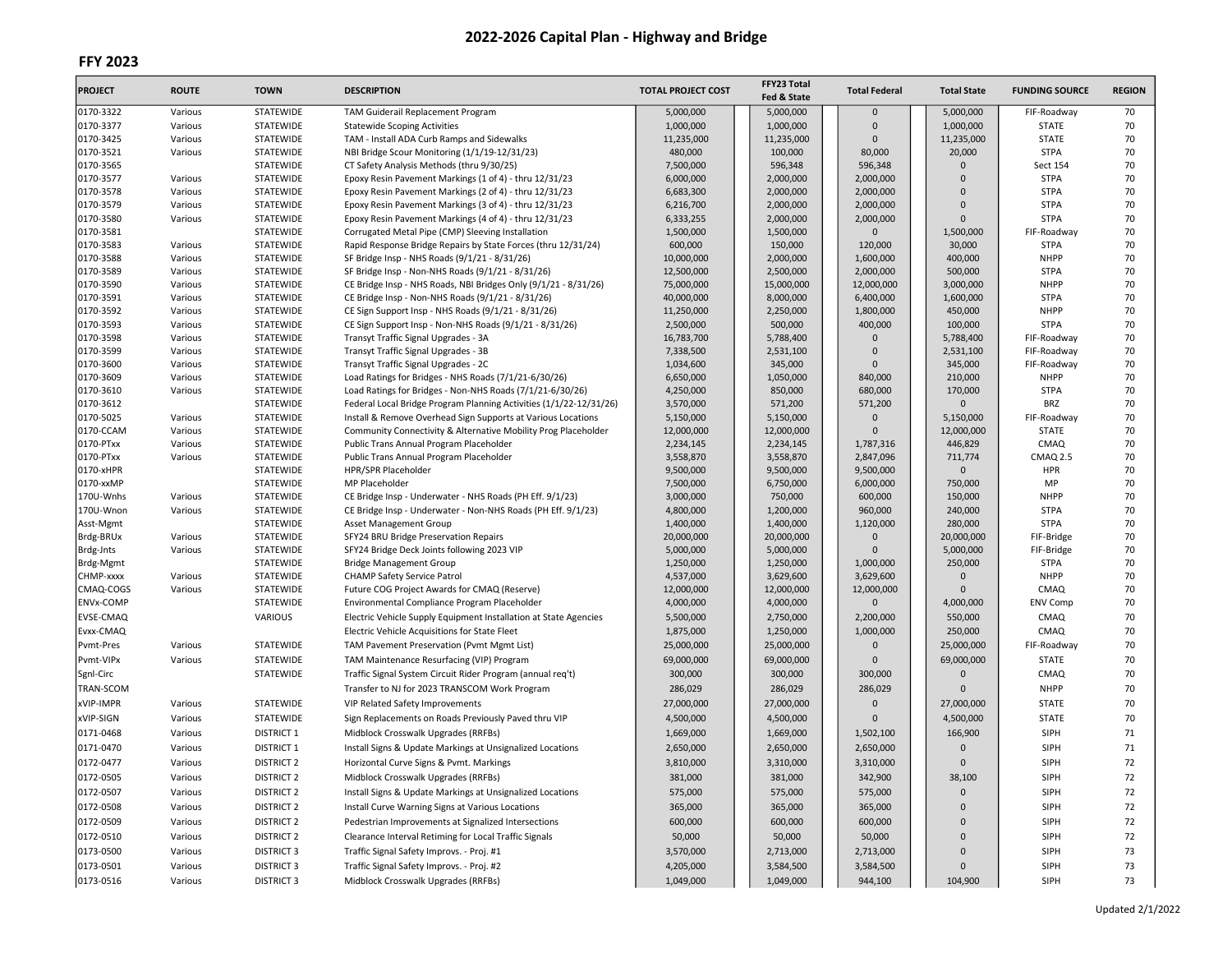| <b>PROJECT</b>         | <b>ROUTE</b>       | <b>TOWN</b>                   | <b>DESCRIPTION</b>                                                                                                 | <b>TOTAL PROJECT COST</b> | FFY23 Total<br>Fed & State | <b>Total Federal</b> | <b>Total State</b>     | <b>FUNDING SOURCE</b>      | <b>REGION</b> |
|------------------------|--------------------|-------------------------------|--------------------------------------------------------------------------------------------------------------------|---------------------------|----------------------------|----------------------|------------------------|----------------------------|---------------|
| 0170-3322              | Various            | STATEWIDE                     | TAM Guiderail Replacement Program                                                                                  | 5,000,000                 | 5,000,000                  | $\mathbf 0$          | 5,000,000              | FIF-Roadway                | 70            |
| 0170-3377              | Various            | STATEWIDE                     | <b>Statewide Scoping Activities</b>                                                                                | 1,000,000                 | 1,000,000                  | $\Omega$             | 1,000,000              | <b>STATE</b>               | 70            |
| 0170-3425              | Various            | STATEWIDE                     | TAM - Install ADA Curb Ramps and Sidewalks                                                                         | 11,235,000                | 11,235,000                 | $\Omega$             | 11,235,000             | <b>STATE</b>               | 70            |
| 0170-3521              | Various            | STATEWIDE                     | NBI Bridge Scour Monitoring (1/1/19-12/31/23)                                                                      | 480,000                   | 100,000                    | 80,000               | 20,000                 | <b>STPA</b>                | 70            |
| 0170-3565              |                    | STATEWIDE                     | CT Safety Analysis Methods (thru 9/30/25)                                                                          | 7,500,000                 | 596,348                    | 596,348              | $\Omega$               | <b>Sect 154</b>            | 70            |
| 0170-3577              | Various            | STATEWIDE                     | Epoxy Resin Pavement Markings (1 of 4) - thru 12/31/23                                                             | 6,000,000                 | 2,000,000                  | 2,000,000            | $\Omega$               | <b>STPA</b>                | 70            |
| 0170-3578              | Various            | STATEWIDE                     | Epoxy Resin Pavement Markings (2 of 4) - thru 12/31/23                                                             | 6,683,300                 | 2,000,000                  | 2,000,000            | $\Omega$               | <b>STPA</b>                | 70            |
| 0170-3579              | Various            | STATEWIDE                     | Epoxy Resin Pavement Markings (3 of 4) - thru 12/31/23                                                             | 6,216,700                 | 2,000,000                  | 2,000,000            | $\Omega$               | <b>STPA</b>                | 70            |
| 0170-3580              | Various            | <b>STATEWIDE</b>              | Epoxy Resin Pavement Markings (4 of 4) - thru 12/31/23                                                             | 6,333,255                 | 2,000,000                  | 2,000,000            | $\Omega$               | <b>STPA</b>                | 70            |
| 0170-3581              |                    | STATEWIDE                     | Corrugated Metal Pipe (CMP) Sleeving Installation                                                                  | 1,500,000                 | 1,500,000                  | $\Omega$             | 1,500,000              | FIF-Roadway                | 70            |
| 0170-3583              | Various            | STATEWIDE                     | Rapid Response Bridge Repairs by State Forces (thru 12/31/24)                                                      | 600,000                   | 150,000                    | 120,000              | 30,000                 | <b>STPA</b>                | 70            |
| 0170-3588              | Various            | STATEWIDE                     | SF Bridge Insp - NHS Roads (9/1/21 - 8/31/26)                                                                      | 10,000,000                | 2,000,000                  | 1,600,000            | 400,000                | <b>NHPP</b>                | 70            |
| 0170-3589              | Various            | STATEWIDE                     | SF Bridge Insp - Non-NHS Roads (9/1/21 - 8/31/26)                                                                  | 12,500,000                | 2,500,000                  | 2,000,000            | 500,000                | <b>STPA</b>                | 70            |
| 0170-3590              | Various            | STATEWIDE                     | CE Bridge Insp - NHS Roads, NBI Bridges Only (9/1/21 - 8/31/26)                                                    | 75,000,000                | 15,000,000                 | 12,000,000           | 3,000,000              | <b>NHPP</b>                | 70            |
| 0170-3591              | Various            | STATEWIDE                     | CE Bridge Insp - Non-NHS Roads (9/1/21 - 8/31/26)                                                                  | 40,000,000                | 8,000,000                  | 6,400,000            | 1,600,000              | <b>STPA</b>                | 70            |
| 0170-3592              | Various            | STATEWIDE                     | CE Sign Support Insp - NHS Roads (9/1/21 - 8/31/26)                                                                | 11,250,000                | 2,250,000                  | 1,800,000            | 450,000                | <b>NHPP</b>                | 70            |
| 0170-3593              | Various            | STATEWIDE                     | CE Sign Support Insp - Non-NHS Roads (9/1/21 - 8/31/26)                                                            | 2,500,000                 | 500,000                    | 400,000              | 100,000                | <b>STPA</b>                | 70            |
| 0170-3598<br>0170-3599 | Various<br>Various | <b>STATEWIDE</b><br>STATEWIDE | Transyt Traffic Signal Upgrades - 3A<br>Transyt Traffic Signal Upgrades - 3B                                       | 16,783,700<br>7,338,500   | 5,788,400<br>2,531,100     | $\Omega$<br>$\Omega$ | 5,788,400<br>2,531,100 | FIF-Roadway<br>FIF-Roadway | 70<br>70      |
|                        |                    |                               |                                                                                                                    |                           |                            | $\Omega$             |                        |                            |               |
| 0170-3600              | Various            | STATEWIDE<br>STATEWIDE        | Transyt Traffic Signal Upgrades - 2C                                                                               | 1,034,600                 | 345,000                    |                      | 345,000                | FIF-Roadway<br><b>NHPP</b> | 70            |
| 0170-3609<br>0170-3610 | Various<br>Various | STATEWIDE                     | Load Ratings for Bridges - NHS Roads (7/1/21-6/30/26)<br>Load Ratings for Bridges - Non-NHS Roads (7/1/21-6/30/26) | 6,650,000<br>4,250,000    | 1,050,000<br>850,000       | 840,000<br>680,000   | 210,000<br>170,000     | <b>STPA</b>                | 70<br>70      |
| 0170-3612              |                    | <b>STATEWIDE</b>              | Federal Local Bridge Program Planning Activities (1/1/22-12/31/26)                                                 | 3,570,000                 | 571,200                    | 571,200              | $\Omega$               | <b>BRZ</b>                 | 70            |
| 0170-5025              | Various            | STATEWIDE                     | Install & Remove Overhead Sign Supports at Various Locations                                                       | 5,150,000                 | 5,150,000                  | $\Omega$             | 5,150,000              | FIF-Roadway                | 70            |
| 0170-CCAM              | Various            | STATEWIDE                     | Community Connectivity & Alternative Mobility Prog Placeholder                                                     | 12,000,000                | 12,000,000                 | $\Omega$             | 12,000,000             | <b>STATE</b>               | 70            |
| 0170-PTxx              | Various            | STATEWIDE                     | Public Trans Annual Program Placeholder                                                                            | 2,234,145                 | 2,234,145                  | 1,787,316            | 446,829                | CMAQ                       | 70            |
| 0170-PTxx              | Various            | STATEWIDE                     | Public Trans Annual Program Placeholder                                                                            | 3,558,870                 | 3,558,870                  | 2,847,096            | 711,774                | <b>CMAQ 2.5</b>            | 70            |
| 0170-xHPR              |                    | STATEWIDE                     | HPR/SPR Placeholder                                                                                                | 9,500,000                 | 9,500,000                  | 9,500,000            | $\Omega$               | <b>HPR</b>                 | 70            |
| 0170-xxMP              |                    | STATEWIDE                     | MP Placeholder                                                                                                     | 7,500,000                 | 6,750,000                  | 6,000,000            | 750,000                | MP                         | 70            |
| 170U-Wnhs              | Various            | STATEWIDE                     | CE Bridge Insp - Underwater - NHS Roads (PH Eff. 9/1/23)                                                           | 3,000,000                 | 750,000                    | 600,000              | 150,000                | <b>NHPP</b>                | 70            |
| 170U-Wnon              | Various            | STATEWIDE                     | CE Bridge Insp - Underwater - Non-NHS Roads (PH Eff. 9/1/23)                                                       | 4,800,000                 | 1,200,000                  | 960,000              | 240,000                | <b>STPA</b>                | 70            |
| Asst-Mgmt              |                    | <b>STATEWIDE</b>              | Asset Management Group                                                                                             | 1,400,000                 | 1,400,000                  | 1,120,000            | 280,000                | <b>STPA</b>                | 70            |
| Brdg-BRUx              | Various            | STATEWIDE                     | SFY24 BRU Bridge Preservation Repairs                                                                              | 20,000,000                | 20,000,000                 | $\Omega$             | 20,000,000             | FIF-Bridge                 | 70            |
| Brdg-Jnts              | Various            | <b>STATEWIDE</b>              | SFY24 Bridge Deck Joints following 2023 VIP                                                                        | 5,000,000                 | 5,000,000                  | $\Omega$             | 5,000,000              | FIF-Bridge                 | 70            |
| Brdg-Mgmt              |                    | STATEWIDE                     | <b>Bridge Management Group</b>                                                                                     | 1,250,000                 | 1,250,000                  | 1,000,000            | 250,000                | <b>STPA</b>                | 70            |
| CHMP-xxxx              | Various            | STATEWIDE                     | <b>CHAMP Safety Service Patrol</b>                                                                                 | 4,537,000                 | 3,629,600                  | 3,629,600            | $\Omega$               | <b>NHPP</b>                | 70            |
| CMAQ-COGS              | Various            | STATEWIDE                     | Future COG Project Awards for CMAQ (Reserve)                                                                       | 12,000,000                | 12,000,000                 | 12,000,000           | $\Omega$               | CMAQ                       | 70            |
| <b>ENVx-COMP</b>       |                    | STATEWIDE                     | Environmental Compliance Program Placeholder                                                                       | 4,000,000                 | 4,000,000                  | $\mathbf{0}$         | 4,000,000              | <b>ENV Comp</b>            | 70            |
| <b>EVSE-CMAQ</b>       |                    | VARIOUS                       | Electric Vehicle Supply Equipment Installation at State Agencies                                                   | 5,500,000                 | 2,750,000                  | 2,200,000            | 550,000                | CMAQ                       | 70            |
| Evxx-CMAQ              |                    |                               | Electric Vehicle Acquisitions for State Fleet                                                                      | 1,875,000                 | 1,250,000                  | 1,000,000            | 250,000                | CMAQ                       | 70            |
| Pvmt-Pres              | Various            | STATEWIDE                     | TAM Pavement Preservation (Pvmt Mgmt List)                                                                         | 25,000,000                | 25,000,000                 | $\Omega$             | 25,000,000             | FIF-Roadway                | 70            |
| Pvmt-VIPx              | Various            | STATEWIDE                     | TAM Maintenance Resurfacing (VIP) Program                                                                          | 69,000,000                | 69,000,000                 | $\Omega$             | 69,000,000             | <b>STATE</b>               | 70            |
| Sgnl-Circ              |                    | STATEWIDE                     | Traffic Signal System Circuit Rider Program (annual req't)                                                         | 300,000                   | 300,000                    | 300,000              | $\Omega$               | CMAQ                       | 70            |
| TRAN-SCOM              |                    |                               | Transfer to NJ for 2023 TRANSCOM Work Program                                                                      | 286,029                   | 286,029                    | 286,029              | $\Omega$               | <b>NHPP</b>                | 70            |
| xVIP-IMPR              | Various            | STATEWIDE                     | VIP Related Safety Improvements                                                                                    | 27,000,000                | 27,000,000                 | $\mathbf 0$          | 27,000,000             | <b>STATE</b>               | 70            |
| xVIP-SIGN              | Various            | STATEWIDE                     | Sign Replacements on Roads Previously Paved thru VIP                                                               | 4,500,000                 | 4,500,000                  | $\Omega$             | 4,500,000              | <b>STATE</b>               | 70            |
|                        |                    |                               |                                                                                                                    |                           |                            |                      |                        |                            |               |
| 0171-0468              | Various            | <b>DISTRICT 1</b>             | Midblock Crosswalk Upgrades (RRFBs)                                                                                | 1,669,000                 | 1,669,000                  | 1,502,100            | 166,900                | SIPH                       | 71            |
| 0171-0470              | Various            | <b>DISTRICT 1</b>             | Install Signs & Update Markings at Unsignalized Locations                                                          | 2,650,000                 | 2,650,000                  | 2,650,000            | $\Omega$               | <b>SIPH</b>                | 71            |
| 0172-0477              | Various            | <b>DISTRICT 2</b>             | Horizontal Curve Signs & Pvmt. Markings                                                                            | 3,810,000                 | 3,310,000                  | 3,310,000            | $\Omega$               | SIPH                       | 72            |
| 0172-0505              | Various            | <b>DISTRICT 2</b>             | Midblock Crosswalk Upgrades (RRFBs)                                                                                | 381,000                   | 381,000                    | 342,900              | 38,100                 | <b>SIPH</b>                | 72            |
| 0172-0507              | Various            | <b>DISTRICT 2</b>             | Install Signs & Update Markings at Unsignalized Locations                                                          | 575,000                   | 575,000                    | 575,000              | $\mathbf{0}$           | SIPH                       | 72            |
| 0172-0508              | Various            | <b>DISTRICT 2</b>             | Install Curve Warning Signs at Various Locations                                                                   | 365,000                   | 365,000                    | 365,000              | $\Omega$               | <b>SIPH</b>                | 72            |
| 0172-0509              | Various            | <b>DISTRICT 2</b>             | Pedestrian Improvements at Signalized Intersections                                                                | 600,000                   | 600,000                    | 600,000              | $\Omega$               | SIPH                       | 72            |
| 0172-0510              | Various            | <b>DISTRICT 2</b>             | Clearance Interval Retiming for Local Traffic Signals                                                              | 50,000                    | 50,000                     | 50,000               | $\Omega$               | <b>SIPH</b>                | 72            |
| 0173-0500              | Various            | <b>DISTRICT 3</b>             | Traffic Signal Safety Improvs. - Proj. #1                                                                          | 3,570,000                 | 2,713,000                  | 2,713,000            | $\Omega$               | <b>SIPH</b>                | 73            |
| 0173-0501              | Various            | <b>DISTRICT 3</b>             | Traffic Signal Safety Improvs. - Proj. #2                                                                          | 4,205,000                 | 3,584,500                  | 3,584,500            | $\Omega$               | SIPH                       | 73            |
| 0173-0516              | Various            | <b>DISTRICT 3</b>             | Midblock Crosswalk Upgrades (RRFBs)                                                                                | 1,049,000                 | 1,049,000                  | 944,100              | 104,900                | <b>SIPH</b>                | 73            |
|                        |                    |                               |                                                                                                                    |                           |                            |                      |                        |                            |               |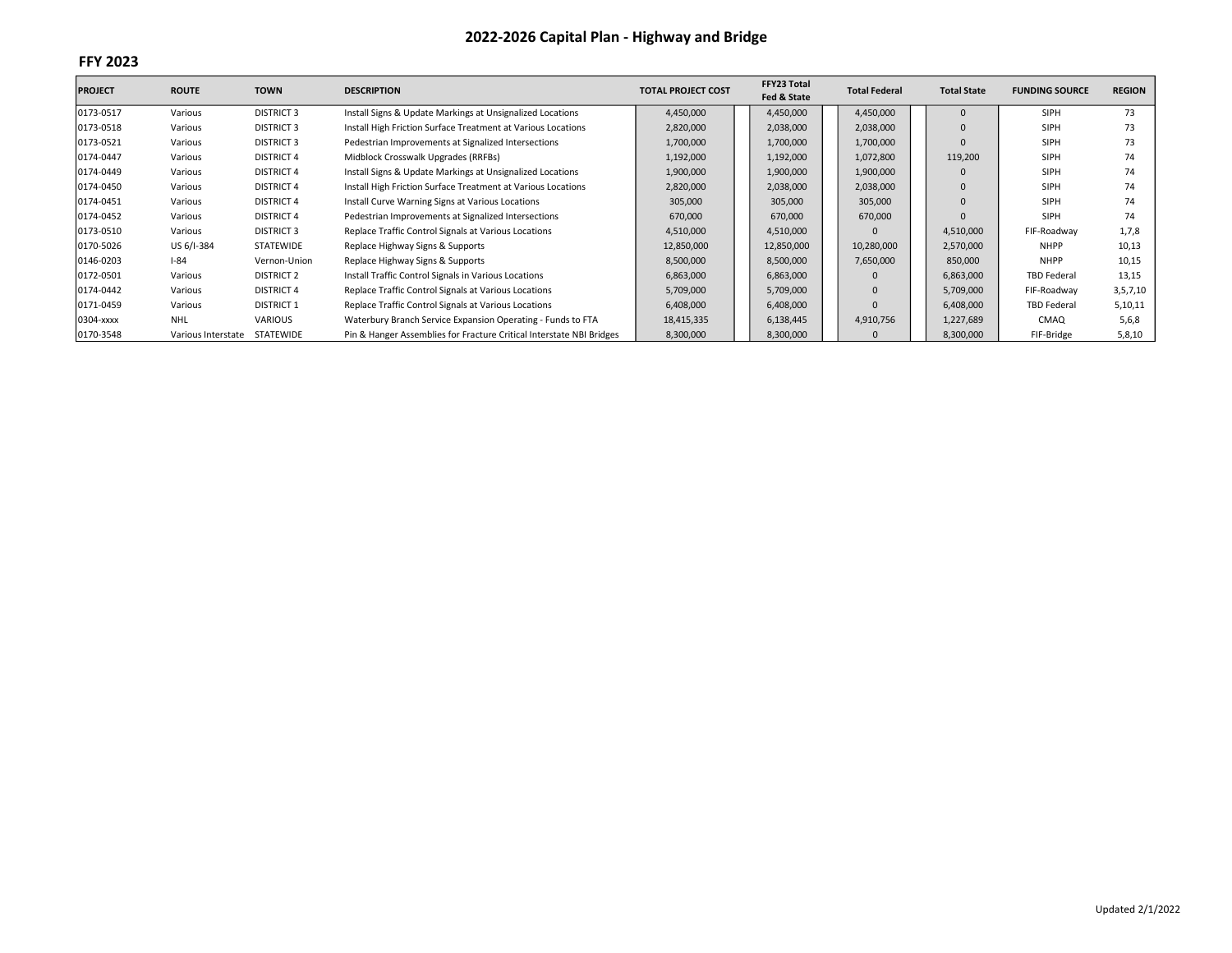| <b>PROJECT</b> | <b>ROUTE</b>       | <b>TOWN</b>       | <b>DESCRIPTION</b>                                                   | <b>TOTAL PROJECT COST</b> | FFY23 Total<br>Fed & State | <b>Total Federal</b> | <b>Total State</b> | <b>FUNDING SOURCE</b> | <b>REGION</b> |
|----------------|--------------------|-------------------|----------------------------------------------------------------------|---------------------------|----------------------------|----------------------|--------------------|-----------------------|---------------|
| 0173-0517      | Various            | <b>DISTRICT 3</b> | Install Signs & Update Markings at Unsignalized Locations            | 4,450,000                 | 4,450,000                  | 4,450,000            | 0                  | SIPH                  | 73            |
| 0173-0518      | Various            | <b>DISTRICT 3</b> | Install High Friction Surface Treatment at Various Locations         | 2,820,000                 | 2,038,000                  | 2,038,000            | $\Omega$           | <b>SIPH</b>           | 73            |
| 0173-0521      | Various            | <b>DISTRICT 3</b> | Pedestrian Improvements at Signalized Intersections                  | 1,700,000                 | 1,700,000                  | 1,700,000            |                    | SIPH                  | 73            |
| 0174-0447      | Various            | <b>DISTRICT 4</b> | Midblock Crosswalk Upgrades (RRFBs)                                  | 1,192,000                 | 1,192,000                  | 1,072,800            | 119,200            | <b>SIPH</b>           | 74            |
| 0174-0449      | Various            | <b>DISTRICT 4</b> | Install Signs & Update Markings at Unsignalized Locations            | 1,900,000                 | 1,900,000                  | 1,900,000            |                    | <b>SIPH</b>           | 74            |
| 0174-0450      | Various            | <b>DISTRICT 4</b> | Install High Friction Surface Treatment at Various Locations         | 2,820,000                 | 2,038,000                  | 2,038,000            | $\mathbf 0$        | SIPH                  | 74            |
| 0174-0451      | Various            | <b>DISTRICT 4</b> | Install Curve Warning Signs at Various Locations                     | 305,000                   | 305,000                    | 305,000              |                    | <b>SIPH</b>           | 74            |
| 0174-0452      | Various            | <b>DISTRICT 4</b> | Pedestrian Improvements at Signalized Intersections                  | 670,000                   | 670,000                    | 670,000              |                    | SIPH                  | 74            |
| 0173-0510      | Various            | <b>DISTRICT 3</b> | Replace Traffic Control Signals at Various Locations                 | 4,510,000                 | 4,510,000                  |                      | 4,510,000          | FIF-Roadway           | 1,7,8         |
| 0170-5026      | US 6/I-384         | <b>STATEWIDE</b>  | Replace Highway Signs & Supports                                     | 12,850,000                | 12,850,000                 | 10,280,000           | 2,570,000          | <b>NHPP</b>           | 10,13         |
| 0146-0203      | $I - 84$           | Vernon-Union      | Replace Highway Signs & Supports                                     | 8,500,000                 | 8,500,000                  | 7,650,000            | 850,000            | <b>NHPP</b>           | 10,15         |
| 0172-0501      | Various            | <b>DISTRICT 2</b> | Install Traffic Control Signals in Various Locations                 | 6,863,000                 | 6,863,000                  |                      | 6,863,000          | <b>TBD Federal</b>    | 13,15         |
| 0174-0442      | Various            | <b>DISTRICT 4</b> | Replace Traffic Control Signals at Various Locations                 | 5,709,000                 | 5,709,000                  | $\Omega$             | 5,709,000          | FIF-Roadway           | 3,5,7,10      |
| 0171-0459      | Various            | <b>DISTRICT 1</b> | Replace Traffic Control Signals at Various Locations                 | 6,408,000                 | 6,408,000                  |                      | 6,408,000          | <b>TBD Federal</b>    | 5,10,11       |
| 0304-xxxx      | <b>NHL</b>         | VARIOUS           | Waterbury Branch Service Expansion Operating - Funds to FTA          | 18,415,335                | 6,138,445                  | 4,910,756            | 1,227,689          | CMAQ                  | 5,6,8         |
| 0170-3548      | Various Interstate | STATEWIDE         | Pin & Hanger Assemblies for Fracture Critical Interstate NBI Bridges | 8,300,000                 | 8,300,000                  | $\Omega$             | 8,300,000          | FIF-Bridge            | 5,8,10        |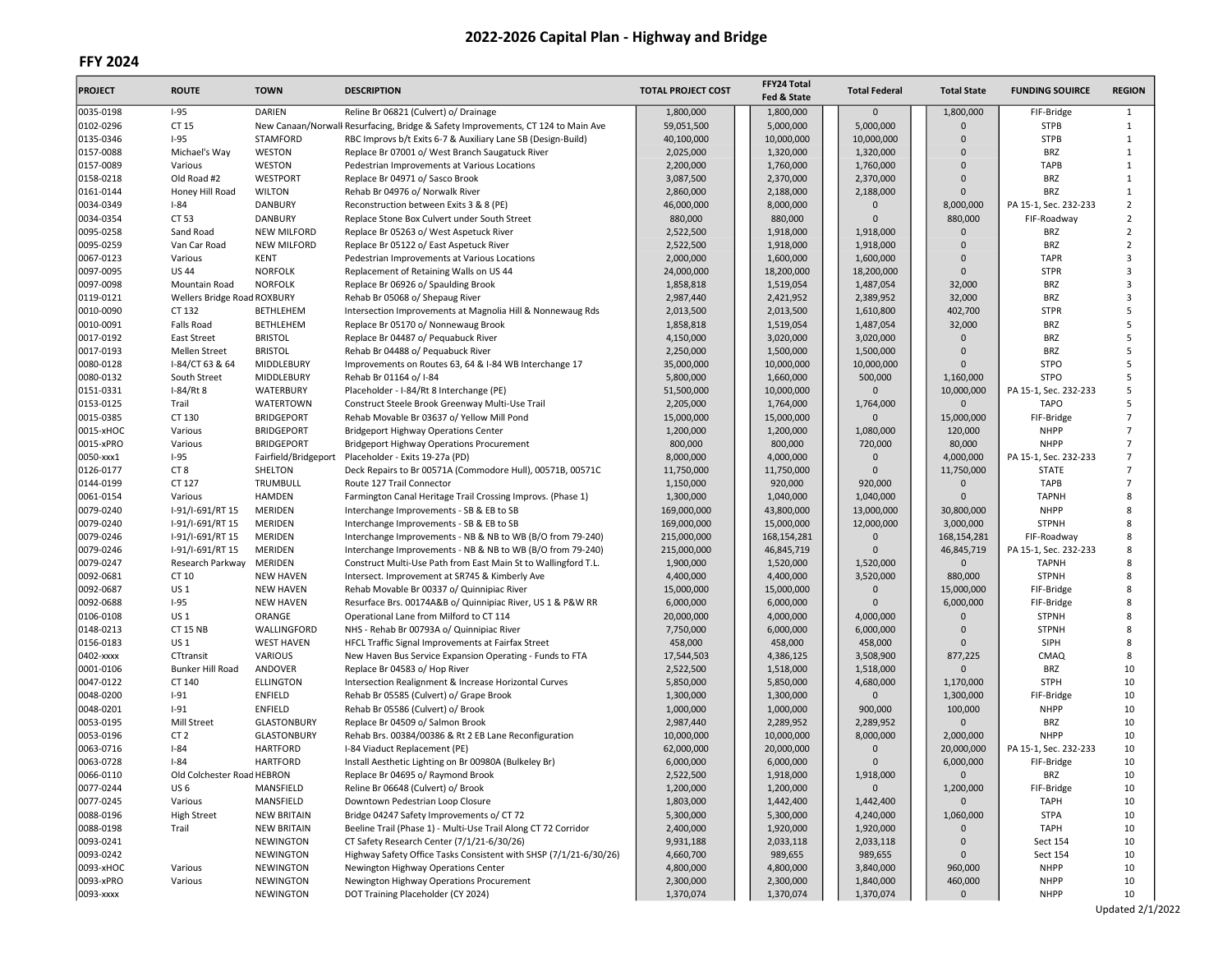| <b>PROJECT</b>         | <b>ROUTE</b>                | <b>TOWN</b>          | <b>DESCRIPTION</b>                                                                                      | <b>TOTAL PROJECT COST</b> | FFY24 Total<br>Fed & State | <b>Total Federal</b>     | <b>Total State</b>     | <b>FUNDING SOUIRCE</b>      | <b>REGION</b>                    |
|------------------------|-----------------------------|----------------------|---------------------------------------------------------------------------------------------------------|---------------------------|----------------------------|--------------------------|------------------------|-----------------------------|----------------------------------|
| 0035-0198              | $I-95$                      | <b>DARIEN</b>        | Reline Br 06821 (Culvert) o/ Drainage                                                                   | 1,800,000                 | 1,800,000                  | $\mathbf 0$              | 1,800,000              | FIF-Bridge                  | $\mathbf{1}$                     |
| 0102-0296              | CT 15                       |                      | New Canaan/Norwall Resurfacing, Bridge & Safety Improvements, CT 124 to Main Ave                        | 59,051,500                | 5,000,000                  | 5,000,000                | $\Omega$               | <b>STPB</b>                 | $\mathbf{1}$                     |
| 0135-0346              | $I-95$                      | <b>STAMFORD</b>      | RBC Improvs b/t Exits 6-7 & Auxiliary Lane SB (Design-Build)                                            | 40,100,000                | 10,000,000                 | 10,000,000               | $\Omega$               | <b>STPB</b>                 | $\mathbf{1}$                     |
| 0157-0088              | Michael's Way               | WESTON               | Replace Br 07001 o/ West Branch Saugatuck River                                                         | 2,025,000                 | 1,320,000                  | 1,320,000                | $\Omega$               | <b>BRZ</b>                  | $\mathbf{1}$                     |
| 0157-0089              | Various                     | WESTON               | Pedestrian Improvements at Various Locations                                                            | 2,200,000                 | 1,760,000                  | 1,760,000                | $\Omega$               | <b>TAPB</b>                 | $\mathbf{1}$                     |
| 0158-0218              | Old Road #2                 | WESTPORT             | Replace Br 04971 o/ Sasco Brook                                                                         | 3,087,500                 | 2,370,000                  | 2,370,000                | $\Omega$               | <b>BRZ</b>                  | $\mathbf{1}$                     |
| 0161-0144              | Honey Hill Road             | <b>WILTON</b>        | Rehab Br 04976 o/ Norwalk River                                                                         | 2,860,000                 | 2,188,000                  | 2,188,000                | $\Omega$               | <b>BRZ</b>                  | $\mathbf{1}$                     |
| 0034-0349              | $I-84$                      | <b>DANBURY</b>       | Reconstruction between Exits 3 & 8 (PE)                                                                 | 46,000,000                | 8,000,000                  | $\Omega$                 | 8,000,000              | PA 15-1, Sec. 232-233       | $\overline{2}$                   |
| 0034-0354              | CT 53                       | <b>DANBURY</b>       | Replace Stone Box Culvert under South Street                                                            | 880,000                   | 880,000                    | $\Omega$                 | 880,000                | FIF-Roadway                 | $\overline{2}$                   |
| 0095-0258              | Sand Road                   | <b>NEW MILFORD</b>   | Replace Br 05263 o/ West Aspetuck River                                                                 | 2,522,500                 | 1,918,000                  | 1.918.000                | $\Omega$               | <b>BRZ</b>                  | $\overline{2}$                   |
| 0095-0259              | Van Car Road                | <b>NEW MILFORD</b>   | Replace Br 05122 o/ East Aspetuck River                                                                 | 2,522,500                 | 1,918,000                  | 1,918,000                | $\Omega$               | <b>BRZ</b>                  | $\overline{2}$                   |
| 0067-0123              | Various                     | <b>KENT</b>          | Pedestrian Improvements at Various Locations                                                            | 2,000,000                 | 1,600,000                  | 1,600,000                | $\Omega$               | <b>TAPR</b>                 | 3                                |
| 0097-0095              | <b>US44</b>                 | <b>NORFOLK</b>       | Replacement of Retaining Walls on US 44                                                                 | 24,000,000                | 18,200,000                 | 18,200,000               | $\Omega$               | <b>STPR</b>                 | $\overline{3}$                   |
| 0097-0098              | Mountain Road               | <b>NORFOLK</b>       | Replace Br 06926 o/ Spaulding Brook                                                                     | 1,858,818                 | 1,519,054                  | 1,487,054                | 32,000                 | <b>BRZ</b>                  | 3                                |
| 0119-0121              | Wellers Bridge Road ROXBURY |                      | Rehab Br 05068 o/ Shepaug River                                                                         | 2,987,440                 | 2,421,952                  | 2,389,952                | 32,000                 | <b>BRZ</b>                  | $\overline{3}$                   |
| 0010-0090              | CT 132                      | <b>BETHLEHEM</b>     | Intersection Improvements at Magnolia Hill & Nonnewaug Rds                                              | 2,013,500                 | 2,013,500                  | 1,610,800                | 402,700                | <b>STPR</b>                 | 5                                |
| 0010-0091              | Falls Road                  | <b>BETHLEHEM</b>     | Replace Br 05170 o/ Nonnewaug Brook                                                                     | 1,858,818                 | 1,519,054                  | 1,487,054                | 32,000                 | <b>BRZ</b>                  | 5                                |
| 0017-0192              | <b>East Street</b>          | <b>BRISTOL</b>       | Replace Br 04487 o/ Pequabuck River                                                                     | 4,150,000                 | 3,020,000                  | 3,020,000                | $\Omega$               | <b>BRZ</b>                  | 5                                |
| 0017-0193              | <b>Mellen Street</b>        | <b>BRISTOL</b>       | Rehab Br 04488 o/ Pequabuck River                                                                       | 2,250,000                 | 1,500,000                  | 1,500,000                | $\Omega$               | <b>BRZ</b>                  | 5                                |
| 0080-0128              | I-84/CT 63 & 64             | MIDDLEBURY           | Improvements on Routes 63, 64 & I-84 WB Interchange 17                                                  | 35,000,000                | 10,000,000                 | 10,000,000               | $\Omega$               | <b>STPO</b>                 | 5                                |
| 0080-0132              | South Street                | MIDDLEBURY           | Rehab Br 01164 o/ I-84                                                                                  | 5,800,000                 | 1,660,000                  | 500,000                  | 1,160,000              | <b>STPO</b>                 | 5                                |
| 0151-0331              | $I-84/Rt8$                  | WATERBURY            | Placeholder - I-84/Rt 8 Interchange (PE)                                                                | 51,500,000                | 10,000,000                 | $\Omega$                 | 10,000,000             | PA 15-1, Sec. 232-233       | 5                                |
| 0153-0125              | Trail                       | WATERTOWN            | Construct Steele Brook Greenway Multi-Use Trail                                                         | 2,205,000                 | 1,764,000                  | 1,764,000                | $\Omega$               | <b>TAPO</b>                 | 5                                |
| 0015-0385              | CT 130                      | <b>BRIDGEPORT</b>    | Rehab Movable Br 03637 o/ Yellow Mill Pond                                                              | 15,000,000                | 15,000,000                 | $\mathbf{0}$             | 15,000,000             | FIF-Bridge                  | $\overline{7}$                   |
| 0015-xHOC              | Various                     | <b>BRIDGEPORT</b>    | <b>Bridgeport Highway Operations Center</b>                                                             | 1,200,000                 | 1,200,000                  | 1,080,000                | 120,000                | <b>NHPP</b>                 | $\overline{7}$<br>$\overline{7}$ |
| 0015-xPRO              | Various                     | <b>BRIDGEPORT</b>    | <b>Bridgeport Highway Operations Procurement</b>                                                        | 800,000                   | 800,000                    | 720,000                  | 80,000                 | <b>NHPP</b>                 | $\overline{7}$                   |
| 0050-xxx1              | $I-95$                      | Fairfield/Bridgeport | Placeholder - Exits 19-27a (PD)                                                                         | 8,000,000                 | 4,000,000                  | $\mathbf{0}$<br>$\Omega$ | 4,000,000              | PA 15-1, Sec. 232-233       |                                  |
| 0126-0177<br>0144-0199 | CT <sub>8</sub><br>CT 127   | SHELTON<br>TRUMBULL  | Deck Repairs to Br 00571A (Commodore Hull), 00571B, 00571C<br>Route 127 Trail Connector                 | 11,750,000                | 11,750,000<br>920,000      | 920,000                  | 11,750,000<br>$\Omega$ | <b>STATE</b><br><b>TAPB</b> | $\overline{7}$                   |
| 0061-0154              | Various                     | <b>HAMDEN</b>        |                                                                                                         | 1,150,000                 | 1,040,000                  |                          | $\Omega$               | <b>TAPNH</b>                | 8                                |
| 0079-0240              | I-91/I-691/RT 15            | <b>MERIDEN</b>       | Farmington Canal Heritage Trail Crossing Improvs. (Phase 1)<br>Interchange Improvements - SB & EB to SB | 1,300,000<br>169,000,000  | 43,800,000                 | 1,040,000<br>13,000,000  | 30,800,000             | <b>NHPP</b>                 | 8                                |
| 0079-0240              | I-91/I-691/RT 15            | <b>MERIDEN</b>       | Interchange Improvements - SB & EB to SB                                                                | 169,000,000               | 15,000,000                 | 12,000,000               | 3,000,000              | <b>STPNH</b>                | 8                                |
| 0079-0246              | I-91/I-691/RT 15            | <b>MERIDEN</b>       | Interchange Improvements - NB & NB to WB (B/O from 79-240)                                              | 215,000,000               | 168,154,281                | $\mathbf{0}$             | 168,154,281            | FIF-Roadway                 | 8                                |
| 0079-0246              | I-91/I-691/RT 15            | <b>MERIDEN</b>       | Interchange Improvements - NB & NB to WB (B/O from 79-240)                                              | 215,000,000               | 46,845,719                 | $\Omega$                 | 46,845,719             | PA 15-1, Sec. 232-233       | 8                                |
| 0079-0247              | Research Parkway            | <b>MERIDEN</b>       | Construct Multi-Use Path from East Main St to Wallingford T.L.                                          | 1,900,000                 | 1,520,000                  | 1,520,000                | $\Omega$               | <b>TAPNH</b>                | 8                                |
| 0092-0681              | CT 10                       | <b>NEW HAVEN</b>     | Intersect. Improvement at SR745 & Kimberly Ave                                                          | 4,400,000                 | 4,400,000                  | 3,520,000                | 880,000                | <b>STPNH</b>                | 8                                |
| 0092-0687              | <b>US1</b>                  | <b>NEW HAVEN</b>     | Rehab Movable Br 00337 o/ Quinnipiac River                                                              | 15,000,000                | 15,000,000                 | $\mathbf{0}$             | 15,000,000             | FIF-Bridge                  | 8                                |
| 0092-0688              | $I-95$                      | <b>NEW HAVEN</b>     | Resurface Brs. 00174A&B o/ Quinnipiac River, US 1 & P&W RR                                              | 6,000,000                 | 6,000,000                  | $\mathbf{0}$             | 6,000,000              | FIF-Bridge                  | 8                                |
| 0106-0108              | <b>US1</b>                  | ORANGE               | Operational Lane from Milford to CT 114                                                                 | 20,000,000                | 4,000,000                  | 4,000,000                | $\Omega$               | <b>STPNH</b>                | 8                                |
| 0148-0213              | <b>CT 15 NB</b>             | WALLINGFORD          | NHS - Rehab Br 00793A o/ Quinnipiac River                                                               | 7,750,000                 | 6,000,000                  | 6,000,000                | $\Omega$               | <b>STPNH</b>                | 8                                |
| 0156-0183              | <b>US1</b>                  | <b>WEST HAVEN</b>    | HFCL Traffic Signal Improvements at Fairfax Street                                                      | 458,000                   | 458,000                    | 458,000                  | $\Omega$               | SIPH                        | 8                                |
| 0402-xxxx              | CTtransit                   | VARIOUS              | New Haven Bus Service Expansion Operating - Funds to FTA                                                | 17,544,503                | 4,386,125                  | 3,508,900                | 877,225                | CMAQ                        | 8                                |
| 0001-0106              | Bunker Hill Road            | ANDOVER              | Replace Br 04583 o/ Hop River                                                                           | 2,522,500                 | 1,518,000                  | 1,518,000                | $\Omega$               | <b>BRZ</b>                  | 10                               |
| 0047-0122              | CT 140                      | <b>ELLINGTON</b>     | Intersection Realignment & Increase Horizontal Curves                                                   | 5,850,000                 | 5,850,000                  | 4,680,000                | 1,170,000              | <b>STPH</b>                 | 10                               |
| 0048-0200              | $I-91$                      | <b>ENFIELD</b>       | Rehab Br 05585 (Culvert) o/ Grape Brook                                                                 | 1,300,000                 | 1,300,000                  | $\mathbf 0$              | 1,300,000              | FIF-Bridge                  | 10                               |
| 0048-0201              | $I-91$                      | <b>ENFIELD</b>       | Rehab Br 05586 (Culvert) o/ Brook                                                                       | 1,000,000                 | 1,000,000                  | 900,000                  | 100,000                | <b>NHPP</b>                 | 10                               |
| 0053-0195              | Mill Street                 | <b>GLASTONBURY</b>   | Replace Br 04509 o/ Salmon Brook                                                                        | 2,987,440                 | 2,289,952                  | 2,289,952                | $\Omega$               | <b>BRZ</b>                  | 10                               |
| 0053-0196              | CT <sub>2</sub>             | <b>GLASTONBURY</b>   | Rehab Brs. 00384/00386 & Rt 2 EB Lane Reconfiguration                                                   | 10,000,000                | 10,000,000                 | 8,000,000                | 2,000,000              | <b>NHPP</b>                 | 10                               |
| 0063-0716              | $I-84$                      | <b>HARTFORD</b>      | I-84 Viaduct Replacement (PE)                                                                           | 62,000,000                | 20,000,000                 | $\mathbf{0}$             | 20,000,000             | PA 15-1, Sec. 232-233       | 10                               |
| 0063-0728              | $I - 84$                    | <b>HARTFORD</b>      | Install Aesthetic Lighting on Br 00980A (Bulkeley Br)                                                   | 6.000.000                 | 6,000,000                  | $\Omega$                 | 6,000,000              | FIF-Bridge                  | 10                               |
| 0066-0110              | Old Colchester Road HEBRON  |                      | Replace Br 04695 o/ Raymond Brook                                                                       | 2,522,500                 | 1,918,000                  | 1,918,000                | 0                      | BRZ                         | 10                               |
| 0077-0244              | US <sub>6</sub>             | MANSFIELD            | Reline Br 06648 (Culvert) o/ Brook                                                                      | 1,200,000                 | 1,200,000                  | $\mathbf 0$              | 1,200,000              | FIF-Bridge                  | 10                               |
| 0077-0245              | Various                     | MANSFIELD            | Downtown Pedestrian Loop Closure                                                                        | 1,803,000                 | 1,442,400                  | 1,442,400                | $\mathbf{0}$           | <b>TAPH</b>                 | 10                               |
| 0088-0196              | High Street                 | <b>NEW BRITAIN</b>   | Bridge 04247 Safety Improvements o/ CT 72                                                               | 5,300,000                 | 5,300,000                  | 4,240,000                | 1,060,000              | <b>STPA</b>                 | 10                               |
| 0088-0198              | Trail                       | <b>NEW BRITAIN</b>   | Beeline Trail (Phase 1) - Multi-Use Trail Along CT 72 Corridor                                          | 2,400,000                 | 1,920,000                  | 1,920,000                | $\mathbf{0}$           | <b>TAPH</b>                 | 10                               |
| 0093-0241              |                             | NEWINGTON            | CT Safety Research Center (7/1/21-6/30/26)                                                              | 9,931,188                 | 2,033,118                  | 2,033,118                | $\mathbf 0$            | Sect 154                    | 10                               |
| 0093-0242              |                             | NEWINGTON            | Highway Safety Office Tasks Consistent with SHSP (7/1/21-6/30/26)                                       | 4,660,700                 | 989,655                    | 989,655                  | $\mathbf{0}$           | Sect 154                    | 10                               |
| 0093-xHOC              | Various                     | NEWINGTON            | Newington Highway Operations Center                                                                     | 4,800,000                 | 4,800,000                  | 3,840,000                | 960,000                | <b>NHPP</b>                 | 10                               |
| 0093-xPRO              | Various                     | NEWINGTON            | Newington Highway Operations Procurement                                                                | 2,300,000                 | 2,300,000                  | 1,840,000                | 460,000                | <b>NHPP</b>                 | 10                               |
| 0093-xxxx              |                             | <b>NEWINGTON</b>     | DOT Training Placeholder (CY 2024)                                                                      | 1,370,074                 | 1,370,074                  | 1,370,074                | $\mathbf 0$            | <b>NHPP</b>                 | 10                               |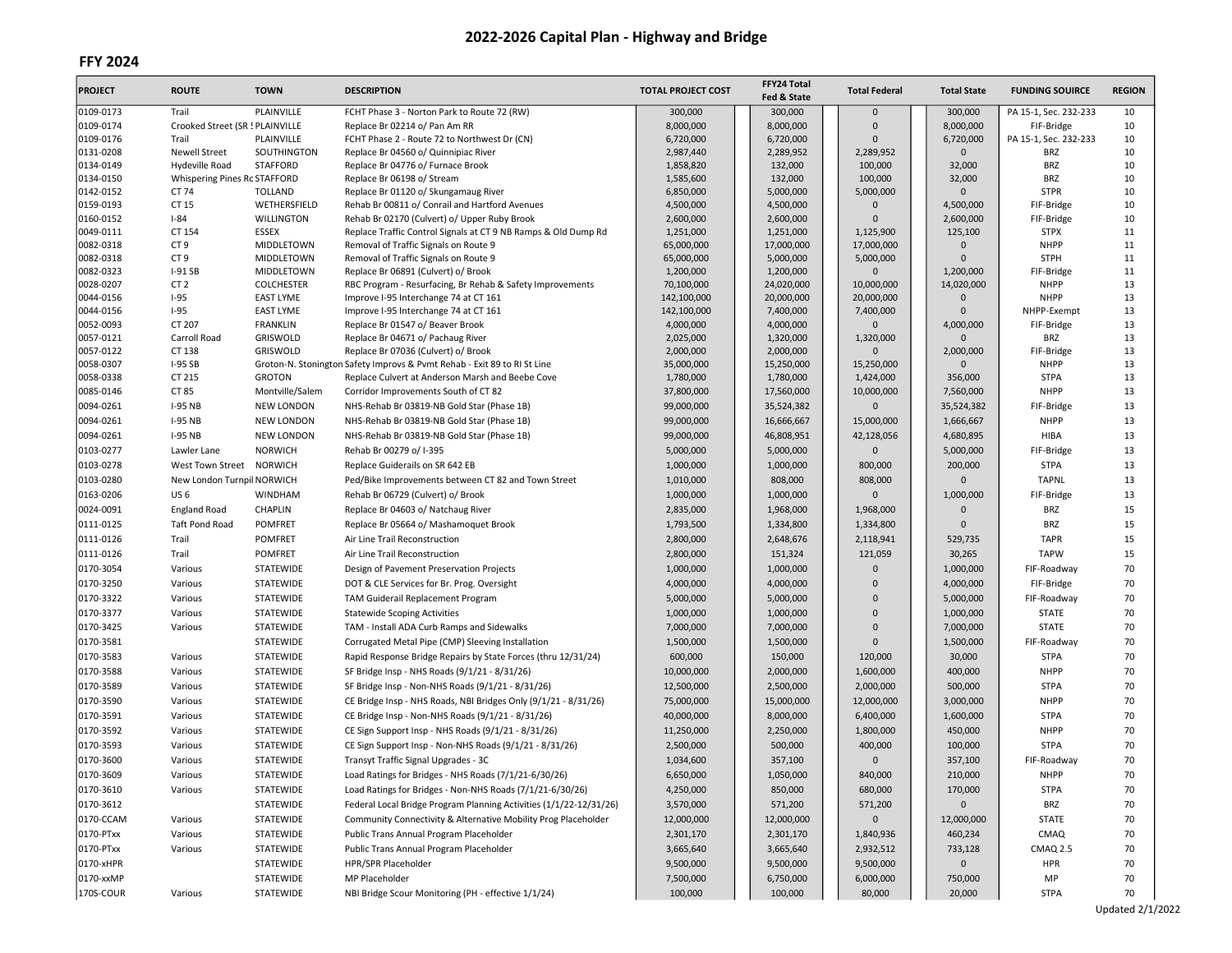# FFY 2024

| <b>PROJECT</b>         | <b>ROUTE</b>                       | <b>TOWN</b>              | <b>DESCRIPTION</b>                                                           | <b>TOTAL PROJECT COST</b> | FFY24 Total<br>Fed & State | <b>Total Federal</b>      | <b>Total State</b>   | <b>FUNDING SOUIRCE</b>     | <b>REGION</b> |
|------------------------|------------------------------------|--------------------------|------------------------------------------------------------------------------|---------------------------|----------------------------|---------------------------|----------------------|----------------------------|---------------|
| 0109-0173              | Trail                              | PLAINVILLE               | FCHT Phase 3 - Norton Park to Route 72 (RW)                                  | 300,000                   | 300,000                    | $\mathbf 0$               | 300,000              | PA 15-1, Sec. 232-233      | 10            |
| 0109-0174              | Crooked Street (SR ! PLAINVILLE    |                          | Replace Br 02214 o/ Pan Am RR                                                | 8,000,000                 | 8,000,000                  | $\Omega$                  | 8,000,000            | FIF-Bridge                 | 10            |
| 0109-0176              | Trail                              | PLAINVILLE               | FCHT Phase 2 - Route 72 to Northwest Dr (CN)                                 | 6,720,000                 | 6,720,000                  | $\Omega$                  | 6,720,000            | PA 15-1, Sec. 232-233      | 10            |
| 0131-0208              | <b>Newell Street</b>               | SOUTHINGTON              | Replace Br 04560 o/ Quinnipiac River                                         | 2,987,440                 | 2,289,952                  | 2,289,952                 | $\mathbf{0}$         | <b>BRZ</b>                 | 10            |
| 0134-0149              | Hydeville Road                     | <b>STAFFORD</b>          | Replace Br 04776 o/ Furnace Brook                                            | 1,858,820                 | 132,000                    | 100,000                   | 32,000               | <b>BRZ</b>                 | 10            |
| 0134-0150              | Whispering Pines Rc STAFFORD       |                          | Replace Br 06198 o/ Stream                                                   | 1,585,600                 | 132,000                    | 100,000                   | 32,000               | <b>BRZ</b>                 | 10            |
| 0142-0152              | CT 74                              | <b>TOLLAND</b>           | Replace Br 01120 o/ Skungamaug River                                         | 6,850,000                 | 5,000,000                  | 5,000,000                 | $\Omega$             | <b>STPR</b>                | 10            |
| 0159-0193              | CT 15                              | WETHERSFIELD             | Rehab Br 00811 o/ Conrail and Hartford Avenues                               | 4,500,000                 | 4,500,000                  | $\mathbf{0}$              | 4,500,000            | FIF-Bridge                 | 10            |
| 0160-0152              | $I-84$                             | <b>WILLINGTON</b>        | Rehab Br 02170 (Culvert) o/ Upper Ruby Brook                                 | 2,600,000                 | 2,600,000                  | $\Omega$                  | 2,600,000            | FIF-Bridge                 | 10            |
| 0049-0111              | CT 154                             | <b>ESSEX</b>             | Replace Traffic Control Signals at CT 9 NB Ramps & Old Dump Rd               | 1,251,000                 | 1,251,000                  | 1,125,900                 | 125,100              | <b>STPX</b>                | 11            |
| 0082-0318<br>0082-0318 | CT <sub>9</sub><br>CT <sub>9</sub> | MIDDLETOWN<br>MIDDLETOWN | Removal of Traffic Signals on Route 9                                        | 65,000,000                | 17,000,000                 | 17,000,000                | $\Omega$<br>$\Omega$ | <b>NHPP</b><br><b>STPH</b> | 11<br>11      |
| 0082-0323              | $I-91SB$                           | MIDDLETOWN               | Removal of Traffic Signals on Route 9<br>Replace Br 06891 (Culvert) o/ Brook | 65,000,000<br>1,200,000   | 5,000,000<br>1,200,000     | 5,000,000<br>$\mathbf{0}$ | 1,200,000            | FIF-Bridge                 | 11            |
| 0028-0207              | CT <sub>2</sub>                    | <b>COLCHESTER</b>        | RBC Program - Resurfacing, Br Rehab & Safety Improvements                    | 70,100,000                | 24,020,000                 | 10,000,000                | 14,020,000           | <b>NHPP</b>                | 13            |
| 0044-0156              | $I-95$                             | <b>EAST LYME</b>         | Improve I-95 Interchange 74 at CT 161                                        | 142,100,000               | 20,000,000                 | 20,000,000                | $\Omega$             | <b>NHPP</b>                | 13            |
| 0044-0156              | $I-95$                             | <b>EAST LYME</b>         | Improve I-95 Interchange 74 at CT 161                                        | 142,100,000               | 7,400,000                  | 7,400,000                 | $\Omega$             | NHPP-Exempt                | 13            |
| 0052-0093              | CT 207                             | <b>FRANKLIN</b>          | Replace Br 01547 o/ Beaver Brook                                             | 4,000,000                 | 4,000,000                  | $\mathbf{0}$              | 4,000,000            | FIF-Bridge                 | 13            |
| 0057-0121              | Carroll Road                       | GRISWOLD                 | Replace Br 04671 o/ Pachaug River                                            | 2,025,000                 | 1,320,000                  | 1,320,000                 | $\Omega$             | BRZ                        | 13            |
| 0057-0122              | CT 138                             | GRISWOLD                 | Replace Br 07036 (Culvert) o/ Brook                                          | 2,000,000                 | 2,000,000                  | $\Omega$                  | 2,000,000            | FIF-Bridge                 | 13            |
| 0058-0307              | <b>I-95 SB</b>                     |                          | Groton-N. Stonington Safety Improvs & Pvmt Rehab - Exit 89 to RI St Line     | 35,000,000                | 15,250,000                 | 15,250,000                | $\Omega$             | <b>NHPP</b>                | 13            |
| 0058-0338              | CT 215                             | <b>GROTON</b>            | Replace Culvert at Anderson Marsh and Beebe Cove                             | 1,780,000                 | 1,780,000                  | 1,424,000                 | 356,000              | <b>STPA</b>                | 13            |
| 0085-0146              | CT 85                              | Montville/Salem          | Corridor Improvements South of CT 82                                         | 37,800,000                | 17,560,000                 | 10,000,000                | 7,560,000            | <b>NHPP</b>                | 13            |
| 0094-0261              | <b>I-95 NB</b>                     | <b>NEW LONDON</b>        | NHS-Rehab Br 03819-NB Gold Star (Phase 1B)                                   | 99,000,000                | 35,524,382                 | $\Omega$                  | 35,524,382           | FIF-Bridge                 | 13            |
| 0094-0261              | <b>I-95 NB</b>                     | <b>NEW LONDON</b>        | NHS-Rehab Br 03819-NB Gold Star (Phase 1B)                                   | 99,000,000                | 16,666,667                 | 15,000,000                | 1,666,667            | <b>NHPP</b>                | 13            |
| 0094-0261              | <b>I-95 NB</b>                     | <b>NEW LONDON</b>        | NHS-Rehab Br 03819-NB Gold Star (Phase 1B)                                   | 99,000,000                | 46,808,951                 | 42,128,056                | 4,680,895            | <b>HIBA</b>                | 13            |
| 0103-0277              | Lawler Lane                        | NORWICH                  | Rehab Br 00279 o/ I-395                                                      | 5,000,000                 | 5,000,000                  | $\mathbf{0}$              | 5,000,000            | FIF-Bridge                 | 13            |
|                        |                                    |                          |                                                                              |                           |                            |                           |                      |                            |               |
| 0103-0278              | West Town Street                   | <b>NORWICH</b>           | Replace Guiderails on SR 642 EB                                              | 1,000,000                 | 1,000,000                  | 800,000                   | 200,000              | <b>STPA</b>                | 13            |
| 0103-0280              | New London Turnpil NORWICH         |                          | Ped/Bike Improvements between CT 82 and Town Street                          | 1,010,000                 | 808,000                    | 808,000                   | $\Omega$             | <b>TAPNL</b>               | 13            |
| 0163-0206              | US <sub>6</sub>                    | <b>WINDHAM</b>           | Rehab Br 06729 (Culvert) o/ Brook                                            | 1,000,000                 | 1,000,000                  | $\mathbf 0$               | 1,000,000            | FIF-Bridge                 | 13            |
| 0024-0091              | <b>England Road</b>                | <b>CHAPLIN</b>           | Replace Br 04603 o/ Natchaug River                                           | 2,835,000                 | 1,968,000                  | 1,968,000                 | $\Omega$             | BRZ                        | 15            |
| 0111-0125              | <b>Taft Pond Road</b>              | <b>POMFRET</b>           | Replace Br 05664 o/ Mashamoquet Brook                                        | 1,793,500                 | 1,334,800                  | 1,334,800                 | $\Omega$             | BRZ                        | 15            |
| 0111-0126              | Trail                              | <b>POMFRET</b>           | Air Line Trail Reconstruction                                                | 2,800,000                 | 2,648,676                  | 2,118,941                 | 529,735              | <b>TAPR</b>                | 15            |
| 0111-0126              | Trail                              | <b>POMFRET</b>           | Air Line Trail Reconstruction                                                | 2,800,000                 | 151,324                    | 121,059                   | 30,265               | <b>TAPW</b>                | 15            |
| 0170-3054              | Various                            | STATEWIDE                | Design of Pavement Preservation Projects                                     | 1,000,000                 | 1,000,000                  | $\mathbf{0}$              | 1,000,000            | FIF-Roadway                | 70            |
| 0170-3250              | Various                            | STATEWIDE                | DOT & CLE Services for Br. Prog. Oversight                                   | 4,000,000                 | 4,000,000                  | $\Omega$                  | 4,000,000            | FIF-Bridge                 | 70            |
| 0170-3322              | Various                            | STATEWIDE                | TAM Guiderail Replacement Program                                            | 5,000,000                 | 5,000,000                  | $\mathbf{0}$              | 5,000,000            | FIF-Roadway                | 70            |
| 0170-3377              | Various                            | STATEWIDE                | <b>Statewide Scoping Activities</b>                                          | 1,000,000                 | 1,000,000                  | $\mathbf{0}$              | 1,000,000            | <b>STATE</b>               | 70            |
| 0170-3425              | Various                            | STATEWIDE                | TAM - Install ADA Curb Ramps and Sidewalks                                   | 7,000,000                 | 7,000,000                  | $\mathbf{0}$              | 7,000,000            | <b>STATE</b>               | 70            |
| 0170-3581              |                                    | STATEWIDE                | Corrugated Metal Pipe (CMP) Sleeving Installation                            | 1,500,000                 | 1,500,000                  | $\Omega$                  | 1,500,000            | FIF-Roadway                | 70            |
| 0170-3583              |                                    | STATEWIDE                |                                                                              |                           |                            |                           |                      | <b>STPA</b>                | 70            |
|                        | Various                            |                          | Rapid Response Bridge Repairs by State Forces (thru 12/31/24)                | 600,000                   | 150,000                    | 120,000                   | 30,000               |                            |               |
| 0170-3588              | Various                            | STATEWIDE                | SF Bridge Insp - NHS Roads (9/1/21 - 8/31/26)                                | 10,000,000                | 2,000,000                  | 1,600,000                 | 400,000              | <b>NHPP</b>                | 70            |
| 0170-3589              | Various                            | STATEWIDE                | SF Bridge Insp - Non-NHS Roads (9/1/21 - 8/31/26)                            | 12,500,000                | 2,500,000                  | 2,000,000                 | 500,000              | <b>STPA</b>                | 70            |
| 0170-3590              | Various                            | STATEWIDE                | CE Bridge Insp - NHS Roads, NBI Bridges Only (9/1/21 - 8/31/26)              | 75,000,000                | 15,000,000                 | 12,000,000                | 3,000,000            | <b>NHPP</b>                | 70            |
| 0170-3591              | Various                            | STATEWIDE                | CE Bridge Insp - Non-NHS Roads (9/1/21 - 8/31/26)                            | 40,000,000                | 8,000,000                  | 6,400,000                 | 1,600,000            | <b>STPA</b>                | 70            |
| 0170-3592              | Various                            | STATEWIDE                | CE Sign Support Insp - NHS Roads (9/1/21 - 8/31/26)                          | 11,250,000                | 2,250,000                  | 1,800,000                 | 450,000              | <b>NHPP</b>                | 70            |
| 0170-3593              | Various                            | STATEWIDE                | CE Sign Support Insp - Non-NHS Roads (9/1/21 - 8/31/26)                      | 2,500,000                 | 500,000                    | 400,000                   | 100,000              | <b>STPA</b>                | 70            |
| 0170-3600              | Various                            | STATEWIDE                | Transyt Traffic Signal Upgrades - 3C                                         | 1,034,600                 | 357,100                    | $\mathbf{0}$              | 357,100              | FIF-Roadway                | 70            |
| 0170-3609              | Various                            | STATEWIDE                | Load Ratings for Bridges - NHS Roads (7/1/21-6/30/26)                        | 6,650,000                 | 1,050,000                  | 840,000                   | 210,000              | <b>NHPP</b>                | 70            |
| 0170-3610              | Various                            | STATEWIDE                | Load Ratings for Bridges - Non-NHS Roads (7/1/21-6/30/26)                    | 4,250,000                 | 850,000                    | 680,000                   | 170,000              | <b>STPA</b>                | 70            |
| 0170-3612              |                                    | STATEWIDE                | Federal Local Bridge Program Planning Activities (1/1/22-12/31/26)           | 3,570,000                 | 571,200                    | 571,200                   | $\mathsf{O}\xspace$  | BRZ                        | 70            |
| 0170-CCAM              | Various                            | STATEWIDE                | Community Connectivity & Alternative Mobility Prog Placeholder               | 12,000,000                | 12,000,000                 | $\mathsf{O}\xspace$       | 12,000,000           | <b>STATE</b>               | 70            |
| 0170-PTxx              | Various                            | STATEWIDE                | Public Trans Annual Program Placeholder                                      | 2,301,170                 | 2,301,170                  | 1,840,936                 | 460,234              | CMAQ                       | 70            |
|                        |                                    |                          |                                                                              |                           |                            |                           |                      |                            |               |
| 0170-PTxx              | Various                            | STATEWIDE                | Public Trans Annual Program Placeholder                                      | 3,665,640                 | 3,665,640                  | 2,932,512                 | 733,128              | <b>CMAQ 2.5</b>            | 70            |
| 0170-xHPR              |                                    | STATEWIDE                | HPR/SPR Placeholder                                                          | 9,500,000                 | 9,500,000                  | 9,500,000                 | $\mathbf 0$          | <b>HPR</b>                 | 70            |
| 0170-xxMP              |                                    | STATEWIDE                | MP Placeholder                                                               | 7,500,000                 | 6,750,000                  | 6,000,000                 | 750,000              | MP                         | 70            |
| 170S-COUR              | Various                            | STATEWIDE                | NBI Bridge Scour Monitoring (PH - effective 1/1/24)                          | 100,000                   | 100,000                    | 80,000                    | 20,000               | <b>STPA</b>                | 70            |

Updated 2/1/2022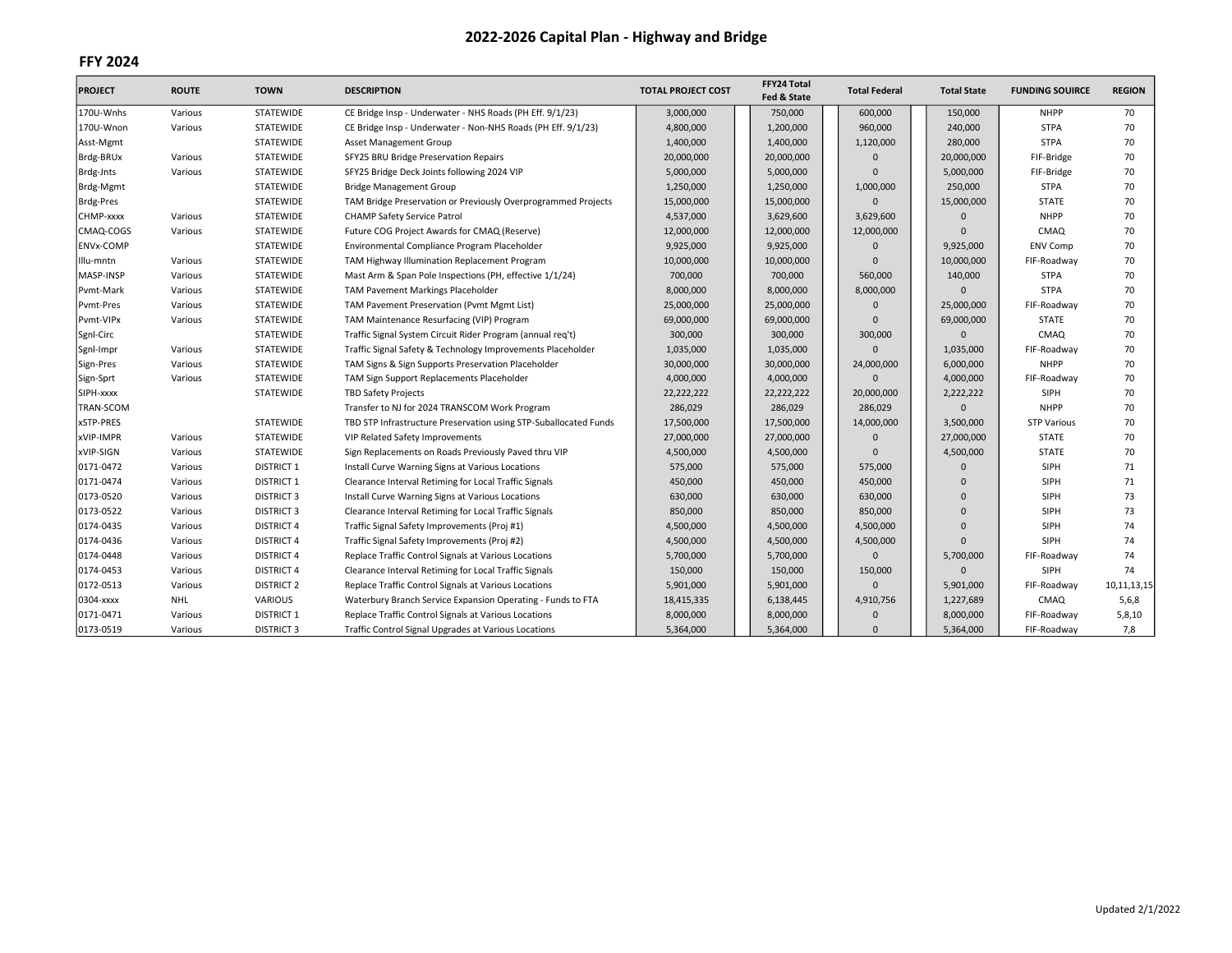| <b>PROJECT</b>   | <b>ROUTE</b> | <b>TOWN</b>       | <b>DESCRIPTION</b>                                               | <b>TOTAL PROJECT COST</b> | FFY24 Total<br>Fed & State | <b>Total Federal</b> | <b>Total State</b> | <b>FUNDING SOUIRCE</b> | <b>REGION</b> |
|------------------|--------------|-------------------|------------------------------------------------------------------|---------------------------|----------------------------|----------------------|--------------------|------------------------|---------------|
| 170U-Wnhs        | Various      | STATEWIDE         | CE Bridge Insp - Underwater - NHS Roads (PH Eff. 9/1/23)         | 3,000,000                 | 750,000                    | 600,000              | 150,000            | <b>NHPP</b>            | 70            |
| 170U-Wnon        | Various      | <b>STATEWIDE</b>  | CE Bridge Insp - Underwater - Non-NHS Roads (PH Eff. 9/1/23)     | 4,800,000                 | 1,200,000                  | 960,000              | 240,000            | <b>STPA</b>            | 70            |
| Asst-Mgmt        |              | <b>STATEWIDE</b>  | Asset Management Group                                           | 1,400,000                 | 1,400,000                  | 1,120,000            | 280,000            | <b>STPA</b>            | 70            |
| Brdg-BRUx        | Various      | STATEWIDE         | SFY25 BRU Bridge Preservation Repairs                            | 20,000,000                | 20,000,000                 | $\Omega$             | 20,000,000         | FIF-Bridge             | 70            |
| Brdg-Jnts        | Various      | STATEWIDE         | SFY25 Bridge Deck Joints following 2024 VIP                      | 5,000,000                 | 5,000,000                  | $\Omega$             | 5,000,000          | FIF-Bridge             | 70            |
| Brdg-Mgmt        |              | STATEWIDE         | <b>Bridge Management Group</b>                                   | 1,250,000                 | 1,250,000                  | 1,000,000            | 250,000            | <b>STPA</b>            | 70            |
| <b>Brdg-Pres</b> |              | <b>STATEWIDE</b>  | TAM Bridge Preservation or Previously Overprogrammed Projects    | 15,000,000                | 15,000,000                 | $\Omega$             | 15,000,000         | <b>STATE</b>           | 70            |
| CHMP-xxxx        | Various      | <b>STATEWIDE</b>  | <b>CHAMP Safety Service Patrol</b>                               | 4,537,000                 | 3,629,600                  | 3,629,600            |                    | <b>NHPP</b>            | 70            |
| CMAQ-COGS        | Various      | <b>STATEWIDE</b>  | Future COG Project Awards for CMAQ (Reserve)                     | 12,000,000                | 12,000,000                 | 12,000,000           | $\Omega$           | CMAQ                   | 70            |
| <b>ENVx-COMP</b> |              | <b>STATEWIDE</b>  | Environmental Compliance Program Placeholder                     | 9,925,000                 | 9,925,000                  | $\Omega$             | 9,925,000          | <b>ENV Comp</b>        | 70            |
| Illu-mntn        | Various      | STATEWIDE         | TAM Highway Illumination Replacement Program                     | 10,000,000                | 10,000,000                 | $\Omega$             | 10,000,000         | FIF-Roadway            | 70            |
| MASP-INSP        | Various      | STATEWIDE         | Mast Arm & Span Pole Inspections (PH, effective 1/1/24)          | 700,000                   | 700,000                    | 560,000              | 140,000            | <b>STPA</b>            | 70            |
| Pvmt-Mark        | Various      | STATEWIDE         | <b>TAM Pavement Markings Placeholder</b>                         | 8,000,000                 | 8,000,000                  | 8,000,000            |                    | <b>STPA</b>            | 70            |
| Pvmt-Pres        | Various      | STATEWIDE         | TAM Pavement Preservation (Pvmt Mgmt List)                       | 25,000,000                | 25,000,000                 | $\Omega$             | 25,000,000         | FIF-Roadway            | 70            |
| Pvmt-VIPx        | Various      | <b>STATEWIDE</b>  | TAM Maintenance Resurfacing (VIP) Program                        | 69,000,000                | 69,000,000                 | $\Omega$             | 69,000,000         | <b>STATE</b>           | 70            |
| Sgnl-Circ        |              | <b>STATEWIDE</b>  | Traffic Signal System Circuit Rider Program (annual req't)       | 300,000                   | 300,000                    | 300,000              |                    | CMAQ                   | 70            |
| Sgnl-Impr        | Various      | STATEWIDE         | Traffic Signal Safety & Technology Improvements Placeholder      | 1,035,000                 | 1,035,000                  | $\Omega$             | 1,035,000          | FIF-Roadway            | 70            |
| Sign-Pres        | Various      | STATEWIDE         | TAM Signs & Sign Supports Preservation Placeholder               | 30,000,000                | 30,000,000                 | 24,000,000           | 6,000,000          | <b>NHPP</b>            | 70            |
| Sign-Sprt        | Various      | STATEWIDE         | TAM Sign Support Replacements Placeholder                        | 4,000,000                 | 4,000,000                  | $\Omega$             | 4,000,000          | FIF-Roadway            | 70            |
| SIPH-xxxx        |              | STATEWIDE         | <b>TBD Safety Projects</b>                                       | 22,222,222                | 22,222,222                 | 20,000,000           | 2,222,222          | <b>SIPH</b>            | 70            |
| <b>TRAN-SCOM</b> |              |                   | Transfer to NJ for 2024 TRANSCOM Work Program                    | 286,029                   | 286,029                    | 286,029              | $\Omega$           | <b>NHPP</b>            | 70            |
| xSTP-PRES        |              | STATEWIDE         | TBD STP Infrastructure Preservation using STP-Suballocated Funds | 17,500,000                | 17,500,000                 | 14,000,000           | 3,500,000          | <b>STP Various</b>     | 70            |
| xVIP-IMPR        | Various      | STATEWIDE         | VIP Related Safety Improvements                                  | 27,000,000                | 27,000,000                 | $\mathbf{0}$         | 27,000,000         | <b>STATE</b>           | 70            |
| xVIP-SIGN        | Various      | STATEWIDE         | Sign Replacements on Roads Previously Paved thru VIP             | 4,500,000                 | 4,500,000                  | $\mathbf{0}$         | 4,500,000          | <b>STATE</b>           | 70            |
| 0171-0472        | Various      | <b>DISTRICT 1</b> | Install Curve Warning Signs at Various Locations                 | 575,000                   | 575,000                    | 575,000              | $\Omega$           | SIPH                   | 71            |
| 0171-0474        | Various      | <b>DISTRICT 1</b> | Clearance Interval Retiming for Local Traffic Signals            | 450,000                   | 450,000                    | 450,000              | $\Omega$           | SIPH                   | 71            |
| 0173-0520        | Various      | <b>DISTRICT 3</b> | Install Curve Warning Signs at Various Locations                 | 630,000                   | 630,000                    | 630,000              | $\Omega$           | SIPH                   | 73            |
| 0173-0522        | Various      | <b>DISTRICT 3</b> | Clearance Interval Retiming for Local Traffic Signals            | 850,000                   | 850,000                    | 850,000              | $\Omega$           | SIPH                   | 73            |
| 0174-0435        | Various      | <b>DISTRICT 4</b> | Traffic Signal Safety Improvements (Proj #1)                     | 4,500,000                 | 4,500,000                  | 4,500,000            | $\Omega$           | SIPH                   | 74            |
| 0174-0436        | Various      | <b>DISTRICT 4</b> | Traffic Signal Safety Improvements (Proj #2)                     | 4,500,000                 | 4,500,000                  | 4,500,000            | $\Omega$           | SIPH                   | 74            |
| 0174-0448        | Various      | <b>DISTRICT 4</b> | Replace Traffic Control Signals at Various Locations             | 5,700,000                 | 5,700,000                  | $\mathbf{0}$         | 5,700,000          | FIF-Roadway            | 74            |
| 0174-0453        | Various      | <b>DISTRICT 4</b> | Clearance Interval Retiming for Local Traffic Signals            | 150,000                   | 150,000                    | 150,000              | $\Omega$           | <b>SIPH</b>            | 74            |
| 0172-0513        | Various      | <b>DISTRICT 2</b> | Replace Traffic Control Signals at Various Locations             | 5,901,000                 | 5,901,000                  | $\Omega$             | 5,901,000          | FIF-Roadway            | 10,11,13,15   |
| 0304-xxxx        | <b>NHL</b>   | <b>VARIOUS</b>    | Waterbury Branch Service Expansion Operating - Funds to FTA      | 18,415,335                | 6,138,445                  | 4,910,756            | 1,227,689          | CMAQ                   | 5,6,8         |
| 0171-0471        | Various      | <b>DISTRICT 1</b> | Replace Traffic Control Signals at Various Locations             | 8,000,000                 | 8,000,000                  | $\Omega$             | 8,000,000          | FIF-Roadway            | 5,8,10        |
| 0173-0519        | Various      | <b>DISTRICT 3</b> | Traffic Control Signal Upgrades at Various Locations             | 5,364,000                 | 5,364,000                  | $\Omega$             | 5,364,000          | FIF-Roadway            | 7,8           |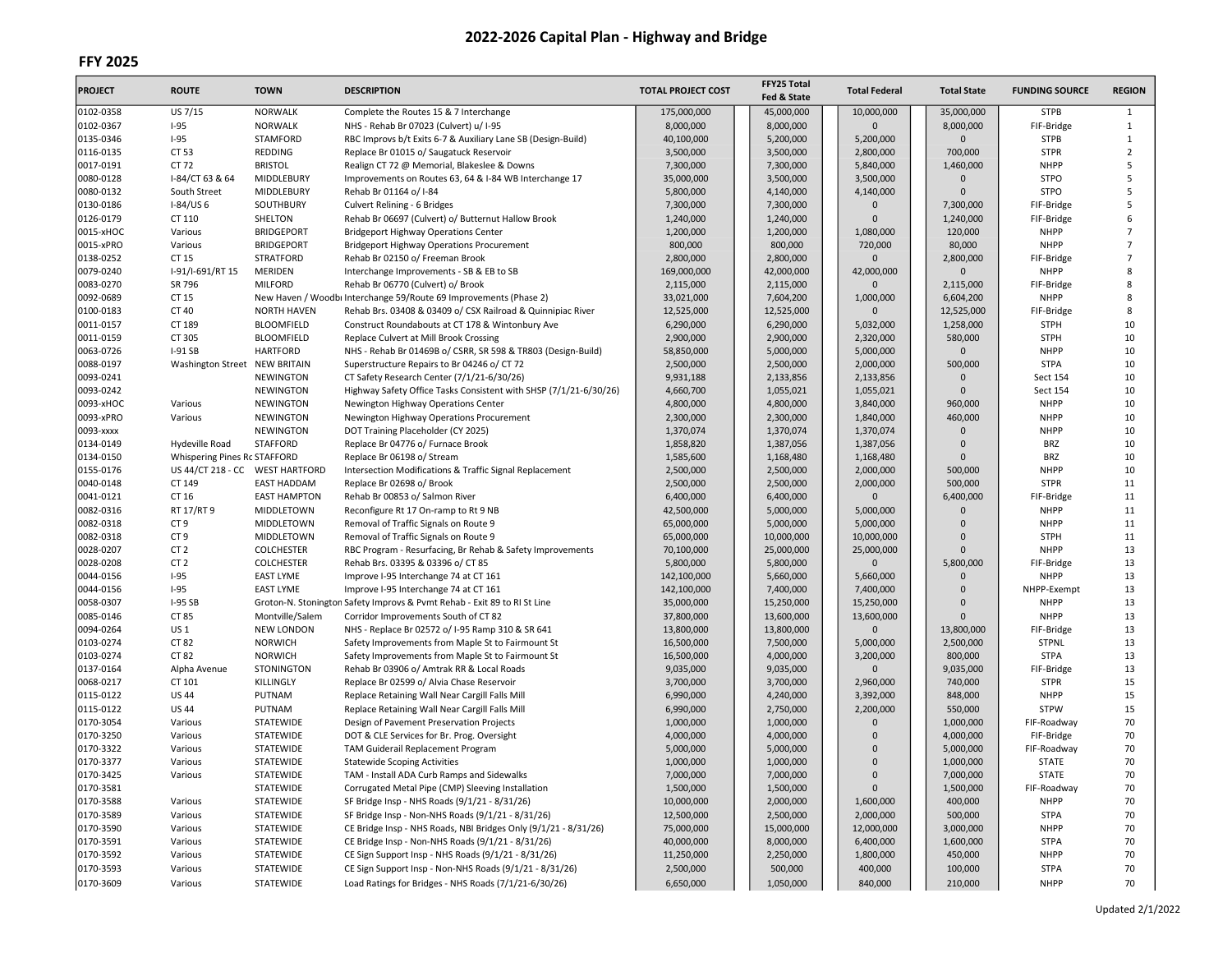| <b>PROJECT</b> | <b>ROUTE</b>                    | <b>TOWN</b>         | <b>DESCRIPTION</b>                                                       | <b>TOTAL PROJECT COST</b> | FFY25 Total<br>Fed & State | <b>Total Federal</b> | <b>Total State</b> | <b>FUNDING SOURCE</b> | <b>REGION</b>  |
|----------------|---------------------------------|---------------------|--------------------------------------------------------------------------|---------------------------|----------------------------|----------------------|--------------------|-----------------------|----------------|
| 0102-0358      | US 7/15                         | <b>NORWALK</b>      | Complete the Routes 15 & 7 Interchange                                   | 175,000,000               | 45,000,000                 | 10,000,000           | 35,000,000         | <b>STPB</b>           | 1              |
| 0102-0367      | $I-95$                          | <b>NORWALK</b>      | NHS - Rehab Br 07023 (Culvert) u/ I-95                                   | 8,000,000                 | 8,000,000                  | $\Omega$             | 8,000,000          | FIF-Bridge            | $\mathbf{1}$   |
| 0135-0346      | $I-95$                          | <b>STAMFORD</b>     | RBC Improvs b/t Exits 6-7 & Auxiliary Lane SB (Design-Build)             | 40,100,000                | 5,200,000                  | 5,200,000            | 0                  | <b>STPB</b>           | 1              |
| 0116-0135      | CT 53                           | REDDING             | Replace Br 01015 o/ Saugatuck Reservoir                                  | 3,500,000                 | 3,500,000                  | 2,800,000            | 700,000            | <b>STPR</b>           | $\overline{2}$ |
| 0017-0191      | CT 72                           | <b>BRISTOL</b>      | Realign CT 72 @ Memorial, Blakeslee & Downs                              | 7,300,000                 | 7,300,000                  | 5,840,000            | 1,460,000          | <b>NHPP</b>           | 5              |
| 0080-0128      | I-84/CT 63 & 64                 | MIDDLEBURY          | Improvements on Routes 63, 64 & I-84 WB Interchange 17                   | 35,000,000                | 3,500,000                  | 3,500,000            | 0                  | <b>STPO</b>           | 5              |
| 0080-0132      | South Street                    | MIDDLEBURY          | Rehab Br 01164 o/ I-84                                                   | 5,800,000                 | 4,140,000                  | 4,140,000            | $\Omega$           | <b>STPO</b>           | 5              |
| 0130-0186      | $I-84/US 6$                     | SOUTHBURY           | Culvert Relining - 6 Bridges                                             | 7,300,000                 | 7,300,000                  | $\Omega$             | 7,300,000          | FIF-Bridge            | 5              |
| 0126-0179      | CT 110                          | SHELTON             | Rehab Br 06697 (Culvert) o/ Butternut Hallow Brook                       | 1,240,000                 | 1,240,000                  | $\Omega$             | 1,240,000          | FIF-Bridge            | 6              |
| 0015-xHOC      | Various                         | <b>BRIDGEPORT</b>   | <b>Bridgeport Highway Operations Center</b>                              | 1,200,000                 | 1,200,000                  | 1,080,000            | 120,000            | <b>NHPP</b>           | $\overline{7}$ |
| 0015-xPRO      | Various                         | <b>BRIDGEPORT</b>   | <b>Bridgeport Highway Operations Procurement</b>                         | 800,000                   | 800,000                    | 720,000              | 80,000             | <b>NHPP</b>           | $\overline{7}$ |
| 0138-0252      | CT 15                           | <b>STRATFORD</b>    | Rehab Br 02150 o/ Freeman Brook                                          | 2,800,000                 | 2,800,000                  | $\mathbf{0}$         | 2,800,000          | FIF-Bridge            | $\overline{7}$ |
| 0079-0240      | I-91/I-691/RT 15                | MERIDEN             | Interchange Improvements - SB & EB to SB                                 | 169,000,000               | 42,000,000                 | 42,000,000           | $\Omega$           | <b>NHPP</b>           | 8              |
| 0083-0270      | SR 796                          | <b>MILFORD</b>      | Rehab Br 06770 (Culvert) o/ Brook                                        | 2,115,000                 | 2,115,000                  | $\mathbf{0}$         | 2,115,000          | FIF-Bridge            | 8              |
| 0092-0689      | CT 15                           |                     | New Haven / Woodbi Interchange 59/Route 69 Improvements (Phase 2)        | 33,021,000                | 7,604,200                  | 1,000,000            | 6,604,200          | <b>NHPP</b>           | 8              |
| 0100-0183      | CT 40                           | <b>NORTH HAVEN</b>  | Rehab Brs. 03408 & 03409 o/ CSX Railroad & Quinnipiac River              | 12,525,000                | 12,525,000                 | 0                    | 12,525,000         | FIF-Bridge            | 8              |
| 0011-0157      | CT 189                          | <b>BLOOMFIELD</b>   | Construct Roundabouts at CT 178 & Wintonbury Ave                         | 6,290,000                 | 6,290,000                  | 5,032,000            | 1,258,000          | <b>STPH</b>           | 10             |
| 0011-0159      | CT 305                          | <b>BLOOMFIELD</b>   | Replace Culvert at Mill Brook Crossing                                   | 2,900,000                 | 2,900,000                  | 2,320,000            | 580,000            | <b>STPH</b>           | 10             |
| 0063-0726      | $I-91$ SB                       | <b>HARTFORD</b>     | NHS - Rehab Br 01469B o/ CSRR, SR 598 & TR803 (Design-Build)             | 58,850,000                | 5,000,000                  | 5,000,000            | $\Omega$           | <b>NHPP</b>           | 10             |
| 0088-0197      | <b>Washington Street</b>        | <b>NEW BRITAIN</b>  | Superstructure Repairs to Br 04246 o/ CT 72                              | 2,500,000                 | 2,500,000                  | 2,000,000            | 500,000            | <b>STPA</b>           | 10             |
| 0093-0241      |                                 | <b>NEWINGTON</b>    | CT Safety Research Center (7/1/21-6/30/26)                               | 9,931,188                 | 2,133,856                  | 2,133,856            | $\mathbf{0}$       | Sect 154              | 10             |
| 0093-0242      |                                 | <b>NEWINGTON</b>    | Highway Safety Office Tasks Consistent with SHSP (7/1/21-6/30/26)        | 4,660,700                 | 1,055,021                  | 1,055,021            | $\mathbf{0}$       | Sect 154              | 10             |
| 0093-xHOC      | Various                         | <b>NEWINGTON</b>    | Newington Highway Operations Center                                      | 4,800,000                 | 4,800,000                  | 3,840,000            | 960,000            | <b>NHPP</b>           | 10             |
| 0093-xPRO      | Various                         | <b>NEWINGTON</b>    | Newington Highway Operations Procurement                                 | 2,300,000                 | 2,300,000                  | 1,840,000            | 460,000            | <b>NHPP</b>           | 10             |
| 0093-xxxx      |                                 | <b>NEWINGTON</b>    | DOT Training Placeholder (CY 2025)                                       | 1,370,074                 | 1,370,074                  | 1,370,074            | $\mathbf{0}$       | <b>NHPP</b>           | 10             |
| 0134-0149      | Hydeville Road                  | <b>STAFFORD</b>     | Replace Br 04776 o/ Furnace Brook                                        | 1,858,820                 | 1,387,056                  | 1,387,056            | $\Omega$           | <b>BRZ</b>            | 10             |
| 0134-0150      | Whispering Pines Rc STAFFORD    |                     | Replace Br 06198 o/ Stream                                               | 1,585,600                 | 1,168,480                  | 1,168,480            | $\mathbf{0}$       | <b>BRZ</b>            | 10             |
| 0155-0176      | US 44/CT 218 - CC WEST HARTFORD |                     | Intersection Modifications & Traffic Signal Replacement                  | 2,500,000                 | 2,500,000                  | 2,000,000            | 500,000            | <b>NHPP</b>           | 10             |
| 0040-0148      | CT 149                          | <b>EAST HADDAM</b>  | Replace Br 02698 o/ Brook                                                | 2,500,000                 | 2,500,000                  | 2,000,000            | 500,000            | <b>STPR</b>           | 11             |
| 0041-0121      | CT 16                           | <b>EAST HAMPTON</b> | Rehab Br 00853 o/ Salmon River                                           | 6,400,000                 | 6,400,000                  | $\mathbf{0}$         | 6,400,000          | FIF-Bridge            | 11             |
| 0082-0316      | RT 17/RT 9                      | MIDDLETOWN          | Reconfigure Rt 17 On-ramp to Rt 9 NB                                     | 42,500,000                | 5,000,000                  | 5,000,000            | $\mathbf 0$        | <b>NHPP</b>           | 11             |
| 0082-0318      | CT <sub>9</sub>                 | MIDDLETOWN          | Removal of Traffic Signals on Route 9                                    | 65,000,000                | 5,000,000                  | 5,000,000            | $\Omega$           | <b>NHPP</b>           | 11             |
| 0082-0318      | CT <sub>9</sub>                 | MIDDLETOWN          | Removal of Traffic Signals on Route 9                                    | 65,000,000                | 10,000,000                 | 10,000,000           | $\Omega$           | <b>STPH</b>           | 11             |
| 0028-0207      | CT <sub>2</sub>                 | COLCHESTER          | RBC Program - Resurfacing, Br Rehab & Safety Improvements                | 70,100,000                | 25,000,000                 | 25,000,000           | $\Omega$           | <b>NHPP</b>           | 13             |
| 0028-0208      | CT <sub>2</sub>                 | <b>COLCHESTER</b>   | Rehab Brs. 03395 & 03396 o/ CT 85                                        | 5,800,000                 | 5,800,000                  | $\Omega$             | 5,800,000          | FIF-Bridge            | 13             |
| 0044-0156      | $I-95$                          | <b>EAST LYME</b>    | Improve I-95 Interchange 74 at CT 161                                    | 142,100,000               | 5,660,000                  | 5,660,000            | $\mathbf{0}$       | <b>NHPP</b>           | 13             |
| 0044-0156      | $I-95$                          | <b>EAST LYME</b>    | Improve I-95 Interchange 74 at CT 161                                    | 142,100,000               | 7,400,000                  | 7,400,000            | $\mathbf 0$        | NHPP-Exempt           | 13             |
| 0058-0307      | <b>I-95 SB</b>                  |                     | Groton-N. Stonington Safety Improvs & Pvmt Rehab - Exit 89 to RI St Line | 35,000,000                | 15,250,000                 | 15,250,000           | $\Omega$           | <b>NHPP</b>           | 13             |
| 0085-0146      | CT 85                           | Montville/Salem     | Corridor Improvements South of CT 82                                     | 37,800,000                | 13,600,000                 | 13,600,000           | $\Omega$           | <b>NHPP</b>           | 13             |
| 0094-0264      | US 1                            | <b>NEW LONDON</b>   | NHS - Replace Br 02572 o/ I-95 Ramp 310 & SR 641                         | 13,800,000                | 13,800,000                 | $\Omega$             | 13,800,000         | FIF-Bridge            | 13             |
| 0103-0274      | CT 82                           | <b>NORWICH</b>      | Safety Improvements from Maple St to Fairmount St                        | 16,500,000                | 7,500,000                  | 5,000,000            | 2,500,000          | <b>STPNL</b>          | 13             |
| 0103-0274      | CT 82                           | <b>NORWICH</b>      | Safety Improvements from Maple St to Fairmount St                        | 16,500,000                | 4,000,000                  | 3,200,000            | 800,000            | <b>STPA</b>           | 13             |
| 0137-0164      | Alpha Avenue                    | <b>STONINGTON</b>   | Rehab Br 03906 o/ Amtrak RR & Local Roads                                | 9,035,000                 | 9,035,000                  | $\mathbf{0}$         | 9,035,000          | FIF-Bridge            | 13             |
| 0068-0217      | CT 101                          | KILLINGLY           | Replace Br 02599 o/ Alvia Chase Reservoir                                | 3,700,000                 | 3,700,000                  | 2,960,000            | 740,000            | <b>STPR</b>           | 15             |
| 0115-0122      | <b>US44</b>                     | PUTNAM              | Replace Retaining Wall Near Cargill Falls Mill                           | 6,990,000                 | 4,240,000                  | 3,392,000            | 848,000            | <b>NHPP</b>           | 15             |
| 0115-0122      | <b>US44</b>                     | PUTNAM              | Replace Retaining Wall Near Cargill Falls Mill                           | 6,990,000                 | 2,750,000                  | 2,200,000            | 550,000            | <b>STPW</b>           | 15             |
| 0170-3054      | Various                         | STATEWIDE           | Design of Pavement Preservation Projects                                 | 1,000,000                 | 1,000,000                  | 0                    | 1,000,000          | FIF-Roadway           | 70             |
| 0170-3250      | Various                         | STATEWIDE           | DOT & CLE Services for Br. Prog. Oversight                               | 4,000,000                 | 4,000,000                  | 0                    | 4,000,000          | FIF-Bridge            | 70             |
| 0170-3322      | Various                         | STATEWIDE           | TAM Guiderail Replacement Program                                        | 5,000,000                 | 5,000,000                  | 0                    | 5,000,000          | FIF-Roadway           | 70             |
| 0170-3377      | Various                         | STATEWIDE           | <b>Statewide Scoping Activities</b>                                      | 1,000,000                 | 1,000,000                  | $\Omega$             | 1,000,000          | <b>STATE</b>          | 70             |
| 0170-3425      | Various                         | STATEWIDE           | TAM - Install ADA Curb Ramps and Sidewalks                               | 7,000,000                 | 7,000,000                  | $\mathbf{0}$         | 7,000,000          | STATE                 | 70             |
| 0170-3581      |                                 | STATEWIDE           | Corrugated Metal Pipe (CMP) Sleeving Installation                        | 1,500,000                 | 1,500,000                  | $\mathbf 0$          | 1,500,000          | FIF-Roadway           | 70             |
| 0170-3588      | Various                         | STATEWIDE           | SF Bridge Insp - NHS Roads (9/1/21 - 8/31/26)                            | 10,000,000                | 2,000,000                  | 1,600,000            | 400,000            | <b>NHPP</b>           | 70             |
| 0170-3589      | Various                         | STATEWIDE           | SF Bridge Insp - Non-NHS Roads (9/1/21 - 8/31/26)                        | 12,500,000                | 2,500,000                  | 2,000,000            | 500,000            | <b>STPA</b>           | 70             |
| 0170-3590      | Various                         | STATEWIDE           | CE Bridge Insp - NHS Roads, NBI Bridges Only (9/1/21 - 8/31/26)          | 75,000,000                | 15,000,000                 | 12,000,000           | 3,000,000          | <b>NHPP</b>           | 70             |
| 0170-3591      | Various                         | STATEWIDE           | CE Bridge Insp - Non-NHS Roads (9/1/21 - 8/31/26)                        | 40,000,000                | 8,000,000                  | 6,400,000            | 1,600,000          | <b>STPA</b>           | 70             |
| 0170-3592      | Various                         | STATEWIDE           | CE Sign Support Insp - NHS Roads (9/1/21 - 8/31/26)                      | 11,250,000                | 2,250,000                  | 1,800,000            | 450,000            | <b>NHPP</b>           | 70             |
| 0170-3593      | Various                         | STATEWIDE           | CE Sign Support Insp - Non-NHS Roads (9/1/21 - 8/31/26)                  | 2,500,000                 | 500,000                    | 400,000              | 100,000            | <b>STPA</b>           | 70             |
| 0170-3609      | Various                         | STATEWIDE           | Load Ratings for Bridges - NHS Roads (7/1/21-6/30/26)                    | 6,650,000                 | 1,050,000                  | 840,000              | 210,000            | <b>NHPP</b>           | 70             |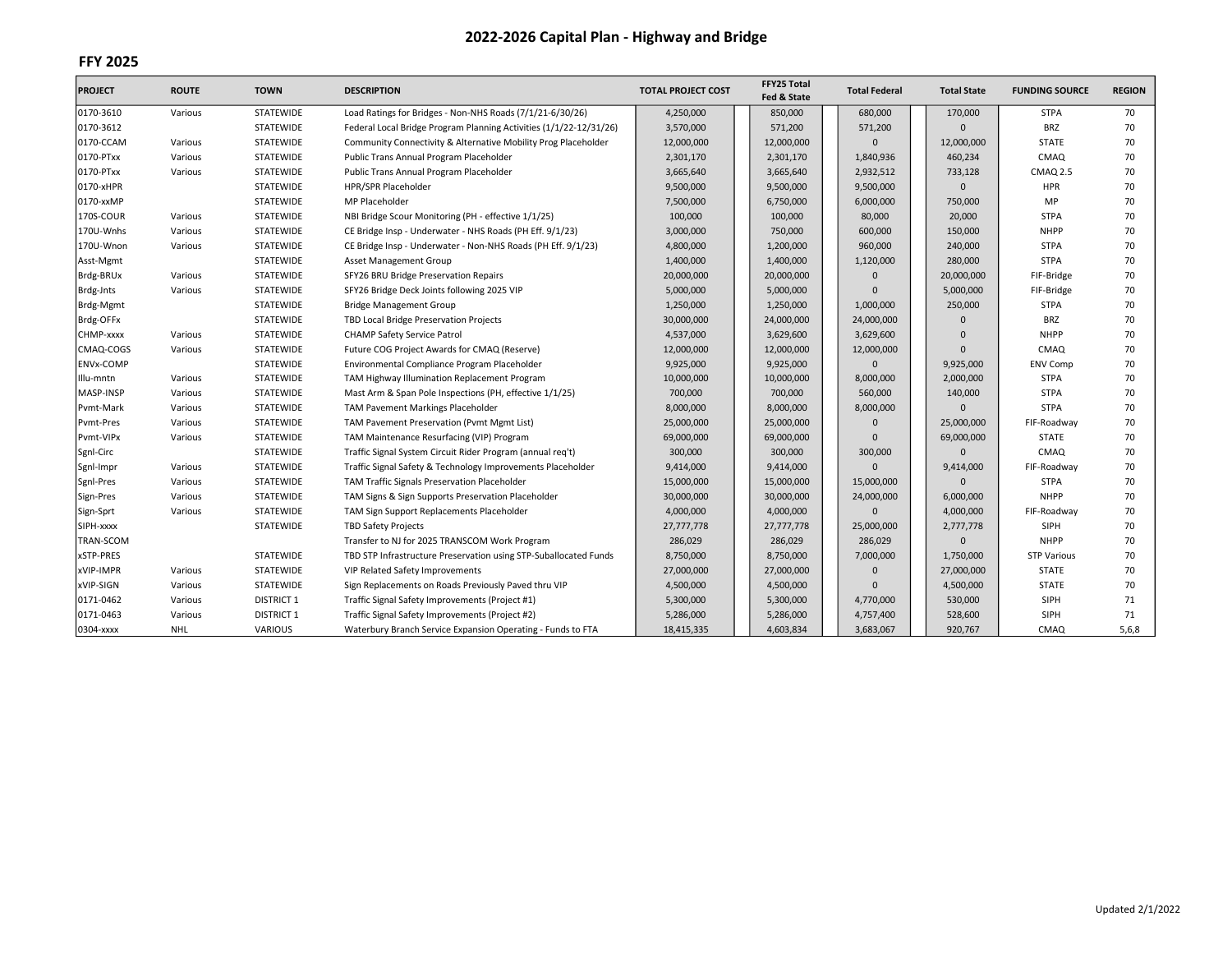| <b>PROJECT</b>   | <b>ROUTE</b> | <b>TOWN</b>       | <b>DESCRIPTION</b>                                                 | <b>TOTAL PROJECT COST</b> | FFY25 Total<br>Fed & State | <b>Total Federal</b> | <b>Total State</b> | <b>FUNDING SOURCE</b> | <b>REGION</b> |
|------------------|--------------|-------------------|--------------------------------------------------------------------|---------------------------|----------------------------|----------------------|--------------------|-----------------------|---------------|
| 0170-3610        | Various      | STATEWIDE         | Load Ratings for Bridges - Non-NHS Roads (7/1/21-6/30/26)          | 4,250,000                 | 850,000                    | 680,000              | 170,000            | <b>STPA</b>           | 70            |
| 0170-3612        |              | STATEWIDE         | Federal Local Bridge Program Planning Activities (1/1/22-12/31/26) | 3,570,000                 | 571,200                    | 571,200              | $\Omega$           | <b>BRZ</b>            | 70            |
| 0170-CCAM        | Various      | <b>STATEWIDE</b>  | Community Connectivity & Alternative Mobility Prog Placeholder     | 12,000,000                | 12,000,000                 | $\Omega$             | 12,000,000         | <b>STATE</b>          | 70            |
| 0170-PTxx        | Various      | <b>STATEWIDE</b>  | Public Trans Annual Program Placeholder                            | 2,301,170                 | 2,301,170                  | 1,840,936            | 460,234            | CMAQ                  | 70            |
| 0170-PTxx        | Various      | <b>STATEWIDE</b>  | Public Trans Annual Program Placeholder                            | 3,665,640                 | 3,665,640                  | 2,932,512            | 733,128            | <b>CMAQ 2.5</b>       | 70            |
| 0170-xHPR        |              | <b>STATEWIDE</b>  | HPR/SPR Placeholder                                                | 9,500,000                 | 9,500,000                  | 9,500,000            | $\mathbf{0}$       | <b>HPR</b>            | 70            |
| 0170-xxMP        |              | STATEWIDE         | MP Placeholder                                                     | 7,500,000                 | 6,750,000                  | 6,000,000            | 750,000            | MP                    | 70            |
| 170S-COUR        | Various      | STATEWIDE         | NBI Bridge Scour Monitoring (PH - effective 1/1/25)                | 100,000                   | 100,000                    | 80,000               | 20,000             | <b>STPA</b>           | 70            |
| 170U-Wnhs        | Various      | <b>STATEWIDE</b>  | CE Bridge Insp - Underwater - NHS Roads (PH Eff. 9/1/23)           | 3,000,000                 | 750,000                    | 600,000              | 150,000            | <b>NHPP</b>           | 70            |
| 170U-Wnon        | Various      | <b>STATEWIDE</b>  | CE Bridge Insp - Underwater - Non-NHS Roads (PH Eff. 9/1/23)       | 4,800,000                 | 1,200,000                  | 960,000              | 240,000            | <b>STPA</b>           | 70            |
| Asst-Mgmt        |              | <b>STATEWIDE</b>  | Asset Management Group                                             | 1,400,000                 | 1,400,000                  | 1,120,000            | 280,000            | <b>STPA</b>           | 70            |
| Brdg-BRUx        | Various      | <b>STATEWIDE</b>  | SFY26 BRU Bridge Preservation Repairs                              | 20,000,000                | 20,000,000                 | $\Omega$             | 20,000,000         | FIF-Bridge            | 70            |
| Brdg-Jnts        | Various      | STATEWIDE         | SFY26 Bridge Deck Joints following 2025 VIP                        | 5,000,000                 | 5,000,000                  | n                    | 5,000,000          | FIF-Bridge            | 70            |
| Brdg-Mgmt        |              | STATEWIDE         | <b>Bridge Management Group</b>                                     | 1,250,000                 | 1,250,000                  | 1,000,000            | 250,000            | <b>STPA</b>           | 70            |
| Brdg-OFFx        |              | <b>STATEWIDE</b>  | TBD Local Bridge Preservation Projects                             | 30,000,000                | 24,000,000                 | 24,000,000           | $\Omega$           | <b>BRZ</b>            | 70            |
| CHMP-xxxx        | Various      | STATEWIDE         | <b>CHAMP Safety Service Patrol</b>                                 | 4,537,000                 | 3,629,600                  | 3,629,600            | $\Omega$           | <b>NHPP</b>           | 70            |
| CMAQ-COGS        | Various      | STATEWIDE         | Future COG Project Awards for CMAQ (Reserve)                       | 12,000,000                | 12,000,000                 | 12,000,000           | $\Omega$           | <b>CMAQ</b>           | 70            |
| <b>ENVx-COMP</b> |              | STATEWIDE         | Environmental Compliance Program Placeholder                       | 9,925,000                 | 9,925,000                  | O                    | 9,925,000          | <b>ENV Comp</b>       | 70            |
| Illu-mntn        | Various      | <b>STATEWIDE</b>  | TAM Highway Illumination Replacement Program                       | 10,000,000                | 10,000,000                 | 8,000,000            | 2,000,000          | <b>STPA</b>           | 70            |
| MASP-INSP        | Various      | <b>STATEWIDE</b>  | Mast Arm & Span Pole Inspections (PH, effective 1/1/25)            | 700,000                   | 700,000                    | 560,000              | 140,000            | <b>STPA</b>           | 70            |
| Pvmt-Mark        | Various      | STATEWIDE         | <b>TAM Pavement Markings Placeholder</b>                           | 8,000,000                 | 8,000,000                  | 8,000,000            | $\Omega$           | <b>STPA</b>           | 70            |
| Pvmt-Pres        | Various      | STATEWIDE         | TAM Pavement Preservation (Pvmt Mgmt List)                         | 25,000,000                | 25,000,000                 | $\Omega$             | 25,000,000         | FIF-Roadway           | 70            |
| Pvmt-VIPx        | Various      | STATEWIDE         | TAM Maintenance Resurfacing (VIP) Program                          | 69,000,000                | 69,000,000                 | $\Omega$             | 69,000,000         | <b>STATE</b>          | 70            |
| Sgnl-Circ        |              | STATEWIDE         | Traffic Signal System Circuit Rider Program (annual reg't)         | 300,000                   | 300,000                    | 300,000              | $\Omega$           | <b>CMAQ</b>           | 70            |
| Sgnl-Impr        | Various      | STATEWIDE         | Traffic Signal Safety & Technology Improvements Placeholder        | 9,414,000                 | 9,414,000                  | $\Omega$             | 9,414,000          | FIF-Roadway           | 70            |
| Sgnl-Pres        | Various      | STATEWIDE         | TAM Traffic Signals Preservation Placeholder                       | 15,000,000                | 15,000,000                 | 15,000,000           | $\Omega$           | <b>STPA</b>           | 70            |
| Sign-Pres        | Various      | <b>STATEWIDE</b>  | TAM Signs & Sign Supports Preservation Placeholder                 | 30,000,000                | 30,000,000                 | 24,000,000           | 6,000,000          | <b>NHPP</b>           | 70            |
| Sign-Sprt        | Various      | STATEWIDE         | TAM Sign Support Replacements Placeholder                          | 4,000,000                 | 4,000,000                  | $\Omega$             | 4,000,000          | FIF-Roadway           | 70            |
| SIPH-xxxx        |              | STATEWIDE         | <b>TBD Safety Projects</b>                                         | 27,777,778                | 27,777,778                 | 25,000,000           | 2,777,778          | SIPH                  | 70            |
| TRAN-SCOM        |              |                   | Transfer to NJ for 2025 TRANSCOM Work Program                      | 286,029                   | 286,029                    | 286,029              | $\mathbf{0}$       | <b>NHPP</b>           | 70            |
| xSTP-PRES        |              | <b>STATEWIDE</b>  | TBD STP Infrastructure Preservation using STP-Suballocated Funds   | 8,750,000                 | 8,750,000                  | 7,000,000            | 1,750,000          | <b>STP Various</b>    | 70            |
| xVIP-IMPR        | Various      | STATEWIDE         | VIP Related Safety Improvements                                    | 27,000,000                | 27,000,000                 | $\Omega$             | 27,000,000         | <b>STATE</b>          | 70            |
| xVIP-SIGN        | Various      | STATEWIDE         | Sign Replacements on Roads Previously Paved thru VIP               | 4,500,000                 | 4,500,000                  | O                    | 4,500,000          | <b>STATE</b>          | 70            |
| 0171-0462        | Various      | <b>DISTRICT 1</b> | Traffic Signal Safety Improvements (Project #1)                    | 5,300,000                 | 5,300,000                  | 4,770,000            | 530,000            | SIPH                  | 71            |
| 0171-0463        | Various      | <b>DISTRICT 1</b> | Traffic Signal Safety Improvements (Project #2)                    | 5,286,000                 | 5,286,000                  | 4,757,400            | 528,600            | SIPH                  | 71            |
| 0304-xxxx        | <b>NHL</b>   | <b>VARIOUS</b>    | Waterbury Branch Service Expansion Operating - Funds to FTA        | 18,415,335                | 4,603,834                  | 3,683,067            | 920,767            | CMAQ                  | 5,6,8         |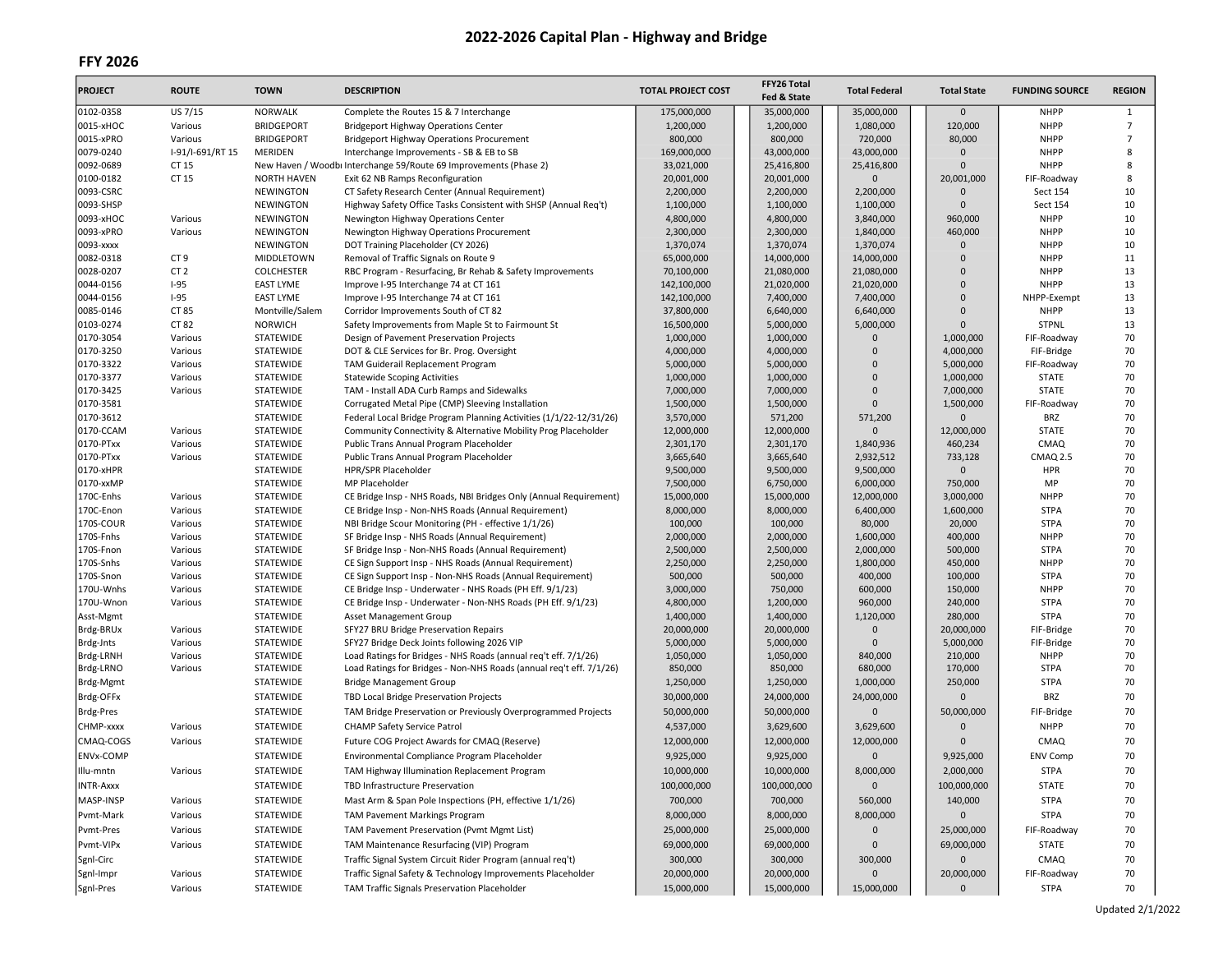| <b>PROJECT</b>   | <b>ROUTE</b>     | <b>TOWN</b>                   | <b>DESCRIPTION</b>                                                  | <b>TOTAL PROJECT COST</b> | FFY26 Total<br>Fed & State | <b>Total Federal</b> | <b>Total State</b> | <b>FUNDING SOURCE</b>      | <b>REGION</b>  |
|------------------|------------------|-------------------------------|---------------------------------------------------------------------|---------------------------|----------------------------|----------------------|--------------------|----------------------------|----------------|
| 0102-0358        | US 7/15          | <b>NORWALK</b>                | Complete the Routes 15 & 7 Interchange                              | 175,000,000               | 35,000,000                 | 35,000,000           | $\mathbf{0}$       | <b>NHPP</b>                | 1              |
| 0015-xHOC        | Various          | <b>BRIDGEPORT</b>             | <b>Bridgeport Highway Operations Center</b>                         | 1,200,000                 | 1,200,000                  | 1,080,000            | 120,000            | <b>NHPP</b>                | 7              |
| 0015-xPRO        | Various          | <b>BRIDGEPORT</b>             | <b>Bridgeport Highway Operations Procurement</b>                    | 800,000                   | 800,000                    | 720,000              | 80,000             | <b>NHPP</b>                | $\overline{7}$ |
| 0079-0240        | I-91/I-691/RT 15 | <b>MERIDEN</b>                | Interchange Improvements - SB & EB to SB                            | 169,000,000               | 43,000,000                 | 43,000,000           | $\Omega$           | <b>NHPP</b>                | 8              |
| 0092-0689        | CT 15            |                               | New Haven / Woodbi Interchange 59/Route 69 Improvements (Phase 2)   | 33,021,000                | 25,416,800                 | 25,416,800           | $\Omega$           | <b>NHPP</b>                | 8              |
| 0100-0182        | CT 15            | <b>NORTH HAVEN</b>            | Exit 62 NB Ramps Reconfiguration                                    | 20,001,000                | 20,001,000                 | $\Omega$             | 20,001,000         | FIF-Roadway                | 8              |
| 0093-CSRC        |                  | NEWINGTON                     | CT Safety Research Center (Annual Requirement)                      | 2,200,000                 | 2,200,000                  | 2,200,000            | 0                  | Sect 154                   | 10             |
| 0093-SHSP        |                  | NEWINGTON                     | Highway Safety Office Tasks Consistent with SHSP (Annual Req't)     | 1,100,000                 | 1,100,000                  | 1,100,000            | $\Omega$           | Sect 154                   | 10             |
| 0093-xHOC        | Various          | NEWINGTON                     | Newington Highway Operations Center                                 | 4,800,000                 | 4,800,000                  | 3,840,000            | 960,000            | <b>NHPP</b>                | 10             |
| 0093-xPRO        | Various          | <b>NEWINGTON</b>              | Newington Highway Operations Procurement                            | 2,300,000                 | 2,300,000                  | 1,840,000            | 460,000            | <b>NHPP</b>                | 10             |
| 0093-xxxx        |                  | <b>NEWINGTON</b>              | DOT Training Placeholder (CY 2026)                                  | 1,370,074                 | 1,370,074                  | 1,370,074            | $\overline{0}$     | <b>NHPP</b>                | 10             |
| 0082-0318        | CT <sub>9</sub>  | MIDDLETOWN                    | Removal of Traffic Signals on Route 9                               | 65,000,000                | 14,000,000                 | 14,000,000           | $\Omega$           | <b>NHPP</b>                | 11             |
| 0028-0207        | CT <sub>2</sub>  | <b>COLCHESTER</b>             | RBC Program - Resurfacing, Br Rehab & Safety Improvements           | 70,100,000                | 21,080,000                 | 21,080,000           | 0                  | <b>NHPP</b>                | 13             |
| 0044-0156        | $I-95$           | <b>EAST LYME</b>              | Improve I-95 Interchange 74 at CT 161                               | 142,100,000               | 21,020,000                 | 21,020,000           | $\overline{0}$     | <b>NHPP</b>                | 13             |
| 0044-0156        | $I-95$           | <b>EAST LYME</b>              | Improve I-95 Interchange 74 at CT 161                               | 142,100,000               | 7,400,000                  | 7,400,000            | $\Omega$           | NHPP-Exempt                | 13             |
| 0085-0146        | CT 85            | Montville/Salem               | Corridor Improvements South of CT 82                                | 37,800,000                | 6,640,000                  | 6,640,000            | $\Omega$           | <b>NHPP</b>                | 13             |
| 0103-0274        | CT 82            | <b>NORWICH</b>                | Safety Improvements from Maple St to Fairmount St                   | 16,500,000                | 5,000,000                  | 5,000,000            | $\Omega$           | <b>STPNL</b>               | 13             |
| 0170-3054        | Various          | STATEWIDE                     | Design of Pavement Preservation Projects                            | 1,000,000                 | 1,000,000                  | n                    | 1,000,000          | FIF-Roadway                | 70             |
| 0170-3250        | Various          | STATEWIDE                     | DOT & CLE Services for Br. Prog. Oversight                          | 4,000,000                 | 4,000,000                  | $\Omega$             | 4,000,000          | FIF-Bridge                 | 70             |
| 0170-3322        | Various          | STATEWIDE                     | TAM Guiderail Replacement Program                                   | 5,000,000                 | 5,000,000                  | $\Omega$             | 5,000,000          | FIF-Roadway                | 70             |
| 0170-3377        | Various          | <b>STATEWIDE</b>              | <b>Statewide Scoping Activities</b>                                 | 1,000,000                 | 1,000,000                  | $\Omega$             | 1,000,000          | <b>STATE</b>               | 70             |
| 0170-3425        | Various          | STATEWIDE                     | TAM - Install ADA Curb Ramps and Sidewalks                          | 7,000,000                 | 7,000,000                  | $\Omega$             | 7,000,000          | <b>STATE</b>               | 70             |
| 0170-3581        |                  | STATEWIDE                     | Corrugated Metal Pipe (CMP) Sleeving Installation                   | 1,500,000                 | 1,500,000                  | 0                    | 1,500,000          | FIF-Roadway                | 70             |
| 0170-3612        |                  | STATEWIDE                     | Federal Local Bridge Program Planning Activities (1/1/22-12/31/26)  | 3,570,000                 | 571,200                    | 571,200              | $\Omega$           | <b>BRZ</b>                 | 70             |
| 0170-CCAM        | Various          | STATEWIDE                     | Community Connectivity & Alternative Mobility Prog Placeholder      | 12,000,000                | 12,000,000                 | $\mathbf{0}$         | 12,000,000         | <b>STATE</b>               | 70             |
| 0170-PTxx        | Various          | STATEWIDE                     | Public Trans Annual Program Placeholder                             | 2,301,170                 | 2,301,170                  | 1,840,936            | 460,234            | <b>CMAQ</b>                | 70             |
| 0170-PTxx        | Various          | STATEWIDE                     | Public Trans Annual Program Placeholder                             | 3,665,640                 | 3,665,640                  | 2,932,512            | 733,128            | CMAQ 2.5                   | 70             |
| 0170-xHPR        |                  | STATEWIDE                     | HPR/SPR Placeholder                                                 | 9,500,000                 | 9,500,000                  | 9,500,000            | $\Omega$           | <b>HPR</b>                 | 70             |
| 0170-xxMP        |                  | <b>STATEWIDE</b>              | MP Placeholder                                                      | 7,500,000                 | 6,750,000                  | 6,000,000            | 750,000            | MP                         | 70             |
| 170C-Enhs        | Various          | STATEWIDE                     | CE Bridge Insp - NHS Roads, NBI Bridges Only (Annual Requirement)   | 15,000,000                | 15,000,000                 | 12,000,000           | 3,000,000          | <b>NHPP</b>                | 70             |
| 170C-Enon        | Various          | STATEWIDE                     | CE Bridge Insp - Non-NHS Roads (Annual Requirement)                 | 8,000,000                 | 8,000,000                  | 6,400,000            | 1,600,000          | <b>STPA</b>                | 70             |
| 170S-COUR        | Various          | STATEWIDE                     | NBI Bridge Scour Monitoring (PH - effective 1/1/26)                 | 100,000                   | 100,000                    | 80,000               | 20,000             | <b>STPA</b>                | 70             |
| 170S-Fnhs        | Various          | STATEWIDE                     | SF Bridge Insp - NHS Roads (Annual Requirement)                     | 2,000,000                 | 2,000,000                  | 1,600,000            | 400,000            | <b>NHPP</b>                | 70             |
| 170S-Fnon        | Various          | STATEWIDE                     | SF Bridge Insp - Non-NHS Roads (Annual Requirement)                 | 2,500,000                 | 2,500,000                  | 2,000,000            | 500,000            | <b>STPA</b>                | 70             |
| 170S-Snhs        | Various          | STATEWIDE                     | CE Sign Support Insp - NHS Roads (Annual Requirement)               | 2,250,000                 | 2,250,000                  | 1,800,000            | 450,000            | <b>NHPP</b>                | 70             |
| 170S-Snon        | Various          | STATEWIDE                     | CE Sign Support Insp - Non-NHS Roads (Annual Requirement)           | 500,000                   | 500,000                    | 400,000              | 100,000            | <b>STPA</b>                | 70             |
| 170U-Wnhs        | Various          | STATEWIDE                     | CE Bridge Insp - Underwater - NHS Roads (PH Eff. 9/1/23)            | 3,000,000                 | 750,000                    | 600,000              | 150,000            | <b>NHPP</b>                | 70             |
| 170U-Wnon        | Various          | STATEWIDE                     | CE Bridge Insp - Underwater - Non-NHS Roads (PH Eff. 9/1/23)        | 4,800,000                 | 1,200,000                  | 960,000              | 240,000            | <b>STPA</b>                | 70             |
| Asst-Mgmt        |                  | STATEWIDE                     | Asset Management Group                                              | 1,400,000                 | 1,400,000                  | 1,120,000            | 280,000            | <b>STPA</b>                | 70             |
| Brdg-BRUx        | Various          | STATEWIDE                     | SFY27 BRU Bridge Preservation Repairs                               | 20,000,000                | 20,000,000                 | 0                    | 20,000,000         | FIF-Bridge                 | 70             |
| Brdg-Jnts        | Various          | STATEWIDE                     | SFY27 Bridge Deck Joints following 2026 VIP                         | 5,000,000                 | 5,000,000                  | $\Omega$             | 5,000,000          | FIF-Bridge                 | 70             |
| Brdg-LRNH        | Various          | STATEWIDE                     | Load Ratings for Bridges - NHS Roads (annual req't eff. 7/1/26)     | 1,050,000                 | 1,050,000                  | 840,000              | 210,000            | <b>NHPP</b><br><b>STPA</b> | 70<br>70       |
| Brdg-LRNO        | Various          | STATEWIDE<br><b>STATEWIDE</b> | Load Ratings for Bridges - Non-NHS Roads (annual req't eff. 7/1/26) | 850,000                   | 850,000                    | 680,000              | 170,000            |                            |                |
| Brdg-Mgmt        |                  |                               | <b>Bridge Management Group</b>                                      | 1,250,000                 | 1,250,000                  | 1,000,000            | 250,000            | <b>STPA</b>                | 70             |
| Brdg-OFFx        |                  | STATEWIDE                     | TBD Local Bridge Preservation Projects                              | 30,000,000                | 24,000,000                 | 24,000,000           | $\mathbf{0}$       | <b>BRZ</b>                 | 70             |
| Brdg-Pres        |                  | STATEWIDE                     | TAM Bridge Preservation or Previously Overprogrammed Projects       | 50,000,000                | 50,000,000                 | $\Omega$             | 50,000,000         | FIF-Bridge                 | 70             |
| CHMP-xxxx        | Various          | STATEWIDE                     | <b>CHAMP Safety Service Patrol</b>                                  | 4,537,000                 | 3,629,600                  | 3,629,600            | 0                  | <b>NHPP</b>                | 70             |
| CMAQ-COGS        | Various          | <b>STATEWIDE</b>              | Future COG Project Awards for CMAQ (Reserve)                        | 12,000,000                | 12,000,000                 | 12,000,000           | $\Omega$           | CMAQ                       | 70             |
| <b>ENVx-COMP</b> |                  | STATEWIDE                     | Environmental Compliance Program Placeholder                        | 9,925,000                 | 9,925,000                  | $\mathbf{0}$         | 9,925,000          | <b>ENV Comp</b>            | 70             |
| Illu-mntn        | Various          | STATEWIDE                     | TAM Highway Illumination Replacement Program                        | 10,000,000                | 10,000,000                 | 8,000,000            | 2,000,000          | STPA                       | 70             |
| INTR-Axxx        |                  | STATEWIDE                     | TBD Infrastructure Preservation                                     | 100,000,000               | 100,000,000                | $\mathbf 0$          | 100,000,000        | STATE                      | 70             |
| MASP-INSP        | Various          | STATEWIDE                     | Mast Arm & Span Pole Inspections (PH, effective 1/1/26)             | 700,000                   | 700,000                    | 560,000              | 140,000            | <b>STPA</b>                | 70             |
|                  |                  |                               |                                                                     |                           |                            |                      | $\mathbf{0}$       |                            |                |
| Pvmt-Mark        | Various          | STATEWIDE                     | TAM Pavement Markings Program                                       | 8,000,000                 | 8,000,000                  | 8,000,000            |                    | <b>STPA</b>                | 70             |
| Pvmt-Pres        | Various          | STATEWIDE                     | TAM Pavement Preservation (Pvmt Mgmt List)                          | 25,000,000                | 25,000,000                 | $\mathsf{O}\xspace$  | 25,000,000         | FIF-Roadway                | 70             |
| Pvmt-VIPx        | Various          | STATEWIDE                     | TAM Maintenance Resurfacing (VIP) Program                           | 69,000,000                | 69,000,000                 | $\mathbf 0$          | 69,000,000         | <b>STATE</b>               | 70             |
| Sgnl-Circ        |                  | STATEWIDE                     | Traffic Signal System Circuit Rider Program (annual reg't)          | 300,000                   | 300,000                    | 300,000              | $\mathbf 0$        | CMAQ                       | 70             |
| Sgnl-Impr        | Various          | STATEWIDE                     | Traffic Signal Safety & Technology Improvements Placeholder         | 20,000,000                | 20,000,000                 | $\mathbf 0$          | 20,000,000         | FIF-Roadway                | 70             |
| Sgnl-Pres        | Various          | STATEWIDE                     | TAM Traffic Signals Preservation Placeholder                        | 15,000,000                | 15,000,000                 | 15,000,000           | $\mathbf{0}$       | <b>STPA</b>                | 70             |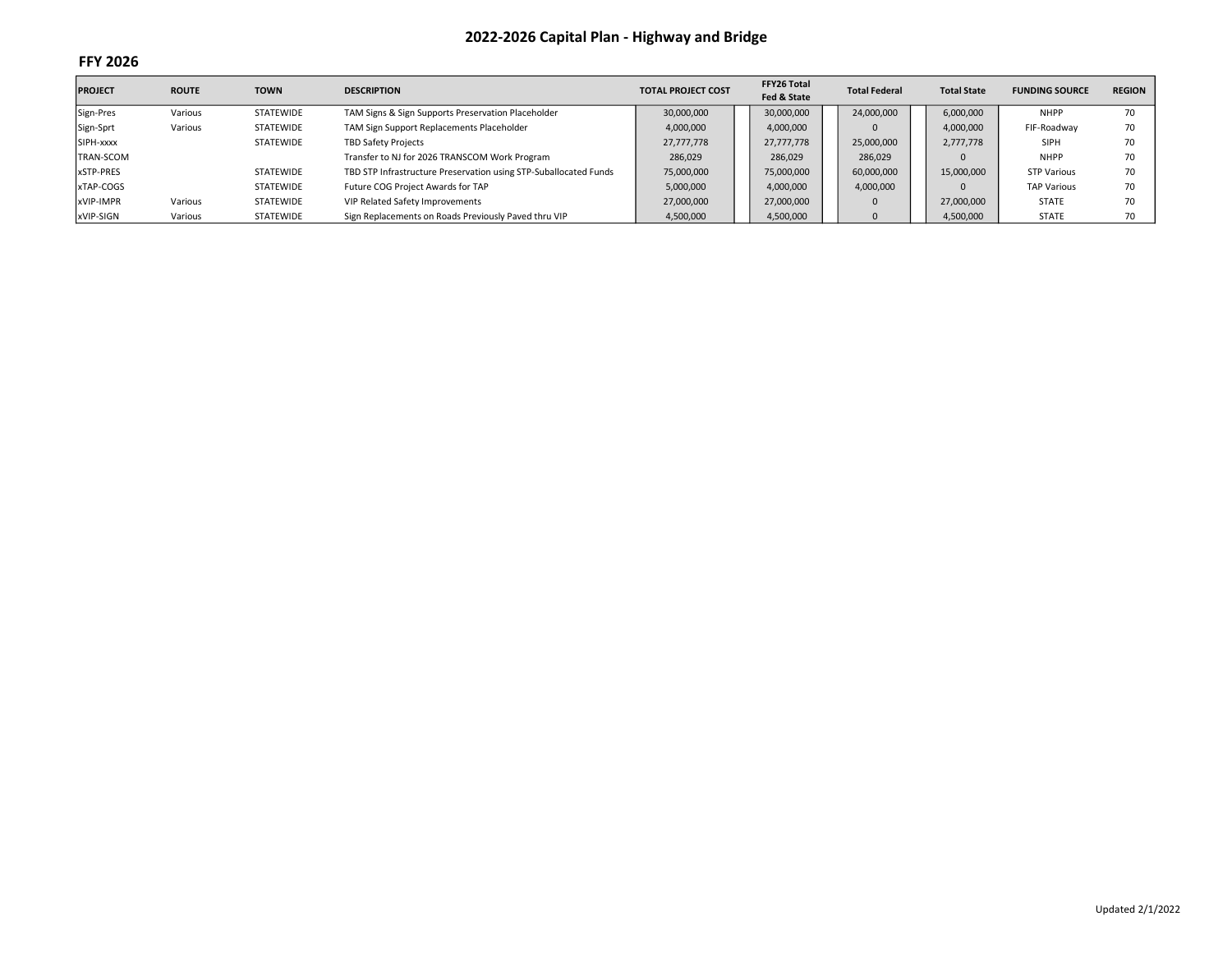| <b>PROJECT</b>   | <b>ROUTE</b> | <b>TOWN</b>      | <b>DESCRIPTION</b>                                               | <b>TOTAL PROJECT COST</b> | FFY26 Total<br>Fed & State | <b>Total Federal</b> | <b>Total State</b> | <b>FUNDING SOURCE</b> | <b>REGION</b> |
|------------------|--------------|------------------|------------------------------------------------------------------|---------------------------|----------------------------|----------------------|--------------------|-----------------------|---------------|
| Sign-Pres        | Various      | <b>STATEWIDE</b> | TAM Signs & Sign Supports Preservation Placeholder               | 30,000,000                | 30,000,000                 | 24,000,000           | 6,000,000          | <b>NHPP</b>           | 70            |
| Sign-Sprt        | Various      | <b>STATEWIDE</b> | TAM Sign Support Replacements Placeholder                        | 4,000,000                 | 4,000,000                  |                      | 4,000,000          | FIF-Roadway           | 70            |
| SIPH-xxxx        |              | <b>STATEWIDE</b> | <b>TBD Safety Projects</b>                                       | 27,777,778                | 27,777,778                 | 25,000,000           | 2,777,778          | <b>SIPH</b>           | 70            |
| <b>TRAN-SCOM</b> |              |                  | Transfer to NJ for 2026 TRANSCOM Work Program                    | 286,029                   | 286,029                    | 286,029              |                    | <b>NHPP</b>           | 70            |
| xSTP-PRES        |              | <b>STATEWIDE</b> | TBD STP Infrastructure Preservation using STP-Suballocated Funds | 75,000,000                | 75,000,000                 | 60,000,000           | 15,000,000         | STP Various           | 70            |
| xTAP-COGS        |              | <b>STATEWIDE</b> | Future COG Project Awards for TAP                                | 5,000,000                 | 4,000,000                  | 4,000,000            |                    | <b>TAP Various</b>    | 70            |
| xVIP-IMPR        | Various      | <b>STATEWIDE</b> | VIP Related Safety Improvements                                  | 27,000,000                | 27,000,000                 | $\Omega$             | 27,000,000         | <b>STATE</b>          | 70            |
| xVIP-SIGN        | Various      | <b>STATEWIDE</b> | Sign Replacements on Roads Previously Paved thru VIP             | 4,500,000                 | 4,500,000                  |                      | 4,500,000          | <b>STATE</b>          | 70            |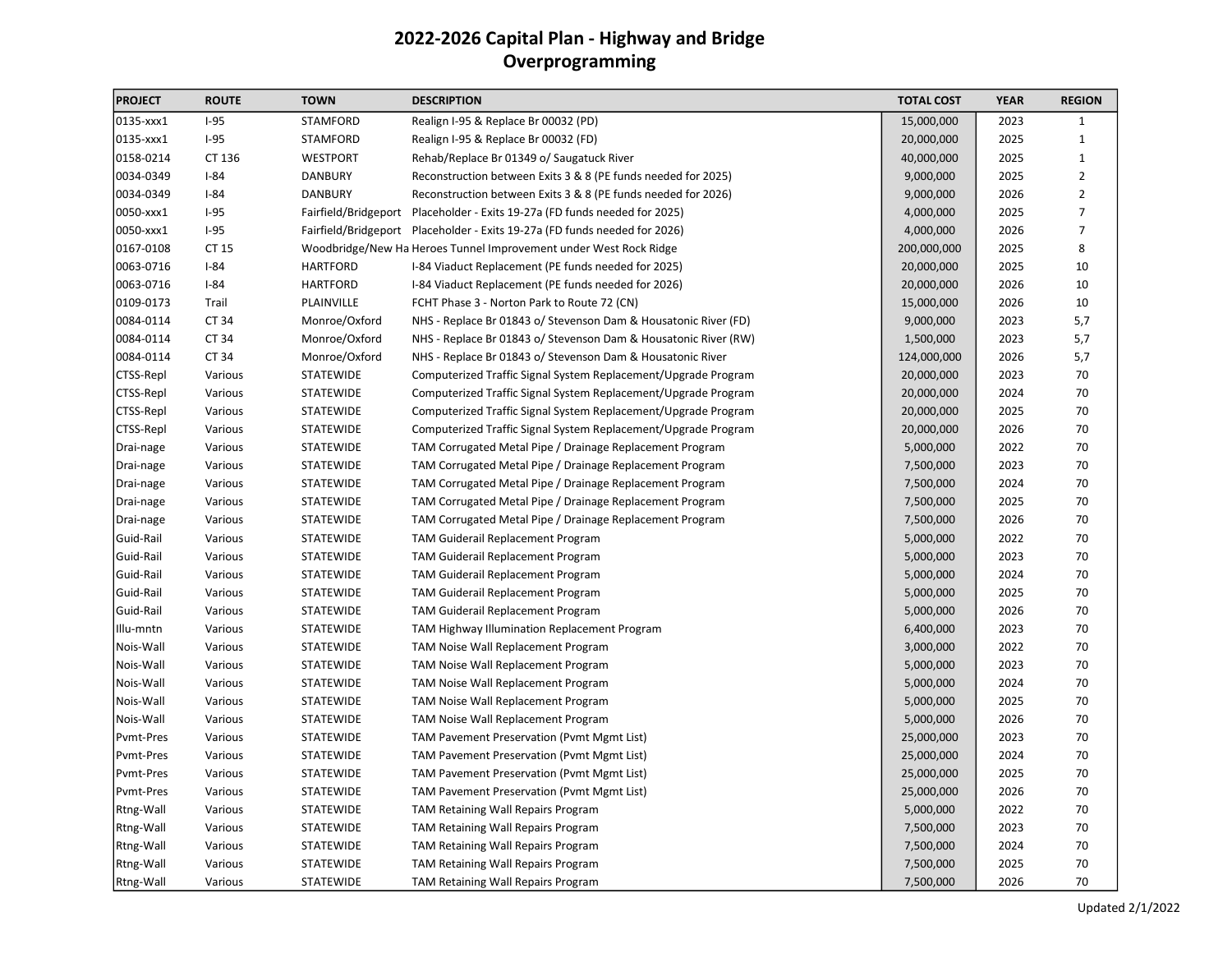# 2022-2026 Capital Plan - Highway and Bridge Overprogramming

| <b>PROJECT</b> | <b>ROUTE</b> | <b>TOWN</b>      | <b>DESCRIPTION</b>                                                         | <b>TOTAL COST</b> | <b>YEAR</b> | <b>REGION</b>  |
|----------------|--------------|------------------|----------------------------------------------------------------------------|-------------------|-------------|----------------|
| 0135-xxx1      | $I-95$       | <b>STAMFORD</b>  | Realign I-95 & Replace Br 00032 (PD)                                       | 15,000,000        | 2023        | 1              |
| 0135-xxx1      | $I-95$       | <b>STAMFORD</b>  | Realign I-95 & Replace Br 00032 (FD)                                       | 20,000,000        | 2025        | $\mathbf{1}$   |
| 0158-0214      | CT 136       | <b>WESTPORT</b>  | Rehab/Replace Br 01349 o/ Saugatuck River                                  | 40,000,000        | 2025        | $\mathbf{1}$   |
| 0034-0349      | $I-84$       | <b>DANBURY</b>   | Reconstruction between Exits 3 & 8 (PE funds needed for 2025)              | 9,000,000         | 2025        | $\overline{2}$ |
| 0034-0349      | $I-84$       | <b>DANBURY</b>   | Reconstruction between Exits 3 & 8 (PE funds needed for 2026)              | 9,000,000         | 2026        | $\overline{2}$ |
| 0050-xxx1      | $I-95$       |                  | Fairfield/Bridgeport Placeholder - Exits 19-27a (FD funds needed for 2025) | 4,000,000         | 2025        | $\overline{7}$ |
| 0050-xxx1      | $I-95$       |                  | Fairfield/Bridgeport Placeholder - Exits 19-27a (FD funds needed for 2026) | 4,000,000         | 2026        | $\overline{7}$ |
| 0167-0108      | CT 15        |                  | Woodbridge/New Ha Heroes Tunnel Improvement under West Rock Ridge          | 200,000,000       | 2025        | 8              |
| 0063-0716      | $I-84$       | <b>HARTFORD</b>  | I-84 Viaduct Replacement (PE funds needed for 2025)                        | 20,000,000        | 2025        | 10             |
| 0063-0716      | $I-84$       | <b>HARTFORD</b>  | I-84 Viaduct Replacement (PE funds needed for 2026)                        | 20,000,000        | 2026        | 10             |
| 0109-0173      | Trail        | PLAINVILLE       | FCHT Phase 3 - Norton Park to Route 72 (CN)                                | 15,000,000        | 2026        | 10             |
| 0084-0114      | CT 34        | Monroe/Oxford    | NHS - Replace Br 01843 o/ Stevenson Dam & Housatonic River (FD)            | 9,000,000         | 2023        | 5,7            |
| 0084-0114      | CT 34        | Monroe/Oxford    | NHS - Replace Br 01843 o/ Stevenson Dam & Housatonic River (RW)            | 1,500,000         | 2023        | 5,7            |
| 0084-0114      | CT 34        | Monroe/Oxford    | NHS - Replace Br 01843 o/ Stevenson Dam & Housatonic River                 | 124,000,000       | 2026        | 5,7            |
| CTSS-Repl      | Various      | STATEWIDE        | Computerized Traffic Signal System Replacement/Upgrade Program             | 20,000,000        | 2023        | 70             |
| CTSS-Repl      | Various      | STATEWIDE        | Computerized Traffic Signal System Replacement/Upgrade Program             | 20,000,000        | 2024        | 70             |
| CTSS-Repl      | Various      | <b>STATEWIDE</b> | Computerized Traffic Signal System Replacement/Upgrade Program             | 20,000,000        | 2025        | 70             |
| CTSS-Repl      | Various      | <b>STATEWIDE</b> | Computerized Traffic Signal System Replacement/Upgrade Program             | 20,000,000        | 2026        | 70             |
| Drai-nage      | Various      | <b>STATEWIDE</b> | TAM Corrugated Metal Pipe / Drainage Replacement Program                   | 5,000,000         | 2022        | 70             |
| Drai-nage      | Various      | <b>STATEWIDE</b> | TAM Corrugated Metal Pipe / Drainage Replacement Program                   | 7,500,000         | 2023        | 70             |
| Drai-nage      | Various      | STATEWIDE        | TAM Corrugated Metal Pipe / Drainage Replacement Program                   | 7,500,000         | 2024        | 70             |
| Drai-nage      | Various      | STATEWIDE        | TAM Corrugated Metal Pipe / Drainage Replacement Program                   | 7,500,000         | 2025        | 70             |
| Drai-nage      | Various      | STATEWIDE        | TAM Corrugated Metal Pipe / Drainage Replacement Program                   | 7,500,000         | 2026        | 70             |
| Guid-Rail      | Various      | STATEWIDE        | TAM Guiderail Replacement Program                                          | 5,000,000         | 2022        | 70             |
| Guid-Rail      | Various      | STATEWIDE        | TAM Guiderail Replacement Program                                          | 5,000,000         | 2023        | 70             |
| Guid-Rail      | Various      | STATEWIDE        | TAM Guiderail Replacement Program                                          | 5,000,000         | 2024        | 70             |
| Guid-Rail      | Various      | STATEWIDE        | TAM Guiderail Replacement Program                                          | 5,000,000         | 2025        | 70             |
| Guid-Rail      | Various      | STATEWIDE        | TAM Guiderail Replacement Program                                          | 5,000,000         | 2026        | 70             |
| Illu-mntn      | Various      | STATEWIDE        | TAM Highway Illumination Replacement Program                               | 6,400,000         | 2023        | 70             |
| Nois-Wall      | Various      | STATEWIDE        | TAM Noise Wall Replacement Program                                         | 3,000,000         | 2022        | 70             |
| Nois-Wall      | Various      | STATEWIDE        | TAM Noise Wall Replacement Program                                         | 5,000,000         | 2023        | 70             |
| Nois-Wall      | Various      | STATEWIDE        | TAM Noise Wall Replacement Program                                         | 5,000,000         | 2024        | 70             |
| Nois-Wall      | Various      | STATEWIDE        | TAM Noise Wall Replacement Program                                         | 5,000,000         | 2025        | 70             |
| Nois-Wall      | Various      | STATEWIDE        | TAM Noise Wall Replacement Program                                         | 5,000,000         | 2026        | 70             |
| Pvmt-Pres      | Various      | STATEWIDE        | TAM Pavement Preservation (Pvmt Mgmt List)                                 | 25,000,000        | 2023        | 70             |
| Pvmt-Pres      | Various      | STATEWIDE        | TAM Pavement Preservation (Pvmt Mgmt List)                                 | 25,000,000        | 2024        | 70             |
| Pvmt-Pres      | Various      | STATEWIDE        | TAM Pavement Preservation (Pvmt Mgmt List)                                 | 25,000,000        | 2025        | 70             |
| Pvmt-Pres      | Various      | <b>STATEWIDE</b> | TAM Pavement Preservation (Pvmt Mgmt List)                                 | 25,000,000        | 2026        | 70             |
| Rtng-Wall      | Various      | STATEWIDE        | TAM Retaining Wall Repairs Program                                         | 5,000,000         | 2022        | 70             |
| Rtng-Wall      | Various      | STATEWIDE        | TAM Retaining Wall Repairs Program                                         | 7,500,000         | 2023        | 70             |
| Rtng-Wall      | Various      | STATEWIDE        | <b>TAM Retaining Wall Repairs Program</b>                                  | 7,500,000         | 2024        | 70             |
| Rtng-Wall      | Various      | <b>STATEWIDE</b> | TAM Retaining Wall Repairs Program                                         | 7,500,000         | 2025        | 70             |
| Rtng-Wall      | Various      | <b>STATEWIDE</b> | TAM Retaining Wall Repairs Program                                         | 7,500,000         | 2026        | 70             |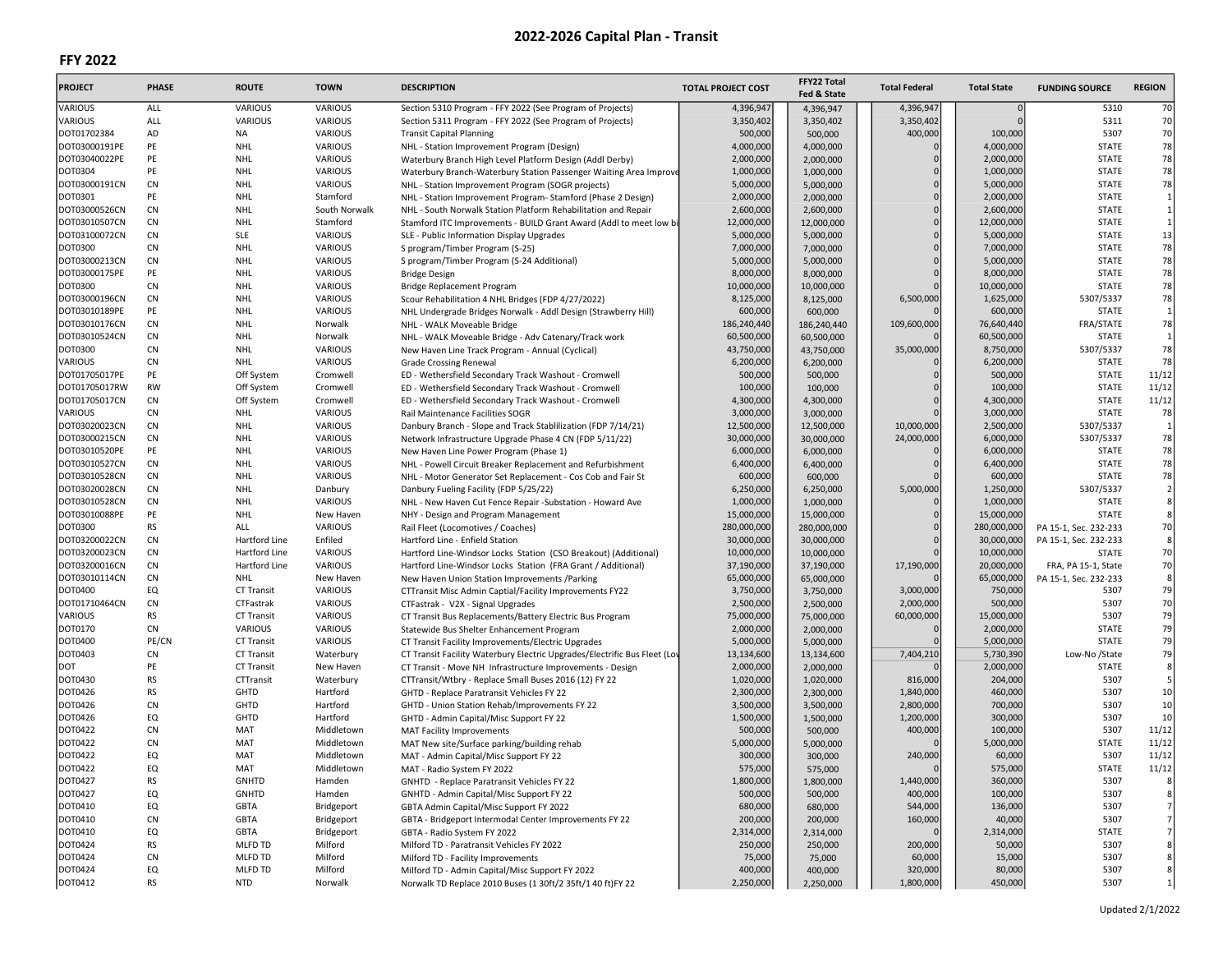| <b>PROJECT</b> | <b>PHASE</b>   | <b>ROUTE</b>      | <b>TOWN</b>    | <b>DESCRIPTION</b>                                                        | <b>TOTAL PROJECT COST</b> | FFY22 Total<br>Fed & State | <b>Total Federal</b> | <b>Total State</b> | <b>FUNDING SOURCE</b> | <b>REGION</b>           |
|----------------|----------------|-------------------|----------------|---------------------------------------------------------------------------|---------------------------|----------------------------|----------------------|--------------------|-----------------------|-------------------------|
| VARIOUS        | ALL            | <b>VARIOUS</b>    | VARIOUS        | Section 5310 Program - FFY 2022 (See Program of Projects)                 | 4,396,947                 | 4,396,947                  | 4,396,947            |                    | 5310                  | 70                      |
| VARIOUS        | ALL            | VARIOUS           | <b>VARIOUS</b> | Section 5311 Program - FFY 2022 (See Program of Projects)                 | 3,350,402                 | 3,350,402                  | 3,350,402            |                    | 5311                  | 70                      |
| DOT01702384    | AD             | <b>NA</b>         | VARIOUS        | <b>Transit Capital Planning</b>                                           | 500,000                   | 500,000                    | 400,000              | 100,000            | 5307                  | 70                      |
| DOT03000191PE  | PE             | <b>NHL</b>        | VARIOUS        | NHL - Station Improvement Program (Design)                                | 4,000,000                 | 4,000,000                  |                      | 4,000,000          | <b>STATE</b>          | 78                      |
| DOT03040022PE  | PE             | <b>NHL</b>        | <b>VARIOUS</b> | Waterbury Branch High Level Platform Design (Addl Derby)                  | 2,000,000                 | 2,000,000                  |                      | 2,000,000          | <b>STATE</b>          | 78                      |
| DOT0304        | PE             | <b>NHL</b>        | VARIOUS        | Waterbury Branch-Waterbury Station Passenger Waiting Area Improve         | 1,000,000                 | 1,000,000                  |                      | 1,000,000          | <b>STATE</b>          | 78                      |
| DOT03000191CN  | <b>CN</b>      | <b>NHL</b>        | VARIOUS        | NHL - Station Improvement Program (SOGR projects)                         | 5,000,000                 | 5,000,000                  |                      | 5,000,000          | <b>STATE</b>          | 78                      |
| DOT0301        | PE             | <b>NHL</b>        | Stamford       | NHL - Station Improvement Program- Stamford (Phase 2 Design)              | 2,000,000                 | 2,000,000                  |                      | 2,000,000          | <b>STATE</b>          | $\mathbf 1$             |
| DOT03000526CN  | <b>CN</b>      | <b>NHL</b>        | South Norwalk  | NHL - South Norwalk Station Platform Rehabilitation and Repair            | 2,600,000                 | 2,600,000                  | $\Omega$             | 2,600,000          | <b>STATE</b>          | $\mathbf{1}$            |
| DOT03010507CN  | CN             | <b>NHL</b>        | Stamford       | Stamford ITC Improvements - BUILD Grant Award (Addl to meet low bi        | 12,000,000                | 12,000,000                 | $\Omega$             | 12,000,000         | <b>STATE</b>          | $\mathbf{1}$            |
| DOT03100072CN  | <b>CN</b>      | <b>SLE</b>        | VARIOUS        | SLE - Public Information Display Upgrades                                 | 5,000,000                 | 5,000,000                  | $\mathbf 0$          | 5,000,000          | <b>STATE</b>          | 13                      |
| DOT0300        | CN             | NHL               | <b>VARIOUS</b> | S program/Timber Program (S-25)                                           | 7,000,000                 | 7,000,000                  |                      | 7,000,000          | <b>STATE</b>          | 78                      |
| DOT03000213CN  | CN             | <b>NHL</b>        | <b>VARIOUS</b> | S program/Timber Program (S-24 Additional)                                | 5,000,000                 | 5,000,000                  | $\mathbf 0$          | 5,000,000          | <b>STATE</b>          | 78                      |
| DOT03000175PE  | PE             | <b>NHL</b>        | VARIOUS        | <b>Bridge Design</b>                                                      | 8,000,000                 | 8,000,000                  |                      | 8,000,000          | <b>STATE</b>          | 78                      |
| DOT0300        | <b>CN</b>      | <b>NHL</b>        | <b>VARIOUS</b> | <b>Bridge Replacement Program</b>                                         | 10,000,000                | 10,000,000                 |                      | 10,000,000         | <b>STATE</b>          | 78                      |
| DOT03000196CN  | CN             | <b>NHL</b>        | VARIOUS        | Scour Rehabilitation 4 NHL Bridges (FDP 4/27/2022)                        | 8,125,000                 | 8,125,000                  | 6,500,000            | 1,625,000          | 5307/5337             | 78                      |
| DOT03010189PE  | PE             | <b>NHL</b>        | VARIOUS        | NHL Undergrade Bridges Norwalk - Addl Design (Strawberry Hill)            | 600,000                   | 600,000                    |                      | 600,000            | <b>STATE</b>          | $\mathbf{1}$            |
| DOT03010176CN  | <b>CN</b>      | <b>NHL</b>        | Norwalk        | NHL - WALK Moveable Bridge                                                | 186,240,440               | 186,240,440                | 109,600,000          | 76,640,440         | FRA/STATE             | 78                      |
| DOT03010524CN  | <b>CN</b>      | NHL               | Norwalk        | NHL - WALK Moveable Bridge - Adv Catenary/Track work                      | 60,500,000                | 60,500,000                 |                      | 60,500,000         | <b>STATE</b>          | $\mathbf{1}$            |
| DOT0300        | <b>CN</b>      | <b>NHL</b>        | <b>VARIOUS</b> | New Haven Line Track Program - Annual (Cyclical)                          | 43,750,000                | 43,750,000                 | 35,000,000           | 8,750,000          | 5307/5337             | 78                      |
| VARIOUS        | <b>CN</b>      | <b>NHL</b>        | VARIOUS        | <b>Grade Crossing Renewal</b>                                             | 6,200,000                 | 6,200,000                  |                      | 6,200,000          | <b>STATE</b>          | 78                      |
| DOT01705017PE  | PE             | Off System        | Cromwell       | ED - Wethersfield Secondary Track Washout - Cromwell                      | 500,000                   | 500,000                    |                      | 500,000            | <b>STATE</b>          | 11/12                   |
| DOT01705017RW  | <b>RW</b>      | Off System        | Cromwell       | ED - Wethersfield Secondary Track Washout - Cromwell                      | 100,000                   | 100,000                    |                      | 100,000            | <b>STATE</b>          | 11/12                   |
| DOT01705017CN  | <b>CN</b>      | Off System        | Cromwell       | ED - Wethersfield Secondary Track Washout - Cromwell                      | 4,300,000                 | 4,300,000                  |                      | 4,300,000          | <b>STATE</b>          | 11/12                   |
| VARIOUS        | CN             | <b>NHL</b>        | <b>VARIOUS</b> | Rail Maintenance Facilities SOGR                                          | 3,000,000                 | 3,000,000                  |                      | 3,000,000          | <b>STATE</b>          | 78                      |
| DOT03020023CN  | <b>CN</b>      | <b>NHL</b>        | VARIOUS        | Danbury Branch - Slope and Track Stablilization (FDP 7/14/21)             | 12,500,000                | 12,500,000                 | 10,000,000           | 2,500,000          | 5307/5337             | $\mathbf{1}$            |
| DOT03000215CN  | <b>CN</b>      | <b>NHL</b>        | VARIOUS        | Network Infrastructure Upgrade Phase 4 CN (FDP 5/11/22)                   | 30,000,000                | 30,000,000                 | 24,000,000           | 6,000,000          | 5307/5337             | 78                      |
| DOT03010520PE  | PE             | <b>NHL</b>        | VARIOUS        | New Haven Line Power Program (Phase 1)                                    | 6,000,000                 | 6,000,000                  |                      | 6,000,000          | <b>STATE</b>          | 78                      |
| DOT03010527CN  | CN             | <b>NHL</b>        | VARIOUS        | NHL - Powell Circuit Breaker Replacement and Refurbishment                | 6,400,000                 | 6,400,000                  |                      | 6,400,000          | <b>STATE</b>          | 78                      |
| DOT03010528CN  | <b>CN</b>      | <b>NHL</b>        | VARIOUS        | NHL - Motor Generator Set Replacement - Cos Cob and Fair St               | 600,000                   | 600,000                    |                      | 600,000            | <b>STATE</b>          | 78                      |
| DOT03020028CN  | <b>CN</b>      | <b>NHL</b>        | Danbury        | Danbury Fueling Facility (FDP 5/25/22)                                    | 6,250,000                 | 6,250,000                  | 5,000,000            | 1,250,000          | 5307/5337             | $\overline{\mathbf{c}}$ |
| DOT03010528CN  | ${\sf CN}$     | NHL               | VARIOUS        | NHL - New Haven Cut Fence Repair -Substation - Howard Ave                 | 1,000,000                 | 1,000,000                  |                      | 1,000,000          | <b>STATE</b>          | 8                       |
| DOT03010088PE  | PE             | <b>NHL</b>        | New Haven      | NHY - Design and Program Management                                       | 15,000,000                | 15,000,000                 |                      | 15,000,000         | <b>STATE</b>          | 8                       |
| DOT0300        | <b>RS</b>      | ALL               | VARIOUS        | Rail Fleet (Locomotives / Coaches)                                        | 280,000,000               | 280,000,000                |                      | 280,000,000        | PA 15-1, Sec. 232-233 | 70                      |
| DOT03200022CN  | CN             | Hartford Line     | Enfiled        | Hartford Line - Enfield Station                                           | 30,000,000                | 30,000,000                 |                      | 30,000,000         | PA 15-1, Sec. 232-233 | 8                       |
| DOT03200023CN  | <b>CN</b>      | Hartford Line     | VARIOUS        | Hartford Line-Windsor Locks Station (CSO Breakout) (Additional)           | 10,000,000                | 10,000,000                 |                      | 10,000,000         | <b>STATE</b>          | 70                      |
| DOT03200016CN  | CN             | Hartford Line     | VARIOUS        | Hartford Line-Windsor Locks Station (FRA Grant / Additional)              | 37,190,000                | 37,190,000                 | 17,190,000           | 20,000,000         | FRA, PA 15-1, State   | 70                      |
| DOT03010114CN  | CN             | NHL               | New Haven      | New Haven Union Station Improvements / Parking                            | 65,000,000                | 65,000,000                 |                      | 65,000,000         | PA 15-1, Sec. 232-233 | 8                       |
| DOT0400        | EQ             | CT Transit        | <b>VARIOUS</b> | CTTransit Misc Admin Captial/Facility Improvements FY22                   | 3,750,000                 | 3,750,000                  | 3,000,000            | 750,000            | 5307                  | 79                      |
| DOT01710464CN  | CN             | CTFastrak         | <b>VARIOUS</b> | CTFastrak - V2X - Signal Upgrades                                         | 2,500,000                 | 2,500,000                  | 2,000,000            | 500,000            | 5307                  | 70                      |
| VARIOUS        | <b>RS</b>      | CT Transit        | VARIOUS        | CT Transit Bus Replacements/Battery Electric Bus Program                  | 75,000,000                | 75,000,000                 | 60,000,000           | 15,000,000         | 5307                  | 79                      |
| DOT0170        | <b>CN</b>      | <b>VARIOUS</b>    | VARIOUS        | Statewide Bus Shelter Enhancement Program                                 | 2,000,000                 | 2,000,000                  |                      | 2,000,000          | <b>STATE</b>          | 79                      |
| DOT0400        | PE/CN          | <b>CT Transit</b> | VARIOUS        | CT Transit Facility Improvements/Electric Upgrades                        | 5,000,000                 | 5,000,000                  |                      | 5,000,000          | <b>STATE</b>          | 79                      |
| DOT0403        | ${\sf CN}$     | <b>CT Transit</b> | Waterbury      | CT Transit Facility Waterbury Electric Upgrades/Electrific Bus Fleet (Lov | 13,134,600                | 13,134,600                 | 7,404,210            | 5,730,390          | Low-No /State         | 79                      |
| <b>DOT</b>     | PE             | <b>CT Transit</b> | New Haven      | CT Transit - Move NH Infrastructure Improvements - Design                 | 2,000,000                 | 2,000,000                  |                      | 2,000,000          | <b>STATE</b>          | 8                       |
| DOT0430        | <b>RS</b>      | CTTransit         | Waterbury      | CTTransit/Wtbry - Replace Small Buses 2016 (12) FY 22                     | 1,020,000                 | 1,020,000                  | 816,000              | 204,000            | 5307                  | 5                       |
| DOT0426        | <b>RS</b>      | GHTD              | Hartford       | GHTD - Replace Paratransit Vehicles FY 22                                 | 2,300,000                 | 2,300,000                  | 1,840,000            | 460,000            | 5307                  | 10                      |
| DOT0426        | <b>CN</b>      | GHTD              | Hartford       | GHTD - Union Station Rehab/Improvements FY 22                             | 3,500,000                 | 3,500,000                  | 2,800,000            | 700,000            | 5307                  | 10                      |
| DOT0426        | EQ             | GHTD              | Hartford       | GHTD - Admin Capital/Misc Support FY 22                                   | 1,500,000                 | 1,500,000                  | 1,200,000            | 300,000            | 5307                  | 10                      |
| DOT0422        | CN             | MAT               | Middletown     | <b>MAT Facility Improvements</b>                                          | 500,000                   | 500,000                    | 400,000              | 100,000            | 5307                  | 11/12                   |
| DOT0422        | <b>CN</b>      | MAT               | Middletown     | MAT New site/Surface parking/building rehab                               | 5,000,000                 | 5,000,000                  |                      | 5,000,000          | <b>STATE</b>          | 11/12                   |
| DOT0422        | EQ             | MAT               | Middletown     | MAT - Admin Capital/Misc Support FY 22                                    | 300,000                   | 300,000                    | 240,000              | 60,000             | 5307                  | 11/12                   |
| DOT0422        | EQ             | MAT               | Middletown     | MAT - Radio System FY 2022                                                | 575,000                   | 575,000                    |                      | 575,000            | <b>STATE</b>          | 11/12                   |
| DOT0427        | <b>RS</b>      | <b>GNHTD</b>      | Hamden         | GNHTD - Replace Paratransit Vehicles FY 22                                | 1,800,000                 | 1,800,000                  | 1,440,000            | 360,000            | 5307                  | 8                       |
| DOT0427        | EQ             | GNHTD             | Hamden         | GNHTD - Admin Capital/Misc Support FY 22                                  | 500,000                   | 500,000                    | 400,000              | 100,000            | 5307                  | 8                       |
| DOT0410        | EQ             | GBTA              | Bridgeport     | GBTA Admin Capital/Misc Support FY 2022                                   | 680,000                   | 680,000                    | 544,000              | 136,000            | 5307                  | $\overline{7}$          |
| DOT0410        | C <sub>N</sub> | GBTA              | Bridgeport     | GBTA - Bridgeport Intermodal Center Improvements FY 22                    | 200,000                   | 200,000                    | 160,000              | 40,000             | 5307                  | $7\overline{}$          |
| DOT0410        | EQ             | GBTA              | Bridgeport     | GBTA - Radio System FY 2022                                               | 2,314,000                 | 2,314,000                  |                      | 2,314,000          | <b>STATE</b>          | 7                       |
| DOT0424        | <b>RS</b>      | MLFD TD           | Milford        | Milford TD - Paratransit Vehicles FY 2022                                 | 250,000                   | 250,000                    | 200,000              | 50,000             | 5307                  | 8                       |
| DOT0424        | <b>CN</b>      | MLFD TD           | Milford        | Milford TD - Facility Improvements                                        | 75,000                    | 75,000                     | 60,000               | 15,000             | 5307                  | 8                       |
| <b>DOT0424</b> | EQ             | MLFD TD           | Milford        | Milford TD - Admin Capital/Misc Support FY 2022                           | 400,000                   | 400,000                    | 320,000              | 80,000             | 5307                  | 8                       |
| DOT0412        | <b>RS</b>      | <b>NTD</b>        | Norwalk        | Norwalk TD Replace 2010 Buses (1 30ft/2 35ft/1 40 ft)FY 22                | 2,250,000                 | 2,250,000                  | 1,800,000            | 450,000            | 5307                  | $\mathbf{1}$            |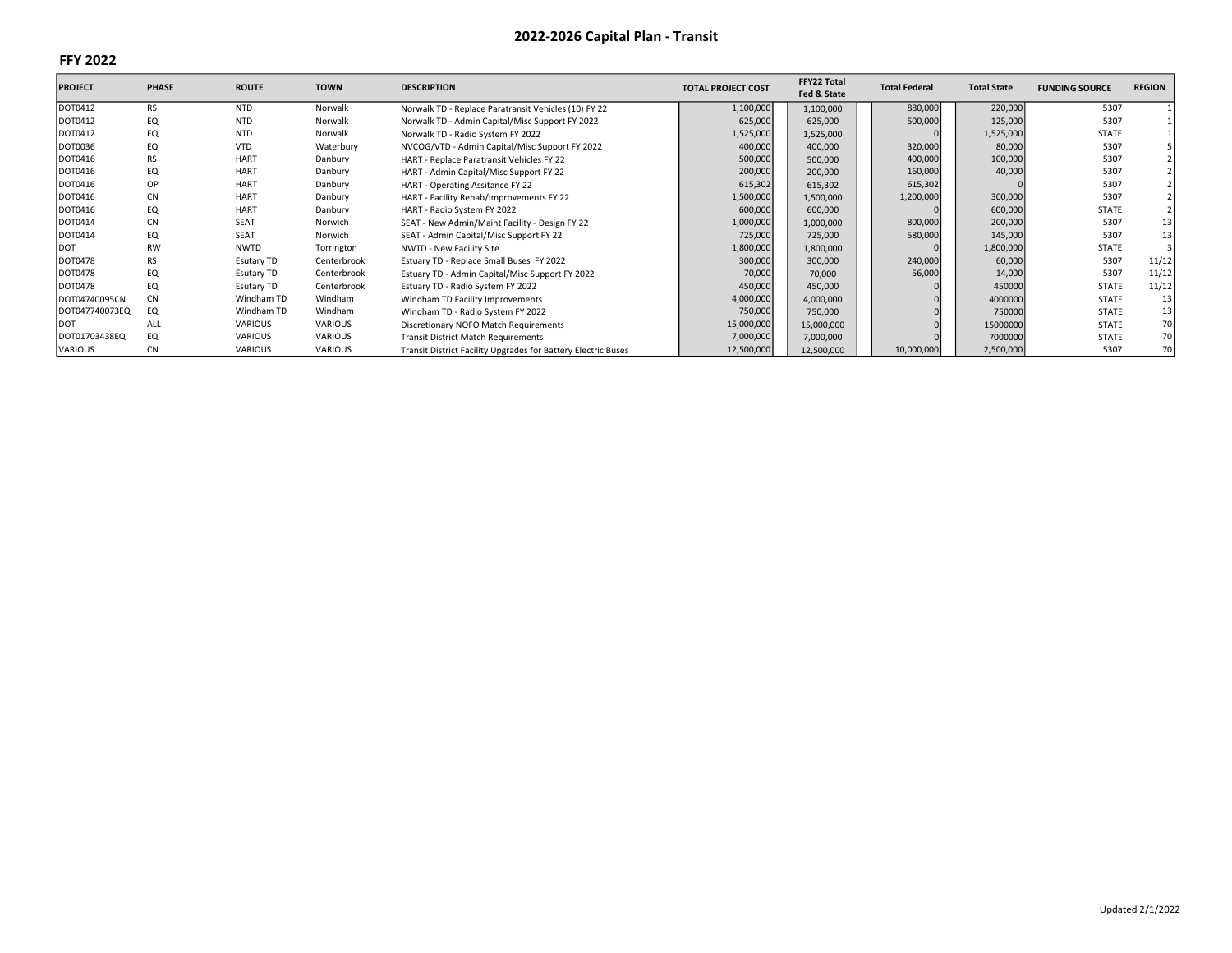| <b>PROJECT</b> | <b>PHASE</b> | <b>ROUTE</b>      | <b>TOWN</b>    | <b>DESCRIPTION</b>                                            | <b>TOTAL PROJECT COST</b> | FFY22 Total<br>Fed & State | <b>Total Federal</b> | <b>Total State</b> | <b>FUNDING SOURCE</b> | <b>REGION</b> |
|----------------|--------------|-------------------|----------------|---------------------------------------------------------------|---------------------------|----------------------------|----------------------|--------------------|-----------------------|---------------|
| DOT0412        | <b>RS</b>    | <b>NTD</b>        | Norwalk        | Norwalk TD - Replace Paratransit Vehicles (10) FY 22          | 1,100,000                 | 1,100,000                  | 880,000              | 220,000            | 5307                  |               |
| DOT0412        | EQ           | <b>NTD</b>        | Norwalk        | Norwalk TD - Admin Capital/Misc Support FY 2022               | 625,000                   | 625,000                    | 500,000              | 125,000            | 5307                  |               |
| DOT0412        | EQ           | <b>NTD</b>        | Norwalk        | Norwalk TD - Radio System FY 2022                             | 1,525,000                 | 1,525,000                  |                      | 1,525,000          | STATE                 |               |
| DOT0036        | EQ           | <b>VTD</b>        | Waterbury      | NVCOG/VTD - Admin Capital/Misc Support FY 2022                | 400,000                   | 400,000                    | 320,000              | 80,000             | 5307                  |               |
| DOT0416        | <b>RS</b>    | <b>HART</b>       | Danbury        | HART - Replace Paratransit Vehicles FY 22                     | 500,000                   | 500,000                    | 400,000              | 100,000            | 5307                  |               |
| DOT0416        | EQ           | <b>HART</b>       | Danbury        | HART - Admin Capital/Misc Support FY 22                       | 200,000                   | 200,000                    | 160,000              | 40,000             | 5307                  |               |
| DOT0416        | OP           | <b>HART</b>       | Danbury        | HART - Operating Assitance FY 22                              | 615,302                   | 615,302                    | 615,302              |                    | 5307                  |               |
| DOT0416        | <b>CN</b>    | <b>HART</b>       | Danbury        | HART - Facility Rehab/Improvements FY 22                      | 1,500,000                 | 1,500,000                  | 1,200,000            | 300,000            | 5307                  |               |
| DOT0416        | EQ           | <b>HART</b>       | Danbury        | HART - Radio System FY 2022                                   | 600,000                   | 600,000                    |                      | 600,000            | <b>STATE</b>          |               |
| DOT0414        | <b>CN</b>    | <b>SEAT</b>       | Norwich        | SEAT - New Admin/Maint Facility - Design FY 22                | 1,000,000                 | 1,000,000                  | 800,000              | 200,000            | 5307                  | 13            |
| DOT0414        | EQ           | <b>SEAT</b>       | Norwich        | SEAT - Admin Capital/Misc Support FY 22                       | 725,000                   | 725,000                    | 580,000              | 145,000            | 5307                  | 13            |
| Idot           | <b>RW</b>    | <b>NWTD</b>       | Torrington     | NWTD - New Facility Site                                      | 1,800,000                 | 1,800,000                  |                      | 1,800,000          | STATE                 |               |
| DOT0478        | <b>RS</b>    | <b>Esutary TD</b> | Centerbrook    | Estuary TD - Replace Small Buses FY 2022                      | 300,000                   | 300,000                    | 240,000              | 60,000             | 5307                  | 11/12         |
| DOT0478        | EQ           | Esutary TD        | Centerbrook    | Estuary TD - Admin Capital/Misc Support FY 2022               | 70,000                    | 70,000                     | 56,000               | 14,000             | 5307                  | 11/12         |
| DOT0478        | EQ           | Esutary TD        | Centerbrook    | Estuary TD - Radio System FY 2022                             | 450,000                   | 450,000                    |                      | 450000             | <b>STATE</b>          | 11/12         |
| DOT04740095CN  | <b>CN</b>    | Windham TD        | Windham        | Windham TD Facility Improvements                              | 4,000,000                 | 4,000,000                  |                      | 4000000            | <b>STATE</b>          | 13            |
| DOT047740073EQ | EQ           | Windham TD        | Windham        | Windham TD - Radio System FY 2022                             | 750,000                   | 750,000                    |                      | 750000             | <b>STATE</b>          | 13            |
| <b>DOT</b>     | ALL          | <b>VARIOUS</b>    | <b>VARIOUS</b> | Discretionary NOFO Match Requirements                         | 15,000,000                | 15,000,000                 |                      | 15000000           | <b>STATE</b>          | 70            |
| DOT01703438EQ  | EQ           | VARIOUS           | <b>VARIOUS</b> | <b>Transit District Match Requirements</b>                    | 7,000,000                 | 7,000,000                  |                      | 7000000            | <b>STATE</b>          | 70            |
| <b>VARIOUS</b> | <b>CN</b>    | VARIOUS           | <b>VARIOUS</b> | Transit District Facility Upgrades for Battery Electric Buses | 12,500,000                | 12,500,000                 | 10,000,000           | 2,500,000          | 5307                  | 70            |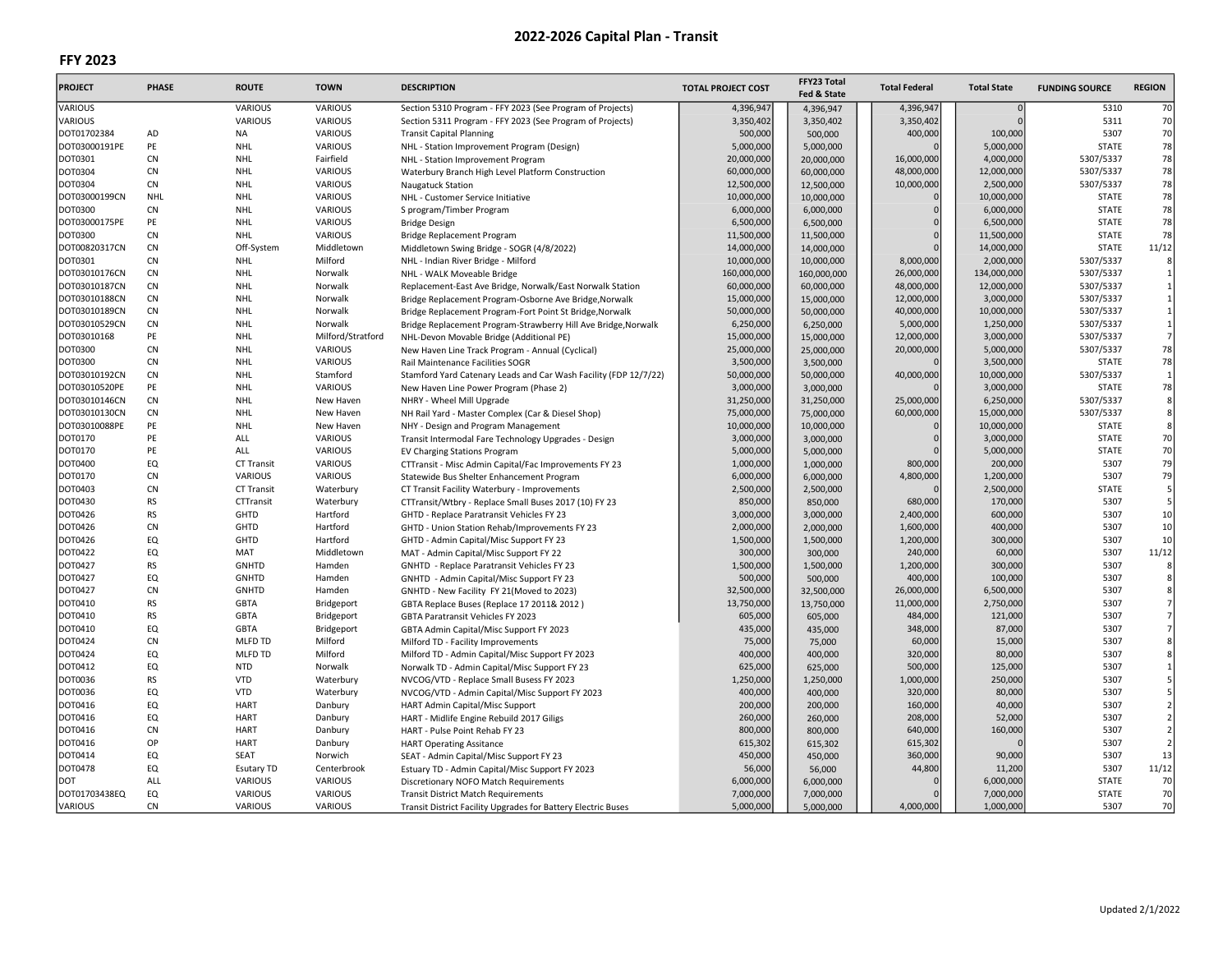| <b>PROJECT</b> | <b>PHASE</b> | <b>ROUTE</b>      | <b>TOWN</b>       | <b>DESCRIPTION</b>                                               | <b>TOTAL PROJECT COST</b> | FFY23 Total<br>Fed & State | <b>Total Federal</b> | <b>Total State</b> | <b>FUNDING SOURCE</b> | <b>REGION</b>  |
|----------------|--------------|-------------------|-------------------|------------------------------------------------------------------|---------------------------|----------------------------|----------------------|--------------------|-----------------------|----------------|
| VARIOUS        |              | <b>VARIOUS</b>    | VARIOUS           | Section 5310 Program - FFY 2023 (See Program of Projects)        | 4,396,947                 | 4,396,947                  | 4,396,947            |                    | 5310                  | 70             |
| <b>VARIOUS</b> |              | VARIOUS           | VARIOUS           | Section 5311 Program - FFY 2023 (See Program of Projects)        | 3,350,402                 | 3,350,402                  | 3,350,402            |                    | 5311                  | 70             |
| DOT01702384    | AD           | NA                | VARIOUS           | <b>Transit Capital Planning</b>                                  | 500,000                   | 500,000                    | 400,000              | 100,000            | 5307                  | 70             |
| DOT03000191PE  | PE           | <b>NHL</b>        | VARIOUS           | NHL - Station Improvement Program (Design)                       | 5,000,000                 | 5,000,000                  |                      | 5,000,000          | <b>STATE</b>          | 78             |
| <b>DOT0301</b> | CN           | <b>NHL</b>        | Fairfield         | NHL - Station Improvement Program                                | 20,000,000                | 20,000,000                 | 16,000,000           | 4,000,000          | 5307/5337             | 78             |
| <b>DOT0304</b> | <b>CN</b>    | <b>NHL</b>        | <b>VARIOUS</b>    | Waterbury Branch High Level Platform Construction                | 60,000,000                | 60,000,000                 | 48,000,000           | 12,000,000         | 5307/5337             | 78             |
| <b>DOT0304</b> | CN           | <b>NHL</b>        | <b>VARIOUS</b>    | Naugatuck Station                                                | 12,500,000                | 12,500,000                 | 10,000,000           | 2,500,000          | 5307/5337             | 78             |
| DOT03000199CN  | <b>NHL</b>   | <b>NHL</b>        | VARIOUS           | NHL - Customer Service Initiative                                | 10,000,000                | 10,000,000                 |                      | 10,000,000         | <b>STATE</b>          | 78             |
| <b>DOT0300</b> | CN           | <b>NHL</b>        | VARIOUS           | S program/Timber Program                                         | 6,000,000                 | 6,000,000                  | $\Omega$             | 6,000,000          | <b>STATE</b>          | 78             |
| DOT03000175PE  | PE           | <b>NHL</b>        | VARIOUS           | <b>Bridge Design</b>                                             | 6,500,000                 | 6,500,000                  | $\Omega$             | 6,500,000          | <b>STATE</b>          | 78             |
| <b>DOT0300</b> | <b>CN</b>    | NHL               | <b>VARIOUS</b>    | Bridge Replacement Program                                       | 11,500,000                | 11,500,000                 | $\Omega$             | 11,500,000         | <b>STATE</b>          | 78             |
| DOT00820317CN  | CN           | Off-System        | Middletown        | Middletown Swing Bridge - SOGR (4/8/2022)                        | 14,000,000                | 14,000,000                 |                      | 14,000,000         | <b>STATE</b>          | 11/12          |
| <b>DOT0301</b> | CN           | NHL               | Milford           | NHL - Indian River Bridge - Milford                              | 10,000,000                | 10,000,000                 | 8,000,000            | 2,000,000          | 5307/5337             |                |
| DOT03010176CN  | <b>CN</b>    | <b>NHL</b>        | Norwalk           | NHL - WALK Moveable Bridge                                       | 160,000,000               | 160,000,000                | 26,000,000           | 134,000,000        | 5307/5337             | $\mathbf{1}$   |
| DOT03010187CN  | <b>CN</b>    | <b>NHL</b>        | Norwalk           | Replacement-East Ave Bridge, Norwalk/East Norwalk Station        | 60,000,000                | 60,000,000                 | 48,000,000           | 12,000,000         | 5307/5337             | $\mathbf{1}$   |
| DOT03010188CN  | CN           | <b>NHL</b>        | Norwalk           | Bridge Replacement Program-Osborne Ave Bridge, Norwalk           | 15,000,000                | 15,000,000                 | 12,000,000           | 3,000,000          | 5307/5337             | $\mathbf{1}$   |
| DOT03010189CN  | CN           | <b>NHL</b>        | Norwalk           | Bridge Replacement Program-Fort Point St Bridge, Norwalk         | 50,000,000                | 50,000,000                 | 40,000,000           | 10,000,000         | 5307/5337             | $\mathbf{1}$   |
| DOT03010529CN  | CN           | <b>NHL</b>        | Norwalk           | Bridge Replacement Program-Strawberry Hill Ave Bridge, Norwalk   | 6,250,000                 | 6,250,000                  | 5,000,000            | 1,250,000          | 5307/5337             | $\mathbf{1}$   |
| DOT03010168    | PE           | <b>NHL</b>        | Milford/Stratford | NHL-Devon Movable Bridge (Additional PE)                         | 15,000,000                | 15,000,000                 | 12,000,000           | 3,000,000          | 5307/5337             | $\overline{7}$ |
| <b>DOT0300</b> | <b>CN</b>    | NHL               | <b>VARIOUS</b>    |                                                                  | 25,000,000                | 25,000,000                 | 20,000,000           | 5,000,000          | 5307/5337             | 78             |
|                | CN           | <b>NHL</b>        | <b>VARIOUS</b>    | New Haven Line Track Program - Annual (Cyclical)                 |                           |                            |                      |                    | <b>STATE</b>          | 78             |
| <b>DOT0300</b> |              |                   |                   | Rail Maintenance Facilities SOGR                                 | 3,500,000                 | 3,500,000                  |                      | 3,500,000          |                       | $\mathbf{1}$   |
| DOT03010192CN  | CN           | <b>NHL</b>        | Stamford          | Stamford Yard Catenary Leads and Car Wash Facility (FDP 12/7/22) | 50,000,000                | 50,000,000                 | 40,000,000           | 10,000,000         | 5307/5337             |                |
| DOT03010520PE  | PE           | <b>NHL</b>        | VARIOUS           | New Haven Line Power Program (Phase 2)                           | 3,000,000                 | 3,000,000                  |                      | 3,000,000          | <b>STATE</b>          | 78             |
| DOT03010146CN  | CN           | <b>NHL</b>        | New Haven         | NHRY - Wheel Mill Upgrade                                        | 31,250,000                | 31,250,000                 | 25,000,000           | 6,250,000          | 5307/5337             | 8              |
| DOT03010130CN  | <b>CN</b>    | <b>NHL</b>        | New Haven         | NH Rail Yard - Master Complex (Car & Diesel Shop)                | 75,000,000                | 75,000,000                 | 60,000,000           | 15,000,000         | 5307/5337             | $\bf 8$        |
| DOT03010088PE  | PE           | <b>NHL</b>        | New Haven         | NHY - Design and Program Management                              | 10,000,000                | 10,000,000                 |                      | 10,000,000         | <b>STATE</b>          | 8              |
| <b>DOT0170</b> | PE           | ALL               | <b>VARIOUS</b>    | Transit Intermodal Fare Technology Upgrades - Design             | 3,000,000                 | 3,000,000                  |                      | 3,000,000          | <b>STATE</b>          | 70             |
| <b>DOT0170</b> | PE           | ALL               | <b>VARIOUS</b>    | <b>EV Charging Stations Program</b>                              | 5,000,000                 | 5,000,000                  |                      | 5,000,000          | <b>STATE</b>          | 70             |
| <b>DOT0400</b> | EQ           | <b>CT Transit</b> | <b>VARIOUS</b>    | CTTransit - Misc Admin Capital/Fac Improvements FY 23            | 1,000,000                 | 1,000,000                  | 800,000              | 200,000            | 5307                  | 79             |
| <b>DOT0170</b> | <b>CN</b>    | <b>VARIOUS</b>    | VARIOUS           | Statewide Bus Shelter Enhancement Program                        | 6,000,000                 | 6,000,000                  | 4,800,000            | 1,200,000          | 5307                  | 79             |
| <b>DOT0403</b> | CN           | <b>CT Transit</b> | Waterbury         | CT Transit Facility Waterbury - Improvements                     | 2,500,000                 | 2,500,000                  |                      | 2,500,000          | <b>STATE</b>          | 5              |
| <b>DOT0430</b> | <b>RS</b>    | CTTransit         | Waterbury         | CTTransit/Wtbry - Replace Small Buses 2017 (10) FY 23            | 850,000                   | 850,000                    | 680,000              | 170,000            | 5307                  | 5              |
| <b>DOT0426</b> | <b>RS</b>    | GHTD              | Hartford          | GHTD - Replace Paratransit Vehicles FY 23                        | 3,000,000                 | 3,000,000                  | 2,400,000            | 600,000            | 5307                  | 10             |
| <b>DOT0426</b> | CN           | GHTD              | Hartford          | GHTD - Union Station Rehab/Improvements FY 23                    | 2,000,000                 | 2,000,000                  | 1,600,000            | 400,000            | 5307                  | 10             |
| <b>DOT0426</b> | EQ           | GHTD              | Hartford          | GHTD - Admin Capital/Misc Support FY 23                          | 1,500,000                 | 1,500,000                  | 1,200,000            | 300,000            | 5307                  | 10             |
| DOT0422        | EQ           | MAT               | Middletown        | MAT - Admin Capital/Misc Support FY 22                           | 300,000                   | 300,000                    | 240,000              | 60,000             | 5307                  | 11/12          |
| <b>DOT0427</b> | <b>RS</b>    | <b>GNHTD</b>      | Hamden            | GNHTD - Replace Paratransit Vehicles FY 23                       | 1,500,000                 | 1,500,000                  | 1,200,000            | 300,000            | 5307                  | 8              |
| DOT0427        | EQ           | <b>GNHTD</b>      | Hamden            | GNHTD - Admin Capital/Misc Support FY 23                         | 500,000                   | 500,000                    | 400,000              | 100,000            | 5307                  | 8              |
| <b>DOT0427</b> | CN           | GNHTD             | Hamden            | GNHTD - New Facility FY 21(Moved to 2023)                        | 32,500,000                | 32,500,000                 | 26,000,000           | 6,500,000          | 5307                  | 8              |
| <b>DOT0410</b> | <b>RS</b>    | <b>GBTA</b>       | Bridgeport        | GBTA Replace Buses (Replace 17 2011& 2012)                       | 13,750,000                | 13,750,000                 | 11,000,000           | 2,750,000          | 5307                  | 7              |
| <b>DOT0410</b> | <b>RS</b>    | <b>GBTA</b>       | Bridgeport        | GBTA Paratransit Vehicles FY 2023                                | 605,000                   | 605,000                    | 484,000              | 121,000            | 5307                  | $\overline{7}$ |
| <b>DOT0410</b> | EQ           | <b>GBTA</b>       | Bridgeport        | GBTA Admin Capital/Misc Support FY 2023                          | 435,000                   | 435,000                    | 348,000              | 87,000             | 5307                  | 7              |
| <b>DOT0424</b> | <b>CN</b>    | <b>MLFD TD</b>    | Milford           | Milford TD - Facility Improvements                               | 75,000                    | 75,000                     | 60,000               | 15,000             | 5307                  | 8              |
| <b>DOT0424</b> | EQ           | MLFD TD           | Milford           | Milford TD - Admin Capital/Misc Support FY 2023                  | 400,000                   | 400,000                    | 320,000              | 80,000             | 5307                  | 8              |
| DOT0412        | EQ           | <b>NTD</b>        | Norwalk           | Norwalk TD - Admin Capital/Misc Support FY 23                    | 625,000                   | 625,000                    | 500,000              | 125,000            | 5307                  | $\mathbf{1}$   |
| <b>DOT0036</b> | <b>RS</b>    | <b>VTD</b>        | Waterbury         | NVCOG/VTD - Replace Small Busess FY 2023                         | 1,250,000                 | 1,250,000                  | 1,000,000            | 250,000            | 5307                  | 5              |
| <b>DOT0036</b> | EQ           | <b>VTD</b>        | Waterbury         | NVCOG/VTD - Admin Capital/Misc Support FY 2023                   | 400,000                   | 400,000                    | 320,000              | 80,000             | 5307                  | 5              |
| <b>DOT0416</b> | EQ           | <b>HART</b>       | Danbury           | HART Admin Capital/Misc Support                                  | 200,000                   | 200,000                    | 160,000              | 40,000             | 5307                  | $\overline{2}$ |
| <b>DOT0416</b> | EQ           | <b>HART</b>       | Danbury           | HART - Midlife Engine Rebuild 2017 Giligs                        | 260,000                   | 260,000                    | 208,000              | 52,000             | 5307                  | $\overline{2}$ |
| <b>DOT0416</b> | CN           | <b>HART</b>       | Danbury           | HART - Pulse Point Rehab FY 23                                   | 800,000                   | 800,000                    | 640,000              | 160,000            | 5307                  | $\overline{2}$ |
| <b>DOT0416</b> | OP           | <b>HART</b>       |                   |                                                                  | 615,302                   |                            | 615,302              |                    | 5307                  | $\overline{2}$ |
|                | EQ           |                   | Danbury           | <b>HART Operating Assitance</b>                                  |                           | 615,302                    |                      |                    | 5307                  | 13             |
| <b>DOT0414</b> |              | SEAT              | Norwich           | SEAT - Admin Capital/Misc Support FY 23                          | 450,000                   | 450,000                    | 360,000              | 90,000             |                       |                |
| <b>DOT0478</b> | EQ           | <b>Esutary TD</b> | Centerbrook       | Estuary TD - Admin Capital/Misc Support FY 2023                  | 56,000                    | 56,000                     | 44,800               | 11,200             | 5307                  | 11/12          |
| DOT            | ALL          | VARIOUS           | VARIOUS           | Discretionary NOFO Match Requirements                            | 6,000,000                 | 6,000,000                  |                      | 6,000,000          | <b>STATE</b>          | 70             |
| DOT01703438EQ  | EQ           | VARIOUS           | VARIOUS           | <b>Transit District Match Requirements</b>                       | 7,000,000                 | 7,000,000                  |                      | 7,000,000          | <b>STATE</b>          | 70             |
| <b>VARIOUS</b> | CN           | VARIOUS           | VARIOUS           | Transit District Facility Upgrades for Battery Electric Buses    | 5,000,000                 | 5.000.000                  | 4,000,000            | 1,000,000          | 5307                  | 70             |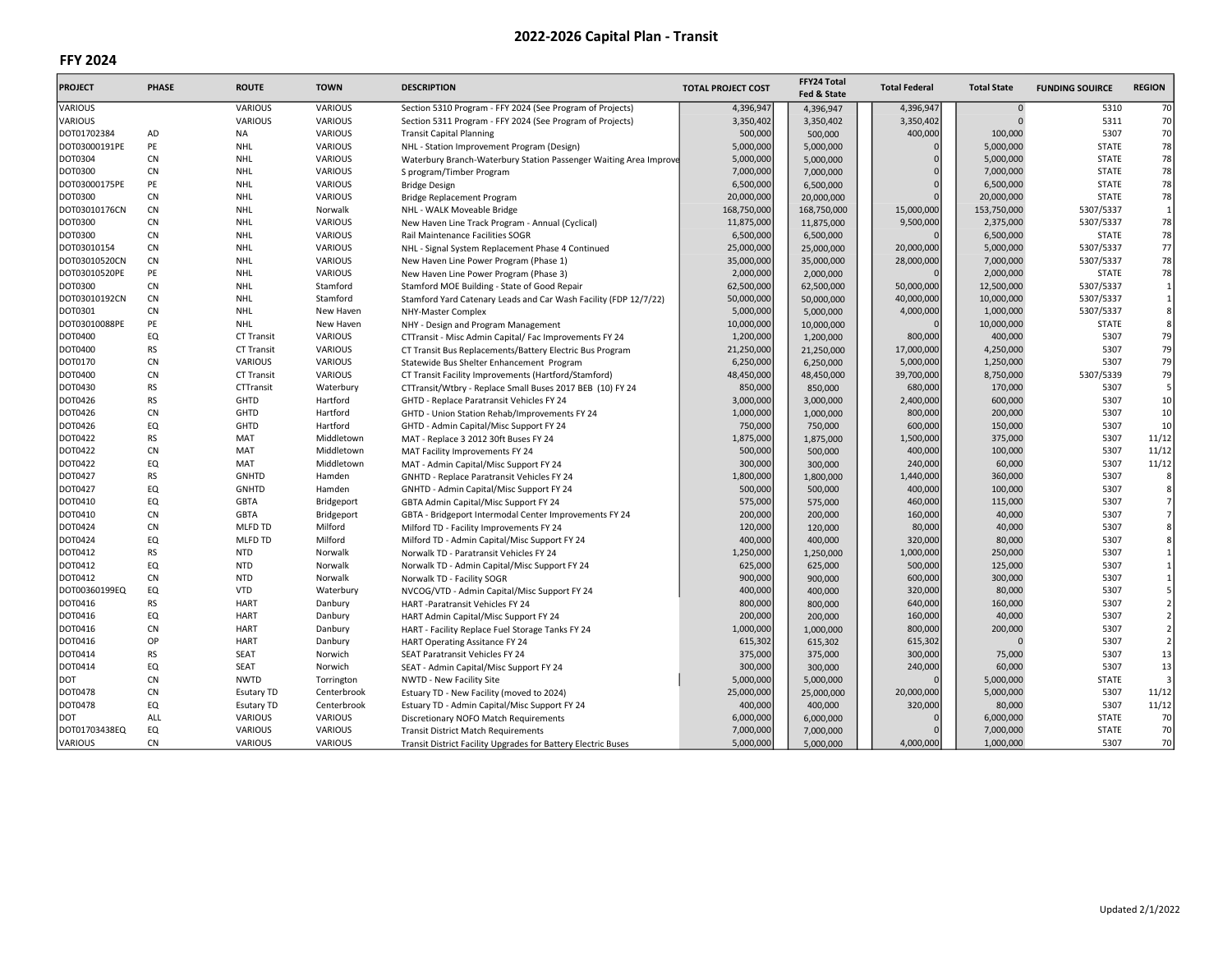| <b>PROJECT</b> | <b>PHASE</b> | <b>ROUTE</b>      | <b>TOWN</b>    | <b>DESCRIPTION</b>                                                | <b>TOTAL PROJECT COST</b> | FFY24 Total<br>Fed & State | <b>Total Federal</b> | <b>Total State</b> | <b>FUNDING SOUIRCE</b> | <b>REGION</b>           |
|----------------|--------------|-------------------|----------------|-------------------------------------------------------------------|---------------------------|----------------------------|----------------------|--------------------|------------------------|-------------------------|
| <b>VARIOUS</b> |              | VARIOUS           | <b>VARIOUS</b> | Section 5310 Program - FFY 2024 (See Program of Projects)         | 4,396,947                 | 4,396,947                  | 4,396,947            | $\Omega$           | 5310                   | 70                      |
| VARIOUS        |              | VARIOUS           | <b>VARIOUS</b> | Section 5311 Program - FFY 2024 (See Program of Projects)         | 3,350,402                 | 3,350,402                  | 3,350,402            | $\Omega$           | 5311                   | 70                      |
| DOT01702384    | AD           | NA                | VARIOUS        | <b>Transit Capital Planning</b>                                   | 500,000                   | 500,000                    | 400,000              | 100,000            | 5307                   | 70                      |
| DOT03000191PE  | PE           | <b>NHL</b>        | <b>VARIOUS</b> | NHL - Station Improvement Program (Design)                        | 5,000,000                 | 5,000,000                  |                      | 5,000,000          | <b>STATE</b>           | 78                      |
| DOT0304        | <b>CN</b>    | <b>NHL</b>        | VARIOUS        | Waterbury Branch-Waterbury Station Passenger Waiting Area Improve | 5,000,000                 | 5,000,000                  | $\Omega$             | 5,000,000          | <b>STATE</b>           | 78                      |
| DOT0300        | <b>CN</b>    | <b>NHL</b>        | <b>VARIOUS</b> | S program/Timber Program                                          | 7,000,000                 | 7,000,000                  | $\Omega$             | 7,000,000          | <b>STATE</b>           | 78                      |
| DOT03000175PE  | PE           | <b>NHL</b>        | <b>VARIOUS</b> | <b>Bridge Design</b>                                              | 6,500,000                 | 6,500,000                  | $\Omega$             | 6,500,000          | <b>STATE</b>           | 78                      |
| DOT0300        | <b>CN</b>    | <b>NHL</b>        | <b>VARIOUS</b> | Bridge Replacement Program                                        | 20,000,000                | 20,000,000                 | $\Omega$             | 20,000,000         | <b>STATE</b>           | 78                      |
| DOT03010176CN  | <b>CN</b>    | <b>NHL</b>        | Norwalk        | NHL - WALK Moveable Bridge                                        | 168,750,000               | 168,750,000                | 15,000,000           | 153,750,000        | 5307/5337              | $\mathbf{1}$            |
| DOT0300        | <b>CN</b>    | <b>NHL</b>        | <b>VARIOUS</b> | New Haven Line Track Program - Annual (Cyclical)                  | 11,875,000                | 11,875,000                 | 9,500,000            | 2,375,000          | 5307/5337              | 78                      |
| DOT0300        | <b>CN</b>    | <b>NHL</b>        | <b>VARIOUS</b> | Rail Maintenance Facilities SOGR                                  | 6,500,000                 | 6,500,000                  |                      | 6,500,000          | <b>STATE</b>           | 78                      |
| DOT03010154    | <b>CN</b>    | <b>NHL</b>        | <b>VARIOUS</b> | NHL - Signal System Replacement Phase 4 Continued                 | 25,000,000                | 25,000,000                 | 20,000,000           | 5,000,000          | 5307/5337              | 77                      |
| DOT03010520CN  | <b>CN</b>    | <b>NHL</b>        | <b>VARIOUS</b> | New Haven Line Power Program (Phase 1)                            | 35,000,000                | 35,000,000                 | 28,000,000           | 7,000,000          | 5307/5337              | 78                      |
| DOT03010520PE  | PE           | <b>NHL</b>        | VARIOUS        | New Haven Line Power Program (Phase 3)                            | 2,000,000                 | 2,000,000                  |                      | 2,000,000          | <b>STATE</b>           | 78                      |
| DOT0300        | <b>CN</b>    | <b>NHL</b>        | Stamford       | Stamford MOE Building - State of Good Repair                      | 62,500,000                | 62,500,000                 | 50,000,000           | 12,500,000         | 5307/5337              | $\mathbf{1}$            |
| DOT03010192CN  | <b>CN</b>    | <b>NHL</b>        | Stamford       | Stamford Yard Catenary Leads and Car Wash Facility (FDP 12/7/22)  | 50,000,000                | 50,000,000                 | 40,000,000           | 10,000,000         | 5307/5337              | $\mathbf{1}$            |
| DOT0301        | <b>CN</b>    | <b>NHL</b>        | New Haven      | NHY-Master Complex                                                | 5,000,000                 | 5,000,000                  | 4,000,000            | 1,000,000          | 5307/5337              | 8 <sup>1</sup>          |
| DOT03010088PE  | PE           | <b>NHL</b>        | New Haven      | NHY - Design and Program Management                               | 10,000,000                | 10,000,000                 |                      | 10,000,000         | <b>STATE</b>           | 8                       |
| DOT0400        | EQ           | <b>CT Transit</b> | <b>VARIOUS</b> |                                                                   | 1,200,000                 | 1,200,000                  | 800,000              | 400,000            | 5307                   | 79                      |
| DOT0400        | <b>RS</b>    | <b>CT Transit</b> | <b>VARIOUS</b> | CTTransit - Misc Admin Capital/ Fac Improvements FY 24            | 21,250,000                |                            | 17,000,000           | 4,250,000          | 5307                   | 79                      |
| DOT0170        | <b>CN</b>    | <b>VARIOUS</b>    | <b>VARIOUS</b> | CT Transit Bus Replacements/Battery Electric Bus Program          | 6,250,000                 | 21,250,000                 | 5,000,000            |                    | 5307                   | 79                      |
|                | <b>CN</b>    |                   |                | Statewide Bus Shelter Enhancement Program                         |                           | 6,250,000                  |                      | 1,250,000          |                        | 79                      |
| DOT0400        |              | <b>CT Transit</b> | VARIOUS        | CT Transit Facility Improvements (Hartford/Stamford)              | 48,450,000                | 48,450,000                 | 39,700,000           | 8,750,000          | 5307/5339              |                         |
| DOT0430        | <b>RS</b>    | CTTransit         | Waterbury      | CTTransit/Wtbry - Replace Small Buses 2017 BEB (10) FY 24         | 850,000                   | 850,000                    | 680,000              | 170,000            | 5307                   | 5                       |
| DOT0426        | <b>RS</b>    | GHTD              | Hartford       | GHTD - Replace Paratransit Vehicles FY 24                         | 3,000,000                 | 3,000,000                  | 2,400,000            | 600,000            | 5307                   | 10                      |
| DOT0426        | <b>CN</b>    | GHTD              | Hartford       | GHTD - Union Station Rehab/Improvements FY 24                     | 1,000,000                 | 1,000,000                  | 800,000              | 200,000            | 5307                   | 10                      |
| DOT0426        | EQ           | GHTD              | Hartford       | GHTD - Admin Capital/Misc Support FY 24                           | 750,000                   | 750,000                    | 600,000              | 150,000            | 5307                   | 10                      |
| DOT0422        | <b>RS</b>    | MAT               | Middletown     | MAT - Replace 3 2012 30ft Buses FY 24                             | 1,875,000                 | 1,875,000                  | 1,500,000            | 375,000            | 5307                   | 11/12                   |
| DOT0422        | CN           | MAT               | Middletown     | MAT Facility Improvements FY 24                                   | 500,000                   | 500,000                    | 400,000              | 100,000            | 5307                   | 11/12                   |
| DOT0422        | EQ           | MAT               | Middletown     | MAT - Admin Capital/Misc Support FY 24                            | 300,000                   | 300,000                    | 240,000              | 60,000             | 5307                   | 11/12                   |
| <b>DOT0427</b> | <b>RS</b>    | <b>GNHTD</b>      | Hamden         | <b>GNHTD - Replace Paratransit Vehicles FY 24</b>                 | 1,800,000                 | 1,800,000                  | 1,440,000            | 360,000            | 5307                   | 8                       |
| DOT0427        | EQ           | <b>GNHTD</b>      | Hamden         | GNHTD - Admin Capital/Misc Support FY 24                          | 500,000                   | 500,000                    | 400,000              | 100,000            | 5307                   | 8                       |
| DOT0410        | EQ           | <b>GBTA</b>       | Bridgeport     | GBTA Admin Capital/Misc Support FY 24                             | 575,000                   | 575,000                    | 460,000              | 115,000            | 5307                   | 7                       |
| DOT0410        | CN           | <b>GBTA</b>       | Bridgeport     | GBTA - Bridgeport Intermodal Center Improvements FY 24            | 200,000                   | 200,000                    | 160,000              | 40,000             | 5307                   | 7                       |
| DOT0424        | <b>CN</b>    | <b>MLFD TD</b>    | Milford        | Milford TD - Facility Improvements FY 24                          | 120,000                   | 120,000                    | 80,000               | 40,000             | 5307                   | 8 <sup>1</sup>          |
| DOT0424        | EQ           | <b>MLFD TD</b>    | Milford        | Milford TD - Admin Capital/Misc Support FY 24                     | 400,000                   | 400,000                    | 320,000              | 80,000             | 5307                   | 8 <sup>1</sup>          |
| DOT0412        | <b>RS</b>    | <b>NTD</b>        | Norwalk        | Norwalk TD - Paratransit Vehicles FY 24                           | 1,250,000                 | 1,250,000                  | 1,000,000            | 250,000            | 5307                   | $\mathbf{1}$            |
| DOT0412        | EQ           | <b>NTD</b>        | Norwalk        | Norwalk TD - Admin Capital/Misc Support FY 24                     | 625,000                   | 625,000                    | 500,000              | 125,000            | 5307                   | $\mathbf{1}$            |
| DOT0412        | CN           | <b>NTD</b>        | Norwalk        | Norwalk TD - Facility SOGR                                        | 900,000                   | 900,000                    | 600,000              | 300,000            | 5307                   | $\mathbf{1}$            |
| DOT00360199EQ  | EQ           | VTD               | Waterbury      | NVCOG/VTD - Admin Capital/Misc Support FY 24                      | 400,000                   | 400,000                    | 320,000              | 80,000             | 5307                   | $5\overline{)}$         |
| DOT0416        | <b>RS</b>    | <b>HART</b>       | Danbury        | HART-Paratransit Vehicles FY 24                                   | 800,000                   | 800,000                    | 640,000              | 160,000            | 5307                   | $\overline{2}$          |
| DOT0416        | EQ           | <b>HART</b>       | Danbury        | HART Admin Capital/Misc Support FY 24                             | 200,000                   | 200,000                    | 160,000              | 40,000             | 5307                   | $\overline{2}$          |
| DOT0416        | <b>CN</b>    | <b>HART</b>       | Danbury        | HART - Facility Replace Fuel Storage Tanks FY 24                  | 1,000,000                 | 1,000,000                  | 800,000              | 200,000            | 5307                   | $\overline{2}$          |
| DOT0416        | OP           | <b>HART</b>       | Danbury        | <b>HART Operating Assitance FY 24</b>                             | 615,302                   | 615,302                    | 615,302              |                    | 5307                   | $\overline{2}$          |
| DOT0414        | <b>RS</b>    | <b>SEAT</b>       | Norwich        | SEAT Paratransit Vehicles FY 24                                   | 375,000                   | 375,000                    | 300,000              | 75,000             | 5307                   | 13                      |
| DOT0414        | EQ           | <b>SEAT</b>       | Norwich        | SEAT - Admin Capital/Misc Support FY 24                           | 300,000                   | 300,000                    | 240,000              | 60,000             | 5307                   | 13                      |
| DOT            | CN           | <b>NWTD</b>       | Torrington     | NWTD - New Facility Site                                          | 5,000,000                 | 5,000,000                  |                      | 5,000,000          | <b>STATE</b>           | $\overline{\mathbf{3}}$ |
| <b>DOT0478</b> | CN           | <b>Esutary TD</b> | Centerbrook    | Estuary TD - New Facility (moved to 2024)                         | 25,000,000                | 25,000,000                 | 20,000,000           | 5,000,000          | 5307                   | 11/12                   |
| DOT0478        | EQ           | <b>Esutary TD</b> | Centerbrook    | Estuary TD - Admin Capital/Misc Support FY 24                     | 400,000                   | 400,000                    | 320,000              | 80,000             | 5307                   | 11/12                   |
| DOT            | ALL          | <b>VARIOUS</b>    | <b>VARIOUS</b> | Discretionary NOFO Match Requirements                             | 6,000,000                 | 6,000,000                  |                      | 6,000,000          | <b>STATE</b>           | 70                      |
| DOT01703438EQ  | EQ           | VARIOUS           | <b>VARIOUS</b> | <b>Transit District Match Requirements</b>                        | 7,000,000                 | 7,000,000                  |                      | 7,000,000          | <b>STATE</b>           | 70                      |
| <b>VARIOUS</b> | <b>CN</b>    | VARIOUS           | <b>VARIOUS</b> | Transit District Facility Upgrades for Battery Electric Buses     | 5,000,000                 | 5,000,000                  | 4,000,000            | 1,000,000          | 5307                   | 70                      |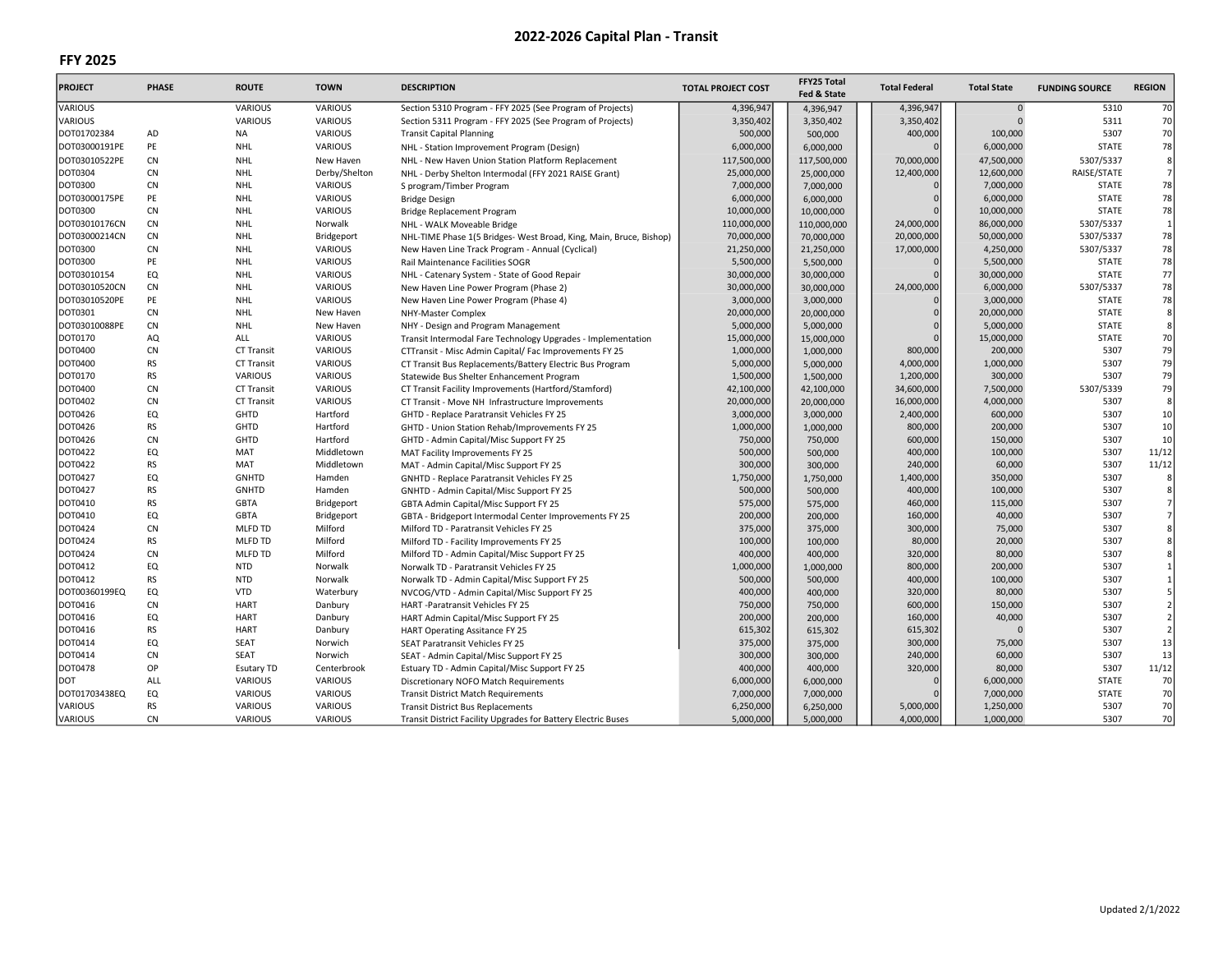| <b>PROJECT</b> | <b>PHASE</b> | <b>ROUTE</b>           | <b>TOWN</b>           | <b>DESCRIPTION</b>                                                                   | <b>TOTAL PROJECT COST</b> | FFY25 Total        | <b>Total Federal</b> | <b>Total State</b> | <b>FUNDING SOURCE</b> | <b>REGION</b>  |
|----------------|--------------|------------------------|-----------------------|--------------------------------------------------------------------------------------|---------------------------|--------------------|----------------------|--------------------|-----------------------|----------------|
|                |              |                        |                       |                                                                                      |                           | Fed & State        |                      |                    |                       |                |
| VARIOUS        |              | <b>VARIOUS</b>         | <b>VARIOUS</b>        | Section 5310 Program - FFY 2025 (See Program of Projects)                            | 4,396,947                 | 4,396,947          | 4,396,947            | $\mathbf 0$        | 5310                  | 70             |
| <b>VARIOUS</b> |              | <b>VARIOUS</b>         | VARIOUS               | Section 5311 Program - FFY 2025 (See Program of Projects)                            | 3,350,402                 | 3,350,402          | 3,350,402            | $\Omega$           | 5311                  | 70             |
| DOT01702384    | <b>AD</b>    | <b>NA</b>              | VARIOUS               | <b>Transit Capital Planning</b>                                                      | 500,000                   | 500,000            | 400,000              | 100,000            | 5307                  | 70             |
| DOT03000191PE  | PE           | <b>NHL</b>             | <b>VARIOUS</b>        | NHL - Station Improvement Program (Design)                                           | 6,000,000                 | 6,000,000          |                      | 6,000,000          | <b>STATE</b>          | 78             |
| DOT03010522PE  | <b>CN</b>    | <b>NHL</b>             | New Haven             | NHL - New Haven Union Station Platform Replacement                                   | 117,500,000               | 117,500,000        | 70,000,000           | 47,500,000         | 5307/5337             | 8              |
| <b>DOT0304</b> | <b>CN</b>    | <b>NHL</b>             | Derby/Shelton         | NHL - Derby Shelton Intermodal (FFY 2021 RAISE Grant)                                | 25,000,000                | 25,000,000         | 12,400,000           | 12,600,000         | RAISE/STATE           | 7              |
| DOT0300        | <b>CN</b>    | NHL                    | <b>VARIOUS</b>        | S program/Timber Program                                                             | 7,000,000                 | 7,000,000          |                      | 7,000,000          | <b>STATE</b>          | 78             |
| DOT03000175PE  | PE           | <b>NHL</b>             | VARIOUS               | <b>Bridge Design</b>                                                                 | 6,000,000                 | 6,000,000          | $\Omega$             | 6,000,000          | <b>STATE</b>          | 78             |
| DOT0300        | <b>CN</b>    | NHL                    | VARIOUS               | <b>Bridge Replacement Program</b>                                                    | 10,000,000                | 10,000,000         | $\Omega$             | 10,000,000         | <b>STATE</b>          | 78             |
| DOT03010176CN  | CN           | <b>NHL</b>             | Norwalk               | NHL - WALK Moveable Bridge                                                           | 110,000,000               | 110,000,000        | 24,000,000           | 86,000,000         | 5307/5337             | $\mathbf{1}$   |
| DOT03000214CN  | <b>CN</b>    | <b>NHL</b>             | Bridgeport            | NHL-TIME Phase 1(5 Bridges- West Broad, King, Main, Bruce, Bishop)                   | 70,000,000                | 70,000,000         | 20,000,000           | 50,000,000         | 5307/5337             | 78             |
| DOT0300        | <b>CN</b>    | NHL                    | <b>VARIOUS</b>        | New Haven Line Track Program - Annual (Cyclical)                                     | 21,250,000                | 21,250,000         | 17,000,000           | 4,250,000          | 5307/5337             | 78             |
| DOT0300        | PE           | <b>NHL</b>             | <b>VARIOUS</b>        | Rail Maintenance Facilities SOGR                                                     | 5,500,000                 | 5,500,000          |                      | 5,500,000          | <b>STATE</b>          | 78             |
| DOT03010154    | EQ           | <b>NHL</b>             | VARIOUS               | NHL - Catenary System - State of Good Repair                                         | 30,000,000                | 30,000,000         | $\Omega$             | 30,000,000         | <b>STATE</b>          | 77             |
| DOT03010520CN  | <b>CN</b>    | <b>NHL</b>             | <b>VARIOUS</b>        | New Haven Line Power Program (Phase 2)                                               | 30,000,000                | 30,000,000         | 24,000,000           | 6,000,000          | 5307/5337             | 78             |
| DOT03010520PE  | PE           | <b>NHL</b>             | <b>VARIOUS</b>        | New Haven Line Power Program (Phase 4)                                               | 3,000,000                 | 3,000,000          |                      | 3,000,000          | <b>STATE</b>          | 78             |
| DOT0301        | <b>CN</b>    | NHL                    | New Haven             | NHY-Master Complex                                                                   | 20,000,000                | 20,000,000         | $\Omega$             | 20,000,000         | <b>STATE</b>          | 8              |
| DOT03010088PE  | <b>CN</b>    | <b>NHL</b>             | New Haven             | NHY - Design and Program Management                                                  | 5,000,000                 | 5,000,000          |                      | 5,000,000          | <b>STATE</b>          | 8              |
| <b>DOT0170</b> | AQ           | ALL                    | VARIOUS               | Transit Intermodal Fare Technology Upgrades - Implementation                         | 15,000,000                | 15,000,000         | $\Omega$             | 15,000,000         | <b>STATE</b>          | 70             |
| DOT0400        | <b>CN</b>    | <b>CT Transit</b>      | <b>VARIOUS</b>        | CTTransit - Misc Admin Capital/ Fac Improvements FY 25                               | 1,000,000                 | 1,000,000          | 800,000              | 200,000            | 5307                  | 79             |
| <b>DOT0400</b> | <b>RS</b>    | <b>CT Transit</b>      | <b>VARIOUS</b>        | CT Transit Bus Replacements/Battery Electric Bus Program                             | 5,000,000                 | 5,000,000          | 4,000,000            | 1,000,000          | 5307                  | 79             |
| DOT0170        | <b>RS</b>    | VARIOUS                | <b>VARIOUS</b>        | Statewide Bus Shelter Enhancement Program                                            | 1,500,000                 | 1,500,000          | 1,200,000            | 300,000            | 5307                  | 79             |
| DOT0400        | <b>CN</b>    | <b>CT Transit</b>      | <b>VARIOUS</b>        | CT Transit Facility Improvements (Hartford/Stamford)                                 | 42,100,000                | 42,100,000         | 34,600,000           | 7,500,000          | 5307/5339             | 79             |
| DOT0402        | <b>CN</b>    | <b>CT Transit</b>      | <b>VARIOUS</b>        | CT Transit - Move NH Infrastructure Improvements                                     | 20,000,000                | 20,000,000         | 16,000,000           | 4,000,000          | 5307                  | 8              |
| DOT0426        | EQ           | GHTD                   | Hartford              | GHTD - Replace Paratransit Vehicles FY 25                                            | 3,000,000                 | 3,000,000          | 2,400,000            | 600,000            | 5307                  | 10             |
| DOT0426        | <b>RS</b>    | GHTD                   | Hartford              | GHTD - Union Station Rehab/Improvements FY 25                                        | 1,000,000                 | 1,000,000          | 800,000              | 200,000            | 5307                  | 10             |
| DOT0426        | <b>CN</b>    | GHTD                   | Hartford              | GHTD - Admin Capital/Misc Support FY 25                                              | 750,000                   | 750,000            | 600,000              | 150,000            | 5307                  | 10             |
| DOT0422        | EQ           | MAT                    | Middletown            |                                                                                      | 500,000                   |                    | 400,000              | 100,000            | 5307                  | 11/12          |
| DOT0422        | <b>RS</b>    | MAT                    | Middletown            | MAT Facility Improvements FY 25                                                      | 300,000                   | 500,000<br>300,000 | 240,000              | 60,000             | 5307                  | 11/12          |
| DOT0427        | EQ           | <b>GNHTD</b>           | Hamden                | MAT - Admin Capital/Misc Support FY 25<br>GNHTD - Replace Paratransit Vehicles FY 25 | 1,750,000                 | 1,750,000          | 1,400,000            | 350,000            | 5307                  | 8              |
| DOT0427        | <b>RS</b>    | <b>GNHTD</b>           | Hamden                |                                                                                      | 500,000                   | 500,000            | 400,000              | 100,000            | 5307                  | 8              |
| <b>DOT0410</b> | <b>RS</b>    | <b>GBTA</b>            | Bridgeport            | GNHTD - Admin Capital/Misc Support FY 25                                             | 575,000                   |                    | 460,000              | 115,000            | 5307                  | $\overline{7}$ |
| DOT0410        | EQ           |                        |                       | GBTA Admin Capital/Misc Support FY 25                                                |                           | 575,000            |                      |                    | 5307                  | 7              |
| <b>DOT0424</b> | <b>CN</b>    | <b>GBTA</b><br>MLFD TD | Bridgeport<br>Milford | GBTA - Bridgeport Intermodal Center Improvements FY 25                               | 200,000                   | 200,000            | 160,000              | 40,000             | 5307                  | 8              |
| DOT0424        | <b>RS</b>    | MLFD TD                | Milford               | Milford TD - Paratransit Vehicles FY 25                                              | 375,000<br>100,000        | 375,000            | 300,000<br>80,000    | 75,000             | 5307                  | 8              |
|                |              |                        |                       | Milford TD - Facility Improvements FY 25                                             |                           | 100,000            |                      | 20,000             |                       | 8              |
| <b>DOT0424</b> | <b>CN</b>    | MLFD TD                | Milford               | Milford TD - Admin Capital/Misc Support FY 25                                        | 400,000                   | 400,000            | 320,000              | 80,000             | 5307                  |                |
| DOT0412        | EQ           | <b>NTD</b>             | Norwalk               | Norwalk TD - Paratransit Vehicles FY 25                                              | 1,000,000                 | 1,000,000          | 800,000              | 200,000            | 5307                  | $\mathbf{1}$   |
| DOT0412        | <b>RS</b>    | <b>NTD</b>             | Norwalk               | Norwalk TD - Admin Capital/Misc Support FY 25                                        | 500,000                   | 500,000            | 400,000              | 100,000            | 5307                  | $\mathbf{1}$   |
| DOT00360199EQ  | EQ           | <b>VTD</b>             | Waterbury             | NVCOG/VTD - Admin Capital/Misc Support FY 25                                         | 400,000                   | 400,000            | 320,000              | 80,000             | 5307                  | 5              |
| DOT0416        | CN           | <b>HART</b>            | Danbury               | HART -Paratransit Vehicles FY 25                                                     | 750,000                   | 750,000            | 600,000              | 150,000            | 5307                  | $\overline{2}$ |
| DOT0416        | EQ           | <b>HART</b>            | Danbury               | HART Admin Capital/Misc Support FY 25                                                | 200,000                   | 200,000            | 160,000              | 40,000             | 5307                  | $\overline{2}$ |
| DOT0416        | <b>RS</b>    | <b>HART</b>            | Danbury               | HART Operating Assitance FY 25                                                       | 615,302                   | 615,302            | 615,302              | $\Omega$           | 5307                  | $\overline{2}$ |
| DOT0414        | EQ           | SEAT                   | Norwich               | SEAT Paratransit Vehicles FY 25                                                      | 375,000                   | 375,000            | 300,000              | 75,000             | 5307                  | 13             |
| DOT0414        | CN           | SEAT                   | Norwich               | SEAT - Admin Capital/Misc Support FY 25                                              | 300,000                   | 300,000            | 240,000              | 60,000             | 5307                  | 13             |
| DOT0478        | OP           | <b>Esutary TD</b>      | Centerbrook           | Estuary TD - Admin Capital/Misc Support FY 25                                        | 400,000                   | 400,000            | 320,000              | 80,000             | 5307                  | 11/12          |
| <b>DOT</b>     | ALL          | VARIOUS                | <b>VARIOUS</b>        | Discretionary NOFO Match Requirements                                                | 6,000,000                 | 6,000,000          |                      | 6,000,000          | <b>STATE</b>          | 70             |
| DOT01703438EQ  | EQ           | VARIOUS                | <b>VARIOUS</b>        | <b>Transit District Match Requirements</b>                                           | 7,000,000                 | 7,000,000          | $\Omega$             | 7,000,000          | <b>STATE</b>          | 70             |
| <b>VARIOUS</b> | <b>RS</b>    | <b>VARIOUS</b>         | VARIOUS               | <b>Transit District Bus Replacements</b>                                             | 6,250,000                 | 6,250,000          | 5,000,000            | 1,250,000          | 5307                  | 70             |
| <b>VARIOUS</b> | CN           | <b>VARIOUS</b>         | VARIOUS               | Transit District Facility Upgrades for Battery Electric Buses                        | 5.000.000                 | 5,000,000          | 4,000,000            | 1,000,000          | 5307                  | 70             |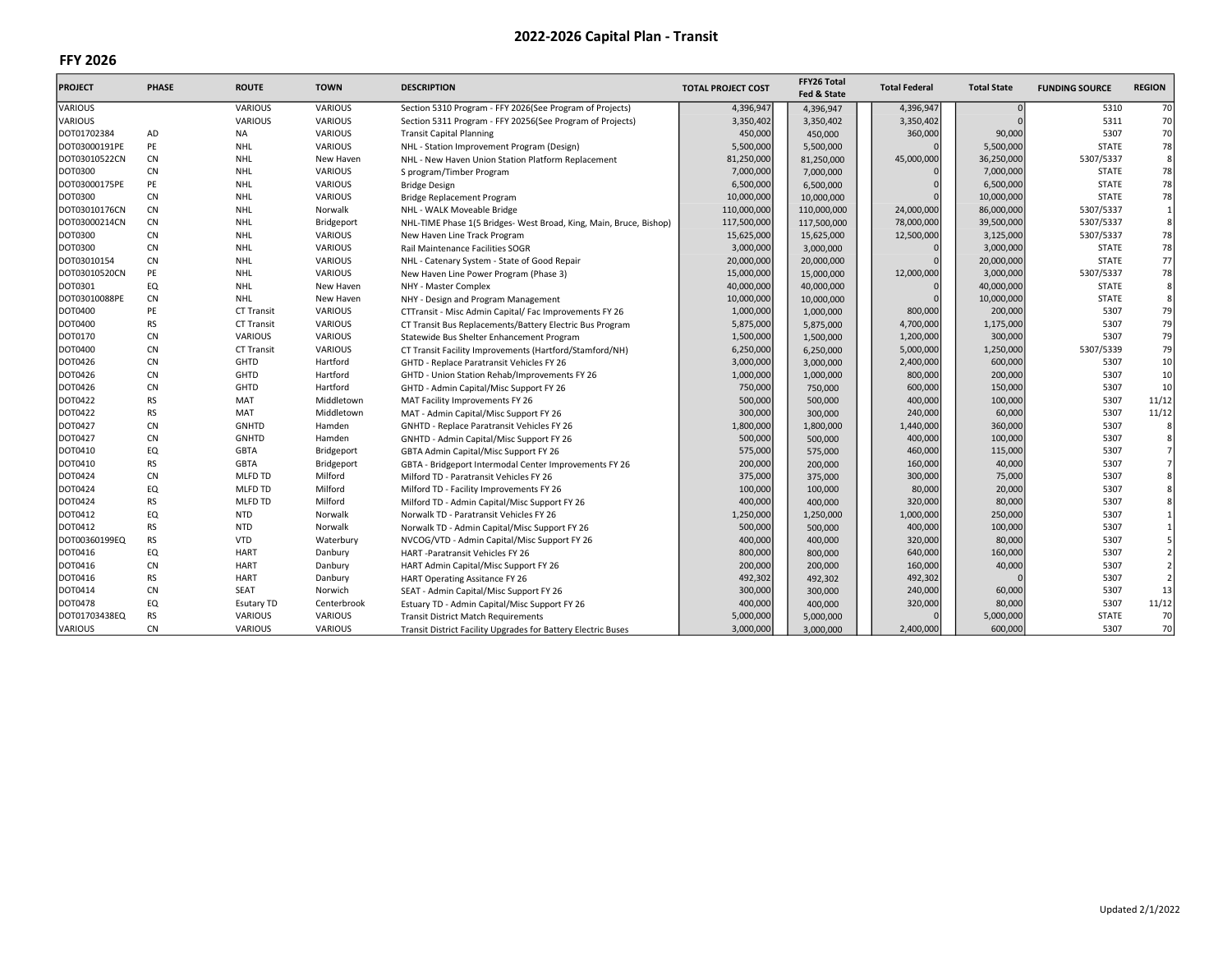| <b>PROJECT</b> | <b>PHASE</b> | <b>ROUTE</b>      | <b>TOWN</b>    | <b>DESCRIPTION</b>                                                 | <b>TOTAL PROJECT COST</b> | FFY26 Total<br>Fed & State | <b>Total Federal</b> | <b>Total State</b> | <b>FUNDING SOURCE</b> | <b>REGION</b>  |
|----------------|--------------|-------------------|----------------|--------------------------------------------------------------------|---------------------------|----------------------------|----------------------|--------------------|-----------------------|----------------|
| VARIOUS        |              | <b>VARIOUS</b>    | VARIOUS        | Section 5310 Program - FFY 2026(See Program of Projects)           | 4,396,947                 | 4,396,947                  | 4,396,947            |                    | 5310                  | 70             |
| VARIOUS        |              | VARIOUS           | <b>VARIOUS</b> | Section 5311 Program - FFY 20256(See Program of Projects)          | 3,350,402                 | 3,350,402                  | 3,350,402            |                    | 5311                  | 70             |
| DOT01702384    | AD           | <b>NA</b>         | <b>VARIOUS</b> | <b>Transit Capital Planning</b>                                    | 450,000                   | 450,000                    | 360,000              | 90,000             | 5307                  | 70             |
| DOT03000191PE  | PE           | <b>NHL</b>        | <b>VARIOUS</b> | NHL - Station Improvement Program (Design)                         | 5,500,000                 | 5,500,000                  |                      | 5,500,000          | <b>STATE</b>          | 78             |
| DOT03010522CN  | <b>CN</b>    | <b>NHL</b>        | New Haven      | NHL - New Haven Union Station Platform Replacement                 | 81,250,000                | 81,250,000                 | 45,000,000           | 36,250,000         | 5307/5337             | 8              |
| <b>DOT0300</b> | <b>CN</b>    | NHL               | <b>VARIOUS</b> | S program/Timber Program                                           | 7,000,000                 | 7,000,000                  |                      | 7,000,000          | <b>STATE</b>          | 78             |
| DOT03000175PE  | PE           | <b>NHL</b>        | <b>VARIOUS</b> | <b>Bridge Design</b>                                               | 6,500,000                 | 6,500,000                  |                      | 6,500,000          | <b>STATE</b>          | 78             |
| <b>DOT0300</b> | <b>CN</b>    | <b>NHL</b>        | <b>VARIOUS</b> | Bridge Replacement Program                                         | 10,000,000                | 10,000,000                 |                      | 10,000,000         | <b>STATE</b>          | 78             |
| DOT03010176CN  | CN           | <b>NHL</b>        | Norwalk        | NHL - WALK Moveable Bridge                                         | 110,000,000               | 110,000,000                | 24,000,000           | 86,000,000         | 5307/5337             | $\mathbf{1}$   |
| DOT03000214CN  | CN           | <b>NHL</b>        | Bridgeport     | NHL-TIME Phase 1(5 Bridges- West Broad, King, Main, Bruce, Bishop) | 117,500,000               | 117,500,000                | 78,000,000           | 39,500,000         | 5307/5337             | 8              |
| <b>DOT0300</b> | <b>CN</b>    | NHL               | <b>VARIOUS</b> | New Haven Line Track Program                                       | 15,625,000                | 15,625,000                 | 12,500,000           | 3,125,000          | 5307/5337             | 78             |
| <b>DOT0300</b> | <b>CN</b>    | NHL               | <b>VARIOUS</b> | Rail Maintenance Facilities SOGR                                   | 3,000,000                 | 3,000,000                  |                      | 3,000,000          | <b>STATE</b>          | 78             |
| DOT03010154    | CN           | <b>NHL</b>        | <b>VARIOUS</b> | NHL - Catenary System - State of Good Repair                       | 20,000,000                | 20,000,000                 |                      | 20,000,000         | <b>STATE</b>          | 77             |
| DOT03010520CN  | PE           | <b>NHL</b>        | <b>VARIOUS</b> | New Haven Line Power Program (Phase 3)                             | 15,000,000                | 15,000,000                 | 12,000,000           | 3,000,000          | 5307/5337             | 78             |
| DOT0301        | EQ           | <b>NHL</b>        | New Haven      | NHY - Master Complex                                               | 40,000,000                | 40,000,000                 |                      | 40,000,000         | <b>STATE</b>          | 8              |
| DOT03010088PE  | <b>CN</b>    | <b>NHL</b>        | New Haven      | NHY - Design and Program Management                                | 10,000,000                | 10,000,000                 |                      | 10,000,000         | <b>STATE</b>          | 8              |
| DOT0400        | PE           | <b>CT Transit</b> | <b>VARIOUS</b> | CTTransit - Misc Admin Capital/Fac Improvements FY 26              | 1,000,000                 | 1,000,000                  | 800,000              | 200,000            | 5307                  | 79             |
| DOT0400        | <b>RS</b>    | <b>CT Transit</b> | <b>VARIOUS</b> | CT Transit Bus Replacements/Battery Electric Bus Program           | 5,875,000                 | 5,875,000                  | 4,700,000            | 1,175,000          | 5307                  | 79             |
| DOT0170        | <b>CN</b>    | VARIOUS           | <b>VARIOUS</b> | Statewide Bus Shelter Enhancement Program                          | 1,500,000                 | 1,500,000                  | 1,200,000            | 300,000            | 5307                  | 79             |
| DOT0400        | <b>CN</b>    | <b>CT Transit</b> | <b>VARIOUS</b> | CT Transit Facility Improvements (Hartford/Stamford/NH)            | 6,250,000                 | 6,250,000                  | 5,000,000            | 1,250,000          | 5307/5339             | 79             |
| DOT0426        | <b>CN</b>    | GHTD              | Hartford       | GHTD - Replace Paratransit Vehicles FY 26                          | 3,000,000                 | 3,000,000                  | 2,400,000            | 600,000            | 5307                  | 10             |
| DOT0426        | CN           | GHTD              | Hartford       | GHTD - Union Station Rehab/Improvements FY 26                      | 1,000,000                 | 1,000,000                  | 800,000              | 200,000            | 5307                  | 10             |
| DOT0426        | <b>CN</b>    | GHTD              | Hartford       | GHTD - Admin Capital/Misc Support FY 26                            | 750,000                   | 750,000                    | 600,000              | 150,000            | 5307                  | 10             |
| DOT0422        | <b>RS</b>    | MAT               | Middletown     | MAT Facility Improvements FY 26                                    | 500,000                   | 500,000                    | 400,000              | 100,000            | 5307                  | 11/12          |
| DOT0422        | <b>RS</b>    | MAT               | Middletown     | MAT - Admin Capital/Misc Support FY 26                             | 300,000                   | 300,000                    | 240,000              | 60,000             | 5307                  | 11/12          |
| DOT0427        | CN           | <b>GNHTD</b>      | Hamden         | GNHTD - Replace Paratransit Vehicles FY 26                         | 1,800,000                 | 1,800,000                  | 1,440,000            | 360,000            | 5307                  | 8              |
| DOT0427        | <b>CN</b>    | <b>GNHTD</b>      | Hamden         | GNHTD - Admin Capital/Misc Support FY 26                           | 500,000                   | 500,000                    | 400,000              | 100,000            | 5307                  | 8              |
| DOT0410        | EQ           | <b>GBTA</b>       | Bridgeport     | GBTA Admin Capital/Misc Support FY 26                              | 575,000                   | 575,000                    | 460,000              | 115,000            | 5307                  | $\overline{7}$ |
| DOT0410        | <b>RS</b>    | <b>GBTA</b>       | Bridgeport     | GBTA - Bridgeport Intermodal Center Improvements FY 26             | 200,000                   | 200,000                    | 160,000              | 40,000             | 5307                  | $\overline{7}$ |
| DOT0424        | <b>CN</b>    | MLFD TD           | Milford        | Milford TD - Paratransit Vehicles FY 26                            | 375,000                   | 375,000                    | 300,000              | 75,000             | 5307                  | 8              |
| DOT0424        | EQ           | MLFD TD           | Milford        | Milford TD - Facility Improvements FY 26                           | 100,000                   | 100,000                    | 80,000               | 20,000             | 5307                  |                |
| DOT0424        | <b>RS</b>    | MLFD TD           | Milford        | Milford TD - Admin Capital/Misc Support FY 26                      | 400,000                   | 400,000                    | 320,000              | 80,000             | 5307                  |                |
| DOT0412        | EQ           | <b>NTD</b>        | Norwalk        | Norwalk TD - Paratransit Vehicles FY 26                            | 1,250,000                 | 1,250,000                  | 1,000,000            | 250,000            | 5307                  | $\mathbf{1}$   |
| DOT0412        | <b>RS</b>    | <b>NTD</b>        | Norwalk        | Norwalk TD - Admin Capital/Misc Support FY 26                      | 500,000                   | 500,000                    | 400,000              | 100,000            | 5307                  |                |
| DOT00360199EQ  | <b>RS</b>    | <b>VTD</b>        | Waterbury      | NVCOG/VTD - Admin Capital/Misc Support FY 26                       | 400,000                   | 400,000                    | 320,000              | 80,000             | 5307                  |                |
| DOT0416        | EQ           | <b>HART</b>       | Danbury        | HART -Paratransit Vehicles FY 26                                   | 800,000                   | 800,000                    | 640,000              | 160,000            | 5307                  | $\overline{2}$ |
| DOT0416        | <b>CN</b>    | <b>HART</b>       | Danbury        | HART Admin Capital/Misc Support FY 26                              | 200,000                   | 200,000                    | 160,000              | 40,000             | 5307                  | $\overline{2}$ |
| DOT0416        | <b>RS</b>    | <b>HART</b>       | Danbury        | HART Operating Assitance FY 26                                     | 492,302                   | 492,302                    | 492,302              |                    | 5307                  | $\overline{2}$ |
| DOT0414        | CN           | <b>SEAT</b>       | Norwich        | SEAT - Admin Capital/Misc Support FY 26                            | 300,000                   | 300,000                    | 240,000              | 60,000             | 5307                  | 13             |
| DOT0478        | EQ           | <b>Esutary TD</b> | Centerbrook    | Estuary TD - Admin Capital/Misc Support FY 26                      | 400,000                   | 400,000                    | 320,000              | 80,000             | 5307                  | 11/12          |
| DOT01703438EQ  | <b>RS</b>    | <b>VARIOUS</b>    | <b>VARIOUS</b> | <b>Transit District Match Requirements</b>                         | 5,000,000                 | 5,000,000                  |                      | 5,000,000          | <b>STATE</b>          | 70             |
| VARIOUS        | <b>CN</b>    | VARIOUS           | <b>VARIOUS</b> | Transit District Facility Upgrades for Battery Electric Buses      | 3,000,000                 | 3,000,000                  | 2,400,000            | 600,000            | 5307                  | 70             |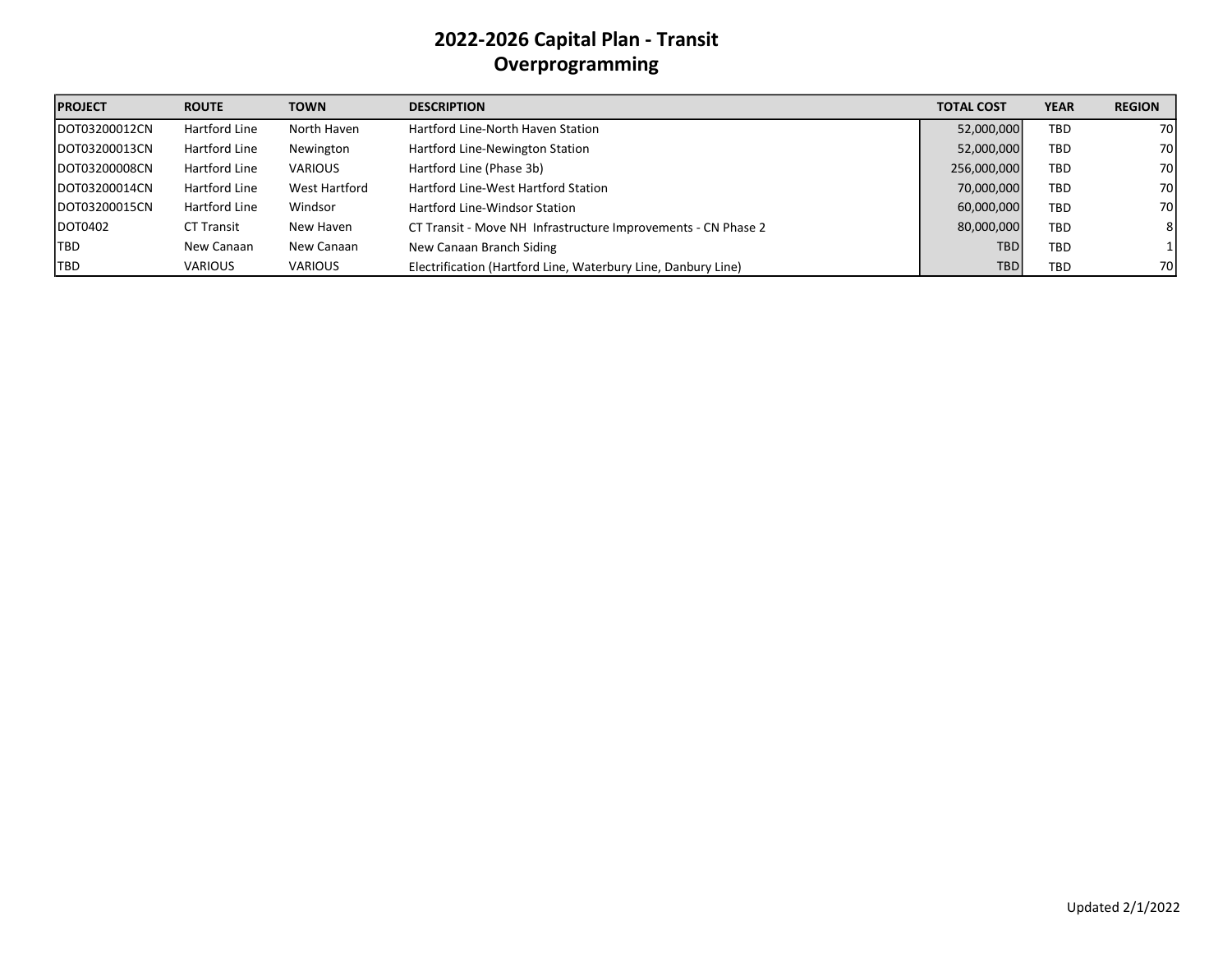# 2022-2026 Capital Plan - Transit Overprogramming

| <b>PROJECT</b> | <b>ROUTE</b>      | <b>TOWN</b>    | <b>DESCRIPTION</b>                                            | <b>TOTAL COST</b> | <b>YEAR</b> | <b>REGION</b> |
|----------------|-------------------|----------------|---------------------------------------------------------------|-------------------|-------------|---------------|
| DOT03200012CN  | Hartford Line     | North Haven    | Hartford Line-North Haven Station                             | 52,000,000        | <b>TBD</b>  | 70            |
| DOT03200013CN  | Hartford Line     | Newington      | Hartford Line-Newington Station                               | 52,000,000        | <b>TBD</b>  | 70            |
| DOT03200008CN  | Hartford Line     | <b>VARIOUS</b> | Hartford Line (Phase 3b)                                      | 256,000,000       | <b>TBD</b>  | 70            |
| DOT03200014CN  | Hartford Line     | West Hartford  | Hartford Line-West Hartford Station                           | 70,000,000        | <b>TBD</b>  | 70            |
| DOT03200015CN  | Hartford Line     | Windsor        | <b>Hartford Line-Windsor Station</b>                          | 60,000,000        | <b>TBD</b>  | 70            |
| DOT0402        | <b>CT Transit</b> | New Haven      | CT Transit - Move NH Infrastructure Improvements - CN Phase 2 | 80,000,000        | <b>TBD</b>  | 81            |
| ltbd.          | New Canaan        | New Canaan     | New Canaan Branch Siding                                      | <b>TBD</b>        | <b>TBD</b>  | 11            |
| <b>TBD</b>     | <b>VARIOUS</b>    | <b>VARIOUS</b> | Electrification (Hartford Line, Waterbury Line, Danbury Line) | <b>TBD</b>        | <b>TBD</b>  | 70            |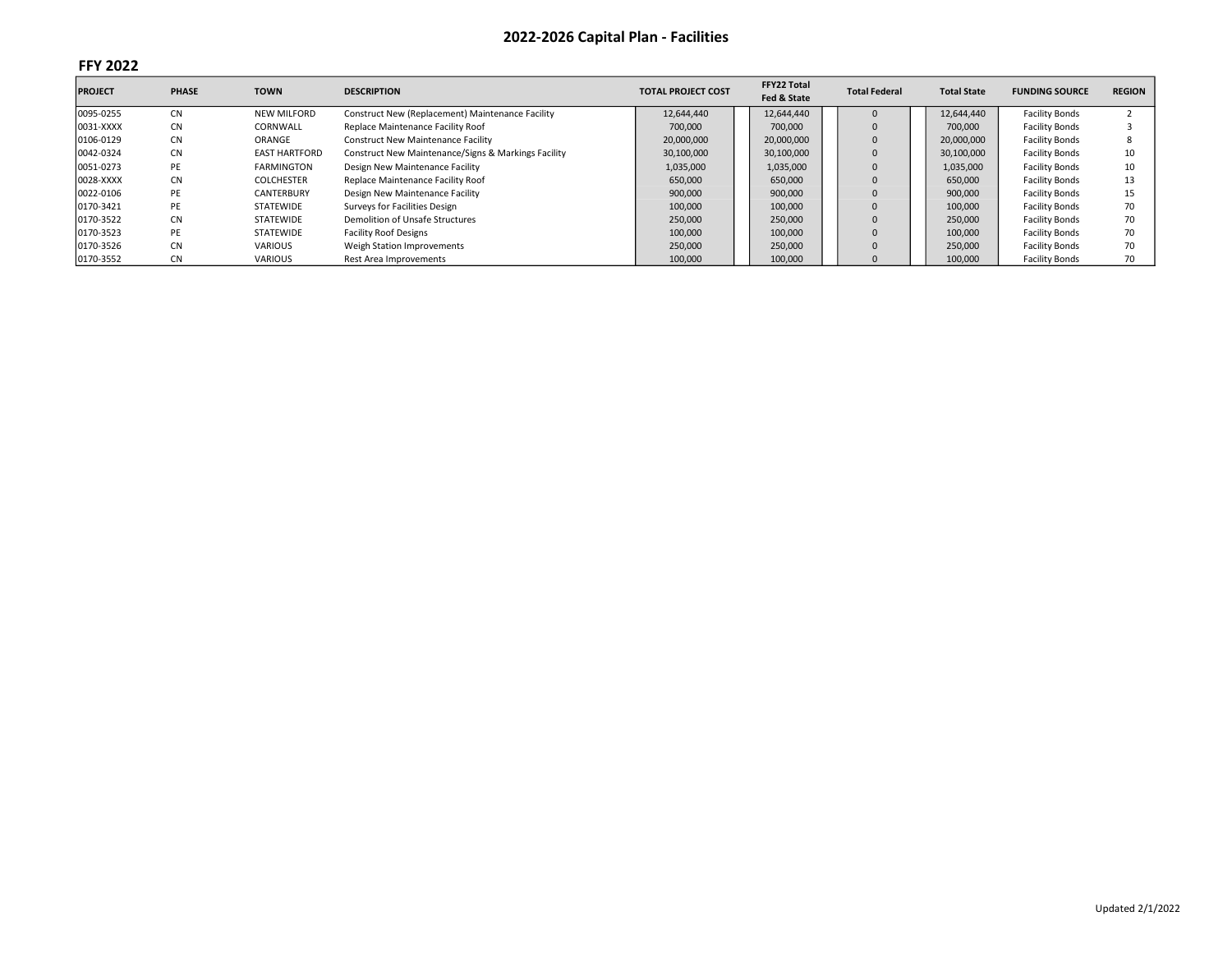| <b>PROJECT</b> | <b>PHASE</b> | <b>TOWN</b>          | <b>DESCRIPTION</b>                                  | <b>TOTAL PROJECT COST</b> | FFY22 Total<br>Fed & State | <b>Total Federal</b> | <b>Total State</b> | <b>FUNDING SOURCE</b> | <b>REGION</b> |
|----------------|--------------|----------------------|-----------------------------------------------------|---------------------------|----------------------------|----------------------|--------------------|-----------------------|---------------|
| 0095-0255      | <b>CN</b>    | <b>NEW MILFORD</b>   | Construct New (Replacement) Maintenance Facility    | 12,644,440                | 12,644,440                 |                      | 12,644,440         | <b>Facility Bonds</b> |               |
| 0031-XXXX      | <b>CN</b>    | CORNWALL             | Replace Maintenance Facility Roof                   | 700,000                   | 700.000                    |                      | 700.000            | <b>Facility Bonds</b> |               |
| 0106-0129      | <b>CN</b>    | ORANGE               | <b>Construct New Maintenance Facility</b>           | 20,000,000                | 20,000,000                 |                      | 20,000,000         | <b>Facility Bonds</b> |               |
| 0042-0324      | <b>CN</b>    | <b>EAST HARTFORD</b> | Construct New Maintenance/Signs & Markings Facility | 30,100,000                | 30,100,000                 |                      | 30,100,000         | <b>Facility Bonds</b> | 10            |
| 0051-0273      | PE           | <b>FARMINGTON</b>    | Design New Maintenance Facility                     | 1,035,000                 | 1,035,000                  | $\Omega$             | 1,035,000          | <b>Facility Bonds</b> | 10            |
| 0028-XXXX      | <b>CN</b>    | <b>COLCHESTER</b>    | Replace Maintenance Facility Roof                   | 650,000                   | 650,000                    |                      | 650,000            | <b>Facility Bonds</b> | 13            |
| 0022-0106      | PE           | <b>CANTERBURY</b>    | Design New Maintenance Facility                     | 900,000                   | 900,000                    |                      | 900,000            | <b>Facility Bonds</b> | 15            |
| 0170-3421      | PE           | <b>STATEWIDE</b>     | Surveys for Facilities Design                       | 100,000                   | 100,000                    |                      | 100,000            | <b>Facility Bonds</b> | 70            |
| 0170-3522      | <b>CN</b>    | <b>STATEWIDE</b>     | Demolition of Unsafe Structures                     | 250,000                   | 250,000                    |                      | 250,000            | <b>Facility Bonds</b> | 70            |
| 0170-3523      | PE           | <b>STATEWIDE</b>     | <b>Facility Roof Designs</b>                        | 100,000                   | 100,000                    |                      | 100,000            | <b>Facility Bonds</b> | 70            |
| 0170-3526      | <b>CN</b>    | <b>VARIOUS</b>       | Weigh Station Improvements                          | 250,000                   | 250,000                    |                      | 250,000            | <b>Facility Bonds</b> | 70            |
| 0170-3552      | <b>CN</b>    | <b>VARIOUS</b>       | Rest Area Improvements                              | 100,000                   | 100.000                    |                      | 100.000            | <b>Facility Bonds</b> | 70            |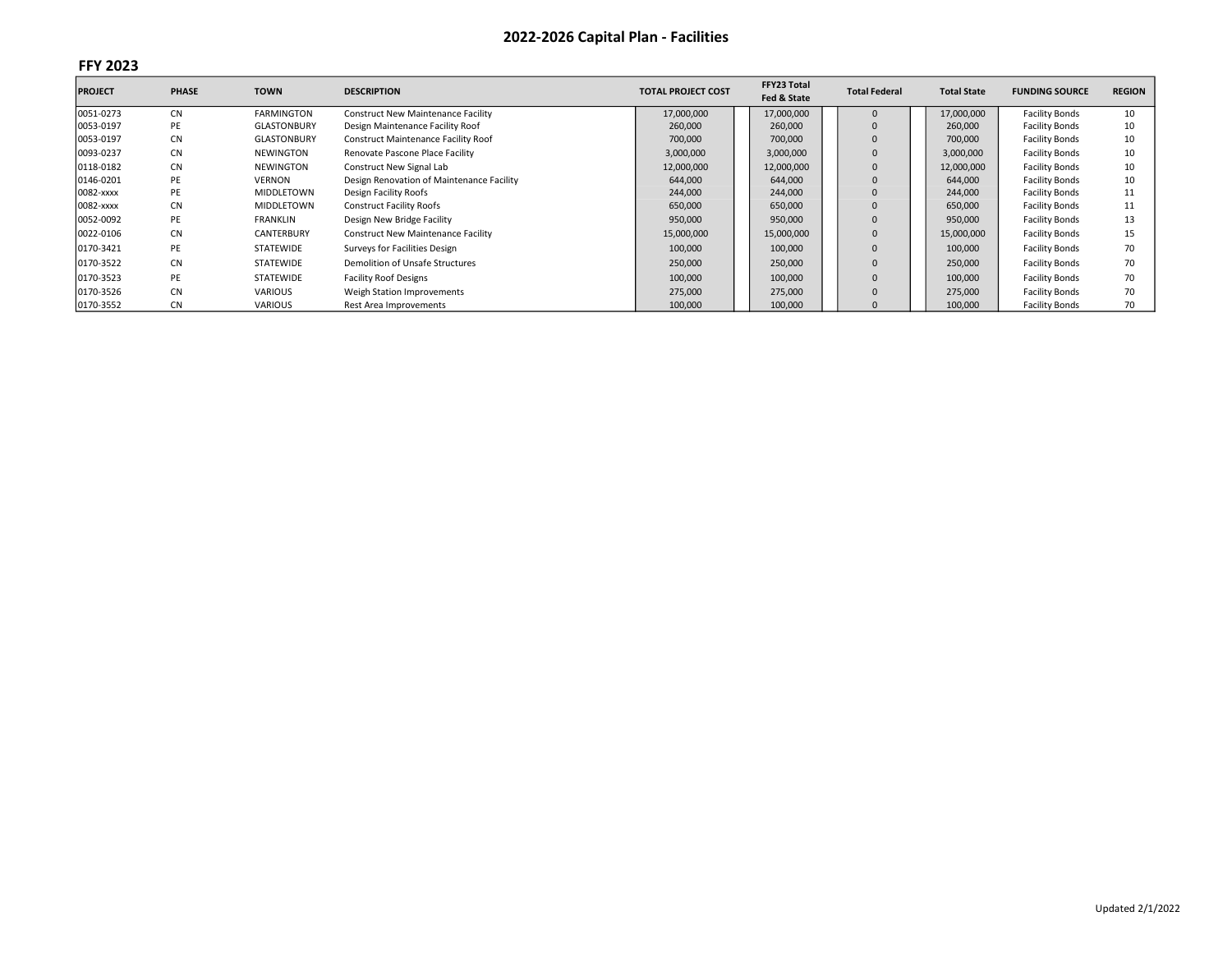| <b>PROJECT</b> | <b>PHASE</b> | <b>TOWN</b>        | <b>DESCRIPTION</b>                         | <b>TOTAL PROJECT COST</b> | FFY23 Total<br>Fed & State | <b>Total Federal</b> | <b>Total State</b> | <b>FUNDING SOURCE</b> | <b>REGION</b> |
|----------------|--------------|--------------------|--------------------------------------------|---------------------------|----------------------------|----------------------|--------------------|-----------------------|---------------|
| 0051-0273      | <b>CN</b>    | <b>FARMINGTON</b>  | <b>Construct New Maintenance Facility</b>  | 17,000,000                | 17,000,000                 |                      | 17,000,000         | <b>Facility Bonds</b> | 10            |
| 0053-0197      | PE           | <b>GLASTONBURY</b> | Design Maintenance Facility Roof           | 260,000                   | 260,000                    |                      | 260,000            | <b>Facility Bonds</b> | 10            |
| 0053-0197      | <b>CN</b>    | <b>GLASTONBURY</b> | <b>Construct Maintenance Facility Roof</b> | 700,000                   | 700,000                    |                      | 700,000            | <b>Facility Bonds</b> | 10            |
| 0093-0237      | <b>CN</b>    | <b>NEWINGTON</b>   | Renovate Pascone Place Facility            | 3,000,000                 | 3,000,000                  |                      | 3,000,000          | <b>Facility Bonds</b> | 10            |
| 0118-0182      | <b>CN</b>    | <b>NEWINGTON</b>   | Construct New Signal Lab                   | 12,000,000                | 12,000,000                 |                      | 12,000,000         | <b>Facility Bonds</b> | 10            |
| 0146-0201      | PE           | <b>VERNON</b>      | Design Renovation of Maintenance Facility  | 644,000                   | 644,000                    |                      | 644,000            | <b>Facility Bonds</b> | 10            |
| 0082-xxxx      | PE           | MIDDLETOWN         | Design Facility Roofs                      | 244,000                   | 244,000                    |                      | 244,000            | <b>Facility Bonds</b> |               |
| 0082-xxxx      | <b>CN</b>    | MIDDLETOWN         | <b>Construct Facility Roofs</b>            | 650,000                   | 650,000                    |                      | 650,000            | <b>Facility Bonds</b> |               |
| 0052-0092      | PE           | <b>FRANKLIN</b>    | Design New Bridge Facility                 | 950,000                   | 950,000                    |                      | 950,000            | <b>Facility Bonds</b> | 13            |
| 0022-0106      | <b>CN</b>    | <b>CANTERBURY</b>  | <b>Construct New Maintenance Facility</b>  | 15,000,000                | 15,000,000                 |                      | 15,000,000         | <b>Facility Bonds</b> | 15            |
| 0170-3421      | PE           | <b>STATEWIDE</b>   | Surveys for Facilities Design              | 100,000                   | 100,000                    |                      | 100,000            | <b>Facility Bonds</b> | 70            |
| 0170-3522      | <b>CN</b>    | <b>STATEWIDE</b>   | Demolition of Unsafe Structures            | 250,000                   | 250,000                    |                      | 250,000            | <b>Facility Bonds</b> | 70            |
| 0170-3523      | PE           | <b>STATEWIDE</b>   | <b>Facility Roof Designs</b>               | 100,000                   | 100,000                    |                      | 100,000            | <b>Facility Bonds</b> | 70            |
| 0170-3526      | <b>CN</b>    | <b>VARIOUS</b>     | Weigh Station Improvements                 | 275,000                   | 275,000                    |                      | 275,000            | <b>Facility Bonds</b> | 70            |
| 0170-3552      | <b>CN</b>    | <b>VARIOUS</b>     | Rest Area Improvements                     | 100,000                   | 100,000                    |                      | 100,000            | <b>Facility Bonds</b> | 70            |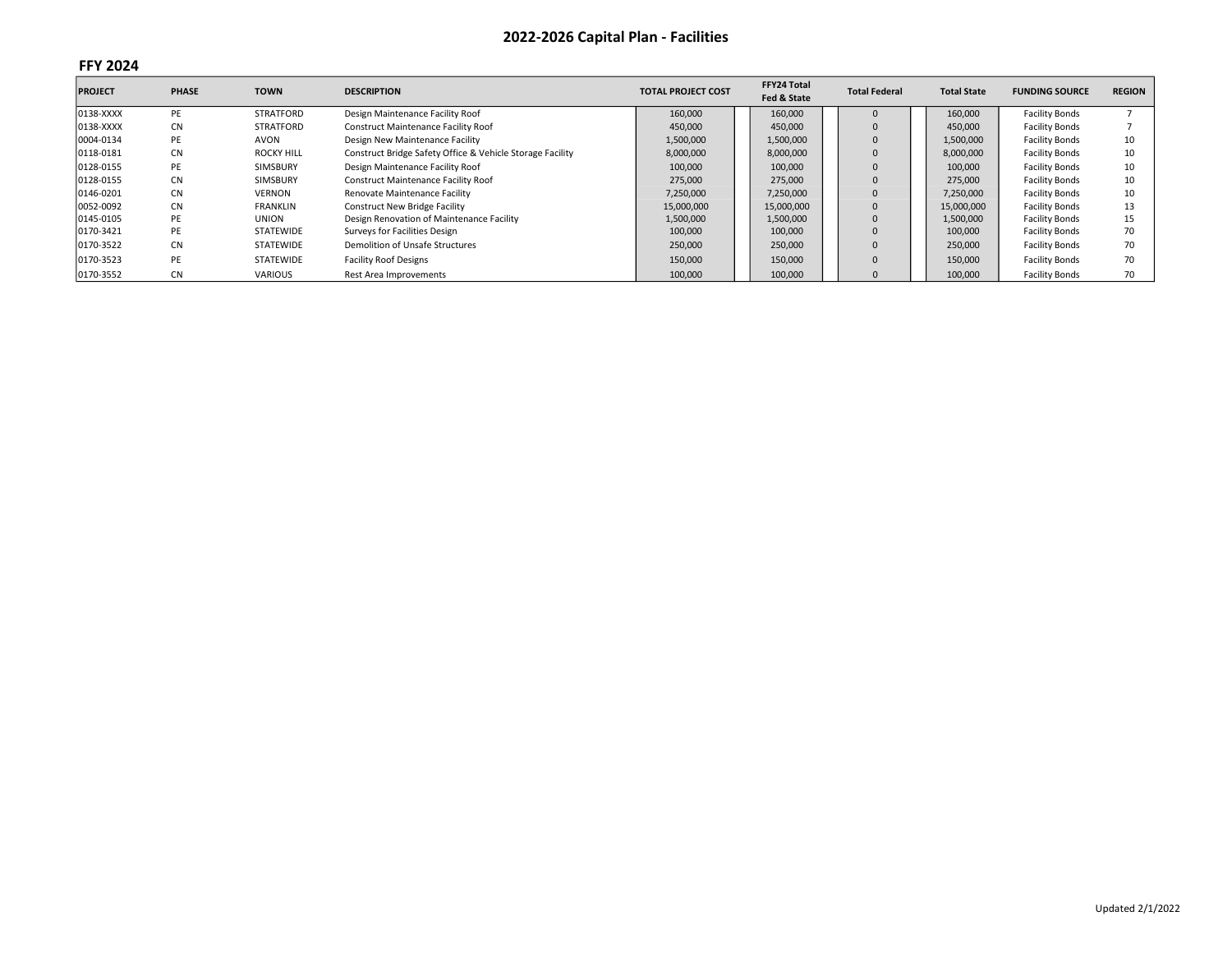| <b>PROJECT</b> | <b>PHASE</b> | <b>TOWN</b>       | <b>DESCRIPTION</b>                                        | <b>TOTAL PROJECT COST</b> | FFY24 Total<br>Fed & State | <b>Total Federal</b> | <b>Total State</b> | <b>FUNDING SOURCE</b> | <b>REGION</b> |
|----------------|--------------|-------------------|-----------------------------------------------------------|---------------------------|----------------------------|----------------------|--------------------|-----------------------|---------------|
| 0138-XXXX      | PE           | <b>STRATFORD</b>  | Design Maintenance Facility Roof                          | 160,000                   | 160,000                    |                      | 160,000            | <b>Facility Bonds</b> |               |
| 0138-XXXX      | <b>CN</b>    | STRATFORD         | Construct Maintenance Facility Roof                       | 450,000                   | 450,000                    |                      | 450,000            | <b>Facility Bonds</b> |               |
| 0004-0134      | PE           | <b>AVON</b>       | Design New Maintenance Facility                           | 1,500,000                 | 1,500,000                  |                      | 1,500,000          | <b>Facility Bonds</b> | 10            |
| 0118-0181      | <b>CN</b>    | <b>ROCKY HILL</b> | Construct Bridge Safety Office & Vehicle Storage Facility | 8,000,000                 | 8,000,000                  |                      | 8,000,000          | <b>Facility Bonds</b> | 10            |
| 0128-0155      | PE           | SIMSBURY          | Design Maintenance Facility Roof                          | 100,000                   | 100,000                    |                      | 100,000            | <b>Facility Bonds</b> |               |
| 0128-0155      | <b>CN</b>    | SIMSBURY          | Construct Maintenance Facility Roof                       | 275,000                   | 275,000                    |                      | 275,000            | <b>Facility Bonds</b> | 10            |
| 0146-0201      | <b>CN</b>    | <b>VERNON</b>     | Renovate Maintenance Facility                             | 7,250,000                 | 7,250,000                  |                      | 7,250,000          | <b>Facility Bonds</b> |               |
| 0052-0092      | <b>CN</b>    | <b>FRANKLIN</b>   | <b>Construct New Bridge Facility</b>                      | 15,000,000                | 15,000,000                 |                      | 15,000,000         | <b>Facility Bonds</b> |               |
| 0145-0105      | PE           | <b>UNION</b>      | Design Renovation of Maintenance Facility                 | 1,500,000                 | 1,500,000                  |                      | 1,500,000          | <b>Facility Bonds</b> | 15            |
| 0170-3421      | PE           | STATEWIDE         | Surveys for Facilities Design                             | 100,000                   | 100,000                    |                      | 100,000            | <b>Facility Bonds</b> | 70            |
| 0170-3522      | <b>CN</b>    | STATEWIDE         | Demolition of Unsafe Structures                           | 250,000                   | 250,000                    |                      | 250,000            | <b>Facility Bonds</b> | 70            |
| 0170-3523      | PE           | STATEWIDE         | <b>Facility Roof Designs</b>                              | 150,000                   | 150,000                    |                      | 150,000            | <b>Facility Bonds</b> | 70            |
| 0170-3552      | <b>CN</b>    | <b>VARIOUS</b>    | Rest Area Improvements                                    | 100,000                   | 100,000                    |                      | 100,000            | <b>Facility Bonds</b> | 70            |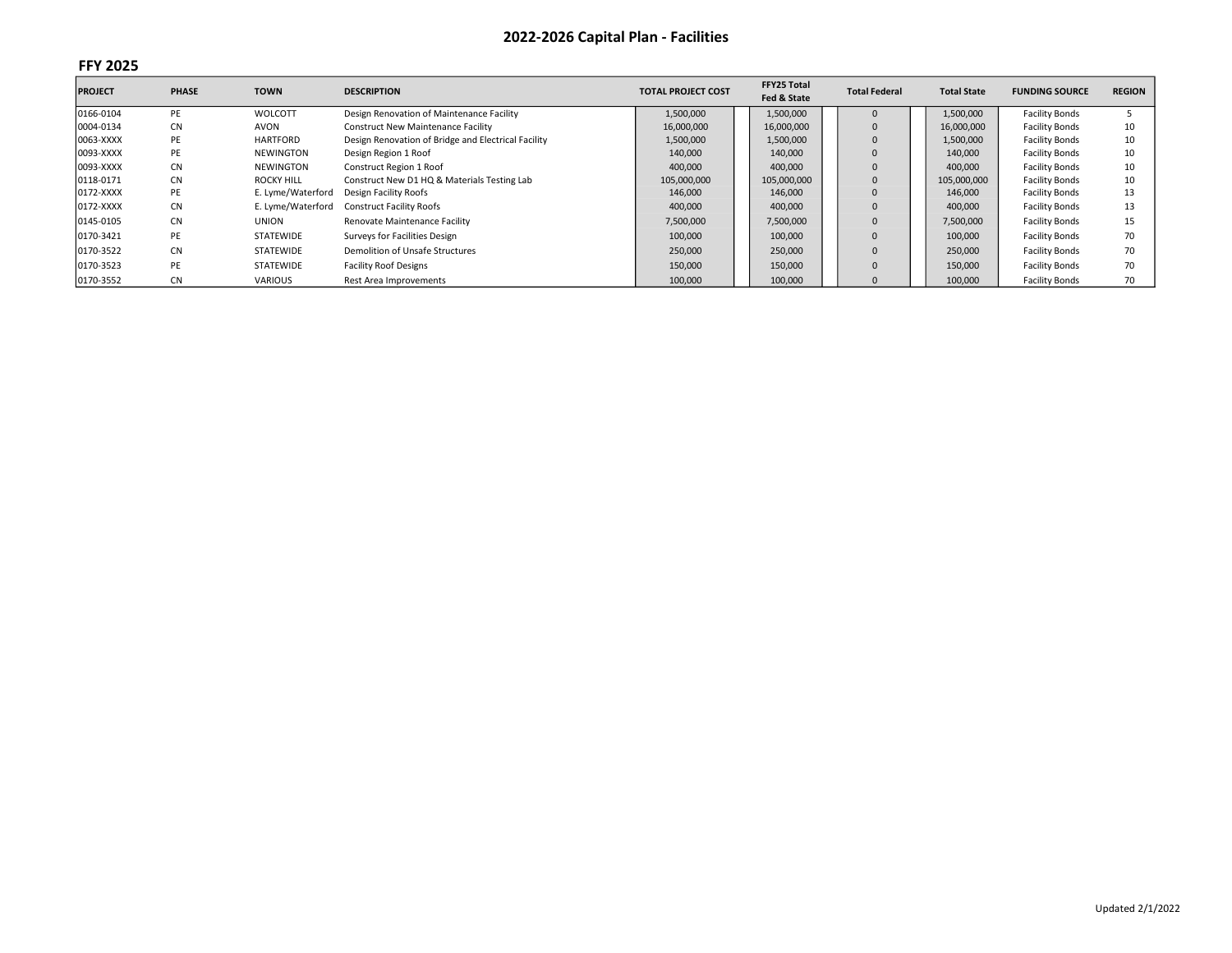| <b>PROJECT</b> | <b>PHASE</b> | <b>TOWN</b>       | <b>DESCRIPTION</b>                                  | <b>TOTAL PROJECT COST</b> | FFY25 Total<br>Fed & State | <b>Total Federal</b> | <b>Total State</b> | <b>FUNDING SOURCE</b> | <b>REGION</b> |
|----------------|--------------|-------------------|-----------------------------------------------------|---------------------------|----------------------------|----------------------|--------------------|-----------------------|---------------|
| 0166-0104      | PE           | WOLCOTT           | Design Renovation of Maintenance Facility           | 1,500,000                 | 1,500,000                  |                      | 1,500,000          | <b>Facility Bonds</b> |               |
| 0004-0134      | <b>CN</b>    | AVON              | <b>Construct New Maintenance Facility</b>           | 16,000,000                | 16,000,000                 |                      | 16,000,000         | <b>Facility Bonds</b> | 10            |
| 0063-XXXX      | PE           | <b>HARTFORD</b>   | Design Renovation of Bridge and Electrical Facility | 1,500,000                 | 1,500,000                  |                      | 1,500,000          | <b>Facility Bonds</b> | 10            |
| 0093-XXXX      | PE           | <b>NEWINGTON</b>  | Design Region 1 Roof                                | 140,000                   | 140,000                    |                      | 140,000            | <b>Facility Bonds</b> | 10            |
| 0093-XXXX      | <b>CN</b>    | <b>NEWINGTON</b>  | Construct Region 1 Roof                             | 400,000                   | 400,000                    |                      | 400,000            | <b>Facility Bonds</b> | 10            |
| 0118-0171      | <b>CN</b>    | <b>ROCKY HILL</b> | Construct New D1 HQ & Materials Testing Lab         | 105,000,000               | 105,000,000                |                      | 105,000,000        | <b>Facility Bonds</b> | 10            |
| 0172-XXXX      | PE           | E. Lyme/Waterford | Design Facility Roofs                               | 146,000                   | 146,000                    |                      | 146,000            | <b>Facility Bonds</b> | 13            |
| 0172-XXXX      | <b>CN</b>    | E. Lyme/Waterford | <b>Construct Facility Roofs</b>                     | 400,000                   | 400,000                    |                      | 400,000            | <b>Facility Bonds</b> | 13            |
| 0145-0105      | <b>CN</b>    | <b>UNION</b>      | Renovate Maintenance Facility                       | 7,500,000                 | 7,500,000                  |                      | 7,500,000          | <b>Facility Bonds</b> | 15            |
| 0170-3421      | PE           | STATEWIDE         | Surveys for Facilities Design                       | 100,000                   | 100,000                    |                      | 100,000            | <b>Facility Bonds</b> | 70            |
| 0170-3522      | <b>CN</b>    | STATEWIDE         | Demolition of Unsafe Structures                     | 250,000                   | 250,000                    |                      | 250,000            | <b>Facility Bonds</b> | 70            |
| 0170-3523      | PE           | STATEWIDE         | <b>Facility Roof Designs</b>                        | 150,000                   | 150,000                    |                      | 150,000            | <b>Facility Bonds</b> | 70            |
| 0170-3552      | <b>CN</b>    | <b>VARIOUS</b>    | Rest Area Improvements                              | 100,000                   | 100,000                    |                      | 100,000            | <b>Facility Bonds</b> | 70            |